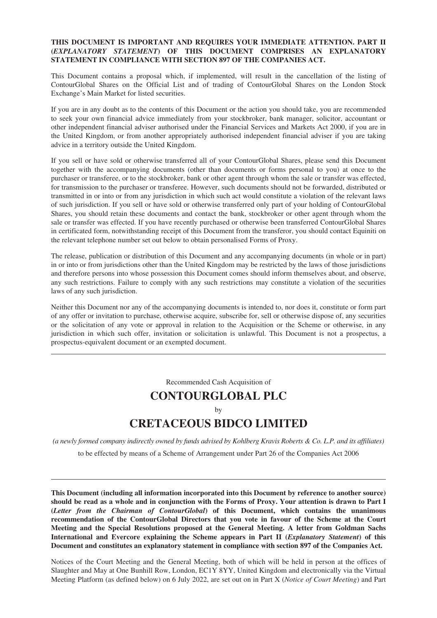# **THIS DOCUMENT IS IMPORTANT AND REQUIRES YOUR IMMEDIATE ATTENTION. PART II (***EXPLANATORY STATEMENT***) OF THIS DOCUMENT COMPRISES AN EXPLANATORY STATEMENT IN COMPLIANCE WITH SECTION 897 OF THE COMPANIES ACT.**

This Document contains a proposal which, if implemented, will result in the cancellation of the listing of ContourGlobal Shares on the Official List and of trading of ContourGlobal Shares on the London Stock Exchange's Main Market for listed securities.

If you are in any doubt as to the contents of this Document or the action you should take, you are recommended to seek your own financial advice immediately from your stockbroker, bank manager, solicitor, accountant or other independent financial adviser authorised under the Financial Services and Markets Act 2000, if you are in the United Kingdom, or from another appropriately authorised independent financial adviser if you are taking advice in a territory outside the United Kingdom.

If you sell or have sold or otherwise transferred all of your ContourGlobal Shares, please send this Document together with the accompanying documents (other than documents or forms personal to you) at once to the purchaser or transferee, or to the stockbroker, bank or other agent through whom the sale or transfer was effected, for transmission to the purchaser or transferee. However, such documents should not be forwarded, distributed or transmitted in or into or from any jurisdiction in which such act would constitute a violation of the relevant laws of such jurisdiction. If you sell or have sold or otherwise transferred only part of your holding of ContourGlobal Shares, you should retain these documents and contact the bank, stockbroker or other agent through whom the sale or transfer was effected. If you have recently purchased or otherwise been transferred ContourGlobal Shares in certificated form, notwithstanding receipt of this Document from the transferor, you should contact Equiniti on the relevant telephone number set out below to obtain personalised Forms of Proxy.

The release, publication or distribution of this Document and any accompanying documents (in whole or in part) in or into or from jurisdictions other than the United Kingdom may be restricted by the laws of those jurisdictions and therefore persons into whose possession this Document comes should inform themselves about, and observe, any such restrictions. Failure to comply with any such restrictions may constitute a violation of the securities laws of any such jurisdiction.

Neither this Document nor any of the accompanying documents is intended to, nor does it, constitute or form part of any offer or invitation to purchase, otherwise acquire, subscribe for, sell or otherwise dispose of, any securities or the solicitation of any vote or approval in relation to the Acquisition or the Scheme or otherwise, in any jurisdiction in which such offer, invitation or solicitation is unlawful. This Document is not a prospectus, a prospectus-equivalent document or an exempted document.

Recommended Cash Acquisition of

# **CONTOURGLOBAL PLC** by **CRETACEOUS BIDCO LIMITED**

*(a newly formed company indirectly owned by funds advised by Kohlberg Kravis Roberts & Co. L.P. and its affiliates)*

to be effected by means of a Scheme of Arrangement under Part 26 of the Companies Act 2006

**This Document (including all information incorporated into this Document by reference to another source) should be read as a whole and in conjunction with the Forms of Proxy. Your attention is drawn to Part I (***Letter from the Chairman of ContourGlobal***) of this Document, which contains the unanimous recommendation of the ContourGlobal Directors that you vote in favour of the Scheme at the Court Meeting and the Special Resolutions proposed at the General Meeting. A letter from Goldman Sachs International and Evercore explaining the Scheme appears in Part II (***Explanatory Statement***) of this Document and constitutes an explanatory statement in compliance with section 897 of the Companies Act.**

Notices of the Court Meeting and the General Meeting, both of which will be held in person at the offices of Slaughter and May at One Bunhill Row, London, EC1Y 8YY, United Kingdom and electronically via the Virtual Meeting Platform (as defined below) on 6 July 2022, are set out on in Part X (*Notice of Court Meeting*) and Part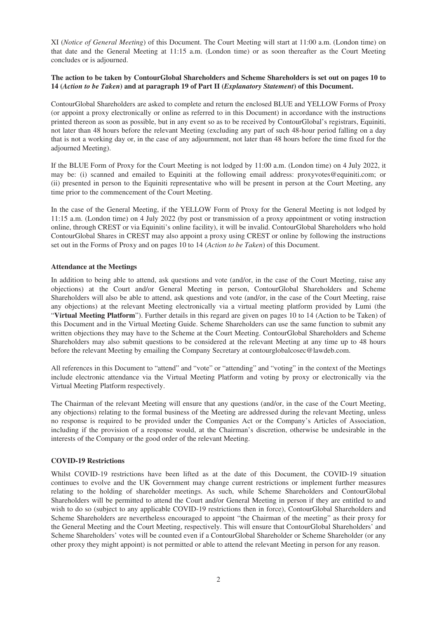XI (*Notice of General Meeting*) of this Document. The Court Meeting will start at 11:00 a.m. (London time) on that date and the General Meeting at 11:15 a.m. (London time) or as soon thereafter as the Court Meeting concludes or is adjourned.

#### **The action to be taken by ContourGlobal Shareholders and Scheme Shareholders is set out on pages 10 to 14 (***Action to be Taken***) and at paragraph 19 of Part II (***Explanatory Statement***) of this Document.**

ContourGlobal Shareholders are asked to complete and return the enclosed BLUE and YELLOW Forms of Proxy (or appoint a proxy electronically or online as referred to in this Document) in accordance with the instructions printed thereon as soon as possible, but in any event so as to be received by ContourGlobal's registrars, Equiniti, not later than 48 hours before the relevant Meeting (excluding any part of such 48-hour period falling on a day that is not a working day or, in the case of any adjournment, not later than 48 hours before the time fixed for the adjourned Meeting).

If the BLUE Form of Proxy for the Court Meeting is not lodged by 11:00 a.m. (London time) on 4 July 2022, it may be: (i) scanned and emailed to Equiniti at the following email address: proxyvotes@equiniti.com; or (ii) presented in person to the Equiniti representative who will be present in person at the Court Meeting, any time prior to the commencement of the Court Meeting.

In the case of the General Meeting, if the YELLOW Form of Proxy for the General Meeting is not lodged by 11:15 a.m. (London time) on 4 July 2022 (by post or transmission of a proxy appointment or voting instruction online, through CREST or via Equiniti's online facility), it will be invalid. ContourGlobal Shareholders who hold ContourGlobal Shares in CREST may also appoint a proxy using CREST or online by following the instructions set out in the Forms of Proxy and on pages 10 to 14 (*Action to be Taken*) of this Document.

#### **Attendance at the Meetings**

In addition to being able to attend, ask questions and vote (and/or, in the case of the Court Meeting, raise any objections) at the Court and/or General Meeting in person, ContourGlobal Shareholders and Scheme Shareholders will also be able to attend, ask questions and vote (and/or, in the case of the Court Meeting, raise any objections) at the relevant Meeting electronically via a virtual meeting platform provided by Lumi (the "**Virtual Meeting Platform**"). Further details in this regard are given on pages 10 to 14 (Action to be Taken) of this Document and in the Virtual Meeting Guide. Scheme Shareholders can use the same function to submit any written objections they may have to the Scheme at the Court Meeting. ContourGlobal Shareholders and Scheme Shareholders may also submit questions to be considered at the relevant Meeting at any time up to 48 hours before the relevant Meeting by emailing the Company Secretary at contourglobalcosec@lawdeb.com.

All references in this Document to "attend" and "vote" or "attending" and "voting" in the context of the Meetings include electronic attendance via the Virtual Meeting Platform and voting by proxy or electronically via the Virtual Meeting Platform respectively.

The Chairman of the relevant Meeting will ensure that any questions (and/or, in the case of the Court Meeting, any objections) relating to the formal business of the Meeting are addressed during the relevant Meeting, unless no response is required to be provided under the Companies Act or the Company's Articles of Association, including if the provision of a response would, at the Chairman's discretion, otherwise be undesirable in the interests of the Company or the good order of the relevant Meeting.

#### **COVID-19 Restrictions**

Whilst COVID-19 restrictions have been lifted as at the date of this Document, the COVID-19 situation continues to evolve and the UK Government may change current restrictions or implement further measures relating to the holding of shareholder meetings. As such, while Scheme Shareholders and ContourGlobal Shareholders will be permitted to attend the Court and/or General Meeting in person if they are entitled to and wish to do so (subject to any applicable COVID-19 restrictions then in force), ContourGlobal Shareholders and Scheme Shareholders are nevertheless encouraged to appoint "the Chairman of the meeting" as their proxy for the General Meeting and the Court Meeting, respectively. This will ensure that ContourGlobal Shareholders' and Scheme Shareholders' votes will be counted even if a ContourGlobal Shareholder or Scheme Shareholder (or any other proxy they might appoint) is not permitted or able to attend the relevant Meeting in person for any reason.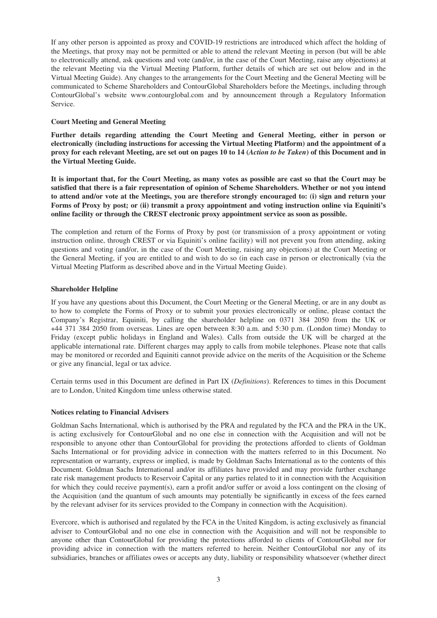If any other person is appointed as proxy and COVID-19 restrictions are introduced which affect the holding of the Meetings, that proxy may not be permitted or able to attend the relevant Meeting in person (but will be able to electronically attend, ask questions and vote (and/or, in the case of the Court Meeting, raise any objections) at the relevant Meeting via the Virtual Meeting Platform, further details of which are set out below and in the Virtual Meeting Guide). Any changes to the arrangements for the Court Meeting and the General Meeting will be communicated to Scheme Shareholders and ContourGlobal Shareholders before the Meetings, including through ContourGlobal's website www.contourglobal.com and by announcement through a Regulatory Information Service.

# **Court Meeting and General Meeting**

**Further details regarding attending the Court Meeting and General Meeting, either in person or electronically (including instructions for accessing the Virtual Meeting Platform) and the appointment of a proxy for each relevant Meeting, are set out on pages 10 to 14 (***Action to be Taken***) of this Document and in the Virtual Meeting Guide.**

**It is important that, for the Court Meeting, as many votes as possible are cast so that the Court may be satisfied that there is a fair representation of opinion of Scheme Shareholders. Whether or not you intend to attend and/or vote at the Meetings, you are therefore strongly encouraged to: (i) sign and return your Forms of Proxy by post; or (ii) transmit a proxy appointment and voting instruction online via Equiniti's online facility or through the CREST electronic proxy appointment service as soon as possible.**

The completion and return of the Forms of Proxy by post (or transmission of a proxy appointment or voting instruction online, through CREST or via Equiniti's online facility) will not prevent you from attending, asking questions and voting (and/or, in the case of the Court Meeting, raising any objections) at the Court Meeting or the General Meeting, if you are entitled to and wish to do so (in each case in person or electronically (via the Virtual Meeting Platform as described above and in the Virtual Meeting Guide).

# **Shareholder Helpline**

If you have any questions about this Document, the Court Meeting or the General Meeting, or are in any doubt as to how to complete the Forms of Proxy or to submit your proxies electronically or online, please contact the Company's Registrar, Equiniti, by calling the shareholder helpline on 0371 384 2050 from the UK or +44 371 384 2050 from overseas. Lines are open between 8:30 a.m. and 5:30 p.m. (London time) Monday to Friday (except public holidays in England and Wales). Calls from outside the UK will be charged at the applicable international rate. Different charges may apply to calls from mobile telephones. Please note that calls may be monitored or recorded and Equiniti cannot provide advice on the merits of the Acquisition or the Scheme or give any financial, legal or tax advice.

Certain terms used in this Document are defined in Part IX (*Definitions*). References to times in this Document are to London, United Kingdom time unless otherwise stated.

#### **Notices relating to Financial Advisers**

Goldman Sachs International, which is authorised by the PRA and regulated by the FCA and the PRA in the UK, is acting exclusively for ContourGlobal and no one else in connection with the Acquisition and will not be responsible to anyone other than ContourGlobal for providing the protections afforded to clients of Goldman Sachs International or for providing advice in connection with the matters referred to in this Document. No representation or warranty, express or implied, is made by Goldman Sachs International as to the contents of this Document. Goldman Sachs International and/or its affiliates have provided and may provide further exchange rate risk management products to Reservoir Capital or any parties related to it in connection with the Acquisition for which they could receive payment(s), earn a profit and/or suffer or avoid a loss contingent on the closing of the Acquisition (and the quantum of such amounts may potentially be significantly in excess of the fees earned by the relevant adviser for its services provided to the Company in connection with the Acquisition).

Evercore, which is authorised and regulated by the FCA in the United Kingdom, is acting exclusively as financial adviser to ContourGlobal and no one else in connection with the Acquisition and will not be responsible to anyone other than ContourGlobal for providing the protections afforded to clients of ContourGlobal nor for providing advice in connection with the matters referred to herein. Neither ContourGlobal nor any of its subsidiaries, branches or affiliates owes or accepts any duty, liability or responsibility whatsoever (whether direct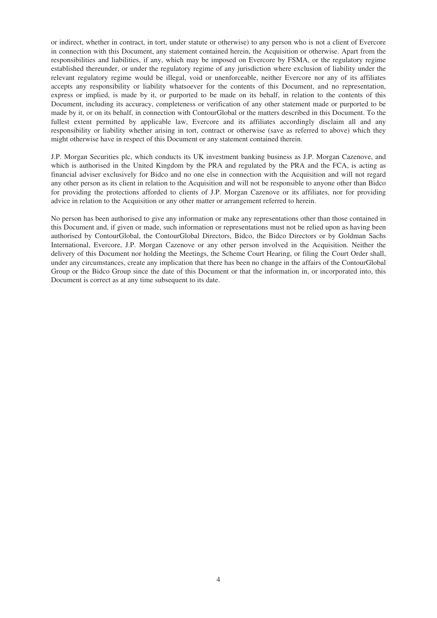or indirect, whether in contract, in tort, under statute or otherwise) to any person who is not a client of Evercore in connection with this Document, any statement contained herein, the Acquisition or otherwise. Apart from the responsibilities and liabilities, if any, which may be imposed on Evercore by FSMA, or the regulatory regime established thereunder, or under the regulatory regime of any jurisdiction where exclusion of liability under the relevant regulatory regime would be illegal, void or unenforceable, neither Evercore nor any of its affiliates accepts any responsibility or liability whatsoever for the contents of this Document, and no representation, express or implied, is made by it, or purported to be made on its behalf, in relation to the contents of this Document, including its accuracy, completeness or verification of any other statement made or purported to be made by it, or on its behalf, in connection with ContourGlobal or the matters described in this Document. To the fullest extent permitted by applicable law, Evercore and its affiliates accordingly disclaim all and any responsibility or liability whether arising in tort, contract or otherwise (save as referred to above) which they might otherwise have in respect of this Document or any statement contained therein.

J.P. Morgan Securities plc, which conducts its UK investment banking business as J.P. Morgan Cazenove, and which is authorised in the United Kingdom by the PRA and regulated by the PRA and the FCA, is acting as financial adviser exclusively for Bidco and no one else in connection with the Acquisition and will not regard any other person as its client in relation to the Acquisition and will not be responsible to anyone other than Bidco for providing the protections afforded to clients of J.P. Morgan Cazenove or its affiliates, nor for providing advice in relation to the Acquisition or any other matter or arrangement referred to herein.

No person has been authorised to give any information or make any representations other than those contained in this Document and, if given or made, such information or representations must not be relied upon as having been authorised by ContourGlobal, the ContourGlobal Directors, Bidco, the Bidco Directors or by Goldman Sachs International, Evercore, J.P. Morgan Cazenove or any other person involved in the Acquisition. Neither the delivery of this Document nor holding the Meetings, the Scheme Court Hearing, or filing the Court Order shall, under any circumstances, create any implication that there has been no change in the affairs of the ContourGlobal Group or the Bidco Group since the date of this Document or that the information in, or incorporated into, this Document is correct as at any time subsequent to its date.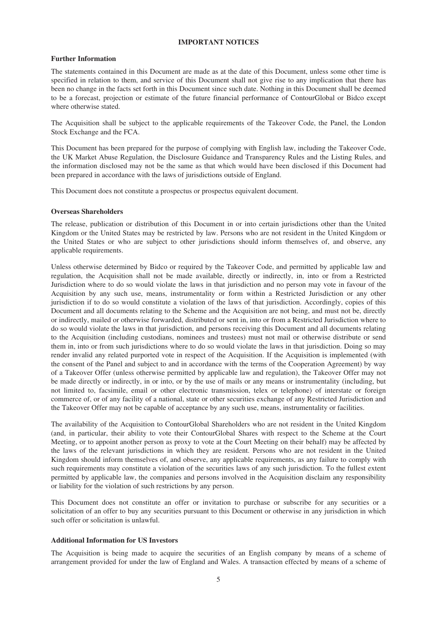#### **IMPORTANT NOTICES**

#### **Further Information**

The statements contained in this Document are made as at the date of this Document, unless some other time is specified in relation to them, and service of this Document shall not give rise to any implication that there has been no change in the facts set forth in this Document since such date. Nothing in this Document shall be deemed to be a forecast, projection or estimate of the future financial performance of ContourGlobal or Bidco except where otherwise stated.

The Acquisition shall be subject to the applicable requirements of the Takeover Code, the Panel, the London Stock Exchange and the FCA.

This Document has been prepared for the purpose of complying with English law, including the Takeover Code, the UK Market Abuse Regulation, the Disclosure Guidance and Transparency Rules and the Listing Rules, and the information disclosed may not be the same as that which would have been disclosed if this Document had been prepared in accordance with the laws of jurisdictions outside of England.

This Document does not constitute a prospectus or prospectus equivalent document.

#### **Overseas Shareholders**

The release, publication or distribution of this Document in or into certain jurisdictions other than the United Kingdom or the United States may be restricted by law. Persons who are not resident in the United Kingdom or the United States or who are subject to other jurisdictions should inform themselves of, and observe, any applicable requirements.

Unless otherwise determined by Bidco or required by the Takeover Code, and permitted by applicable law and regulation, the Acquisition shall not be made available, directly or indirectly, in, into or from a Restricted Jurisdiction where to do so would violate the laws in that jurisdiction and no person may vote in favour of the Acquisition by any such use, means, instrumentality or form within a Restricted Jurisdiction or any other jurisdiction if to do so would constitute a violation of the laws of that jurisdiction. Accordingly, copies of this Document and all documents relating to the Scheme and the Acquisition are not being, and must not be, directly or indirectly, mailed or otherwise forwarded, distributed or sent in, into or from a Restricted Jurisdiction where to do so would violate the laws in that jurisdiction, and persons receiving this Document and all documents relating to the Acquisition (including custodians, nominees and trustees) must not mail or otherwise distribute or send them in, into or from such jurisdictions where to do so would violate the laws in that jurisdiction. Doing so may render invalid any related purported vote in respect of the Acquisition. If the Acquisition is implemented (with the consent of the Panel and subject to and in accordance with the terms of the Cooperation Agreement) by way of a Takeover Offer (unless otherwise permitted by applicable law and regulation), the Takeover Offer may not be made directly or indirectly, in or into, or by the use of mails or any means or instrumentality (including, but not limited to, facsimile, email or other electronic transmission, telex or telephone) of interstate or foreign commerce of, or of any facility of a national, state or other securities exchange of any Restricted Jurisdiction and the Takeover Offer may not be capable of acceptance by any such use, means, instrumentality or facilities.

The availability of the Acquisition to ContourGlobal Shareholders who are not resident in the United Kingdom (and, in particular, their ability to vote their ContourGlobal Shares with respect to the Scheme at the Court Meeting, or to appoint another person as proxy to vote at the Court Meeting on their behalf) may be affected by the laws of the relevant jurisdictions in which they are resident. Persons who are not resident in the United Kingdom should inform themselves of, and observe, any applicable requirements, as any failure to comply with such requirements may constitute a violation of the securities laws of any such jurisdiction. To the fullest extent permitted by applicable law, the companies and persons involved in the Acquisition disclaim any responsibility or liability for the violation of such restrictions by any person.

This Document does not constitute an offer or invitation to purchase or subscribe for any securities or a solicitation of an offer to buy any securities pursuant to this Document or otherwise in any jurisdiction in which such offer or solicitation is unlawful.

#### **Additional Information for US Investors**

The Acquisition is being made to acquire the securities of an English company by means of a scheme of arrangement provided for under the law of England and Wales. A transaction effected by means of a scheme of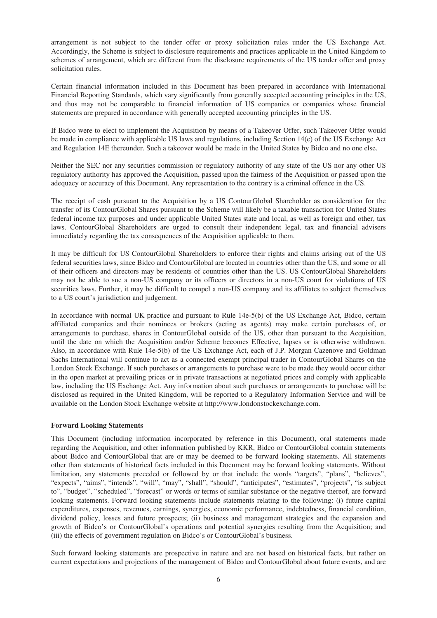arrangement is not subject to the tender offer or proxy solicitation rules under the US Exchange Act. Accordingly, the Scheme is subject to disclosure requirements and practices applicable in the United Kingdom to schemes of arrangement, which are different from the disclosure requirements of the US tender offer and proxy solicitation rules.

Certain financial information included in this Document has been prepared in accordance with International Financial Reporting Standards, which vary significantly from generally accepted accounting principles in the US, and thus may not be comparable to financial information of US companies or companies whose financial statements are prepared in accordance with generally accepted accounting principles in the US.

If Bidco were to elect to implement the Acquisition by means of a Takeover Offer, such Takeover Offer would be made in compliance with applicable US laws and regulations, including Section 14(e) of the US Exchange Act and Regulation 14E thereunder. Such a takeover would be made in the United States by Bidco and no one else.

Neither the SEC nor any securities commission or regulatory authority of any state of the US nor any other US regulatory authority has approved the Acquisition, passed upon the fairness of the Acquisition or passed upon the adequacy or accuracy of this Document. Any representation to the contrary is a criminal offence in the US.

The receipt of cash pursuant to the Acquisition by a US ContourGlobal Shareholder as consideration for the transfer of its ContourGlobal Shares pursuant to the Scheme will likely be a taxable transaction for United States federal income tax purposes and under applicable United States state and local, as well as foreign and other, tax laws. ContourGlobal Shareholders are urged to consult their independent legal, tax and financial advisers immediately regarding the tax consequences of the Acquisition applicable to them.

It may be difficult for US ContourGlobal Shareholders to enforce their rights and claims arising out of the US federal securities laws, since Bidco and ContourGlobal are located in countries other than the US, and some or all of their officers and directors may be residents of countries other than the US. US ContourGlobal Shareholders may not be able to sue a non-US company or its officers or directors in a non-US court for violations of US securities laws. Further, it may be difficult to compel a non-US company and its affiliates to subject themselves to a US court's jurisdiction and judgement.

In accordance with normal UK practice and pursuant to Rule 14e-5(b) of the US Exchange Act, Bidco, certain affiliated companies and their nominees or brokers (acting as agents) may make certain purchases of, or arrangements to purchase, shares in ContourGlobal outside of the US, other than pursuant to the Acquisition, until the date on which the Acquisition and/or Scheme becomes Effective, lapses or is otherwise withdrawn. Also, in accordance with Rule 14e-5(b) of the US Exchange Act, each of J.P. Morgan Cazenove and Goldman Sachs International will continue to act as a connected exempt principal trader in ContourGlobal Shares on the London Stock Exchange. If such purchases or arrangements to purchase were to be made they would occur either in the open market at prevailing prices or in private transactions at negotiated prices and comply with applicable law, including the US Exchange Act. Any information about such purchases or arrangements to purchase will be disclosed as required in the United Kingdom, will be reported to a Regulatory Information Service and will be available on the London Stock Exchange website at http://www.londonstockexchange.com.

#### **Forward Looking Statements**

This Document (including information incorporated by reference in this Document), oral statements made regarding the Acquisition, and other information published by KKR, Bidco or ContourGlobal contain statements about Bidco and ContourGlobal that are or may be deemed to be forward looking statements. All statements other than statements of historical facts included in this Document may be forward looking statements. Without limitation, any statements preceded or followed by or that include the words "targets", "plans", "believes", "expects", "aims", "intends", "will", "may", "shall", "should", "anticipates", "estimates", "projects", "is subject to", "budget", "scheduled", "forecast" or words or terms of similar substance or the negative thereof, are forward looking statements. Forward looking statements include statements relating to the following: (i) future capital expenditures, expenses, revenues, earnings, synergies, economic performance, indebtedness, financial condition, dividend policy, losses and future prospects; (ii) business and management strategies and the expansion and growth of Bidco's or ContourGlobal's operations and potential synergies resulting from the Acquisition; and (iii) the effects of government regulation on Bidco's or ContourGlobal's business.

Such forward looking statements are prospective in nature and are not based on historical facts, but rather on current expectations and projections of the management of Bidco and ContourGlobal about future events, and are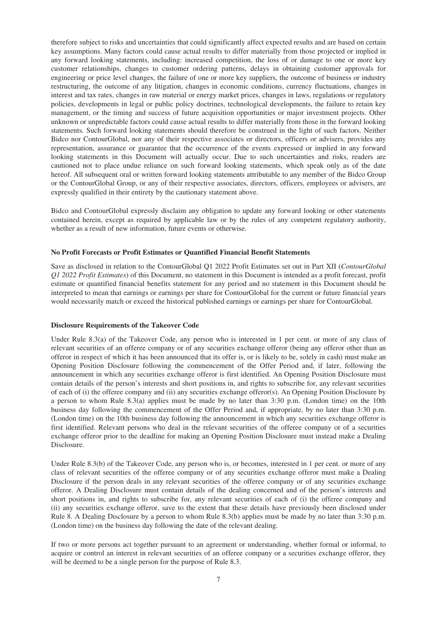therefore subject to risks and uncertainties that could significantly affect expected results and are based on certain key assumptions. Many factors could cause actual results to differ materially from those projected or implied in any forward looking statements, including: increased competition, the loss of or damage to one or more key customer relationships, changes to customer ordering patterns, delays in obtaining customer approvals for engineering or price level changes, the failure of one or more key suppliers, the outcome of business or industry restructuring, the outcome of any litigation, changes in economic conditions, currency fluctuations, changes in interest and tax rates, changes in raw material or energy market prices, changes in laws, regulations or regulatory policies, developments in legal or public policy doctrines, technological developments, the failure to retain key management, or the timing and success of future acquisition opportunities or major investment projects. Other unknown or unpredictable factors could cause actual results to differ materially from those in the forward looking statements. Such forward looking statements should therefore be construed in the light of such factors. Neither Bidco nor ContourGlobal, nor any of their respective associates or directors, officers or advisers, provides any representation, assurance or guarantee that the occurrence of the events expressed or implied in any forward looking statements in this Document will actually occur. Due to such uncertainties and risks, readers are cautioned not to place undue reliance on such forward looking statements, which speak only as of the date hereof. All subsequent oral or written forward looking statements attributable to any member of the Bidco Group or the ContourGlobal Group, or any of their respective associates, directors, officers, employees or advisers, are expressly qualified in their entirety by the cautionary statement above.

Bidco and ContourGlobal expressly disclaim any obligation to update any forward looking or other statements contained herein, except as required by applicable law or by the rules of any competent regulatory authority, whether as a result of new information, future events or otherwise.

#### **No Profit Forecasts or Profit Estimates or Quantified Financial Benefit Statements**

Save as disclosed in relation to the ContourGlobal Q1 2022 Profit Estimates set out in Part XII (*ContourGlobal Q1 2022 Profit Estimates*) of this Document, no statement in this Document is intended as a profit forecast, profit estimate or quantified financial benefits statement for any period and no statement in this Document should be interpreted to mean that earnings or earnings per share for ContourGlobal for the current or future financial years would necessarily match or exceed the historical published earnings or earnings per share for ContourGlobal.

#### **Disclosure Requirements of the Takeover Code**

Under Rule 8.3(a) of the Takeover Code, any person who is interested in 1 per cent. or more of any class of relevant securities of an offeree company or of any securities exchange offeror (being any offeror other than an offeror in respect of which it has been announced that its offer is, or is likely to be, solely in cash) must make an Opening Position Disclosure following the commencement of the Offer Period and, if later, following the announcement in which any securities exchange offeror is first identified. An Opening Position Disclosure must contain details of the person's interests and short positions in, and rights to subscribe for, any relevant securities of each of (i) the offeree company and (ii) any securities exchange offeror(s). An Opening Position Disclosure by a person to whom Rule 8.3(a) applies must be made by no later than 3:30 p.m. (London time) on the 10th business day following the commencement of the Offer Period and, if appropriate, by no later than 3:30 p.m. (London time) on the 10th business day following the announcement in which any securities exchange offeror is first identified. Relevant persons who deal in the relevant securities of the offeree company or of a securities exchange offeror prior to the deadline for making an Opening Position Disclosure must instead make a Dealing Disclosure.

Under Rule 8.3(b) of the Takeover Code, any person who is, or becomes, interested in 1 per cent. or more of any class of relevant securities of the offeree company or of any securities exchange offeror must make a Dealing Disclosure if the person deals in any relevant securities of the offeree company or of any securities exchange offeror. A Dealing Disclosure must contain details of the dealing concerned and of the person's interests and short positions in, and rights to subscribe for, any relevant securities of each of (i) the offeree company and (ii) any securities exchange offeror, save to the extent that these details have previously been disclosed under Rule 8. A Dealing Disclosure by a person to whom Rule 8.3(b) applies must be made by no later than 3:30 p.m. (London time) on the business day following the date of the relevant dealing.

If two or more persons act together pursuant to an agreement or understanding, whether formal or informal, to acquire or control an interest in relevant securities of an offeree company or a securities exchange offeror, they will be deemed to be a single person for the purpose of Rule 8.3.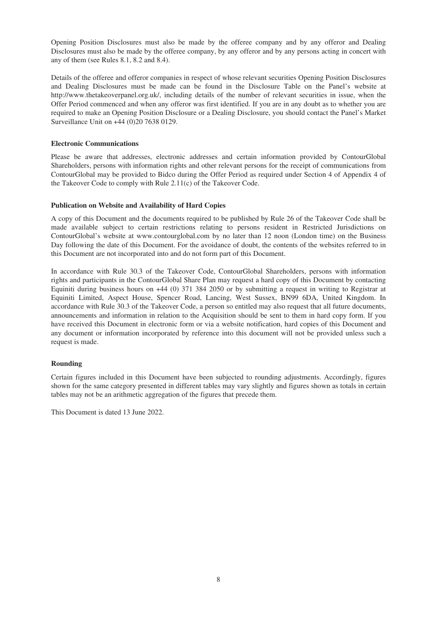Opening Position Disclosures must also be made by the offeree company and by any offeror and Dealing Disclosures must also be made by the offeree company, by any offeror and by any persons acting in concert with any of them (see Rules 8.1, 8.2 and 8.4).

Details of the offeree and offeror companies in respect of whose relevant securities Opening Position Disclosures and Dealing Disclosures must be made can be found in the Disclosure Table on the Panel's website at http://www.thetakeoverpanel.org.uk/, including details of the number of relevant securities in issue, when the Offer Period commenced and when any offeror was first identified. If you are in any doubt as to whether you are required to make an Opening Position Disclosure or a Dealing Disclosure, you should contact the Panel's Market Surveillance Unit on +44 (0)20 7638 0129.

#### **Electronic Communications**

Please be aware that addresses, electronic addresses and certain information provided by ContourGlobal Shareholders, persons with information rights and other relevant persons for the receipt of communications from ContourGlobal may be provided to Bidco during the Offer Period as required under Section 4 of Appendix 4 of the Takeover Code to comply with Rule 2.11(c) of the Takeover Code.

#### **Publication on Website and Availability of Hard Copies**

A copy of this Document and the documents required to be published by Rule 26 of the Takeover Code shall be made available subject to certain restrictions relating to persons resident in Restricted Jurisdictions on ContourGlobal's website at www.contourglobal.com by no later than 12 noon (London time) on the Business Day following the date of this Document. For the avoidance of doubt, the contents of the websites referred to in this Document are not incorporated into and do not form part of this Document.

In accordance with Rule 30.3 of the Takeover Code, ContourGlobal Shareholders, persons with information rights and participants in the ContourGlobal Share Plan may request a hard copy of this Document by contacting Equiniti during business hours on +44 (0) 371 384 2050 or by submitting a request in writing to Registrar at Equiniti Limited, Aspect House, Spencer Road, Lancing, West Sussex, BN99 6DA, United Kingdom. In accordance with Rule 30.3 of the Takeover Code, a person so entitled may also request that all future documents, announcements and information in relation to the Acquisition should be sent to them in hard copy form. If you have received this Document in electronic form or via a website notification, hard copies of this Document and any document or information incorporated by reference into this document will not be provided unless such a request is made.

#### **Rounding**

Certain figures included in this Document have been subjected to rounding adjustments. Accordingly, figures shown for the same category presented in different tables may vary slightly and figures shown as totals in certain tables may not be an arithmetic aggregation of the figures that precede them.

This Document is dated 13 June 2022.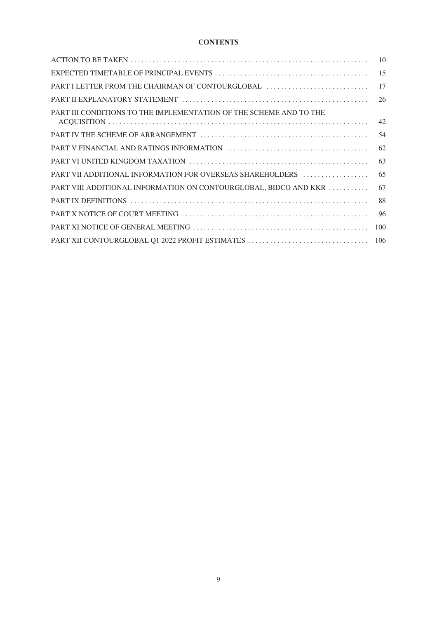# **CONTENTS**

|                                                                    | 10  |
|--------------------------------------------------------------------|-----|
|                                                                    |     |
| PART I LETTER FROM THE CHAIRMAN OF CONTOURGLOBAL                   | 17  |
|                                                                    | 26  |
| PART III CONDITIONS TO THE IMPLEMENTATION OF THE SCHEME AND TO THE |     |
|                                                                    |     |
|                                                                    | 62  |
|                                                                    | 63  |
| PART VII ADDITIONAL INFORMATION FOR OVERSEAS SHAREHOLDERS          | 65  |
| PART VIII ADDITIONAL INFORMATION ON CONTOURGLOBAL, BIDCO AND KKR   | 67  |
|                                                                    | 88  |
|                                                                    | -96 |
|                                                                    | 100 |
|                                                                    |     |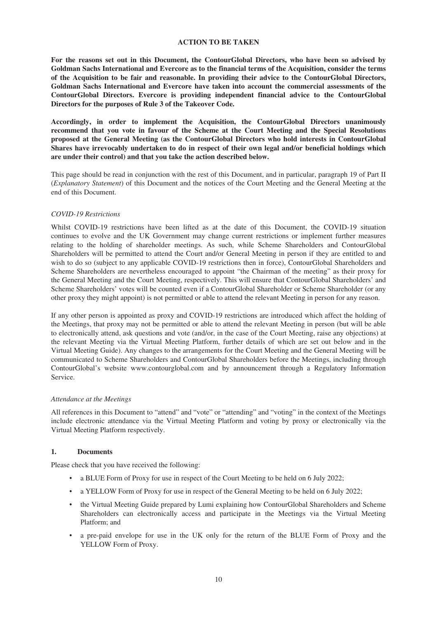#### **ACTION TO BE TAKEN**

**For the reasons set out in this Document, the ContourGlobal Directors, who have been so advised by Goldman Sachs International and Evercore as to the financial terms of the Acquisition, consider the terms of the Acquisition to be fair and reasonable. In providing their advice to the ContourGlobal Directors, Goldman Sachs International and Evercore have taken into account the commercial assessments of the ContourGlobal Directors. Evercore is providing independent financial advice to the ContourGlobal Directors for the purposes of Rule 3 of the Takeover Code.**

**Accordingly, in order to implement the Acquisition, the ContourGlobal Directors unanimously recommend that you vote in favour of the Scheme at the Court Meeting and the Special Resolutions proposed at the General Meeting (as the ContourGlobal Directors who hold interests in ContourGlobal Shares have irrevocably undertaken to do in respect of their own legal and/or beneficial holdings which are under their control) and that you take the action described below.**

This page should be read in conjunction with the rest of this Document, and in particular, paragraph 19 of Part II (*Explanatory Statement*) of this Document and the notices of the Court Meeting and the General Meeting at the end of this Document.

#### *COVID-19 Restrictions*

Whilst COVID-19 restrictions have been lifted as at the date of this Document, the COVID-19 situation continues to evolve and the UK Government may change current restrictions or implement further measures relating to the holding of shareholder meetings. As such, while Scheme Shareholders and ContourGlobal Shareholders will be permitted to attend the Court and/or General Meeting in person if they are entitled to and wish to do so (subject to any applicable COVID-19 restrictions then in force), ContourGlobal Shareholders and Scheme Shareholders are nevertheless encouraged to appoint "the Chairman of the meeting" as their proxy for the General Meeting and the Court Meeting, respectively. This will ensure that ContourGlobal Shareholders' and Scheme Shareholders' votes will be counted even if a ContourGlobal Shareholder or Scheme Shareholder (or any other proxy they might appoint) is not permitted or able to attend the relevant Meeting in person for any reason.

If any other person is appointed as proxy and COVID-19 restrictions are introduced which affect the holding of the Meetings, that proxy may not be permitted or able to attend the relevant Meeting in person (but will be able to electronically attend, ask questions and vote (and/or, in the case of the Court Meeting, raise any objections) at the relevant Meeting via the Virtual Meeting Platform, further details of which are set out below and in the Virtual Meeting Guide). Any changes to the arrangements for the Court Meeting and the General Meeting will be communicated to Scheme Shareholders and ContourGlobal Shareholders before the Meetings, including through ContourGlobal's website www.contourglobal.com and by announcement through a Regulatory Information Service.

#### *Attendance at the Meetings*

All references in this Document to "attend" and "vote" or "attending" and "voting" in the context of the Meetings include electronic attendance via the Virtual Meeting Platform and voting by proxy or electronically via the Virtual Meeting Platform respectively.

# **1. Documents**

Please check that you have received the following:

- a BLUE Form of Proxy for use in respect of the Court Meeting to be held on 6 July 2022;
- a YELLOW Form of Proxy for use in respect of the General Meeting to be held on 6 July 2022;
- the Virtual Meeting Guide prepared by Lumi explaining how ContourGlobal Shareholders and Scheme Shareholders can electronically access and participate in the Meetings via the Virtual Meeting Platform; and
- a pre-paid envelope for use in the UK only for the return of the BLUE Form of Proxy and the YELLOW Form of Proxy.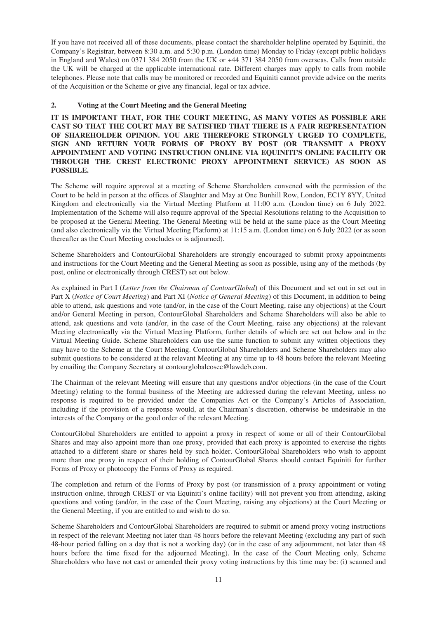If you have not received all of these documents, please contact the shareholder helpline operated by Equiniti, the Company's Registrar, between 8:30 a.m. and 5:30 p.m. (London time) Monday to Friday (except public holidays in England and Wales) on 0371 384 2050 from the UK or +44 371 384 2050 from overseas. Calls from outside the UK will be charged at the applicable international rate. Different charges may apply to calls from mobile telephones. Please note that calls may be monitored or recorded and Equiniti cannot provide advice on the merits of the Acquisition or the Scheme or give any financial, legal or tax advice.

# **2. Voting at the Court Meeting and the General Meeting**

**IT IS IMPORTANT THAT, FOR THE COURT MEETING, AS MANY VOTES AS POSSIBLE ARE CAST SO THAT THE COURT MAY BE SATISFIED THAT THERE IS A FAIR REPRESENTATION OF SHAREHOLDER OPINION. YOU ARE THEREFORE STRONGLY URGED TO COMPLETE, SIGN AND RETURN YOUR FORMS OF PROXY BY POST (OR TRANSMIT A PROXY APPOINTMENT AND VOTING INSTRUCTION ONLINE VIA EQUINITI'S ONLINE FACILITY OR THROUGH THE CREST ELECTRONIC PROXY APPOINTMENT SERVICE) AS SOON AS POSSIBLE.**

The Scheme will require approval at a meeting of Scheme Shareholders convened with the permission of the Court to be held in person at the offices of Slaughter and May at One Bunhill Row, London, EC1Y 8YY, United Kingdom and electronically via the Virtual Meeting Platform at 11:00 a.m. (London time) on 6 July 2022. Implementation of the Scheme will also require approval of the Special Resolutions relating to the Acquisition to be proposed at the General Meeting. The General Meeting will be held at the same place as the Court Meeting (and also electronically via the Virtual Meeting Platform) at 11:15 a.m. (London time) on 6 July 2022 (or as soon thereafter as the Court Meeting concludes or is adjourned).

Scheme Shareholders and ContourGlobal Shareholders are strongly encouraged to submit proxy appointments and instructions for the Court Meeting and the General Meeting as soon as possible, using any of the methods (by post, online or electronically through CREST) set out below.

As explained in Part I (*Letter from the Chairman of ContourGlobal*) of this Document and set out in set out in Part X (*Notice of Court Meeting*) and Part XI (*Notice of General Meeting*) of this Document, in addition to being able to attend, ask questions and vote (and/or, in the case of the Court Meeting, raise any objections) at the Court and/or General Meeting in person, ContourGlobal Shareholders and Scheme Shareholders will also be able to attend, ask questions and vote (and/or, in the case of the Court Meeting, raise any objections) at the relevant Meeting electronically via the Virtual Meeting Platform, further details of which are set out below and in the Virtual Meeting Guide. Scheme Shareholders can use the same function to submit any written objections they may have to the Scheme at the Court Meeting. ContourGlobal Shareholders and Scheme Shareholders may also submit questions to be considered at the relevant Meeting at any time up to 48 hours before the relevant Meeting by emailing the Company Secretary at contourglobalcosec@lawdeb.com.

The Chairman of the relevant Meeting will ensure that any questions and/or objections (in the case of the Court Meeting) relating to the formal business of the Meeting are addressed during the relevant Meeting, unless no response is required to be provided under the Companies Act or the Company's Articles of Association, including if the provision of a response would, at the Chairman's discretion, otherwise be undesirable in the interests of the Company or the good order of the relevant Meeting.

ContourGlobal Shareholders are entitled to appoint a proxy in respect of some or all of their ContourGlobal Shares and may also appoint more than one proxy, provided that each proxy is appointed to exercise the rights attached to a different share or shares held by such holder. ContourGlobal Shareholders who wish to appoint more than one proxy in respect of their holding of ContourGlobal Shares should contact Equiniti for further Forms of Proxy or photocopy the Forms of Proxy as required.

The completion and return of the Forms of Proxy by post (or transmission of a proxy appointment or voting instruction online, through CREST or via Equiniti's online facility) will not prevent you from attending, asking questions and voting (and/or, in the case of the Court Meeting, raising any objections) at the Court Meeting or the General Meeting, if you are entitled to and wish to do so.

Scheme Shareholders and ContourGlobal Shareholders are required to submit or amend proxy voting instructions in respect of the relevant Meeting not later than 48 hours before the relevant Meeting (excluding any part of such 48-hour period falling on a day that is not a working day) (or in the case of any adjournment, not later than 48 hours before the time fixed for the adjourned Meeting). In the case of the Court Meeting only, Scheme Shareholders who have not cast or amended their proxy voting instructions by this time may be: (i) scanned and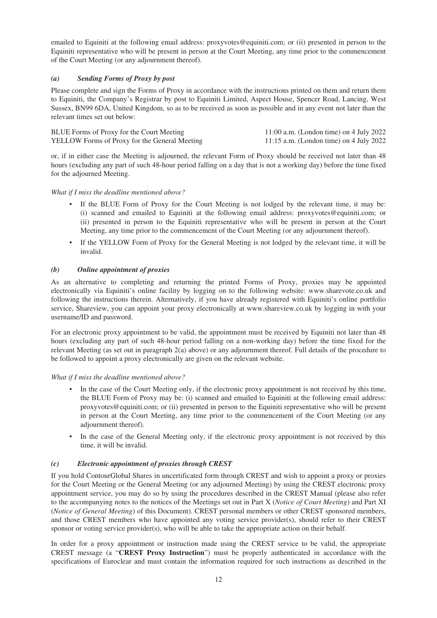emailed to Equiniti at the following email address: proxyvotes@equiniti.com; or (ii) presented in person to the Equiniti representative who will be present in person at the Court Meeting, any time prior to the commencement of the Court Meeting (or any adjournment thereof).

# *(a) Sending Forms of Proxy by post*

Please complete and sign the Forms of Proxy in accordance with the instructions printed on them and return them to Equiniti, the Company's Registrar by post to Equiniti Limited, Aspect House, Spencer Road, Lancing, West Sussex, BN99 6DA, United Kingdom, so as to be received as soon as possible and in any event not later than the relevant times set out below:

| BLUE Forms of Proxy for the Court Meeting     | $11:00$ a.m. (London time) on 4 July 2022 |
|-----------------------------------------------|-------------------------------------------|
| YELLOW Forms of Proxy for the General Meeting | 11:15 a.m. (London time) on 4 July 2022   |

or, if in either case the Meeting is adjourned, the relevant Form of Proxy should be received not later than 48 hours (excluding any part of such 48-hour period falling on a day that is not a working day) before the time fixed for the adjourned Meeting.

#### *What if I miss the deadline mentioned above?*

- If the BLUE Form of Proxy for the Court Meeting is not lodged by the relevant time, it may be: (i) scanned and emailed to Equiniti at the following email address: proxyvotes@equiniti.com; or (ii) presented in person to the Equiniti representative who will be present in person at the Court Meeting, any time prior to the commencement of the Court Meeting (or any adjournment thereof).
- If the YELLOW Form of Proxy for the General Meeting is not lodged by the relevant time, it will be invalid.

#### *(b) Online appointment of proxies*

As an alternative to completing and returning the printed Forms of Proxy, proxies may be appointed electronically via Equiniti's online facility by logging on to the following website: www.sharevote.co.uk and following the instructions therein. Alternatively, if you have already registered with Equiniti's online portfolio service, Shareview, you can appoint your proxy electronically at www.shareview.co.uk by logging in with your username/ID and password.

For an electronic proxy appointment to be valid, the appointment must be received by Equiniti not later than 48 hours (excluding any part of such 48-hour period falling on a non-working day) before the time fixed for the relevant Meeting (as set out in paragraph 2(a) above) or any adjournment thereof. Full details of the procedure to be followed to appoint a proxy electronically are given on the relevant website.

#### *What if I miss the deadline mentioned above?*

- In the case of the Court Meeting only, if the electronic proxy appointment is not received by this time, the BLUE Form of Proxy may be: (i) scanned and emailed to Equiniti at the following email address: proxyvotes@equiniti.com; or (ii) presented in person to the Equiniti representative who will be present in person at the Court Meeting, any time prior to the commencement of the Court Meeting (or any adjournment thereof).
- In the case of the General Meeting only, if the electronic proxy appointment is not received by this time, it will be invalid.

#### *(c) Electronic appointment of proxies through CREST*

If you hold ContourGlobal Shares in uncertificated form through CREST and wish to appoint a proxy or proxies for the Court Meeting or the General Meeting (or any adjourned Meeting) by using the CREST electronic proxy appointment service, you may do so by using the procedures described in the CREST Manual (please also refer to the accompanying notes to the notices of the Meetings set out in Part X (*Notice of Court Meeting*) and Part XI (*Notice of General Meeting*) of this Document). CREST personal members or other CREST sponsored members, and those CREST members who have appointed any voting service provider(s), should refer to their CREST sponsor or voting service provider(s), who will be able to take the appropriate action on their behalf.

In order for a proxy appointment or instruction made using the CREST service to be valid, the appropriate CREST message (a "**CREST Proxy Instruction**") must be properly authenticated in accordance with the specifications of Euroclear and must contain the information required for such instructions as described in the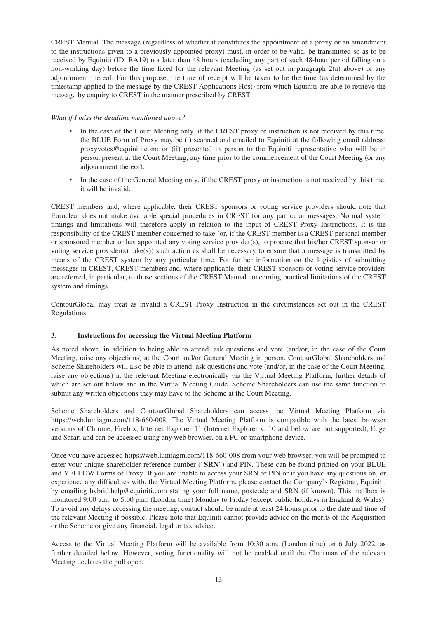CREST Manual. The message (regardless of whether it constitutes the appointment of a proxy or an amendment to the instructions given to a previously appointed proxy) must, in order to be valid, be transmitted so as to be received by Equiniti (ID: RA19) not later than 48 hours (excluding any part of such 48-hour period falling on a non-working day) before the time fixed for the relevant Meeting (as set out in paragraph 2(a) above) or any adjournment thereof. For this purpose, the time of receipt will be taken to be the time (as determined by the timestamp applied to the message by the CREST Applications Host) from which Equiniti are able to retrieve the message by enquiry to CREST in the manner prescribed by CREST.

#### *What if I miss the deadline mentioned above?*

- In the case of the Court Meeting only, if the CREST proxy or instruction is not received by this time, the BLUE Form of Proxy may be (i) scanned and emailed to Equiniti at the following email address: proxyvotes@equiniti.com; or (ii) presented in person to the Equiniti representative who will be in person present at the Court Meeting, any time prior to the commencement of the Court Meeting (or any adjournment thereof).
- In the case of the General Meeting only, if the CREST proxy or instruction is not received by this time, it will be invalid.

CREST members and, where applicable, their CREST sponsors or voting service providers should note that Euroclear does not make available special procedures in CREST for any particular messages. Normal system timings and limitations will therefore apply in relation to the input of CREST Proxy Instructions. It is the responsibility of the CREST member concerned to take (or, if the CREST member is a CREST personal member or sponsored member or has appointed any voting service provider(s), to procure that his/her CREST sponsor or voting service provider(s) take(s)) such action as shall be necessary to ensure that a message is transmitted by means of the CREST system by any particular time. For further information on the logistics of submitting messages in CREST, CREST members and, where applicable, their CREST sponsors or voting service providers are referred, in particular, to those sections of the CREST Manual concerning practical limitations of the CREST system and timings.

ContourGlobal may treat as invalid a CREST Proxy Instruction in the circumstances set out in the CREST Regulations.

#### **3. Instructions for accessing the Virtual Meeting Platform**

As noted above, in addition to being able to attend, ask questions and vote (and/or, in the case of the Court Meeting, raise any objections) at the Court and/or General Meeting in person, ContourGlobal Shareholders and Scheme Shareholders will also be able to attend, ask questions and vote (and/or, in the case of the Court Meeting, raise any objections) at the relevant Meeting electronically via the Virtual Meeting Platform, further details of which are set out below and in the Virtual Meeting Guide. Scheme Shareholders can use the same function to submit any written objections they may have to the Scheme at the Court Meeting.

Scheme Shareholders and ContourGlobal Shareholders can access the Virtual Meeting Platform via https://web.lumiagm.com/118-660-008. The Virtual Meeting Platform is compatible with the latest browser versions of Chrome, Firefox, Internet Explorer 11 (Internet Explorer v. 10 and below are not supported), Edge and Safari and can be accessed using any web browser, on a PC or smartphone device.

Once you have accessed https://web.lumiagm.com/118-660-008 from your web browser, you will be prompted to enter your unique shareholder reference number ("**SRN**") and PIN. These can be found printed on your BLUE and YELLOW Forms of Proxy. If you are unable to access your SRN or PIN or if you have any questions on, or experience any difficulties with, the Virtual Meeting Platform, please contact the Company's Registrar, Equiniti, by emailing hybrid.help@equiniti.com stating your full name, postcode and SRN (if known). This mailbox is monitored 9:00 a.m. to 5:00 p.m. (London time) Monday to Friday (except public holidays in England & Wales). To avoid any delays accessing the meeting, contact should be made at least 24 hours prior to the date and time of the relevant Meeting if possible. Please note that Equiniti cannot provide advice on the merits of the Acquisition or the Scheme or give any financial, legal or tax advice.

Access to the Virtual Meeting Platform will be available from 10:30 a.m. (London time) on 6 July 2022, as further detailed below. However, voting functionality will not be enabled until the Chairman of the relevant Meeting declares the poll open.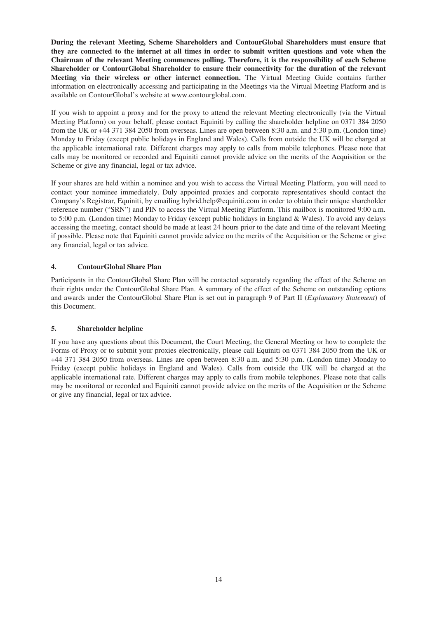**During the relevant Meeting, Scheme Shareholders and ContourGlobal Shareholders must ensure that they are connected to the internet at all times in order to submit written questions and vote when the Chairman of the relevant Meeting commences polling. Therefore, it is the responsibility of each Scheme Shareholder or ContourGlobal Shareholder to ensure their connectivity for the duration of the relevant Meeting via their wireless or other internet connection.** The Virtual Meeting Guide contains further information on electronically accessing and participating in the Meetings via the Virtual Meeting Platform and is available on ContourGlobal's website at www.contourglobal.com.

If you wish to appoint a proxy and for the proxy to attend the relevant Meeting electronically (via the Virtual Meeting Platform) on your behalf, please contact Equiniti by calling the shareholder helpline on 0371 384 2050 from the UK or +44 371 384 2050 from overseas. Lines are open between 8:30 a.m. and 5:30 p.m. (London time) Monday to Friday (except public holidays in England and Wales). Calls from outside the UK will be charged at the applicable international rate. Different charges may apply to calls from mobile telephones. Please note that calls may be monitored or recorded and Equiniti cannot provide advice on the merits of the Acquisition or the Scheme or give any financial, legal or tax advice.

If your shares are held within a nominee and you wish to access the Virtual Meeting Platform, you will need to contact your nominee immediately. Duly appointed proxies and corporate representatives should contact the Company's Registrar, Equiniti, by emailing hybrid.help@equiniti.com in order to obtain their unique shareholder reference number ("SRN") and PIN to access the Virtual Meeting Platform. This mailbox is monitored 9:00 a.m. to 5:00 p.m. (London time) Monday to Friday (except public holidays in England & Wales). To avoid any delays accessing the meeting, contact should be made at least 24 hours prior to the date and time of the relevant Meeting if possible. Please note that Equiniti cannot provide advice on the merits of the Acquisition or the Scheme or give any financial, legal or tax advice.

# **4. ContourGlobal Share Plan**

Participants in the ContourGlobal Share Plan will be contacted separately regarding the effect of the Scheme on their rights under the ContourGlobal Share Plan. A summary of the effect of the Scheme on outstanding options and awards under the ContourGlobal Share Plan is set out in paragraph 9 of Part II (*Explanatory Statement*) of this Document.

#### **5. Shareholder helpline**

If you have any questions about this Document, the Court Meeting, the General Meeting or how to complete the Forms of Proxy or to submit your proxies electronically, please call Equiniti on 0371 384 2050 from the UK or +44 371 384 2050 from overseas. Lines are open between 8:30 a.m. and 5:30 p.m. (London time) Monday to Friday (except public holidays in England and Wales). Calls from outside the UK will be charged at the applicable international rate. Different charges may apply to calls from mobile telephones. Please note that calls may be monitored or recorded and Equiniti cannot provide advice on the merits of the Acquisition or the Scheme or give any financial, legal or tax advice.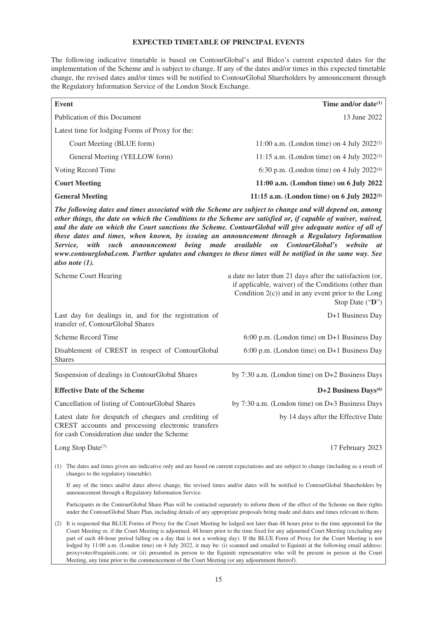# **EXPECTED TIMETABLE OF PRINCIPAL EVENTS**

The following indicative timetable is based on ContourGlobal's and Bidco's current expected dates for the implementation of the Scheme and is subject to change. If any of the dates and/or times in this expected timetable change, the revised dates and/or times will be notified to ContourGlobal Shareholders by announcement through the Regulatory Information Service of the London Stock Exchange.

| <b>Event</b>                                                                                                                                                                                                                                                                                                                                                                                                                                                                                                                                                                                                                                                                                        | Time and/or date <sup>(1)</sup>                                                                                                                                                              |  |  |
|-----------------------------------------------------------------------------------------------------------------------------------------------------------------------------------------------------------------------------------------------------------------------------------------------------------------------------------------------------------------------------------------------------------------------------------------------------------------------------------------------------------------------------------------------------------------------------------------------------------------------------------------------------------------------------------------------------|----------------------------------------------------------------------------------------------------------------------------------------------------------------------------------------------|--|--|
| Publication of this Document                                                                                                                                                                                                                                                                                                                                                                                                                                                                                                                                                                                                                                                                        | 13 June 2022                                                                                                                                                                                 |  |  |
| Latest time for lodging Forms of Proxy for the:                                                                                                                                                                                                                                                                                                                                                                                                                                                                                                                                                                                                                                                     |                                                                                                                                                                                              |  |  |
| Court Meeting (BLUE form)                                                                                                                                                                                                                                                                                                                                                                                                                                                                                                                                                                                                                                                                           | 11:00 a.m. (London time) on 4 July 2022 <sup>(2)</sup>                                                                                                                                       |  |  |
| General Meeting (YELLOW form)                                                                                                                                                                                                                                                                                                                                                                                                                                                                                                                                                                                                                                                                       | 11:15 a.m. (London time) on 4 July $2022^{(3)}$                                                                                                                                              |  |  |
| Voting Record Time                                                                                                                                                                                                                                                                                                                                                                                                                                                                                                                                                                                                                                                                                  | 6:30 p.m. (London time) on 4 July $2022^{(4)}$                                                                                                                                               |  |  |
| <b>Court Meeting</b>                                                                                                                                                                                                                                                                                                                                                                                                                                                                                                                                                                                                                                                                                | 11:00 a.m. (London time) on 6 July 2022                                                                                                                                                      |  |  |
| <b>General Meeting</b>                                                                                                                                                                                                                                                                                                                                                                                                                                                                                                                                                                                                                                                                              | 11:15 a.m. (London time) on 6 July 2022(5)                                                                                                                                                   |  |  |
| The following dates and times associated with the Scheme are subject to change and will depend on, among<br>other things, the date on which the Conditions to the Scheme are satisfied or, if capable of waiver, waived,<br>and the date on which the Court sanctions the Scheme. ContourGlobal will give adequate notice of all of<br>these dates and times, when known, by issuing an announcement through a Regulatory Information<br>available<br>with<br>being made<br>ContourGlobal's<br>website<br>Service.<br>such<br>announcement<br>$\mathfrak{o}n$<br>at<br>www.contourglobal.com. Further updates and changes to these times will be notified in the same way. See<br>also note $(1)$ . |                                                                                                                                                                                              |  |  |
| <b>Scheme Court Hearing</b>                                                                                                                                                                                                                                                                                                                                                                                                                                                                                                                                                                                                                                                                         | a date no later than 21 days after the satisfaction (or,<br>if applicable, waiver) of the Conditions (other than<br>Condition $2(c)$ ) and in any event prior to the Long<br>Stop Date ("D") |  |  |
| Last day for dealings in, and for the registration of<br>transfer of, ContourGlobal Shares                                                                                                                                                                                                                                                                                                                                                                                                                                                                                                                                                                                                          | D+1 Business Day                                                                                                                                                                             |  |  |
| Scheme Record Time                                                                                                                                                                                                                                                                                                                                                                                                                                                                                                                                                                                                                                                                                  | 6:00 p.m. (London time) on D+1 Business Day                                                                                                                                                  |  |  |
| Disablement of CREST in respect of ContourGlobal<br><b>Shares</b>                                                                                                                                                                                                                                                                                                                                                                                                                                                                                                                                                                                                                                   | 6:00 p.m. (London time) on D+1 Business Day                                                                                                                                                  |  |  |
| Suspension of dealings in ContourGlobal Shares                                                                                                                                                                                                                                                                                                                                                                                                                                                                                                                                                                                                                                                      | by 7:30 a.m. (London time) on D+2 Business Days                                                                                                                                              |  |  |
| <b>Effective Date of the Scheme</b>                                                                                                                                                                                                                                                                                                                                                                                                                                                                                                                                                                                                                                                                 | D+2 Business Days <sup>(6)</sup>                                                                                                                                                             |  |  |
| Cancellation of listing of ContourGlobal Shares                                                                                                                                                                                                                                                                                                                                                                                                                                                                                                                                                                                                                                                     | by 7:30 a.m. (London time) on D+3 Business Days                                                                                                                                              |  |  |
| Latest date for despatch of cheques and crediting of<br>CREST accounts and processing electronic transfers<br>for cash Consideration due under the Scheme                                                                                                                                                                                                                                                                                                                                                                                                                                                                                                                                           | by 14 days after the Effective Date                                                                                                                                                          |  |  |
| Long Stop Date(7)                                                                                                                                                                                                                                                                                                                                                                                                                                                                                                                                                                                                                                                                                   | 17 February 2023                                                                                                                                                                             |  |  |
| The dates and times given are indicative only and are based on current expectations and are subject to change (including as a result of<br>(1)<br>changes to the regulatory timetable).                                                                                                                                                                                                                                                                                                                                                                                                                                                                                                             |                                                                                                                                                                                              |  |  |
| If any of the times and/or dates above change, the revised times and/or dates will be notified to ContourGlobal Shareholders by<br>announcement through a Regulatory Information Service.                                                                                                                                                                                                                                                                                                                                                                                                                                                                                                           |                                                                                                                                                                                              |  |  |
| Participants in the ContourGlobal Share Plan will be contacted separately to inform them of the effect of the Scheme on their rights<br>under the ContourGlobal Share Plan, including details of any appropriate proposals being made and dates and times relevant to them.                                                                                                                                                                                                                                                                                                                                                                                                                         |                                                                                                                                                                                              |  |  |
| (2) It is requested that BLUE Forms of Proxy for the Court Meeting be lodged not later than 48 hours prior to the time appointed for the<br>Court Meeting or, if the Court Meeting is adjourned, 48 hours prior to the time fixed for any adjourned Court Meeting (excluding any<br>part of such 48-hour period falling on a day that is not a working day). If the BLUE Form of Proxy for the Court Meeting is not<br>lodged by 11:00 a.m. (London time) on 4 July 2022, it may be: (i) scanned and emailed to Equiniti at the following email address:<br>proxyvotes@equiniti.com; or (ii) presented in person to the Equiniti representative who will be present in person at the Court          |                                                                                                                                                                                              |  |  |

Meeting, any time prior to the commencement of the Court Meeting (or any adjournment thereof).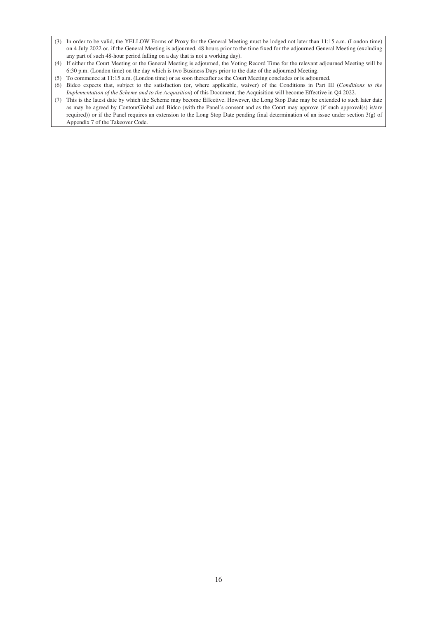- (3) In order to be valid, the YELLOW Forms of Proxy for the General Meeting must be lodged not later than 11:15 a.m. (London time) on 4 July 2022 or, if the General Meeting is adjourned, 48 hours prior to the time fixed for the adjourned General Meeting (excluding any part of such 48-hour period falling on a day that is not a working day).
- (4) If either the Court Meeting or the General Meeting is adjourned, the Voting Record Time for the relevant adjourned Meeting will be 6:30 p.m. (London time) on the day which is two Business Days prior to the date of the adjourned Meeting.
- (5) To commence at 11:15 a.m. (London time) or as soon thereafter as the Court Meeting concludes or is adjourned.
- (6) Bidco expects that, subject to the satisfaction (or, where applicable, waiver) of the Conditions in Part III (*Conditions to the Implementation of the Scheme and to the Acquisition*) of this Document, the Acquisition will become Effective in Q4 2022.
- (7) This is the latest date by which the Scheme may become Effective. However, the Long Stop Date may be extended to such later date as may be agreed by ContourGlobal and Bidco (with the Panel's consent and as the Court may approve (if such approval(s) is/are required)) or if the Panel requires an extension to the Long Stop Date pending final determination of an issue under section 3(g) of Appendix 7 of the Takeover Code.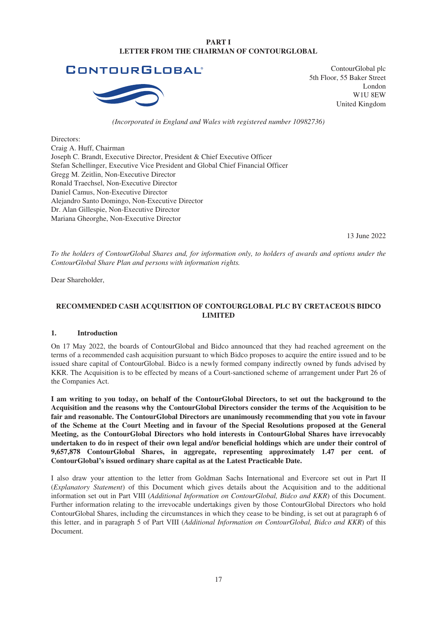# **PART I LETTER FROM THE CHAIRMAN OF CONTOURGLOBAL**



ContourGlobal plc 5th Floor, 55 Baker Street London W1U 8EW United Kingdom

#### *(Incorporated in England and Wales with registered number 10982736)*

Directors: Craig A. Huff, Chairman Joseph C. Brandt, Executive Director, President & Chief Executive Officer Stefan Schellinger, Executive Vice President and Global Chief Financial Officer Gregg M. Zeitlin, Non-Executive Director Ronald Traechsel, Non-Executive Director Daniel Camus, Non-Executive Director Alejandro Santo Domingo, Non-Executive Director Dr. Alan Gillespie, Non-Executive Director Mariana Gheorghe, Non-Executive Director

13 June 2022

*To the holders of ContourGlobal Shares and, for information only, to holders of awards and options under the ContourGlobal Share Plan and persons with information rights.*

Dear Shareholder,

# **RECOMMENDED CASH ACQUISITION OF CONTOURGLOBAL PLC BY CRETACEOUS BIDCO LIMITED**

#### **1. Introduction**

On 17 May 2022, the boards of ContourGlobal and Bidco announced that they had reached agreement on the terms of a recommended cash acquisition pursuant to which Bidco proposes to acquire the entire issued and to be issued share capital of ContourGlobal. Bidco is a newly formed company indirectly owned by funds advised by KKR. The Acquisition is to be effected by means of a Court-sanctioned scheme of arrangement under Part 26 of the Companies Act.

**I am writing to you today, on behalf of the ContourGlobal Directors, to set out the background to the Acquisition and the reasons why the ContourGlobal Directors consider the terms of the Acquisition to be fair and reasonable. The ContourGlobal Directors are unanimously recommending that you vote in favour of the Scheme at the Court Meeting and in favour of the Special Resolutions proposed at the General Meeting, as the ContourGlobal Directors who hold interests in ContourGlobal Shares have irrevocably undertaken to do in respect of their own legal and/or beneficial holdings which are under their control of 9,657,878 ContourGlobal Shares, in aggregate, representing approximately 1.47 per cent. of ContourGlobal's issued ordinary share capital as at the Latest Practicable Date.**

I also draw your attention to the letter from Goldman Sachs International and Evercore set out in Part II (*Explanatory Statement*) of this Document which gives details about the Acquisition and to the additional information set out in Part VIII (*Additional Information on ContourGlobal, Bidco and KKR*) of this Document. Further information relating to the irrevocable undertakings given by those ContourGlobal Directors who hold ContourGlobal Shares, including the circumstances in which they cease to be binding, is set out at paragraph 6 of this letter, and in paragraph 5 of Part VIII (*Additional Information on ContourGlobal, Bidco and KKR*) of this Document.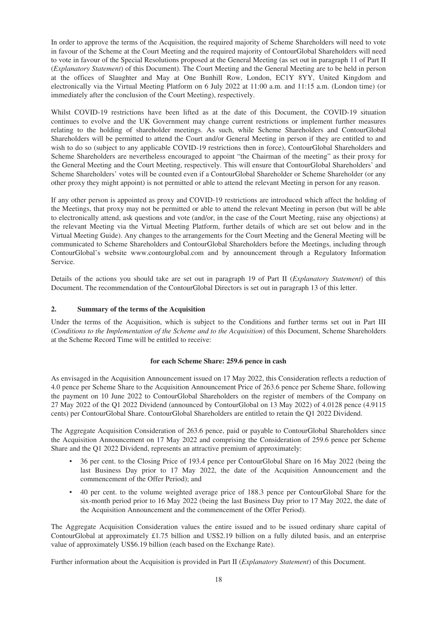In order to approve the terms of the Acquisition, the required majority of Scheme Shareholders will need to vote in favour of the Scheme at the Court Meeting and the required majority of ContourGlobal Shareholders will need to vote in favour of the Special Resolutions proposed at the General Meeting (as set out in paragraph 11 of Part II (*Explanatory Statement*) of this Document). The Court Meeting and the General Meeting are to be held in person at the offices of Slaughter and May at One Bunhill Row, London, EC1Y 8YY, United Kingdom and electronically via the Virtual Meeting Platform on 6 July 2022 at 11:00 a.m. and 11:15 a.m. (London time) (or immediately after the conclusion of the Court Meeting), respectively.

Whilst COVID-19 restrictions have been lifted as at the date of this Document, the COVID-19 situation continues to evolve and the UK Government may change current restrictions or implement further measures relating to the holding of shareholder meetings. As such, while Scheme Shareholders and ContourGlobal Shareholders will be permitted to attend the Court and/or General Meeting in person if they are entitled to and wish to do so (subject to any applicable COVID-19 restrictions then in force), ContourGlobal Shareholders and Scheme Shareholders are nevertheless encouraged to appoint "the Chairman of the meeting" as their proxy for the General Meeting and the Court Meeting, respectively. This will ensure that ContourGlobal Shareholders' and Scheme Shareholders' votes will be counted even if a ContourGlobal Shareholder or Scheme Shareholder (or any other proxy they might appoint) is not permitted or able to attend the relevant Meeting in person for any reason.

If any other person is appointed as proxy and COVID-19 restrictions are introduced which affect the holding of the Meetings, that proxy may not be permitted or able to attend the relevant Meeting in person (but will be able to electronically attend, ask questions and vote (and/or, in the case of the Court Meeting, raise any objections) at the relevant Meeting via the Virtual Meeting Platform, further details of which are set out below and in the Virtual Meeting Guide). Any changes to the arrangements for the Court Meeting and the General Meeting will be communicated to Scheme Shareholders and ContourGlobal Shareholders before the Meetings, including through ContourGlobal's website www.contourglobal.com and by announcement through a Regulatory Information Service.

Details of the actions you should take are set out in paragraph 19 of Part II (*Explanatory Statement*) of this Document. The recommendation of the ContourGlobal Directors is set out in paragraph 13 of this letter.

# **2. Summary of the terms of the Acquisition**

Under the terms of the Acquisition, which is subject to the Conditions and further terms set out in Part III (*Conditions to the Implementation of the Scheme and to the Acquisition*) of this Document, Scheme Shareholders at the Scheme Record Time will be entitled to receive:

#### **for each Scheme Share: 259.6 pence in cash**

As envisaged in the Acquisition Announcement issued on 17 May 2022, this Consideration reflects a reduction of 4.0 pence per Scheme Share to the Acquisition Announcement Price of 263.6 pence per Scheme Share, following the payment on 10 June 2022 to ContourGlobal Shareholders on the register of members of the Company on 27 May 2022 of the Q1 2022 Dividend (announced by ContourGlobal on 13 May 2022) of 4.0128 pence (4.9115 cents) per ContourGlobal Share. ContourGlobal Shareholders are entitled to retain the Q1 2022 Dividend.

The Aggregate Acquisition Consideration of 263.6 pence, paid or payable to ContourGlobal Shareholders since the Acquisition Announcement on 17 May 2022 and comprising the Consideration of 259.6 pence per Scheme Share and the Q1 2022 Dividend, represents an attractive premium of approximately:

- 36 per cent. to the Closing Price of 193.4 pence per ContourGlobal Share on 16 May 2022 (being the last Business Day prior to 17 May 2022, the date of the Acquisition Announcement and the commencement of the Offer Period); and
- 40 per cent. to the volume weighted average price of 188.3 pence per ContourGlobal Share for the six-month period prior to 16 May 2022 (being the last Business Day prior to 17 May 2022, the date of the Acquisition Announcement and the commencement of the Offer Period).

The Aggregate Acquisition Consideration values the entire issued and to be issued ordinary share capital of ContourGlobal at approximately £1.75 billion and US\$2.19 billion on a fully diluted basis, and an enterprise value of approximately US\$6.19 billion (each based on the Exchange Rate).

Further information about the Acquisition is provided in Part II (*Explanatory Statement*) of this Document.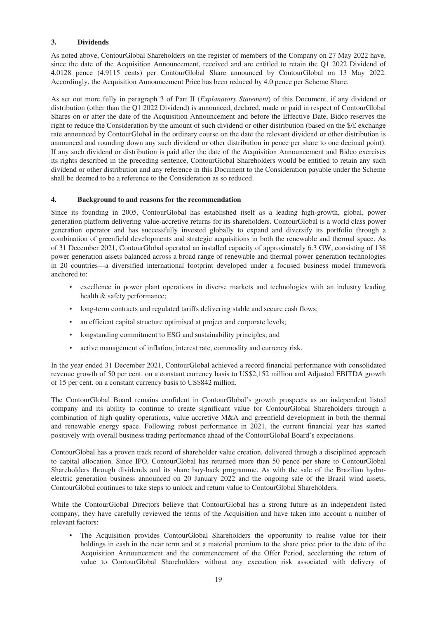# **3. Dividends**

As noted above, ContourGlobal Shareholders on the register of members of the Company on 27 May 2022 have, since the date of the Acquisition Announcement, received and are entitled to retain the Q1 2022 Dividend of 4.0128 pence (4.9115 cents) per ContourGlobal Share announced by ContourGlobal on 13 May 2022. Accordingly, the Acquisition Announcement Price has been reduced by 4.0 pence per Scheme Share.

As set out more fully in paragraph 3 of Part II (*Explanatory Statement*) of this Document, if any dividend or distribution (other than the Q1 2022 Dividend) is announced, declared, made or paid in respect of ContourGlobal Shares on or after the date of the Acquisition Announcement and before the Effective Date, Bidco reserves the right to reduce the Consideration by the amount of such dividend or other distribution (based on the \$/£ exchange rate announced by ContourGlobal in the ordinary course on the date the relevant dividend or other distribution is announced and rounding down any such dividend or other distribution in pence per share to one decimal point). If any such dividend or distribution is paid after the date of the Acquisition Announcement and Bidco exercises its rights described in the preceding sentence, ContourGlobal Shareholders would be entitled to retain any such dividend or other distribution and any reference in this Document to the Consideration payable under the Scheme shall be deemed to be a reference to the Consideration as so reduced.

# **4. Background to and reasons for the recommendation**

Since its founding in 2005, ContourGlobal has established itself as a leading high-growth, global, power generation platform delivering value-accretive returns for its shareholders. ContourGlobal is a world class power generation operator and has successfully invested globally to expand and diversify its portfolio through a combination of greenfield developments and strategic acquisitions in both the renewable and thermal space. As of 31 December 2021, ContourGlobal operated an installed capacity of approximately 6.3 GW, consisting of 138 power generation assets balanced across a broad range of renewable and thermal power generation technologies in 20 countries—a diversified international footprint developed under a focused business model framework anchored to:

- excellence in power plant operations in diverse markets and technologies with an industry leading health & safety performance;
- long-term contracts and regulated tariffs delivering stable and secure cash flows;
- an efficient capital structure optimised at project and corporate levels;
- longstanding commitment to ESG and sustainability principles; and
- active management of inflation, interest rate, commodity and currency risk.

In the year ended 31 December 2021, ContourGlobal achieved a record financial performance with consolidated revenue growth of 50 per cent. on a constant currency basis to US\$2,152 million and Adjusted EBITDA growth of 15 per cent. on a constant currency basis to US\$842 million.

The ContourGlobal Board remains confident in ContourGlobal's growth prospects as an independent listed company and its ability to continue to create significant value for ContourGlobal Shareholders through a combination of high quality operations, value accretive M&A and greenfield development in both the thermal and renewable energy space. Following robust performance in 2021, the current financial year has started positively with overall business trading performance ahead of the ContourGlobal Board's expectations.

ContourGlobal has a proven track record of shareholder value creation, delivered through a disciplined approach to capital allocation. Since IPO, ContourGlobal has returned more than 50 pence per share to ContourGlobal Shareholders through dividends and its share buy-back programme. As with the sale of the Brazilian hydroelectric generation business announced on 20 January 2022 and the ongoing sale of the Brazil wind assets, ContourGlobal continues to take steps to unlock and return value to ContourGlobal Shareholders.

While the ContourGlobal Directors believe that ContourGlobal has a strong future as an independent listed company, they have carefully reviewed the terms of the Acquisition and have taken into account a number of relevant factors:

• The Acquisition provides ContourGlobal Shareholders the opportunity to realise value for their holdings in cash in the near term and at a material premium to the share price prior to the date of the Acquisition Announcement and the commencement of the Offer Period, accelerating the return of value to ContourGlobal Shareholders without any execution risk associated with delivery of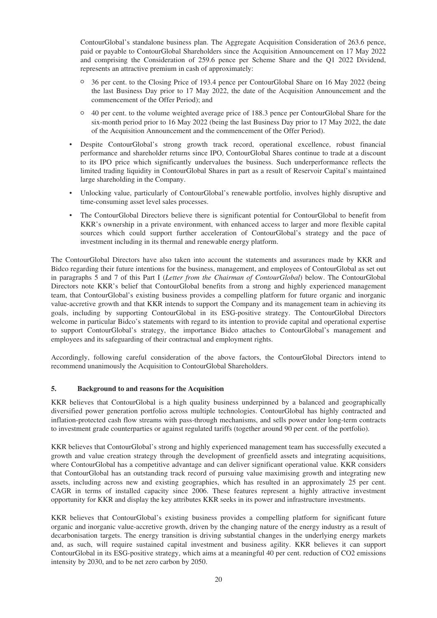ContourGlobal's standalone business plan. The Aggregate Acquisition Consideration of 263.6 pence, paid or payable to ContourGlobal Shareholders since the Acquisition Announcement on 17 May 2022 and comprising the Consideration of 259.6 pence per Scheme Share and the Q1 2022 Dividend, represents an attractive premium in cash of approximately:

- <sup>O</sup> 36 per cent. to the Closing Price of 193.4 pence per ContourGlobal Share on 16 May 2022 (being the last Business Day prior to 17 May 2022, the date of the Acquisition Announcement and the commencement of the Offer Period); and
- <sup>O</sup> 40 per cent. to the volume weighted average price of 188.3 pence per ContourGlobal Share for the six-month period prior to 16 May 2022 (being the last Business Day prior to 17 May 2022, the date of the Acquisition Announcement and the commencement of the Offer Period).
- Despite ContourGlobal's strong growth track record, operational excellence, robust financial performance and shareholder returns since IPO, ContourGlobal Shares continue to trade at a discount to its IPO price which significantly undervalues the business. Such underperformance reflects the limited trading liquidity in ContourGlobal Shares in part as a result of Reservoir Capital's maintained large shareholding in the Company.
- Unlocking value, particularly of ContourGlobal's renewable portfolio, involves highly disruptive and time-consuming asset level sales processes.
- The ContourGlobal Directors believe there is significant potential for ContourGlobal to benefit from KKR's ownership in a private environment, with enhanced access to larger and more flexible capital sources which could support further acceleration of ContourGlobal's strategy and the pace of investment including in its thermal and renewable energy platform.

The ContourGlobal Directors have also taken into account the statements and assurances made by KKR and Bidco regarding their future intentions for the business, management, and employees of ContourGlobal as set out in paragraphs 5 and 7 of this Part I (*Letter from the Chairman of ContourGlobal*) below. The ContourGlobal Directors note KKR's belief that ContourGlobal benefits from a strong and highly experienced management team, that ContourGlobal's existing business provides a compelling platform for future organic and inorganic value-accretive growth and that KKR intends to support the Company and its management team in achieving its goals, including by supporting ContourGlobal in its ESG-positive strategy. The ContourGlobal Directors welcome in particular Bidco's statements with regard to its intention to provide capital and operational expertise to support ContourGlobal's strategy, the importance Bidco attaches to ContourGlobal's management and employees and its safeguarding of their contractual and employment rights.

Accordingly, following careful consideration of the above factors, the ContourGlobal Directors intend to recommend unanimously the Acquisition to ContourGlobal Shareholders.

#### **5. Background to and reasons for the Acquisition**

KKR believes that ContourGlobal is a high quality business underpinned by a balanced and geographically diversified power generation portfolio across multiple technologies. ContourGlobal has highly contracted and inflation-protected cash flow streams with pass-through mechanisms, and sells power under long-term contracts to investment grade counterparties or against regulated tariffs (together around 90 per cent. of the portfolio).

KKR believes that ContourGlobal's strong and highly experienced management team has successfully executed a growth and value creation strategy through the development of greenfield assets and integrating acquisitions, where ContourGlobal has a competitive advantage and can deliver significant operational value. KKR considers that ContourGlobal has an outstanding track record of pursuing value maximising growth and integrating new assets, including across new and existing geographies, which has resulted in an approximately 25 per cent. CAGR in terms of installed capacity since 2006. These features represent a highly attractive investment opportunity for KKR and display the key attributes KKR seeks in its power and infrastructure investments.

KKR believes that ContourGlobal's existing business provides a compelling platform for significant future organic and inorganic value-accretive growth, driven by the changing nature of the energy industry as a result of decarbonisation targets. The energy transition is driving substantial changes in the underlying energy markets and, as such, will require sustained capital investment and business agility. KKR believes it can support ContourGlobal in its ESG-positive strategy, which aims at a meaningful 40 per cent. reduction of CO2 emissions intensity by 2030, and to be net zero carbon by 2050.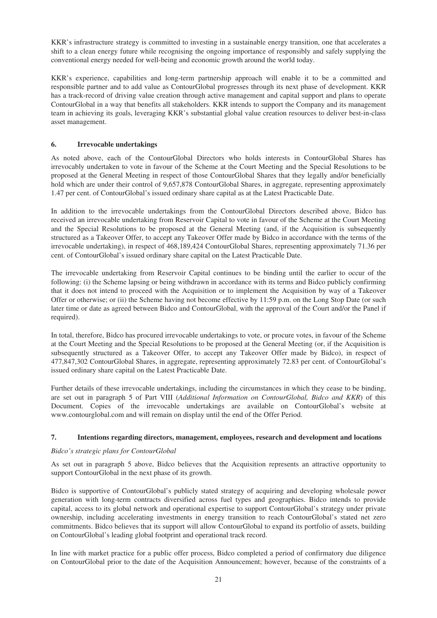KKR's infrastructure strategy is committed to investing in a sustainable energy transition, one that accelerates a shift to a clean energy future while recognising the ongoing importance of responsibly and safely supplying the conventional energy needed for well-being and economic growth around the world today.

KKR's experience, capabilities and long-term partnership approach will enable it to be a committed and responsible partner and to add value as ContourGlobal progresses through its next phase of development. KKR has a track-record of driving value creation through active management and capital support and plans to operate ContourGlobal in a way that benefits all stakeholders. KKR intends to support the Company and its management team in achieving its goals, leveraging KKR's substantial global value creation resources to deliver best-in-class asset management.

# **6. Irrevocable undertakings**

As noted above, each of the ContourGlobal Directors who holds interests in ContourGlobal Shares has irrevocably undertaken to vote in favour of the Scheme at the Court Meeting and the Special Resolutions to be proposed at the General Meeting in respect of those ContourGlobal Shares that they legally and/or beneficially hold which are under their control of 9,657,878 ContourGlobal Shares, in aggregate, representing approximately 1.47 per cent. of ContourGlobal's issued ordinary share capital as at the Latest Practicable Date.

In addition to the irrevocable undertakings from the ContourGlobal Directors described above, Bidco has received an irrevocable undertaking from Reservoir Capital to vote in favour of the Scheme at the Court Meeting and the Special Resolutions to be proposed at the General Meeting (and, if the Acquisition is subsequently structured as a Takeover Offer, to accept any Takeover Offer made by Bidco in accordance with the terms of the irrevocable undertaking), in respect of 468,189,424 ContourGlobal Shares, representing approximately 71.36 per cent. of ContourGlobal's issued ordinary share capital on the Latest Practicable Date.

The irrevocable undertaking from Reservoir Capital continues to be binding until the earlier to occur of the following: (i) the Scheme lapsing or being withdrawn in accordance with its terms and Bidco publicly confirming that it does not intend to proceed with the Acquisition or to implement the Acquisition by way of a Takeover Offer or otherwise; or (ii) the Scheme having not become effective by 11:59 p.m. on the Long Stop Date (or such later time or date as agreed between Bidco and ContourGlobal, with the approval of the Court and/or the Panel if required).

In total, therefore, Bidco has procured irrevocable undertakings to vote, or procure votes, in favour of the Scheme at the Court Meeting and the Special Resolutions to be proposed at the General Meeting (or, if the Acquisition is subsequently structured as a Takeover Offer, to accept any Takeover Offer made by Bidco), in respect of 477,847,302 ContourGlobal Shares, in aggregate, representing approximately 72.83 per cent. of ContourGlobal's issued ordinary share capital on the Latest Practicable Date.

Further details of these irrevocable undertakings, including the circumstances in which they cease to be binding, are set out in paragraph 5 of Part VIII (*Additional Information on ContourGlobal, Bidco and KKR*) of this Document. Copies of the irrevocable undertakings are available on ContourGlobal's website at www.contourglobal.com and will remain on display until the end of the Offer Period.

# **7. Intentions regarding directors, management, employees, research and development and locations**

#### *Bidco's strategic plans for ContourGlobal*

As set out in paragraph 5 above, Bidco believes that the Acquisition represents an attractive opportunity to support ContourGlobal in the next phase of its growth.

Bidco is supportive of ContourGlobal's publicly stated strategy of acquiring and developing wholesale power generation with long-term contracts diversified across fuel types and geographies. Bidco intends to provide capital, access to its global network and operational expertise to support ContourGlobal's strategy under private ownership, including accelerating investments in energy transition to reach ContourGlobal's stated net zero commitments. Bidco believes that its support will allow ContourGlobal to expand its portfolio of assets, building on ContourGlobal's leading global footprint and operational track record.

In line with market practice for a public offer process, Bidco completed a period of confirmatory due diligence on ContourGlobal prior to the date of the Acquisition Announcement; however, because of the constraints of a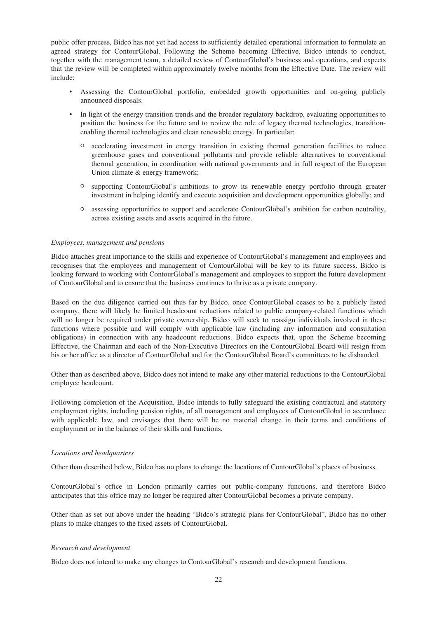public offer process, Bidco has not yet had access to sufficiently detailed operational information to formulate an agreed strategy for ContourGlobal. Following the Scheme becoming Effective, Bidco intends to conduct, together with the management team, a detailed review of ContourGlobal's business and operations, and expects that the review will be completed within approximately twelve months from the Effective Date. The review will include:

- Assessing the ContourGlobal portfolio, embedded growth opportunities and on-going publicly announced disposals.
- In light of the energy transition trends and the broader regulatory backdrop, evaluating opportunities to position the business for the future and to review the role of legacy thermal technologies, transitionenabling thermal technologies and clean renewable energy. In particular:
	- <sup>O</sup> accelerating investment in energy transition in existing thermal generation facilities to reduce greenhouse gases and conventional pollutants and provide reliable alternatives to conventional thermal generation, in coordination with national governments and in full respect of the European Union climate & energy framework;
	- <sup>O</sup> supporting ContourGlobal's ambitions to grow its renewable energy portfolio through greater investment in helping identify and execute acquisition and development opportunities globally; and
	- <sup>O</sup> assessing opportunities to support and accelerate ContourGlobal's ambition for carbon neutrality, across existing assets and assets acquired in the future.

#### *Employees, management and pensions*

Bidco attaches great importance to the skills and experience of ContourGlobal's management and employees and recognises that the employees and management of ContourGlobal will be key to its future success. Bidco is looking forward to working with ContourGlobal's management and employees to support the future development of ContourGlobal and to ensure that the business continues to thrive as a private company.

Based on the due diligence carried out thus far by Bidco, once ContourGlobal ceases to be a publicly listed company, there will likely be limited headcount reductions related to public company-related functions which will no longer be required under private ownership. Bidco will seek to reassign individuals involved in these functions where possible and will comply with applicable law (including any information and consultation obligations) in connection with any headcount reductions. Bidco expects that, upon the Scheme becoming Effective, the Chairman and each of the Non-Executive Directors on the ContourGlobal Board will resign from his or her office as a director of ContourGlobal and for the ContourGlobal Board's committees to be disbanded.

Other than as described above, Bidco does not intend to make any other material reductions to the ContourGlobal employee headcount.

Following completion of the Acquisition, Bidco intends to fully safeguard the existing contractual and statutory employment rights, including pension rights, of all management and employees of ContourGlobal in accordance with applicable law, and envisages that there will be no material change in their terms and conditions of employment or in the balance of their skills and functions.

#### *Locations and headquarters*

Other than described below, Bidco has no plans to change the locations of ContourGlobal's places of business.

ContourGlobal's office in London primarily carries out public-company functions, and therefore Bidco anticipates that this office may no longer be required after ContourGlobal becomes a private company.

Other than as set out above under the heading "Bidco's strategic plans for ContourGlobal", Bidco has no other plans to make changes to the fixed assets of ContourGlobal.

#### *Research and development*

Bidco does not intend to make any changes to ContourGlobal's research and development functions.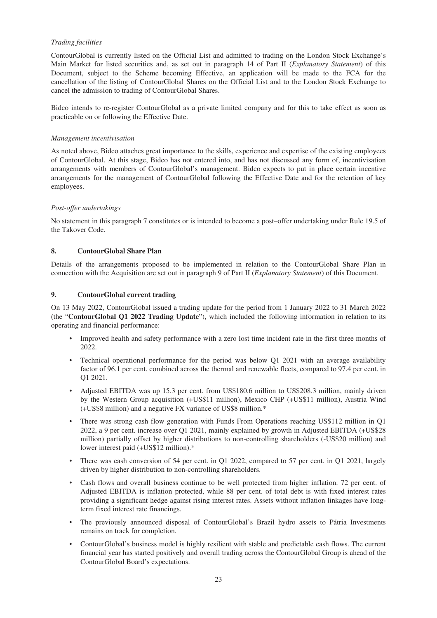# *Trading facilities*

ContourGlobal is currently listed on the Official List and admitted to trading on the London Stock Exchange's Main Market for listed securities and, as set out in paragraph 14 of Part II (*Explanatory Statement*) of this Document, subject to the Scheme becoming Effective, an application will be made to the FCA for the cancellation of the listing of ContourGlobal Shares on the Official List and to the London Stock Exchange to cancel the admission to trading of ContourGlobal Shares.

Bidco intends to re-register ContourGlobal as a private limited company and for this to take effect as soon as practicable on or following the Effective Date.

#### *Management incentivisation*

As noted above, Bidco attaches great importance to the skills, experience and expertise of the existing employees of ContourGlobal. At this stage, Bidco has not entered into, and has not discussed any form of, incentivisation arrangements with members of ContourGlobal's management. Bidco expects to put in place certain incentive arrangements for the management of ContourGlobal following the Effective Date and for the retention of key employees.

# *Post-offer undertakings*

No statement in this paragraph 7 constitutes or is intended to become a post–offer undertaking under Rule 19.5 of the Takover Code.

# **8. ContourGlobal Share Plan**

Details of the arrangements proposed to be implemented in relation to the ContourGlobal Share Plan in connection with the Acquisition are set out in paragraph 9 of Part II (*Explanatory Statement*) of this Document.

# **9. ContourGlobal current trading**

On 13 May 2022, ContourGlobal issued a trading update for the period from 1 January 2022 to 31 March 2022 (the "**ContourGlobal Q1 2022 Trading Update**"), which included the following information in relation to its operating and financial performance:

- Improved health and safety performance with a zero lost time incident rate in the first three months of 2022.
- Technical operational performance for the period was below Q1 2021 with an average availability factor of 96.1 per cent. combined across the thermal and renewable fleets, compared to 97.4 per cent. in Q1 2021.
- Adjusted EBITDA was up 15.3 per cent. from US\$180.6 million to US\$208.3 million, mainly driven by the Western Group acquisition (+US\$11 million), Mexico CHP (+US\$11 million), Austria Wind (+US\$8 million) and a negative FX variance of US\$8 million.\*
- There was strong cash flow generation with Funds From Operations reaching US\$112 million in Q1 2022, a 9 per cent. increase over Q1 2021, mainly explained by growth in Adjusted EBITDA (+US\$28 million) partially offset by higher distributions to non-controlling shareholders (-US\$20 million) and lower interest paid (+US\$12 million).\*
- There was cash conversion of 54 per cent. in Q1 2022, compared to 57 per cent. in Q1 2021, largely driven by higher distribution to non-controlling shareholders.
- Cash flows and overall business continue to be well protected from higher inflation. 72 per cent. of Adjusted EBITDA is inflation protected, while 88 per cent. of total debt is with fixed interest rates providing a significant hedge against rising interest rates. Assets without inflation linkages have longterm fixed interest rate financings.
- The previously announced disposal of ContourGlobal's Brazil hydro assets to Pátria Investments remains on track for completion.
- ContourGlobal's business model is highly resilient with stable and predictable cash flows. The current financial year has started positively and overall trading across the ContourGlobal Group is ahead of the ContourGlobal Board's expectations.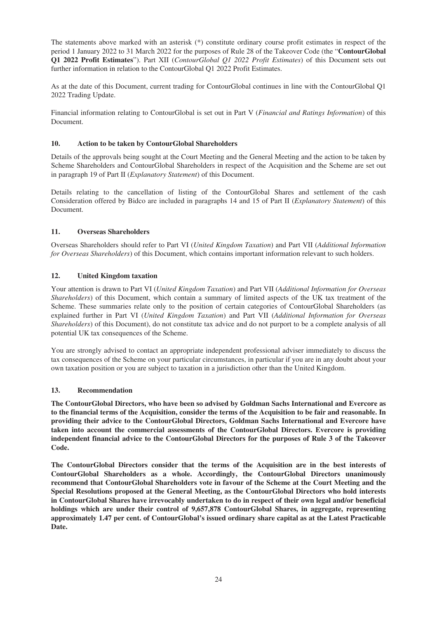The statements above marked with an asterisk (\*) constitute ordinary course profit estimates in respect of the period 1 January 2022 to 31 March 2022 for the purposes of Rule 28 of the Takeover Code (the "**ContourGlobal Q1 2022 Profit Estimates**"). Part XII (*ContourGlobal Q1 2022 Profit Estimates*) of this Document sets out further information in relation to the ContourGlobal Q1 2022 Profit Estimates.

As at the date of this Document, current trading for ContourGlobal continues in line with the ContourGlobal Q1 2022 Trading Update.

Financial information relating to ContourGlobal is set out in Part V (*Financial and Ratings Information*) of this Document.

# **10. Action to be taken by ContourGlobal Shareholders**

Details of the approvals being sought at the Court Meeting and the General Meeting and the action to be taken by Scheme Shareholders and ContourGlobal Shareholders in respect of the Acquisition and the Scheme are set out in paragraph 19 of Part II (*Explanatory Statement*) of this Document.

Details relating to the cancellation of listing of the ContourGlobal Shares and settlement of the cash Consideration offered by Bidco are included in paragraphs 14 and 15 of Part II (*Explanatory Statement*) of this Document.

# **11. Overseas Shareholders**

Overseas Shareholders should refer to Part VI (*United Kingdom Taxation*) and Part VII (*Additional Information for Overseas Shareholders*) of this Document, which contains important information relevant to such holders.

# **12. United Kingdom taxation**

Your attention is drawn to Part VI (*United Kingdom Taxation*) and Part VII (*Additional Information for Overseas Shareholders*) of this Document, which contain a summary of limited aspects of the UK tax treatment of the Scheme. These summaries relate only to the position of certain categories of ContourGlobal Shareholders (as explained further in Part VI (*United Kingdom Taxation*) and Part VII (*Additional Information for Overseas Shareholders*) of this Document), do not constitute tax advice and do not purport to be a complete analysis of all potential UK tax consequences of the Scheme.

You are strongly advised to contact an appropriate independent professional adviser immediately to discuss the tax consequences of the Scheme on your particular circumstances, in particular if you are in any doubt about your own taxation position or you are subject to taxation in a jurisdiction other than the United Kingdom.

#### **13. Recommendation**

**The ContourGlobal Directors, who have been so advised by Goldman Sachs International and Evercore as to the financial terms of the Acquisition, consider the terms of the Acquisition to be fair and reasonable. In providing their advice to the ContourGlobal Directors, Goldman Sachs International and Evercore have taken into account the commercial assessments of the ContourGlobal Directors. Evercore is providing independent financial advice to the ContourGlobal Directors for the purposes of Rule 3 of the Takeover Code.**

**The ContourGlobal Directors consider that the terms of the Acquisition are in the best interests of ContourGlobal Shareholders as a whole. Accordingly, the ContourGlobal Directors unanimously recommend that ContourGlobal Shareholders vote in favour of the Scheme at the Court Meeting and the Special Resolutions proposed at the General Meeting, as the ContourGlobal Directors who hold interests in ContourGlobal Shares have irrevocably undertaken to do in respect of their own legal and/or beneficial holdings which are under their control of 9,657,878 ContourGlobal Shares, in aggregate, representing approximately 1.47 per cent. of ContourGlobal's issued ordinary share capital as at the Latest Practicable Date.**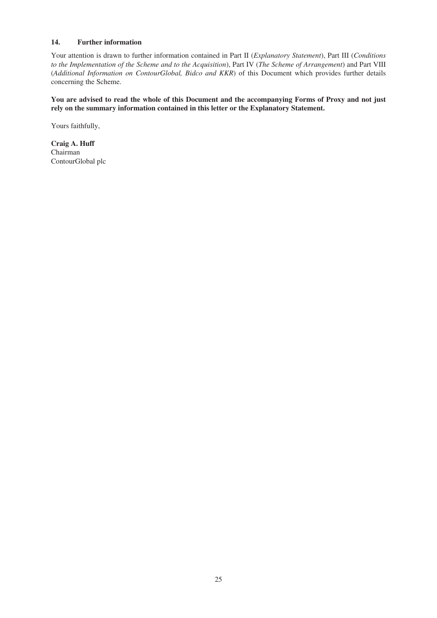# **14. Further information**

Your attention is drawn to further information contained in Part II (*Explanatory Statement*), Part III (*Conditions to the Implementation of the Scheme and to the Acquisition*), Part IV (*The Scheme of Arrangement*) and Part VIII (*Additional Information on ContourGlobal, Bidco and KKR*) of this Document which provides further details concerning the Scheme.

**You are advised to read the whole of this Document and the accompanying Forms of Proxy and not just rely on the summary information contained in this letter or the Explanatory Statement.**

Yours faithfully,

**Craig A. Huff** Chairman ContourGlobal plc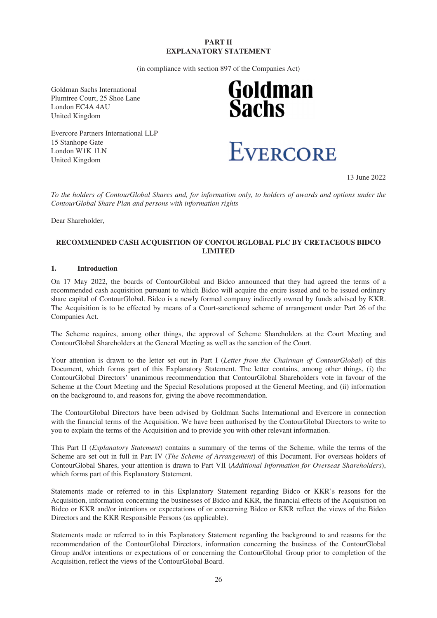# **PART II EXPLANATORY STATEMENT**

(in compliance with section 897 of the Companies Act)

Goldman Sachs International Plumtree Court, 25 Shoe Lane London EC4A 4AU United Kingdom

Evercore Partners International LLP 15 Stanhope Gate London W1K 1LN United Kingdom

# **Goldman<br>Sachs**



13 June 2022

*To the holders of ContourGlobal Shares and, for information only, to holders of awards and options under the ContourGlobal Share Plan and persons with information rights*

Dear Shareholder,

# **RECOMMENDED CASH ACQUISITION OF CONTOURGLOBAL PLC BY CRETACEOUS BIDCO LIMITED**

#### **1. Introduction**

On 17 May 2022, the boards of ContourGlobal and Bidco announced that they had agreed the terms of a recommended cash acquisition pursuant to which Bidco will acquire the entire issued and to be issued ordinary share capital of ContourGlobal. Bidco is a newly formed company indirectly owned by funds advised by KKR. The Acquisition is to be effected by means of a Court-sanctioned scheme of arrangement under Part 26 of the Companies Act.

The Scheme requires, among other things, the approval of Scheme Shareholders at the Court Meeting and ContourGlobal Shareholders at the General Meeting as well as the sanction of the Court.

Your attention is drawn to the letter set out in Part I (*Letter from the Chairman of ContourGlobal*) of this Document, which forms part of this Explanatory Statement. The letter contains, among other things, (i) the ContourGlobal Directors' unanimous recommendation that ContourGlobal Shareholders vote in favour of the Scheme at the Court Meeting and the Special Resolutions proposed at the General Meeting, and (ii) information on the background to, and reasons for, giving the above recommendation.

The ContourGlobal Directors have been advised by Goldman Sachs International and Evercore in connection with the financial terms of the Acquisition. We have been authorised by the ContourGlobal Directors to write to you to explain the terms of the Acquisition and to provide you with other relevant information.

This Part II (*Explanatory Statement*) contains a summary of the terms of the Scheme, while the terms of the Scheme are set out in full in Part IV (*The Scheme of Arrangement*) of this Document. For overseas holders of ContourGlobal Shares, your attention is drawn to Part VII (*Additional Information for Overseas Shareholders*), which forms part of this Explanatory Statement.

Statements made or referred to in this Explanatory Statement regarding Bidco or KKR's reasons for the Acquisition, information concerning the businesses of Bidco and KKR, the financial effects of the Acquisition on Bidco or KKR and/or intentions or expectations of or concerning Bidco or KKR reflect the views of the Bidco Directors and the KKR Responsible Persons (as applicable).

Statements made or referred to in this Explanatory Statement regarding the background to and reasons for the recommendation of the ContourGlobal Directors, information concerning the business of the ContourGlobal Group and/or intentions or expectations of or concerning the ContourGlobal Group prior to completion of the Acquisition, reflect the views of the ContourGlobal Board.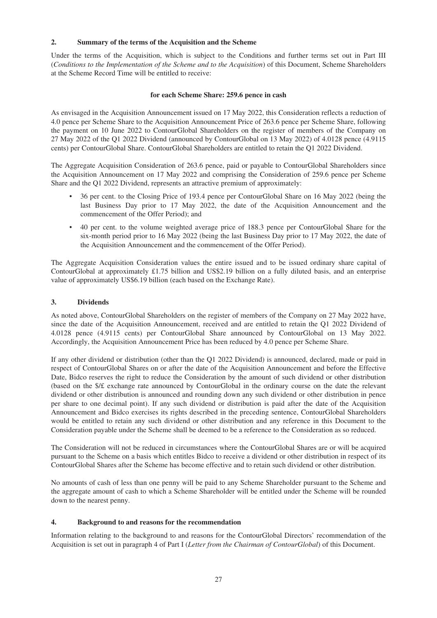#### **2. Summary of the terms of the Acquisition and the Scheme**

Under the terms of the Acquisition, which is subject to the Conditions and further terms set out in Part III (*Conditions to the Implementation of the Scheme and to the Acquisition*) of this Document, Scheme Shareholders at the Scheme Record Time will be entitled to receive:

# **for each Scheme Share: 259.6 pence in cash**

As envisaged in the Acquisition Announcement issued on 17 May 2022, this Consideration reflects a reduction of 4.0 pence per Scheme Share to the Acquisition Announcement Price of 263.6 pence per Scheme Share, following the payment on 10 June 2022 to ContourGlobal Shareholders on the register of members of the Company on 27 May 2022 of the Q1 2022 Dividend (announced by ContourGlobal on 13 May 2022) of 4.0128 pence (4.9115 cents) per ContourGlobal Share. ContourGlobal Shareholders are entitled to retain the Q1 2022 Dividend.

The Aggregate Acquisition Consideration of 263.6 pence, paid or payable to ContourGlobal Shareholders since the Acquisition Announcement on 17 May 2022 and comprising the Consideration of 259.6 pence per Scheme Share and the Q1 2022 Dividend, represents an attractive premium of approximately:

- 36 per cent. to the Closing Price of 193.4 pence per ContourGlobal Share on 16 May 2022 (being the last Business Day prior to 17 May 2022, the date of the Acquisition Announcement and the commencement of the Offer Period); and
- 40 per cent. to the volume weighted average price of 188.3 pence per ContourGlobal Share for the six-month period prior to 16 May 2022 (being the last Business Day prior to 17 May 2022, the date of the Acquisition Announcement and the commencement of the Offer Period).

The Aggregate Acquisition Consideration values the entire issued and to be issued ordinary share capital of ContourGlobal at approximately £1.75 billion and US\$2.19 billion on a fully diluted basis, and an enterprise value of approximately US\$6.19 billion (each based on the Exchange Rate).

# **3. Dividends**

As noted above, ContourGlobal Shareholders on the register of members of the Company on 27 May 2022 have, since the date of the Acquisition Announcement, received and are entitled to retain the Q1 2022 Dividend of 4.0128 pence (4.9115 cents) per ContourGlobal Share announced by ContourGlobal on 13 May 2022. Accordingly, the Acquisition Announcement Price has been reduced by 4.0 pence per Scheme Share.

If any other dividend or distribution (other than the Q1 2022 Dividend) is announced, declared, made or paid in respect of ContourGlobal Shares on or after the date of the Acquisition Announcement and before the Effective Date, Bidco reserves the right to reduce the Consideration by the amount of such dividend or other distribution (based on the \$/£ exchange rate announced by ContourGlobal in the ordinary course on the date the relevant dividend or other distribution is announced and rounding down any such dividend or other distribution in pence per share to one decimal point). If any such dividend or distribution is paid after the date of the Acquisition Announcement and Bidco exercises its rights described in the preceding sentence, ContourGlobal Shareholders would be entitled to retain any such dividend or other distribution and any reference in this Document to the Consideration payable under the Scheme shall be deemed to be a reference to the Consideration as so reduced.

The Consideration will not be reduced in circumstances where the ContourGlobal Shares are or will be acquired pursuant to the Scheme on a basis which entitles Bidco to receive a dividend or other distribution in respect of its ContourGlobal Shares after the Scheme has become effective and to retain such dividend or other distribution.

No amounts of cash of less than one penny will be paid to any Scheme Shareholder pursuant to the Scheme and the aggregate amount of cash to which a Scheme Shareholder will be entitled under the Scheme will be rounded down to the nearest penny.

#### **4. Background to and reasons for the recommendation**

Information relating to the background to and reasons for the ContourGlobal Directors' recommendation of the Acquisition is set out in paragraph 4 of Part I (*Letter from the Chairman of ContourGlobal*) of this Document.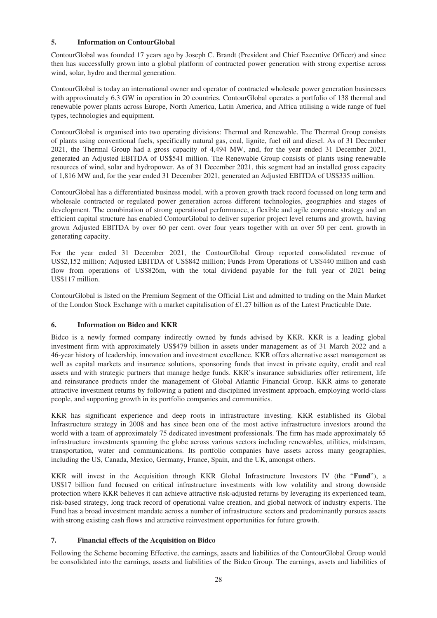#### **5. Information on ContourGlobal**

ContourGlobal was founded 17 years ago by Joseph C. Brandt (President and Chief Executive Officer) and since then has successfully grown into a global platform of contracted power generation with strong expertise across wind, solar, hydro and thermal generation.

ContourGlobal is today an international owner and operator of contracted wholesale power generation businesses with approximately 6.3 GW in operation in 20 countries. ContourGlobal operates a portfolio of 138 thermal and renewable power plants across Europe, North America, Latin America, and Africa utilising a wide range of fuel types, technologies and equipment.

ContourGlobal is organised into two operating divisions: Thermal and Renewable. The Thermal Group consists of plants using conventional fuels, specifically natural gas, coal, lignite, fuel oil and diesel. As of 31 December 2021, the Thermal Group had a gross capacity of 4,494 MW, and, for the year ended 31 December 2021, generated an Adjusted EBITDA of US\$541 million. The Renewable Group consists of plants using renewable resources of wind, solar and hydropower. As of 31 December 2021, this segment had an installed gross capacity of 1,816 MW and, for the year ended 31 December 2021, generated an Adjusted EBITDA of US\$335 million.

ContourGlobal has a differentiated business model, with a proven growth track record focussed on long term and wholesale contracted or regulated power generation across different technologies, geographies and stages of development. The combination of strong operational performance, a flexible and agile corporate strategy and an efficient capital structure has enabled ContourGlobal to deliver superior project level returns and growth, having grown Adjusted EBITDA by over 60 per cent. over four years together with an over 50 per cent. growth in generating capacity.

For the year ended 31 December 2021, the ContourGlobal Group reported consolidated revenue of US\$2,152 million; Adjusted EBITDA of US\$842 million; Funds From Operations of US\$440 million and cash flow from operations of US\$826m, with the total dividend payable for the full year of 2021 being US\$117 million.

ContourGlobal is listed on the Premium Segment of the Official List and admitted to trading on the Main Market of the London Stock Exchange with a market capitalisation of £1.27 billion as of the Latest Practicable Date.

# **6. Information on Bidco and KKR**

Bidco is a newly formed company indirectly owned by funds advised by KKR. KKR is a leading global investment firm with approximately US\$479 billion in assets under management as of 31 March 2022 and a 46-year history of leadership, innovation and investment excellence. KKR offers alternative asset management as well as capital markets and insurance solutions, sponsoring funds that invest in private equity, credit and real assets and with strategic partners that manage hedge funds. KKR's insurance subsidiaries offer retirement, life and reinsurance products under the management of Global Atlantic Financial Group. KKR aims to generate attractive investment returns by following a patient and disciplined investment approach, employing world-class people, and supporting growth in its portfolio companies and communities.

KKR has significant experience and deep roots in infrastructure investing. KKR established its Global Infrastructure strategy in 2008 and has since been one of the most active infrastructure investors around the world with a team of approximately 75 dedicated investment professionals. The firm has made approximately 65 infrastructure investments spanning the globe across various sectors including renewables, utilities, midstream, transportation, water and communications. Its portfolio companies have assets across many geographies, including the US, Canada, Mexico, Germany, France, Spain, and the UK, amongst others.

KKR will invest in the Acquisition through KKR Global Infrastructure Investors IV (the "**Fund**"), a US\$17 billion fund focused on critical infrastructure investments with low volatility and strong downside protection where KKR believes it can achieve attractive risk-adjusted returns by leveraging its experienced team, risk-based strategy, long track record of operational value creation, and global network of industry experts. The Fund has a broad investment mandate across a number of infrastructure sectors and predominantly pursues assets with strong existing cash flows and attractive reinvestment opportunities for future growth.

#### **7. Financial effects of the Acquisition on Bidco**

Following the Scheme becoming Effective, the earnings, assets and liabilities of the ContourGlobal Group would be consolidated into the earnings, assets and liabilities of the Bidco Group. The earnings, assets and liabilities of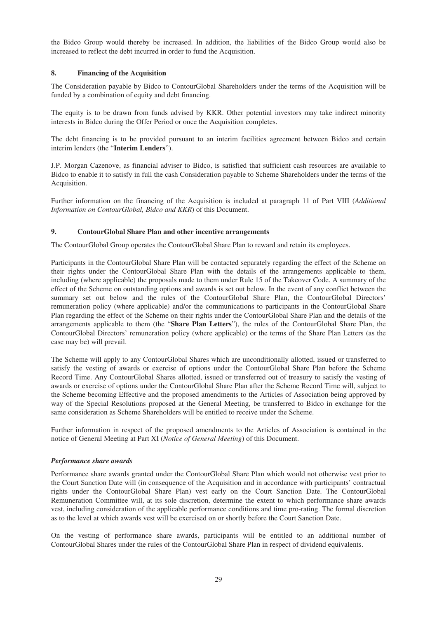the Bidco Group would thereby be increased. In addition, the liabilities of the Bidco Group would also be increased to reflect the debt incurred in order to fund the Acquisition.

#### **8. Financing of the Acquisition**

The Consideration payable by Bidco to ContourGlobal Shareholders under the terms of the Acquisition will be funded by a combination of equity and debt financing.

The equity is to be drawn from funds advised by KKR. Other potential investors may take indirect minority interests in Bidco during the Offer Period or once the Acquisition completes.

The debt financing is to be provided pursuant to an interim facilities agreement between Bidco and certain interim lenders (the "**Interim Lenders**").

J.P. Morgan Cazenove, as financial adviser to Bidco, is satisfied that sufficient cash resources are available to Bidco to enable it to satisfy in full the cash Consideration payable to Scheme Shareholders under the terms of the Acquisition.

Further information on the financing of the Acquisition is included at paragraph 11 of Part VIII (*Additional Information on ContourGlobal, Bidco and KKR*) of this Document.

#### **9. ContourGlobal Share Plan and other incentive arrangements**

The ContourGlobal Group operates the ContourGlobal Share Plan to reward and retain its employees.

Participants in the ContourGlobal Share Plan will be contacted separately regarding the effect of the Scheme on their rights under the ContourGlobal Share Plan with the details of the arrangements applicable to them, including (where applicable) the proposals made to them under Rule 15 of the Takeover Code. A summary of the effect of the Scheme on outstanding options and awards is set out below. In the event of any conflict between the summary set out below and the rules of the ContourGlobal Share Plan, the ContourGlobal Directors' remuneration policy (where applicable) and/or the communications to participants in the ContourGlobal Share Plan regarding the effect of the Scheme on their rights under the ContourGlobal Share Plan and the details of the arrangements applicable to them (the "**Share Plan Letters**"), the rules of the ContourGlobal Share Plan, the ContourGlobal Directors' remuneration policy (where applicable) or the terms of the Share Plan Letters (as the case may be) will prevail.

The Scheme will apply to any ContourGlobal Shares which are unconditionally allotted, issued or transferred to satisfy the vesting of awards or exercise of options under the ContourGlobal Share Plan before the Scheme Record Time. Any ContourGlobal Shares allotted, issued or transferred out of treasury to satisfy the vesting of awards or exercise of options under the ContourGlobal Share Plan after the Scheme Record Time will, subject to the Scheme becoming Effective and the proposed amendments to the Articles of Association being approved by way of the Special Resolutions proposed at the General Meeting, be transferred to Bidco in exchange for the same consideration as Scheme Shareholders will be entitled to receive under the Scheme.

Further information in respect of the proposed amendments to the Articles of Association is contained in the notice of General Meeting at Part XI (*Notice of General Meeting*) of this Document.

#### *Performance share awards*

Performance share awards granted under the ContourGlobal Share Plan which would not otherwise vest prior to the Court Sanction Date will (in consequence of the Acquisition and in accordance with participants' contractual rights under the ContourGlobal Share Plan) vest early on the Court Sanction Date. The ContourGlobal Remuneration Committee will, at its sole discretion, determine the extent to which performance share awards vest, including consideration of the applicable performance conditions and time pro-rating. The formal discretion as to the level at which awards vest will be exercised on or shortly before the Court Sanction Date.

On the vesting of performance share awards, participants will be entitled to an additional number of ContourGlobal Shares under the rules of the ContourGlobal Share Plan in respect of dividend equivalents.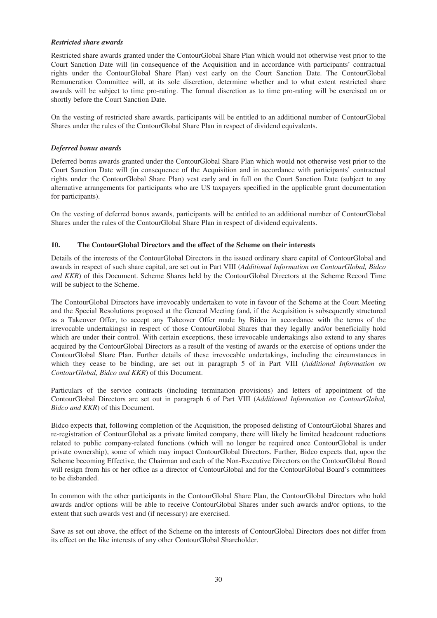#### *Restricted share awards*

Restricted share awards granted under the ContourGlobal Share Plan which would not otherwise vest prior to the Court Sanction Date will (in consequence of the Acquisition and in accordance with participants' contractual rights under the ContourGlobal Share Plan) vest early on the Court Sanction Date. The ContourGlobal Remuneration Committee will, at its sole discretion, determine whether and to what extent restricted share awards will be subject to time pro-rating. The formal discretion as to time pro-rating will be exercised on or shortly before the Court Sanction Date.

On the vesting of restricted share awards, participants will be entitled to an additional number of ContourGlobal Shares under the rules of the ContourGlobal Share Plan in respect of dividend equivalents.

#### *Deferred bonus awards*

Deferred bonus awards granted under the ContourGlobal Share Plan which would not otherwise vest prior to the Court Sanction Date will (in consequence of the Acquisition and in accordance with participants' contractual rights under the ContourGlobal Share Plan) vest early and in full on the Court Sanction Date (subject to any alternative arrangements for participants who are US taxpayers specified in the applicable grant documentation for participants).

On the vesting of deferred bonus awards, participants will be entitled to an additional number of ContourGlobal Shares under the rules of the ContourGlobal Share Plan in respect of dividend equivalents.

#### **10. The ContourGlobal Directors and the effect of the Scheme on their interests**

Details of the interests of the ContourGlobal Directors in the issued ordinary share capital of ContourGlobal and awards in respect of such share capital, are set out in Part VIII (*Additional Information on ContourGlobal, Bidco and KKR*) of this Document. Scheme Shares held by the ContourGlobal Directors at the Scheme Record Time will be subject to the Scheme.

The ContourGlobal Directors have irrevocably undertaken to vote in favour of the Scheme at the Court Meeting and the Special Resolutions proposed at the General Meeting (and, if the Acquisition is subsequently structured as a Takeover Offer, to accept any Takeover Offer made by Bidco in accordance with the terms of the irrevocable undertakings) in respect of those ContourGlobal Shares that they legally and/or beneficially hold which are under their control. With certain exceptions, these irrevocable undertakings also extend to any shares acquired by the ContourGlobal Directors as a result of the vesting of awards or the exercise of options under the ContourGlobal Share Plan. Further details of these irrevocable undertakings, including the circumstances in which they cease to be binding, are set out in paragraph 5 of in Part VIII (*Additional Information on ContourGlobal, Bidco and KKR*) of this Document.

Particulars of the service contracts (including termination provisions) and letters of appointment of the ContourGlobal Directors are set out in paragraph 6 of Part VIII (*Additional Information on ContourGlobal, Bidco and KKR*) of this Document.

Bidco expects that, following completion of the Acquisition, the proposed delisting of ContourGlobal Shares and re-registration of ContourGlobal as a private limited company, there will likely be limited headcount reductions related to public company-related functions (which will no longer be required once ContourGlobal is under private ownership), some of which may impact ContourGlobal Directors. Further, Bidco expects that, upon the Scheme becoming Effective, the Chairman and each of the Non-Executive Directors on the ContourGlobal Board will resign from his or her office as a director of ContourGlobal and for the ContourGlobal Board's committees to be disbanded.

In common with the other participants in the ContourGlobal Share Plan, the ContourGlobal Directors who hold awards and/or options will be able to receive ContourGlobal Shares under such awards and/or options, to the extent that such awards vest and (if necessary) are exercised.

Save as set out above, the effect of the Scheme on the interests of ContourGlobal Directors does not differ from its effect on the like interests of any other ContourGlobal Shareholder.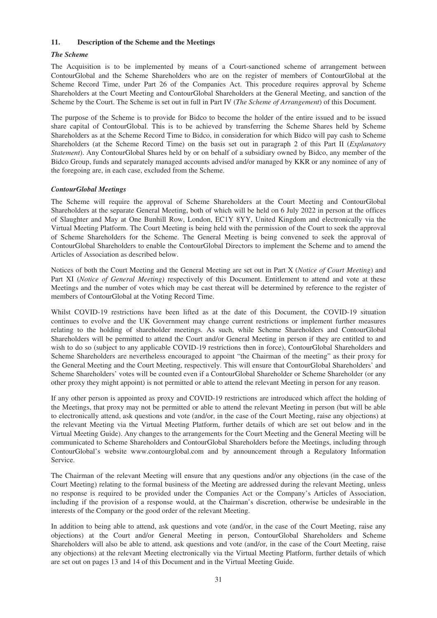#### **11. Description of the Scheme and the Meetings**

#### *The Scheme*

The Acquisition is to be implemented by means of a Court-sanctioned scheme of arrangement between ContourGlobal and the Scheme Shareholders who are on the register of members of ContourGlobal at the Scheme Record Time, under Part 26 of the Companies Act. This procedure requires approval by Scheme Shareholders at the Court Meeting and ContourGlobal Shareholders at the General Meeting, and sanction of the Scheme by the Court. The Scheme is set out in full in Part IV (*The Scheme of Arrangement*) of this Document.

The purpose of the Scheme is to provide for Bidco to become the holder of the entire issued and to be issued share capital of ContourGlobal. This is to be achieved by transferring the Scheme Shares held by Scheme Shareholders as at the Scheme Record Time to Bidco, in consideration for which Bidco will pay cash to Scheme Shareholders (at the Scheme Record Time) on the basis set out in paragraph 2 of this Part II (*Explanatory Statement*). Any ContourGlobal Shares held by or on behalf of a subsidiary owned by Bidco, any member of the Bidco Group, funds and separately managed accounts advised and/or managed by KKR or any nominee of any of the foregoing are, in each case, excluded from the Scheme.

#### *ContourGlobal Meetings*

The Scheme will require the approval of Scheme Shareholders at the Court Meeting and ContourGlobal Shareholders at the separate General Meeting, both of which will be held on 6 July 2022 in person at the offices of Slaughter and May at One Bunhill Row, London, EC1Y 8YY, United Kingdom and electronically via the Virtual Meeting Platform. The Court Meeting is being held with the permission of the Court to seek the approval of Scheme Shareholders for the Scheme. The General Meeting is being convened to seek the approval of ContourGlobal Shareholders to enable the ContourGlobal Directors to implement the Scheme and to amend the Articles of Association as described below.

Notices of both the Court Meeting and the General Meeting are set out in Part X (*Notice of Court Meeting*) and Part XI (*Notice of General Meeting*) respectively of this Document. Entitlement to attend and vote at these Meetings and the number of votes which may be cast thereat will be determined by reference to the register of members of ContourGlobal at the Voting Record Time.

Whilst COVID-19 restrictions have been lifted as at the date of this Document, the COVID-19 situation continues to evolve and the UK Government may change current restrictions or implement further measures relating to the holding of shareholder meetings. As such, while Scheme Shareholders and ContourGlobal Shareholders will be permitted to attend the Court and/or General Meeting in person if they are entitled to and wish to do so (subject to any applicable COVID-19 restrictions then in force), ContourGlobal Shareholders and Scheme Shareholders are nevertheless encouraged to appoint "the Chairman of the meeting" as their proxy for the General Meeting and the Court Meeting, respectively. This will ensure that ContourGlobal Shareholders' and Scheme Shareholders' votes will be counted even if a ContourGlobal Shareholder or Scheme Shareholder (or any other proxy they might appoint) is not permitted or able to attend the relevant Meeting in person for any reason.

If any other person is appointed as proxy and COVID-19 restrictions are introduced which affect the holding of the Meetings, that proxy may not be permitted or able to attend the relevant Meeting in person (but will be able to electronically attend, ask questions and vote (and/or, in the case of the Court Meeting, raise any objections) at the relevant Meeting via the Virtual Meeting Platform, further details of which are set out below and in the Virtual Meeting Guide). Any changes to the arrangements for the Court Meeting and the General Meeting will be communicated to Scheme Shareholders and ContourGlobal Shareholders before the Meetings, including through ContourGlobal's website www.contourglobal.com and by announcement through a Regulatory Information Service.

The Chairman of the relevant Meeting will ensure that any questions and/or any objections (in the case of the Court Meeting) relating to the formal business of the Meeting are addressed during the relevant Meeting, unless no response is required to be provided under the Companies Act or the Company's Articles of Association, including if the provision of a response would, at the Chairman's discretion, otherwise be undesirable in the interests of the Company or the good order of the relevant Meeting.

In addition to being able to attend, ask questions and vote (and/or, in the case of the Court Meeting, raise any objections) at the Court and/or General Meeting in person, ContourGlobal Shareholders and Scheme Shareholders will also be able to attend, ask questions and vote (and/or, in the case of the Court Meeting, raise any objections) at the relevant Meeting electronically via the Virtual Meeting Platform, further details of which are set out on pages 13 and 14 of this Document and in the Virtual Meeting Guide.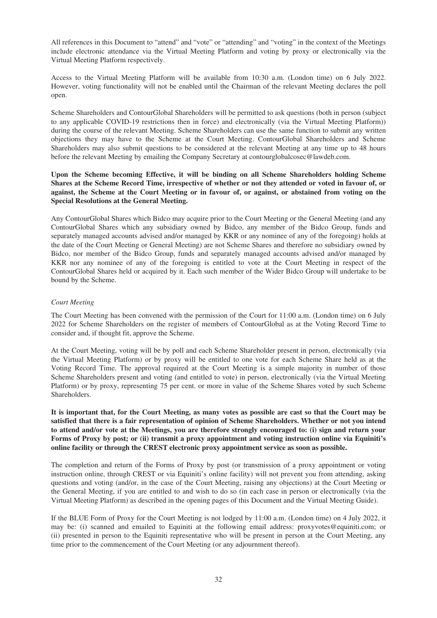All references in this Document to "attend" and "vote" or "attending" and "voting" in the context of the Meetings include electronic attendance via the Virtual Meeting Platform and voting by proxy or electronically via the Virtual Meeting Platform respectively.

Access to the Virtual Meeting Platform will be available from 10:30 a.m. (London time) on 6 July 2022. However, voting functionality will not be enabled until the Chairman of the relevant Meeting declares the poll open.

Scheme Shareholders and ContourGlobal Shareholders will be permitted to ask questions (both in person (subject to any applicable COVID-19 restrictions then in force) and electronically (via the Virtual Meeting Platform)) during the course of the relevant Meeting. Scheme Shareholders can use the same function to submit any written objections they may have to the Scheme at the Court Meeting. ContourGlobal Shareholders and Scheme Shareholders may also submit questions to be considered at the relevant Meeting at any time up to 48 hours before the relevant Meeting by emailing the Company Secretary at contourglobalcosec@lawdeb.com.

# **Upon the Scheme becoming Effective, it will be binding on all Scheme Shareholders holding Scheme Shares at the Scheme Record Time, irrespective of whether or not they attended or voted in favour of, or against, the Scheme at the Court Meeting or in favour of, or against, or abstained from voting on the Special Resolutions at the General Meeting.**

Any ContourGlobal Shares which Bidco may acquire prior to the Court Meeting or the General Meeting (and any ContourGlobal Shares which any subsidiary owned by Bidco, any member of the Bidco Group, funds and separately managed accounts advised and/or managed by KKR or any nominee of any of the foregoing) holds at the date of the Court Meeting or General Meeting) are not Scheme Shares and therefore no subsidiary owned by Bidco, nor member of the Bidco Group, funds and separately managed accounts advised and/or managed by KKR nor any nominee of any of the foregoing is entitled to vote at the Court Meeting in respect of the ContourGlobal Shares held or acquired by it. Each such member of the Wider Bidco Group will undertake to be bound by the Scheme.

# *Court Meeting*

The Court Meeting has been convened with the permission of the Court for 11:00 a.m. (London time) on 6 July 2022 for Scheme Shareholders on the register of members of ContourGlobal as at the Voting Record Time to consider and, if thought fit, approve the Scheme.

At the Court Meeting, voting will be by poll and each Scheme Shareholder present in person, electronically (via the Virtual Meeting Platform) or by proxy will be entitled to one vote for each Scheme Share held as at the Voting Record Time. The approval required at the Court Meeting is a simple majority in number of those Scheme Shareholders present and voting (and entitled to vote) in person, electronically (via the Virtual Meeting Platform) or by proxy, representing 75 per cent. or more in value of the Scheme Shares voted by such Scheme Shareholders.

**It is important that, for the Court Meeting, as many votes as possible are cast so that the Court may be satisfied that there is a fair representation of opinion of Scheme Shareholders. Whether or not you intend to attend and/or vote at the Meetings, you are therefore strongly encouraged to: (i) sign and return your Forms of Proxy by post; or (ii) transmit a proxy appointment and voting instruction online via Equiniti's online facility or through the CREST electronic proxy appointment service as soon as possible.**

The completion and return of the Forms of Proxy by post (or transmission of a proxy appointment or voting instruction online, through CREST or via Equiniti's online facility) will not prevent you from attending, asking questions and voting (and/or, in the case of the Court Meeting, raising any objections) at the Court Meeting or the General Meeting, if you are entitled to and wish to do so (in each case in person or electronically (via the Virtual Meeting Platform) as described in the opening pages of this Document and the Virtual Meeting Guide).

If the BLUE Form of Proxy for the Court Meeting is not lodged by 11:00 a.m. (London time) on 4 July 2022, it may be: (i) scanned and emailed to Equiniti at the following email address: proxyvotes@equiniti.com; or (ii) presented in person to the Equiniti representative who will be present in person at the Court Meeting, any time prior to the commencement of the Court Meeting (or any adjournment thereof).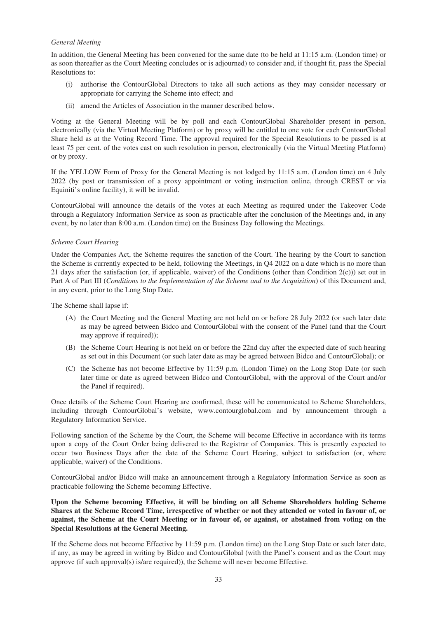#### *General Meeting*

In addition, the General Meeting has been convened for the same date (to be held at 11:15 a.m. (London time) or as soon thereafter as the Court Meeting concludes or is adjourned) to consider and, if thought fit, pass the Special Resolutions to:

- (i) authorise the ContourGlobal Directors to take all such actions as they may consider necessary or appropriate for carrying the Scheme into effect; and
- (ii) amend the Articles of Association in the manner described below.

Voting at the General Meeting will be by poll and each ContourGlobal Shareholder present in person, electronically (via the Virtual Meeting Platform) or by proxy will be entitled to one vote for each ContourGlobal Share held as at the Voting Record Time. The approval required for the Special Resolutions to be passed is at least 75 per cent. of the votes cast on such resolution in person, electronically (via the Virtual Meeting Platform) or by proxy.

If the YELLOW Form of Proxy for the General Meeting is not lodged by 11:15 a.m. (London time) on 4 July 2022 (by post or transmission of a proxy appointment or voting instruction online, through CREST or via Equiniti's online facility), it will be invalid.

ContourGlobal will announce the details of the votes at each Meeting as required under the Takeover Code through a Regulatory Information Service as soon as practicable after the conclusion of the Meetings and, in any event, by no later than 8:00 a.m. (London time) on the Business Day following the Meetings.

#### *Scheme Court Hearing*

Under the Companies Act, the Scheme requires the sanction of the Court. The hearing by the Court to sanction the Scheme is currently expected to be held, following the Meetings, in Q4 2022 on a date which is no more than 21 days after the satisfaction (or, if applicable, waiver) of the Conditions (other than Condition  $2(c)$ )) set out in Part A of Part III (*Conditions to the Implementation of the Scheme and to the Acquisition*) of this Document and, in any event, prior to the Long Stop Date.

The Scheme shall lapse if:

- (A) the Court Meeting and the General Meeting are not held on or before 28 July 2022 (or such later date as may be agreed between Bidco and ContourGlobal with the consent of the Panel (and that the Court may approve if required));
- (B) the Scheme Court Hearing is not held on or before the 22nd day after the expected date of such hearing as set out in this Document (or such later date as may be agreed between Bidco and ContourGlobal); or
- (C) the Scheme has not become Effective by 11:59 p.m. (London Time) on the Long Stop Date (or such later time or date as agreed between Bidco and ContourGlobal, with the approval of the Court and/or the Panel if required).

Once details of the Scheme Court Hearing are confirmed, these will be communicated to Scheme Shareholders, including through ContourGlobal's website, www.contourglobal.com and by announcement through a Regulatory Information Service.

Following sanction of the Scheme by the Court, the Scheme will become Effective in accordance with its terms upon a copy of the Court Order being delivered to the Registrar of Companies. This is presently expected to occur two Business Days after the date of the Scheme Court Hearing, subject to satisfaction (or, where applicable, waiver) of the Conditions.

ContourGlobal and/or Bidco will make an announcement through a Regulatory Information Service as soon as practicable following the Scheme becoming Effective.

**Upon the Scheme becoming Effective, it will be binding on all Scheme Shareholders holding Scheme Shares at the Scheme Record Time, irrespective of whether or not they attended or voted in favour of, or against, the Scheme at the Court Meeting or in favour of, or against, or abstained from voting on the Special Resolutions at the General Meeting.**

If the Scheme does not become Effective by 11:59 p.m. (London time) on the Long Stop Date or such later date, if any, as may be agreed in writing by Bidco and ContourGlobal (with the Panel's consent and as the Court may approve (if such approval(s) is/are required)), the Scheme will never become Effective.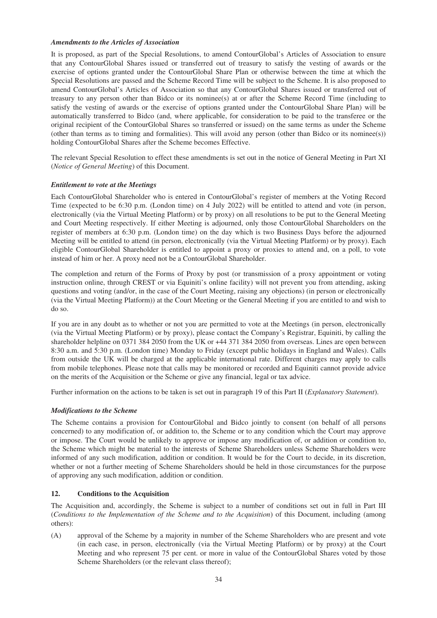#### *Amendments to the Articles of Association*

It is proposed, as part of the Special Resolutions, to amend ContourGlobal's Articles of Association to ensure that any ContourGlobal Shares issued or transferred out of treasury to satisfy the vesting of awards or the exercise of options granted under the ContourGlobal Share Plan or otherwise between the time at which the Special Resolutions are passed and the Scheme Record Time will be subject to the Scheme. It is also proposed to amend ContourGlobal's Articles of Association so that any ContourGlobal Shares issued or transferred out of treasury to any person other than Bidco or its nominee(s) at or after the Scheme Record Time (including to satisfy the vesting of awards or the exercise of options granted under the ContourGlobal Share Plan) will be automatically transferred to Bidco (and, where applicable, for consideration to be paid to the transferee or the original recipient of the ContourGlobal Shares so transferred or issued) on the same terms as under the Scheme (other than terms as to timing and formalities). This will avoid any person (other than Bidco or its nominee(s)) holding ContourGlobal Shares after the Scheme becomes Effective.

The relevant Special Resolution to effect these amendments is set out in the notice of General Meeting in Part XI (*Notice of General Meeting*) of this Document.

#### *Entitlement to vote at the Meetings*

Each ContourGlobal Shareholder who is entered in ContourGlobal's register of members at the Voting Record Time (expected to be 6:30 p.m. (London time) on 4 July 2022) will be entitled to attend and vote (in person, electronically (via the Virtual Meeting Platform) or by proxy) on all resolutions to be put to the General Meeting and Court Meeting respectively. If either Meeting is adjourned, only those ContourGlobal Shareholders on the register of members at 6:30 p.m. (London time) on the day which is two Business Days before the adjourned Meeting will be entitled to attend (in person, electronically (via the Virtual Meeting Platform) or by proxy). Each eligible ContourGlobal Shareholder is entitled to appoint a proxy or proxies to attend and, on a poll, to vote instead of him or her. A proxy need not be a ContourGlobal Shareholder.

The completion and return of the Forms of Proxy by post (or transmission of a proxy appointment or voting instruction online, through CREST or via Equiniti's online facility) will not prevent you from attending, asking questions and voting (and/or, in the case of the Court Meeting, raising any objections) (in person or electronically (via the Virtual Meeting Platform)) at the Court Meeting or the General Meeting if you are entitled to and wish to do so.

If you are in any doubt as to whether or not you are permitted to vote at the Meetings (in person, electronically (via the Virtual Meeting Platform) or by proxy), please contact the Company's Registrar, Equiniti, by calling the shareholder helpline on 0371 384 2050 from the UK or +44 371 384 2050 from overseas. Lines are open between 8:30 a.m. and 5:30 p.m. (London time) Monday to Friday (except public holidays in England and Wales). Calls from outside the UK will be charged at the applicable international rate. Different charges may apply to calls from mobile telephones. Please note that calls may be monitored or recorded and Equiniti cannot provide advice on the merits of the Acquisition or the Scheme or give any financial, legal or tax advice.

Further information on the actions to be taken is set out in paragraph 19 of this Part II (*Explanatory Statement*).

#### *Modifications to the Scheme*

The Scheme contains a provision for ContourGlobal and Bidco jointly to consent (on behalf of all persons concerned) to any modification of, or addition to, the Scheme or to any condition which the Court may approve or impose. The Court would be unlikely to approve or impose any modification of, or addition or condition to, the Scheme which might be material to the interests of Scheme Shareholders unless Scheme Shareholders were informed of any such modification, addition or condition. It would be for the Court to decide, in its discretion, whether or not a further meeting of Scheme Shareholders should be held in those circumstances for the purpose of approving any such modification, addition or condition.

#### **12. Conditions to the Acquisition**

The Acquisition and, accordingly, the Scheme is subject to a number of conditions set out in full in Part III (*Conditions to the Implementation of the Scheme and to the Acquisition*) of this Document, including (among others):

(A) approval of the Scheme by a majority in number of the Scheme Shareholders who are present and vote (in each case, in person, electronically (via the Virtual Meeting Platform) or by proxy) at the Court Meeting and who represent 75 per cent. or more in value of the ContourGlobal Shares voted by those Scheme Shareholders (or the relevant class thereof);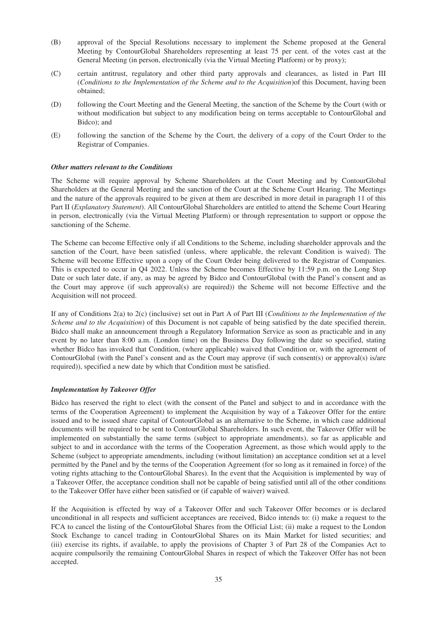- (B) approval of the Special Resolutions necessary to implement the Scheme proposed at the General Meeting by ContourGlobal Shareholders representing at least 75 per cent. of the votes cast at the General Meeting (in person, electronically (via the Virtual Meeting Platform) or by proxy);
- (C) certain antitrust, regulatory and other third party approvals and clearances, as listed in Part III (*Conditions to the Implementation of the Scheme and to the Acquisition*)of this Document, having been obtained;
- (D) following the Court Meeting and the General Meeting, the sanction of the Scheme by the Court (with or without modification but subject to any modification being on terms acceptable to ContourGlobal and Bidco); and
- (E) following the sanction of the Scheme by the Court, the delivery of a copy of the Court Order to the Registrar of Companies.

#### *Other matters relevant to the Conditions*

The Scheme will require approval by Scheme Shareholders at the Court Meeting and by ContourGlobal Shareholders at the General Meeting and the sanction of the Court at the Scheme Court Hearing. The Meetings and the nature of the approvals required to be given at them are described in more detail in paragraph 11 of this Part II (*Explanatory Statement*). All ContourGlobal Shareholders are entitled to attend the Scheme Court Hearing in person, electronically (via the Virtual Meeting Platform) or through representation to support or oppose the sanctioning of the Scheme.

The Scheme can become Effective only if all Conditions to the Scheme, including shareholder approvals and the sanction of the Court, have been satisfied (unless, where applicable, the relevant Condition is waived). The Scheme will become Effective upon a copy of the Court Order being delivered to the Registrar of Companies. This is expected to occur in Q4 2022. Unless the Scheme becomes Effective by 11:59 p.m. on the Long Stop Date or such later date, if any, as may be agreed by Bidco and ContourGlobal (with the Panel's consent and as the Court may approve (if such approval(s) are required)) the Scheme will not become Effective and the Acquisition will not proceed.

If any of Conditions 2(a) to 2(c) (inclusive) set out in Part A of Part III (*Conditions to the Implementation of the Scheme and to the Acquisition*) of this Document is not capable of being satisfied by the date specified therein, Bidco shall make an announcement through a Regulatory Information Service as soon as practicable and in any event by no later than 8:00 a.m. (London time) on the Business Day following the date so specified, stating whether Bidco has invoked that Condition, (where applicable) waived that Condition or, with the agreement of ContourGlobal (with the Panel's consent and as the Court may approve (if such consent(s) or approval(s) is/are required)), specified a new date by which that Condition must be satisfied.

#### *Implementation by Takeover Offer*

Bidco has reserved the right to elect (with the consent of the Panel and subject to and in accordance with the terms of the Cooperation Agreement) to implement the Acquisition by way of a Takeover Offer for the entire issued and to be issued share capital of ContourGlobal as an alternative to the Scheme, in which case additional documents will be required to be sent to ContourGlobal Shareholders. In such event, the Takeover Offer will be implemented on substantially the same terms (subject to appropriate amendments), so far as applicable and subject to and in accordance with the terms of the Cooperation Agreement, as those which would apply to the Scheme (subject to appropriate amendments, including (without limitation) an acceptance condition set at a level permitted by the Panel and by the terms of the Cooperation Agreement (for so long as it remained in force) of the voting rights attaching to the ContourGlobal Shares). In the event that the Acquisition is implemented by way of a Takeover Offer, the acceptance condition shall not be capable of being satisfied until all of the other conditions to the Takeover Offer have either been satisfied or (if capable of waiver) waived.

If the Acquisition is effected by way of a Takeover Offer and such Takeover Offer becomes or is declared unconditional in all respects and sufficient acceptances are received, Bidco intends to: (i) make a request to the FCA to cancel the listing of the ContourGlobal Shares from the Official List; (ii) make a request to the London Stock Exchange to cancel trading in ContourGlobal Shares on its Main Market for listed securities; and (iii) exercise its rights, if available, to apply the provisions of Chapter 3 of Part 28 of the Companies Act to acquire compulsorily the remaining ContourGlobal Shares in respect of which the Takeover Offer has not been accepted.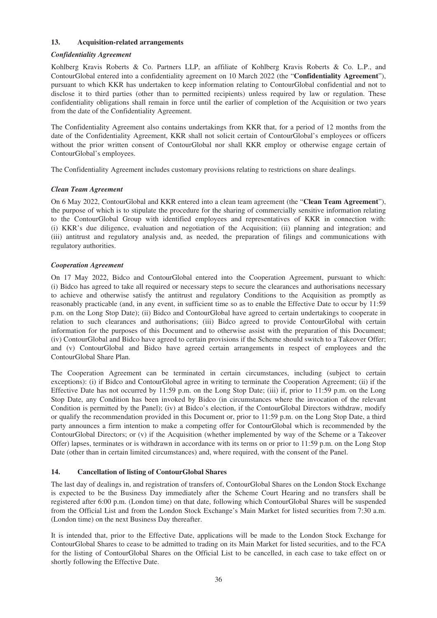#### **13. Acquisition-related arrangements**

# *Confidentiality Agreement*

Kohlberg Kravis Roberts & Co. Partners LLP, an affiliate of Kohlberg Kravis Roberts & Co. L.P., and ContourGlobal entered into a confidentiality agreement on 10 March 2022 (the "**Confidentiality Agreement**"), pursuant to which KKR has undertaken to keep information relating to ContourGlobal confidential and not to disclose it to third parties (other than to permitted recipients) unless required by law or regulation. These confidentiality obligations shall remain in force until the earlier of completion of the Acquisition or two years from the date of the Confidentiality Agreement.

The Confidentiality Agreement also contains undertakings from KKR that, for a period of 12 months from the date of the Confidentiality Agreement, KKR shall not solicit certain of ContourGlobal's employees or officers without the prior written consent of ContourGlobal nor shall KKR employ or otherwise engage certain of ContourGlobal's employees.

The Confidentiality Agreement includes customary provisions relating to restrictions on share dealings.

# *Clean Team Agreement*

On 6 May 2022, ContourGlobal and KKR entered into a clean team agreement (the "**Clean Team Agreement**"), the purpose of which is to stipulate the procedure for the sharing of commercially sensitive information relating to the ContourGlobal Group with identified employees and representatives of KKR in connection with: (i) KKR's due diligence, evaluation and negotiation of the Acquisition; (ii) planning and integration; and (iii) antitrust and regulatory analysis and, as needed, the preparation of filings and communications with regulatory authorities.

# *Cooperation Agreement*

On 17 May 2022, Bidco and ContourGlobal entered into the Cooperation Agreement, pursuant to which: (i) Bidco has agreed to take all required or necessary steps to secure the clearances and authorisations necessary to achieve and otherwise satisfy the antitrust and regulatory Conditions to the Acquisition as promptly as reasonably practicable (and, in any event, in sufficient time so as to enable the Effective Date to occur by 11:59 p.m. on the Long Stop Date); (ii) Bidco and ContourGlobal have agreed to certain undertakings to cooperate in relation to such clearances and authorisations; (iii) Bidco agreed to provide ContourGlobal with certain information for the purposes of this Document and to otherwise assist with the preparation of this Document; (iv) ContourGlobal and Bidco have agreed to certain provisions if the Scheme should switch to a Takeover Offer; and (v) ContourGlobal and Bidco have agreed certain arrangements in respect of employees and the ContourGlobal Share Plan.

The Cooperation Agreement can be terminated in certain circumstances, including (subject to certain exceptions): (i) if Bidco and ContourGlobal agree in writing to terminate the Cooperation Agreement; (ii) if the Effective Date has not occurred by 11:59 p.m. on the Long Stop Date; (iii) if, prior to 11:59 p.m. on the Long Stop Date, any Condition has been invoked by Bidco (in circumstances where the invocation of the relevant Condition is permitted by the Panel); (iv) at Bidco's election, if the ContourGlobal Directors withdraw, modify or qualify the recommendation provided in this Document or, prior to 11:59 p.m. on the Long Stop Date, a third party announces a firm intention to make a competing offer for ContourGlobal which is recommended by the ContourGlobal Directors; or (v) if the Acquisition (whether implemented by way of the Scheme or a Takeover Offer) lapses, terminates or is withdrawn in accordance with its terms on or prior to 11:59 p.m. on the Long Stop Date (other than in certain limited circumstances) and, where required, with the consent of the Panel.

# **14. Cancellation of listing of ContourGlobal Shares**

The last day of dealings in, and registration of transfers of, ContourGlobal Shares on the London Stock Exchange is expected to be the Business Day immediately after the Scheme Court Hearing and no transfers shall be registered after 6:00 p.m. (London time) on that date, following which ContourGlobal Shares will be suspended from the Official List and from the London Stock Exchange's Main Market for listed securities from 7:30 a.m. (London time) on the next Business Day thereafter.

It is intended that, prior to the Effective Date, applications will be made to the London Stock Exchange for ContourGlobal Shares to cease to be admitted to trading on its Main Market for listed securities, and to the FCA for the listing of ContourGlobal Shares on the Official List to be cancelled, in each case to take effect on or shortly following the Effective Date.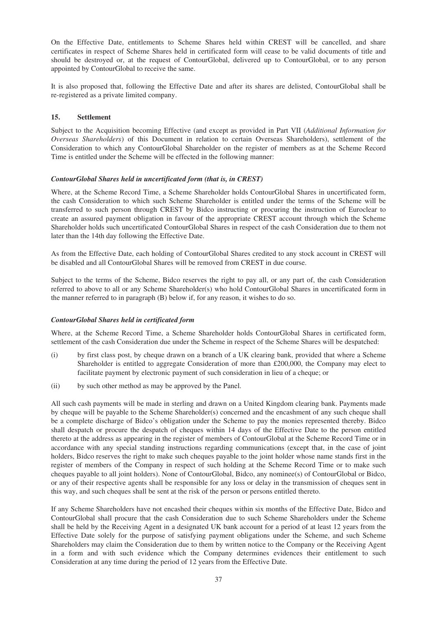On the Effective Date, entitlements to Scheme Shares held within CREST will be cancelled, and share certificates in respect of Scheme Shares held in certificated form will cease to be valid documents of title and should be destroyed or, at the request of ContourGlobal, delivered up to ContourGlobal, or to any person appointed by ContourGlobal to receive the same.

It is also proposed that, following the Effective Date and after its shares are delisted, ContourGlobal shall be re-registered as a private limited company.

# **15. Settlement**

Subject to the Acquisition becoming Effective (and except as provided in Part VII (*Additional Information for Overseas Shareholders*) of this Document in relation to certain Overseas Shareholders), settlement of the Consideration to which any ContourGlobal Shareholder on the register of members as at the Scheme Record Time is entitled under the Scheme will be effected in the following manner:

### *ContourGlobal Shares held in uncertificated form (that is, in CREST)*

Where, at the Scheme Record Time, a Scheme Shareholder holds ContourGlobal Shares in uncertificated form, the cash Consideration to which such Scheme Shareholder is entitled under the terms of the Scheme will be transferred to such person through CREST by Bidco instructing or procuring the instruction of Euroclear to create an assured payment obligation in favour of the appropriate CREST account through which the Scheme Shareholder holds such uncertificated ContourGlobal Shares in respect of the cash Consideration due to them not later than the 14th day following the Effective Date.

As from the Effective Date, each holding of ContourGlobal Shares credited to any stock account in CREST will be disabled and all ContourGlobal Shares will be removed from CREST in due course.

Subject to the terms of the Scheme, Bidco reserves the right to pay all, or any part of, the cash Consideration referred to above to all or any Scheme Shareholder(s) who hold ContourGlobal Shares in uncertificated form in the manner referred to in paragraph (B) below if, for any reason, it wishes to do so.

# *ContourGlobal Shares held in certificated form*

Where, at the Scheme Record Time, a Scheme Shareholder holds ContourGlobal Shares in certificated form, settlement of the cash Consideration due under the Scheme in respect of the Scheme Shares will be despatched:

- (i) by first class post, by cheque drawn on a branch of a UK clearing bank, provided that where a Scheme Shareholder is entitled to aggregate Consideration of more than £200,000, the Company may elect to facilitate payment by electronic payment of such consideration in lieu of a cheque; or
- (ii) by such other method as may be approved by the Panel.

All such cash payments will be made in sterling and drawn on a United Kingdom clearing bank. Payments made by cheque will be payable to the Scheme Shareholder(s) concerned and the encashment of any such cheque shall be a complete discharge of Bidco's obligation under the Scheme to pay the monies represented thereby. Bidco shall despatch or procure the despatch of cheques within 14 days of the Effective Date to the person entitled thereto at the address as appearing in the register of members of ContourGlobal at the Scheme Record Time or in accordance with any special standing instructions regarding communications (except that, in the case of joint holders, Bidco reserves the right to make such cheques payable to the joint holder whose name stands first in the register of members of the Company in respect of such holding at the Scheme Record Time or to make such cheques payable to all joint holders). None of ContourGlobal, Bidco, any nominee(s) of ContourGlobal or Bidco, or any of their respective agents shall be responsible for any loss or delay in the transmission of cheques sent in this way, and such cheques shall be sent at the risk of the person or persons entitled thereto.

If any Scheme Shareholders have not encashed their cheques within six months of the Effective Date, Bidco and ContourGlobal shall procure that the cash Consideration due to such Scheme Shareholders under the Scheme shall be held by the Receiving Agent in a designated UK bank account for a period of at least 12 years from the Effective Date solely for the purpose of satisfying payment obligations under the Scheme, and such Scheme Shareholders may claim the Consideration due to them by written notice to the Company or the Receiving Agent in a form and with such evidence which the Company determines evidences their entitlement to such Consideration at any time during the period of 12 years from the Effective Date.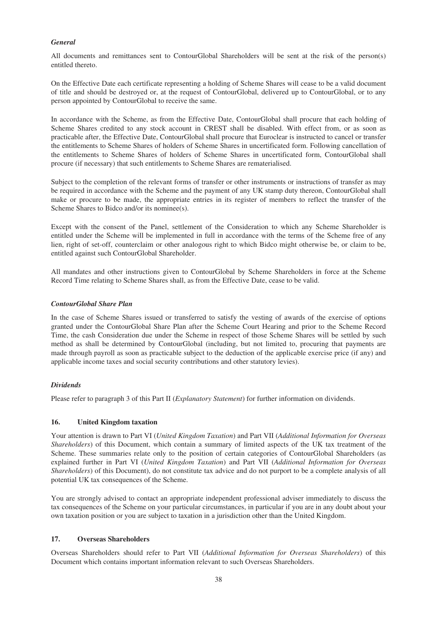# *General*

All documents and remittances sent to ContourGlobal Shareholders will be sent at the risk of the person(s) entitled thereto.

On the Effective Date each certificate representing a holding of Scheme Shares will cease to be a valid document of title and should be destroyed or, at the request of ContourGlobal, delivered up to ContourGlobal, or to any person appointed by ContourGlobal to receive the same.

In accordance with the Scheme, as from the Effective Date, ContourGlobal shall procure that each holding of Scheme Shares credited to any stock account in CREST shall be disabled. With effect from, or as soon as practicable after, the Effective Date, ContourGlobal shall procure that Euroclear is instructed to cancel or transfer the entitlements to Scheme Shares of holders of Scheme Shares in uncertificated form. Following cancellation of the entitlements to Scheme Shares of holders of Scheme Shares in uncertificated form, ContourGlobal shall procure (if necessary) that such entitlements to Scheme Shares are rematerialised.

Subject to the completion of the relevant forms of transfer or other instruments or instructions of transfer as may be required in accordance with the Scheme and the payment of any UK stamp duty thereon, ContourGlobal shall make or procure to be made, the appropriate entries in its register of members to reflect the transfer of the Scheme Shares to Bidco and/or its nominee(s).

Except with the consent of the Panel, settlement of the Consideration to which any Scheme Shareholder is entitled under the Scheme will be implemented in full in accordance with the terms of the Scheme free of any lien, right of set-off, counterclaim or other analogous right to which Bidco might otherwise be, or claim to be, entitled against such ContourGlobal Shareholder.

All mandates and other instructions given to ContourGlobal by Scheme Shareholders in force at the Scheme Record Time relating to Scheme Shares shall, as from the Effective Date, cease to be valid.

# *ContourGlobal Share Plan*

In the case of Scheme Shares issued or transferred to satisfy the vesting of awards of the exercise of options granted under the ContourGlobal Share Plan after the Scheme Court Hearing and prior to the Scheme Record Time, the cash Consideration due under the Scheme in respect of those Scheme Shares will be settled by such method as shall be determined by ContourGlobal (including, but not limited to, procuring that payments are made through payroll as soon as practicable subject to the deduction of the applicable exercise price (if any) and applicable income taxes and social security contributions and other statutory levies).

# *Dividends*

Please refer to paragraph 3 of this Part II (*Explanatory Statement*) for further information on dividends.

# **16. United Kingdom taxation**

Your attention is drawn to Part VI (*United Kingdom Taxation*) and Part VII (*Additional Information for Overseas Shareholders*) of this Document, which contain a summary of limited aspects of the UK tax treatment of the Scheme. These summaries relate only to the position of certain categories of ContourGlobal Shareholders (as explained further in Part VI (*United Kingdom Taxation*) and Part VII (*Additional Information for Overseas Shareholders*) of this Document), do not constitute tax advice and do not purport to be a complete analysis of all potential UK tax consequences of the Scheme.

You are strongly advised to contact an appropriate independent professional adviser immediately to discuss the tax consequences of the Scheme on your particular circumstances, in particular if you are in any doubt about your own taxation position or you are subject to taxation in a jurisdiction other than the United Kingdom.

# **17. Overseas Shareholders**

Overseas Shareholders should refer to Part VII (*Additional Information for Overseas Shareholders*) of this Document which contains important information relevant to such Overseas Shareholders.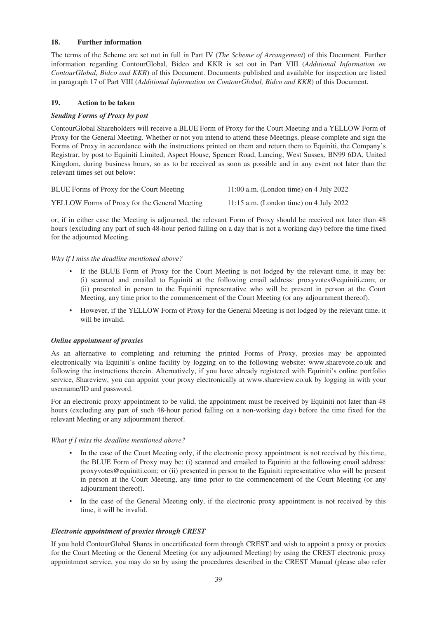# **18. Further information**

The terms of the Scheme are set out in full in Part IV (*The Scheme of Arrangement*) of this Document. Further information regarding ContourGlobal, Bidco and KKR is set out in Part VIII (*Additional Information on ContourGlobal, Bidco and KKR*) of this Document. Documents published and available for inspection are listed in paragraph 17 of Part VIII (*Additional Information on ContourGlobal, Bidco and KKR*) of this Document.

# **19. Action to be taken**

# *Sending Forms of Proxy by post*

ContourGlobal Shareholders will receive a BLUE Form of Proxy for the Court Meeting and a YELLOW Form of Proxy for the General Meeting. Whether or not you intend to attend these Meetings, please complete and sign the Forms of Proxy in accordance with the instructions printed on them and return them to Equiniti, the Company's Registrar, by post to Equiniti Limited, Aspect House, Spencer Road, Lancing, West Sussex, BN99 6DA, United Kingdom, during business hours, so as to be received as soon as possible and in any event not later than the relevant times set out below:

| BLUE Forms of Proxy for the Court Meeting            | $11:00$ a.m. (London time) on 4 July 2022 |
|------------------------------------------------------|-------------------------------------------|
| <b>YELLOW</b> Forms of Proxy for the General Meeting | 11:15 a.m. (London time) on 4 July 2022   |

or, if in either case the Meeting is adjourned, the relevant Form of Proxy should be received not later than 48 hours (excluding any part of such 48-hour period falling on a day that is not a working day) before the time fixed for the adjourned Meeting.

*Why if I miss the deadline mentioned above?*

- If the BLUE Form of Proxy for the Court Meeting is not lodged by the relevant time, it may be: (i) scanned and emailed to Equiniti at the following email address: proxyvotes@equiniti.com; or (ii) presented in person to the Equiniti representative who will be present in person at the Court Meeting, any time prior to the commencement of the Court Meeting (or any adjournment thereof).
- However, if the YELLOW Form of Proxy for the General Meeting is not lodged by the relevant time, it will be invalid.

# *Online appointment of proxies*

As an alternative to completing and returning the printed Forms of Proxy, proxies may be appointed electronically via Equiniti's online facility by logging on to the following website: www.sharevote.co.uk and following the instructions therein. Alternatively, if you have already registered with Equiniti's online portfolio service, Shareview, you can appoint your proxy electronically at www.shareview.co.uk by logging in with your username/ID and password.

For an electronic proxy appointment to be valid, the appointment must be received by Equiniti not later than 48 hours (excluding any part of such 48-hour period falling on a non-working day) before the time fixed for the relevant Meeting or any adjournment thereof.

*What if I miss the deadline mentioned above?*

- In the case of the Court Meeting only, if the electronic proxy appointment is not received by this time, the BLUE Form of Proxy may be: (i) scanned and emailed to Equiniti at the following email address: proxyvotes@equiniti.com; or (ii) presented in person to the Equiniti representative who will be present in person at the Court Meeting, any time prior to the commencement of the Court Meeting (or any adjournment thereof).
- In the case of the General Meeting only, if the electronic proxy appointment is not received by this time, it will be invalid.

# *Electronic appointment of proxies through CREST*

If you hold ContourGlobal Shares in uncertificated form through CREST and wish to appoint a proxy or proxies for the Court Meeting or the General Meeting (or any adjourned Meeting) by using the CREST electronic proxy appointment service, you may do so by using the procedures described in the CREST Manual (please also refer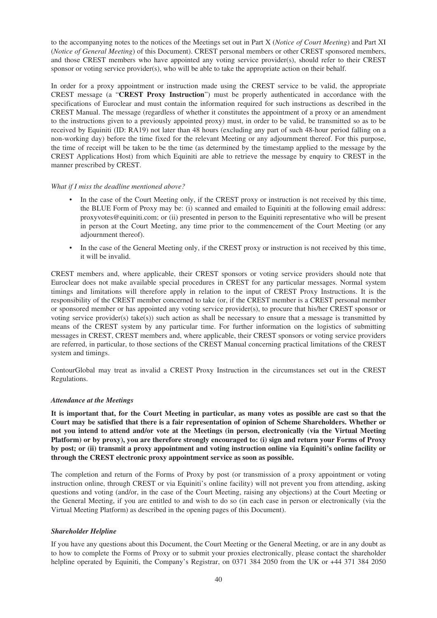to the accompanying notes to the notices of the Meetings set out in Part X (*Notice of Court Meeting*) and Part XI (*Notice of General Meeting*) of this Document). CREST personal members or other CREST sponsored members, and those CREST members who have appointed any voting service provider(s), should refer to their CREST sponsor or voting service provider(s), who will be able to take the appropriate action on their behalf.

In order for a proxy appointment or instruction made using the CREST service to be valid, the appropriate CREST message (a "**CREST Proxy Instruction**") must be properly authenticated in accordance with the specifications of Euroclear and must contain the information required for such instructions as described in the CREST Manual. The message (regardless of whether it constitutes the appointment of a proxy or an amendment to the instructions given to a previously appointed proxy) must, in order to be valid, be transmitted so as to be received by Equiniti (ID: RA19) not later than 48 hours (excluding any part of such 48-hour period falling on a non-working day) before the time fixed for the relevant Meeting or any adjournment thereof. For this purpose, the time of receipt will be taken to be the time (as determined by the timestamp applied to the message by the CREST Applications Host) from which Equiniti are able to retrieve the message by enquiry to CREST in the manner prescribed by CREST.

### *What if I miss the deadline mentioned above?*

- In the case of the Court Meeting only, if the CREST proxy or instruction is not received by this time, the BLUE Form of Proxy may be: (i) scanned and emailed to Equiniti at the following email address: proxyvotes@equiniti.com; or (ii) presented in person to the Equiniti representative who will be present in person at the Court Meeting, any time prior to the commencement of the Court Meeting (or any adjournment thereof).
- In the case of the General Meeting only, if the CREST proxy or instruction is not received by this time, it will be invalid.

CREST members and, where applicable, their CREST sponsors or voting service providers should note that Euroclear does not make available special procedures in CREST for any particular messages. Normal system timings and limitations will therefore apply in relation to the input of CREST Proxy Instructions. It is the responsibility of the CREST member concerned to take (or, if the CREST member is a CREST personal member or sponsored member or has appointed any voting service provider(s), to procure that his/her CREST sponsor or voting service provider(s) take(s)) such action as shall be necessary to ensure that a message is transmitted by means of the CREST system by any particular time. For further information on the logistics of submitting messages in CREST, CREST members and, where applicable, their CREST sponsors or voting service providers are referred, in particular, to those sections of the CREST Manual concerning practical limitations of the CREST system and timings.

ContourGlobal may treat as invalid a CREST Proxy Instruction in the circumstances set out in the CREST Regulations.

# *Attendance at the Meetings*

**It is important that, for the Court Meeting in particular, as many votes as possible are cast so that the Court may be satisfied that there is a fair representation of opinion of Scheme Shareholders. Whether or not you intend to attend and/or vote at the Meetings (in person, electronically (via the Virtual Meeting Platform) or by proxy), you are therefore strongly encouraged to: (i) sign and return your Forms of Proxy by post; or (ii) transmit a proxy appointment and voting instruction online via Equiniti's online facility or through the CREST electronic proxy appointment service as soon as possible.**

The completion and return of the Forms of Proxy by post (or transmission of a proxy appointment or voting instruction online, through CREST or via Equiniti's online facility) will not prevent you from attending, asking questions and voting (and/or, in the case of the Court Meeting, raising any objections) at the Court Meeting or the General Meeting, if you are entitled to and wish to do so (in each case in person or electronically (via the Virtual Meeting Platform) as described in the opening pages of this Document).

#### *Shareholder Helpline*

If you have any questions about this Document, the Court Meeting or the General Meeting, or are in any doubt as to how to complete the Forms of Proxy or to submit your proxies electronically, please contact the shareholder helpline operated by Equiniti, the Company's Registrar, on 0371 384 2050 from the UK or +44 371 384 2050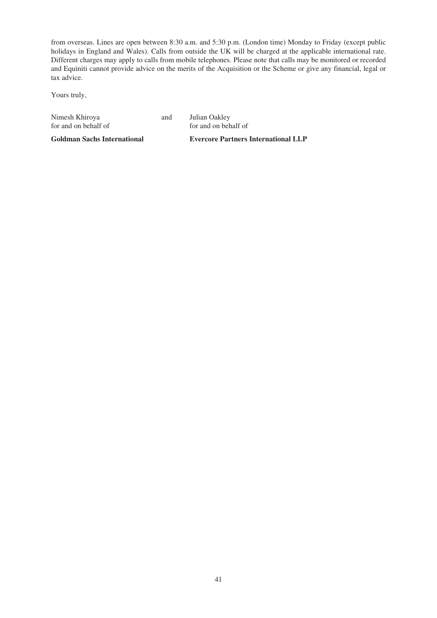from overseas. Lines are open between 8:30 a.m. and 5:30 p.m. (London time) Monday to Friday (except public holidays in England and Wales). Calls from outside the UK will be charged at the applicable international rate. Different charges may apply to calls from mobile telephones. Please note that calls may be monitored or recorded and Equiniti cannot provide advice on the merits of the Acquisition or the Scheme or give any financial, legal or tax advice.

Yours truly,

|  | Nimesh Khiroya       |  |
|--|----------------------|--|
|  | for and on behalf of |  |

and Julian Oakley for and on behalf of

**Goldman Sachs International**

**Evercore Partners International LLP**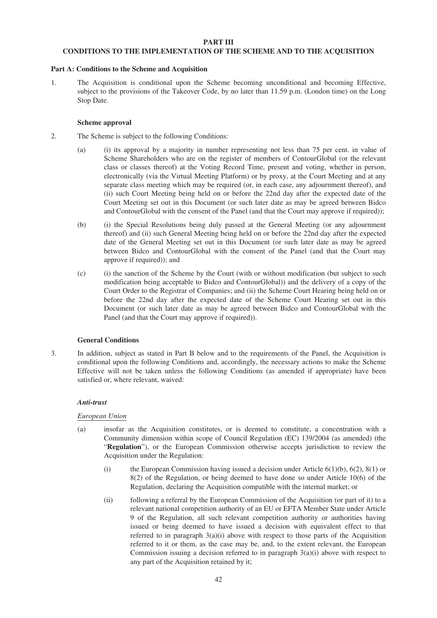#### **PART III**

# **CONDITIONS TO THE IMPLEMENTATION OF THE SCHEME AND TO THE ACQUISITION**

#### **Part A: Conditions to the Scheme and Acquisition**

1. The Acquisition is conditional upon the Scheme becoming unconditional and becoming Effective, subject to the provisions of the Takeover Code, by no later than 11.59 p.m. (London time) on the Long Stop Date.

### **Scheme approval**

- 2. The Scheme is subject to the following Conditions:
	- (a) (i) its approval by a majority in number representing not less than 75 per cent. in value of Scheme Shareholders who are on the register of members of ContourGlobal (or the relevant class or classes thereof) at the Voting Record Time, present and voting, whether in person, electronically (via the Virtual Meeting Platform) or by proxy, at the Court Meeting and at any separate class meeting which may be required (or, in each case, any adjournment thereof), and (ii) such Court Meeting being held on or before the 22nd day after the expected date of the Court Meeting set out in this Document (or such later date as may be agreed between Bidco and ContourGlobal with the consent of the Panel (and that the Court may approve if required));
	- (b) (i) the Special Resolutions being duly passed at the General Meeting (or any adjournment thereof) and (ii) such General Meeting being held on or before the 22nd day after the expected date of the General Meeting set out in this Document (or such later date as may be agreed between Bidco and ContourGlobal with the consent of the Panel (and that the Court may approve if required)); and
	- (c) (i) the sanction of the Scheme by the Court (with or without modification (but subject to such modification being acceptable to Bidco and ContourGlobal)) and the delivery of a copy of the Court Order to the Registrar of Companies; and (ii) the Scheme Court Hearing being held on or before the 22nd day after the expected date of the Scheme Court Hearing set out in this Document (or such later date as may be agreed between Bidco and ContourGlobal with the Panel (and that the Court may approve if required)).

# **General Conditions**

3. In addition, subject as stated in Part B below and to the requirements of the Panel, the Acquisition is conditional upon the following Conditions and, accordingly, the necessary actions to make the Scheme Effective will not be taken unless the following Conditions (as amended if appropriate) have been satisfied or, where relevant, waived:

# *Anti-trust*

# *European Union*

- (a) insofar as the Acquisition constitutes, or is deemed to constitute, a concentration with a Community dimension within scope of Council Regulation (EC) 139/2004 (as amended) (the "**Regulation**"), or the European Commission otherwise accepts jurisdiction to review the Acquisition under the Regulation:
	- (i) the European Commission having issued a decision under Article  $6(1)(b)$ ,  $6(2)$ ,  $8(1)$  or 8(2) of the Regulation, or being deemed to have done so under Article 10(6) of the Regulation, declaring the Acquisition compatible with the internal market; or
	- (ii) following a referral by the European Commission of the Acquisition (or part of it) to a relevant national competition authority of an EU or EFTA Member State under Article 9 of the Regulation, all such relevant competition authority or authorities having issued or being deemed to have issued a decision with equivalent effect to that referred to in paragraph  $3(a)(i)$  above with respect to those parts of the Acquisition referred to it or them, as the case may be, and, to the extent relevant, the European Commission issuing a decision referred to in paragraph 3(a)(i) above with respect to any part of the Acquisition retained by it;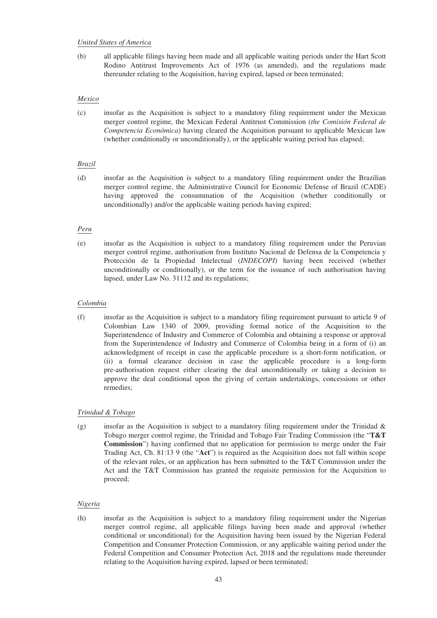#### *United States of America*

(b) all applicable filings having been made and all applicable waiting periods under the Hart Scott Rodino Antitrust Improvements Act of 1976 (as amended), and the regulations made thereunder relating to the Acquisition, having expired, lapsed or been terminated;

# *Mexico*

(c) insofar as the Acquisition is subject to a mandatory filing requirement under the Mexican merger control regime, the Mexican Federal Antitrust Commission (*the Comisión Federal de Competencia Económica*) having cleared the Acquisition pursuant to applicable Mexican law (whether conditionally or unconditionally), or the applicable waiting period has elapsed;

# *Brazil*

(d) insofar as the Acquisition is subject to a mandatory filing requirement under the Brazilian merger control regime, the Administrative Council for Economic Defense of Brazil (CADE) having approved the consummation of the Acquisition (whether conditionally or unconditionally) and/or the applicable waiting periods having expired;

# *Peru*

(e) insofar as the Acquisition is subject to a mandatory filing requirement under the Peruvian merger control regime, authorisation from Instituto Nacional de Defensa de la Competencia y Protección de la Propiedad Intelectual (*INDECOPI*) having been received (whether unconditionally or conditionally), or the term for the issuance of such authorisation having lapsed, under Law No. 31112 and its regulations;

# *Colombia*

(f) insofar as the Acquisition is subject to a mandatory filing requirement pursuant to article 9 of Colombian Law 1340 of 2009, providing formal notice of the Acquisition to the Superintendence of Industry and Commerce of Colombia and obtaining a response or approval from the Superintendence of Industry and Commerce of Colombia being in a form of (i) an acknowledgment of receipt in case the applicable procedure is a short-form notification, or (ii) a formal clearance decision in case the applicable procedure is a long-form pre-authorisation request either clearing the deal unconditionally or taking a decision to approve the deal conditional upon the giving of certain undertakings, concessions or other remedies;

# *Trinidad & Tobago*

(g) insofar as the Acquisition is subject to a mandatory filing requirement under the Trinidad  $\&$ Tobago merger control regime, the Trinidad and Tobago Fair Trading Commission (the "**T&T Commission**") having confirmed that no application for permission to merge under the Fair Trading Act, Ch. 81:13 9 (the "**Act**") is required as the Acquisition does not fall within scope of the relevant rules, or an application has been submitted to the T&T Commission under the Act and the T&T Commission has granted the requisite permission for the Acquisition to proceed;

# *Nigeria*

(h) insofar as the Acquisition is subject to a mandatory filing requirement under the Nigerian merger control regime, all applicable filings having been made and approval (whether conditional or unconditional) for the Acquisition having been issued by the Nigerian Federal Competition and Consumer Protection Commission, or any applicable waiting period under the Federal Competition and Consumer Protection Act, 2018 and the regulations made thereunder relating to the Acquisition having expired, lapsed or been terminated;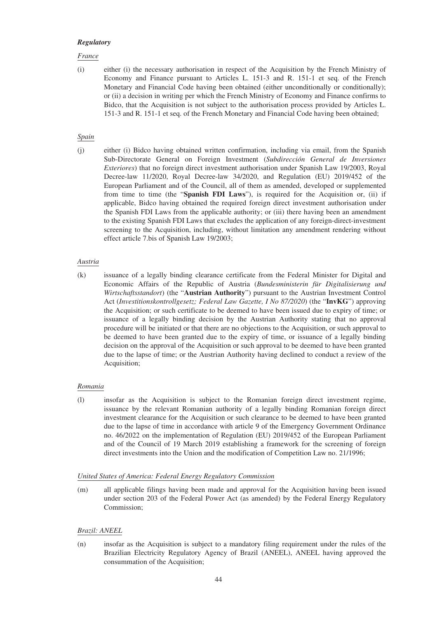#### *Regulatory*

### *France*

(i) either (i) the necessary authorisation in respect of the Acquisition by the French Ministry of Economy and Finance pursuant to Articles L. 151-3 and R. 151-1 et seq. of the French Monetary and Financial Code having been obtained (either unconditionally or conditionally); or (ii) a decision in writing per which the French Ministry of Economy and Finance confirms to Bidco, that the Acquisition is not subject to the authorisation process provided by Articles L. 151-3 and R. 151-1 et seq. of the French Monetary and Financial Code having been obtained;

### *Spain*

(j) either (i) Bidco having obtained written confirmation, including via email, from the Spanish Sub-Directorate General on Foreign Investment (*Subdirección General de Inversiones Exteriores*) that no foreign direct investment authorisation under Spanish Law 19/2003, Royal Decree-law 11/2020, Royal Decree-law 34/2020, and Regulation (EU) 2019/452 of the European Parliament and of the Council, all of them as amended, developed or supplemented from time to time (the "**Spanish FDI Laws**"), is required for the Acquisition or, (ii) if applicable, Bidco having obtained the required foreign direct investment authorisation under the Spanish FDI Laws from the applicable authority; or (iii) there having been an amendment to the existing Spanish FDI Laws that excludes the application of any foreign-direct-investment screening to the Acquisition, including, without limitation any amendment rendering without effect article 7.bis of Spanish Law 19/2003;

### *Austria*

(k) issuance of a legally binding clearance certificate from the Federal Minister for Digital and Economic Affairs of the Republic of Austria (*Bundesministerin für Digitalisierung und Wirtschaftsstandort*) (the "**Austrian Authority**") pursuant to the Austrian Investment Control Act (*Investitionskontrollgesetz; Federal Law Gazette, I No 87/2020*) (the "**InvKG**") approving the Acquisition; or such certificate to be deemed to have been issued due to expiry of time; or issuance of a legally binding decision by the Austrian Authority stating that no approval procedure will be initiated or that there are no objections to the Acquisition, or such approval to be deemed to have been granted due to the expiry of time, or issuance of a legally binding decision on the approval of the Acquisition or such approval to be deemed to have been granted due to the lapse of time; or the Austrian Authority having declined to conduct a review of the Acquisition;

# *Romania*

(l) insofar as the Acquisition is subject to the Romanian foreign direct investment regime, issuance by the relevant Romanian authority of a legally binding Romanian foreign direct investment clearance for the Acquisition or such clearance to be deemed to have been granted due to the lapse of time in accordance with article 9 of the Emergency Government Ordinance no. 46/2022 on the implementation of Regulation (EU) 2019/452 of the European Parliament and of the Council of 19 March 2019 establishing a framework for the screening of foreign direct investments into the Union and the modification of Competition Law no. 21/1996;

# *United States of America: Federal Energy Regulatory Commission*

(m) all applicable filings having been made and approval for the Acquisition having been issued under section 203 of the Federal Power Act (as amended) by the Federal Energy Regulatory Commission;

# *Brazil: ANEEL*

(n) insofar as the Acquisition is subject to a mandatory filing requirement under the rules of the Brazilian Electricity Regulatory Agency of Brazil (ANEEL), ANEEL having approved the consummation of the Acquisition;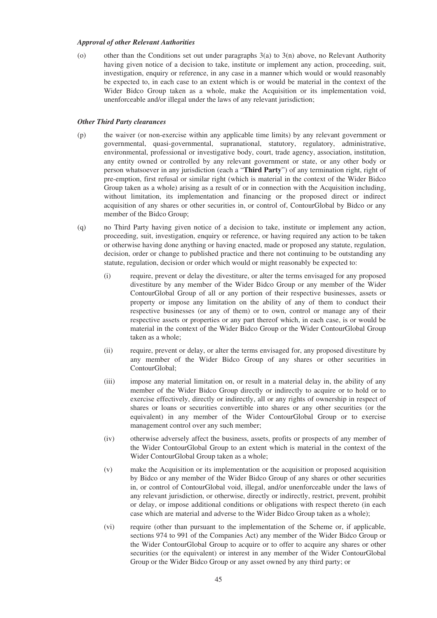#### *Approval of other Relevant Authorities*

(o) other than the Conditions set out under paragraphs  $3(a)$  to  $3(n)$  above, no Relevant Authority having given notice of a decision to take, institute or implement any action, proceeding, suit, investigation, enquiry or reference, in any case in a manner which would or would reasonably be expected to, in each case to an extent which is or would be material in the context of the Wider Bidco Group taken as a whole, make the Acquisition or its implementation void, unenforceable and/or illegal under the laws of any relevant jurisdiction;

# *Other Third Party clearances*

- (p) the waiver (or non-exercise within any applicable time limits) by any relevant government or governmental, quasi-governmental, supranational, statutory, regulatory, administrative, environmental, professional or investigative body, court, trade agency, association, institution, any entity owned or controlled by any relevant government or state, or any other body or person whatsoever in any jurisdiction (each a "**Third Party**") of any termination right, right of pre-emption, first refusal or similar right (which is material in the context of the Wider Bidco Group taken as a whole) arising as a result of or in connection with the Acquisition including, without limitation, its implementation and financing or the proposed direct or indirect acquisition of any shares or other securities in, or control of, ContourGlobal by Bidco or any member of the Bidco Group;
- (q) no Third Party having given notice of a decision to take, institute or implement any action, proceeding, suit, investigation, enquiry or reference, or having required any action to be taken or otherwise having done anything or having enacted, made or proposed any statute, regulation, decision, order or change to published practice and there not continuing to be outstanding any statute, regulation, decision or order which would or might reasonably be expected to:
	- (i) require, prevent or delay the divestiture, or alter the terms envisaged for any proposed divestiture by any member of the Wider Bidco Group or any member of the Wider ContourGlobal Group of all or any portion of their respective businesses, assets or property or impose any limitation on the ability of any of them to conduct their respective businesses (or any of them) or to own, control or manage any of their respective assets or properties or any part thereof which, in each case, is or would be material in the context of the Wider Bidco Group or the Wider ContourGlobal Group taken as a whole;
	- (ii) require, prevent or delay, or alter the terms envisaged for, any proposed divestiture by any member of the Wider Bidco Group of any shares or other securities in ContourGlobal;
	- (iii) impose any material limitation on, or result in a material delay in, the ability of any member of the Wider Bidco Group directly or indirectly to acquire or to hold or to exercise effectively, directly or indirectly, all or any rights of ownership in respect of shares or loans or securities convertible into shares or any other securities (or the equivalent) in any member of the Wider ContourGlobal Group or to exercise management control over any such member;
	- (iv) otherwise adversely affect the business, assets, profits or prospects of any member of the Wider ContourGlobal Group to an extent which is material in the context of the Wider ContourGlobal Group taken as a whole;
	- (v) make the Acquisition or its implementation or the acquisition or proposed acquisition by Bidco or any member of the Wider Bidco Group of any shares or other securities in, or control of ContourGlobal void, illegal, and/or unenforceable under the laws of any relevant jurisdiction, or otherwise, directly or indirectly, restrict, prevent, prohibit or delay, or impose additional conditions or obligations with respect thereto (in each case which are material and adverse to the Wider Bidco Group taken as a whole);
	- (vi) require (other than pursuant to the implementation of the Scheme or, if applicable, sections 974 to 991 of the Companies Act) any member of the Wider Bidco Group or the Wider ContourGlobal Group to acquire or to offer to acquire any shares or other securities (or the equivalent) or interest in any member of the Wider ContourGlobal Group or the Wider Bidco Group or any asset owned by any third party; or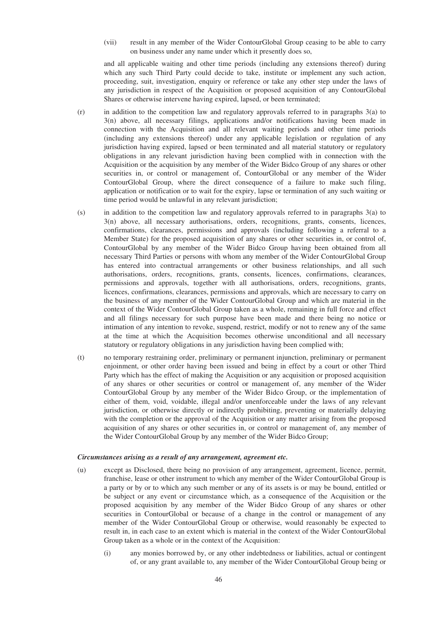(vii) result in any member of the Wider ContourGlobal Group ceasing to be able to carry on business under any name under which it presently does so,

and all applicable waiting and other time periods (including any extensions thereof) during which any such Third Party could decide to take, institute or implement any such action, proceeding, suit, investigation, enquiry or reference or take any other step under the laws of any jurisdiction in respect of the Acquisition or proposed acquisition of any ContourGlobal Shares or otherwise intervene having expired, lapsed, or been terminated;

- (r) in addition to the competition law and regulatory approvals referred to in paragraphs 3(a) to 3(n) above, all necessary filings, applications and/or notifications having been made in connection with the Acquisition and all relevant waiting periods and other time periods (including any extensions thereof) under any applicable legislation or regulation of any jurisdiction having expired, lapsed or been terminated and all material statutory or regulatory obligations in any relevant jurisdiction having been complied with in connection with the Acquisition or the acquisition by any member of the Wider Bidco Group of any shares or other securities in, or control or management of, ContourGlobal or any member of the Wider ContourGlobal Group, where the direct consequence of a failure to make such filing, application or notification or to wait for the expiry, lapse or termination of any such waiting or time period would be unlawful in any relevant jurisdiction;
- (s) in addition to the competition law and regulatory approvals referred to in paragraphs 3(a) to 3(n) above, all necessary authorisations, orders, recognitions, grants, consents, licences, confirmations, clearances, permissions and approvals (including following a referral to a Member State) for the proposed acquisition of any shares or other securities in, or control of, ContourGlobal by any member of the Wider Bidco Group having been obtained from all necessary Third Parties or persons with whom any member of the Wider ContourGlobal Group has entered into contractual arrangements or other business relationships, and all such authorisations, orders, recognitions, grants, consents, licences, confirmations, clearances, permissions and approvals, together with all authorisations, orders, recognitions, grants, licences, confirmations, clearances, permissions and approvals, which are necessary to carry on the business of any member of the Wider ContourGlobal Group and which are material in the context of the Wider ContourGlobal Group taken as a whole, remaining in full force and effect and all filings necessary for such purpose have been made and there being no notice or intimation of any intention to revoke, suspend, restrict, modify or not to renew any of the same at the time at which the Acquisition becomes otherwise unconditional and all necessary statutory or regulatory obligations in any jurisdiction having been complied with;
- (t) no temporary restraining order, preliminary or permanent injunction, preliminary or permanent enjoinment, or other order having been issued and being in effect by a court or other Third Party which has the effect of making the Acquisition or any acquisition or proposed acquisition of any shares or other securities or control or management of, any member of the Wider ContourGlobal Group by any member of the Wider Bidco Group, or the implementation of either of them, void, voidable, illegal and/or unenforceable under the laws of any relevant jurisdiction, or otherwise directly or indirectly prohibiting, preventing or materially delaying with the completion or the approval of the Acquisition or any matter arising from the proposed acquisition of any shares or other securities in, or control or management of, any member of the Wider ContourGlobal Group by any member of the Wider Bidco Group;

#### *Circumstances arising as a result of any arrangement, agreement etc.*

- (u) except as Disclosed, there being no provision of any arrangement, agreement, licence, permit, franchise, lease or other instrument to which any member of the Wider ContourGlobal Group is a party or by or to which any such member or any of its assets is or may be bound, entitled or be subject or any event or circumstance which, as a consequence of the Acquisition or the proposed acquisition by any member of the Wider Bidco Group of any shares or other securities in ContourGlobal or because of a change in the control or management of any member of the Wider ContourGlobal Group or otherwise, would reasonably be expected to result in, in each case to an extent which is material in the context of the Wider ContourGlobal Group taken as a whole or in the context of the Acquisition:
	- (i) any monies borrowed by, or any other indebtedness or liabilities, actual or contingent of, or any grant available to, any member of the Wider ContourGlobal Group being or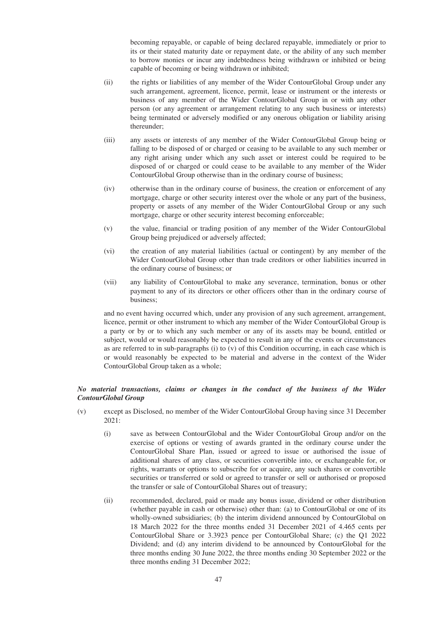becoming repayable, or capable of being declared repayable, immediately or prior to its or their stated maturity date or repayment date, or the ability of any such member to borrow monies or incur any indebtedness being withdrawn or inhibited or being capable of becoming or being withdrawn or inhibited;

- (ii) the rights or liabilities of any member of the Wider ContourGlobal Group under any such arrangement, agreement, licence, permit, lease or instrument or the interests or business of any member of the Wider ContourGlobal Group in or with any other person (or any agreement or arrangement relating to any such business or interests) being terminated or adversely modified or any onerous obligation or liability arising thereunder;
- (iii) any assets or interests of any member of the Wider ContourGlobal Group being or falling to be disposed of or charged or ceasing to be available to any such member or any right arising under which any such asset or interest could be required to be disposed of or charged or could cease to be available to any member of the Wider ContourGlobal Group otherwise than in the ordinary course of business;
- (iv) otherwise than in the ordinary course of business, the creation or enforcement of any mortgage, charge or other security interest over the whole or any part of the business, property or assets of any member of the Wider ContourGlobal Group or any such mortgage, charge or other security interest becoming enforceable;
- (v) the value, financial or trading position of any member of the Wider ContourGlobal Group being prejudiced or adversely affected;
- (vi) the creation of any material liabilities (actual or contingent) by any member of the Wider ContourGlobal Group other than trade creditors or other liabilities incurred in the ordinary course of business; or
- (vii) any liability of ContourGlobal to make any severance, termination, bonus or other payment to any of its directors or other officers other than in the ordinary course of business;

and no event having occurred which, under any provision of any such agreement, arrangement, licence, permit or other instrument to which any member of the Wider ContourGlobal Group is a party or by or to which any such member or any of its assets may be bound, entitled or subject, would or would reasonably be expected to result in any of the events or circumstances as are referred to in sub-paragraphs (i) to (v) of this Condition occurring, in each case which is or would reasonably be expected to be material and adverse in the context of the Wider ContourGlobal Group taken as a whole;

# *No material transactions, claims or changes in the conduct of the business of the Wider ContourGlobal Group*

- (v) except as Disclosed, no member of the Wider ContourGlobal Group having since 31 December 2021:
	- (i) save as between ContourGlobal and the Wider ContourGlobal Group and/or on the exercise of options or vesting of awards granted in the ordinary course under the ContourGlobal Share Plan, issued or agreed to issue or authorised the issue of additional shares of any class, or securities convertible into, or exchangeable for, or rights, warrants or options to subscribe for or acquire, any such shares or convertible securities or transferred or sold or agreed to transfer or sell or authorised or proposed the transfer or sale of ContourGlobal Shares out of treasury;
	- (ii) recommended, declared, paid or made any bonus issue, dividend or other distribution (whether payable in cash or otherwise) other than: (a) to ContourGlobal or one of its wholly-owned subsidiaries; (b) the interim dividend announced by ContourGlobal on 18 March 2022 for the three months ended 31 December 2021 of 4.465 cents per ContourGlobal Share or 3.3923 pence per ContourGlobal Share; (c) the Q1 2022 Dividend; and (d) any interim dividend to be announced by ContourGlobal for the three months ending 30 June 2022, the three months ending 30 September 2022 or the three months ending 31 December 2022;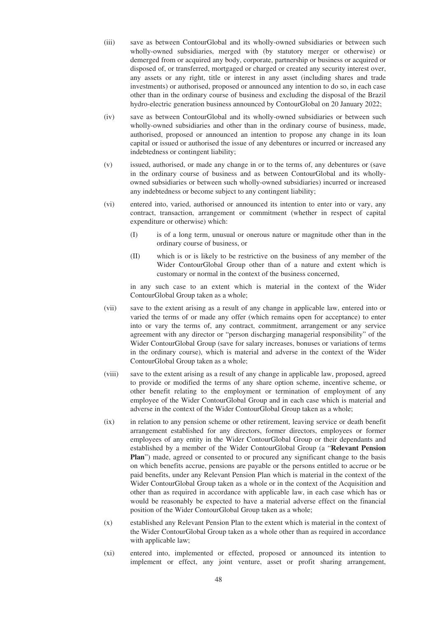- (iii) save as between ContourGlobal and its wholly-owned subsidiaries or between such wholly-owned subsidiaries, merged with (by statutory merger or otherwise) or demerged from or acquired any body, corporate, partnership or business or acquired or disposed of, or transferred, mortgaged or charged or created any security interest over, any assets or any right, title or interest in any asset (including shares and trade investments) or authorised, proposed or announced any intention to do so, in each case other than in the ordinary course of business and excluding the disposal of the Brazil hydro-electric generation business announced by ContourGlobal on 20 January 2022;
- (iv) save as between ContourGlobal and its wholly-owned subsidiaries or between such wholly-owned subsidiaries and other than in the ordinary course of business, made, authorised, proposed or announced an intention to propose any change in its loan capital or issued or authorised the issue of any debentures or incurred or increased any indebtedness or contingent liability;
- (v) issued, authorised, or made any change in or to the terms of, any debentures or (save in the ordinary course of business and as between ContourGlobal and its whollyowned subsidiaries or between such wholly-owned subsidiaries) incurred or increased any indebtedness or become subject to any contingent liability;
- (vi) entered into, varied, authorised or announced its intention to enter into or vary, any contract, transaction, arrangement or commitment (whether in respect of capital expenditure or otherwise) which:
	- (I) is of a long term, unusual or onerous nature or magnitude other than in the ordinary course of business, or
	- (II) which is or is likely to be restrictive on the business of any member of the Wider ContourGlobal Group other than of a nature and extent which is customary or normal in the context of the business concerned,

in any such case to an extent which is material in the context of the Wider ContourGlobal Group taken as a whole;

- (vii) save to the extent arising as a result of any change in applicable law, entered into or varied the terms of or made any offer (which remains open for acceptance) to enter into or vary the terms of, any contract, commitment, arrangement or any service agreement with any director or "person discharging managerial responsibility" of the Wider ContourGlobal Group (save for salary increases, bonuses or variations of terms in the ordinary course), which is material and adverse in the context of the Wider ContourGlobal Group taken as a whole;
- (viii) save to the extent arising as a result of any change in applicable law, proposed, agreed to provide or modified the terms of any share option scheme, incentive scheme, or other benefit relating to the employment or termination of employment of any employee of the Wider ContourGlobal Group and in each case which is material and adverse in the context of the Wider ContourGlobal Group taken as a whole;
- (ix) in relation to any pension scheme or other retirement, leaving service or death benefit arrangement established for any directors, former directors, employees or former employees of any entity in the Wider ContourGlobal Group or their dependants and established by a member of the Wider ContourGlobal Group (a "**Relevant Pension Plan**") made, agreed or consented to or procured any significant change to the basis on which benefits accrue, pensions are payable or the persons entitled to accrue or be paid benefits, under any Relevant Pension Plan which is material in the context of the Wider ContourGlobal Group taken as a whole or in the context of the Acquisition and other than as required in accordance with applicable law, in each case which has or would be reasonably be expected to have a material adverse effect on the financial position of the Wider ContourGlobal Group taken as a whole;
- (x) established any Relevant Pension Plan to the extent which is material in the context of the Wider ContourGlobal Group taken as a whole other than as required in accordance with applicable law;
- (xi) entered into, implemented or effected, proposed or announced its intention to implement or effect, any joint venture, asset or profit sharing arrangement,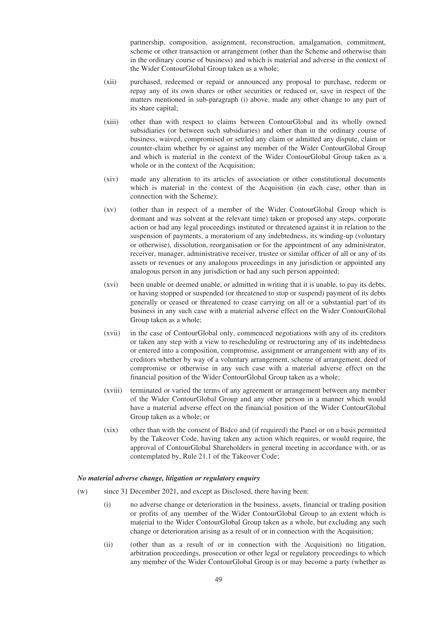partnership, composition, assignment, reconstruction, amalgamation, commitment, scheme or other transaction or arrangement (other than the Scheme and otherwise than in the ordinary course of business) and which is material and adverse in the context of the Wider ContourGlobal Group taken as a whole;

- (xii) purchased, redeemed or repaid or announced any proposal to purchase, redeem or repay any of its own shares or other securities or reduced or, save in respect of the matters mentioned in sub-paragraph (i) above, made any other change to any part of its share capital;
- (xiii) other than with respect to claims between ContourGlobal and its wholly owned subsidiaries (or between such subsidiaries) and other than in the ordinary course of business, waived, compromised or settled any claim or admitted any dispute, claim or counter-claim whether by or against any member of the Wider ContourGlobal Group and which is material in the context of the Wider ContourGlobal Group taken as a whole or in the context of the Acquisition;
- (xiv) made any alteration to its articles of association or other constitutional documents which is material in the context of the Acquisition (in each case, other than in connection with the Scheme);
- (xv) (other than in respect of a member of the Wider ContourGlobal Group which is dormant and was solvent at the relevant time) taken or proposed any steps, corporate action or had any legal proceedings instituted or threatened against it in relation to the suspension of payments, a moratorium of any indebtedness, its winding-up (voluntary or otherwise), dissolution, reorganisation or for the appointment of any administrator, receiver, manager, administrative receiver, trustee or similar officer of all or any of its assets or revenues or any analogous proceedings in any jurisdiction or appointed any analogous person in any jurisdiction or had any such person appointed;
- (xvi) been unable or deemed unable, or admitted in writing that it is unable, to pay its debts, or having stopped or suspended (or threatened to stop or suspend) payment of its debts generally or ceased or threatened to cease carrying on all or a substantial part of its business in any such case with a material adverse effect on the Wider ContourGlobal Group taken as a whole;
- (xvii) in the case of ContourGlobal only, commenced negotiations with any of its creditors or taken any step with a view to rescheduling or restructuring any of its indebtedness or entered into a composition, compromise, assignment or arrangement with any of its creditors whether by way of a voluntary arrangement, scheme of arrangement, deed of compromise or otherwise in any such case with a material adverse effect on the financial position of the Wider ContourGlobal Group taken as a whole;
- (xviii) terminated or varied the terms of any agreement or arrangement between any member of the Wider ContourGlobal Group and any other person in a manner which would have a material adverse effect on the financial position of the Wider ContourGlobal Group taken as a whole; or
- (xix) other than with the consent of Bidco and (if required) the Panel or on a basis permitted by the Takeover Code, having taken any action which requires, or would require, the approval of ContourGlobal Shareholders in general meeting in accordance with, or as contemplated by, Rule 21.1 of the Takeover Code;

#### *No material adverse change, litigation or regulatory enquiry*

- (w) since 31 December 2021, and except as Disclosed, there having been:
	- (i) no adverse change or deterioration in the business, assets, financial or trading position or profits of any member of the Wider ContourGlobal Group to an extent which is material to the Wider ContourGlobal Group taken as a whole, but excluding any such change or deterioration arising as a result of or in connection with the Acquisition;
	- (ii) (other than as a result of or in connection with the Acquisition) no litigation, arbitration proceedings, prosecution or other legal or regulatory proceedings to which any member of the Wider ContourGlobal Group is or may become a party (whether as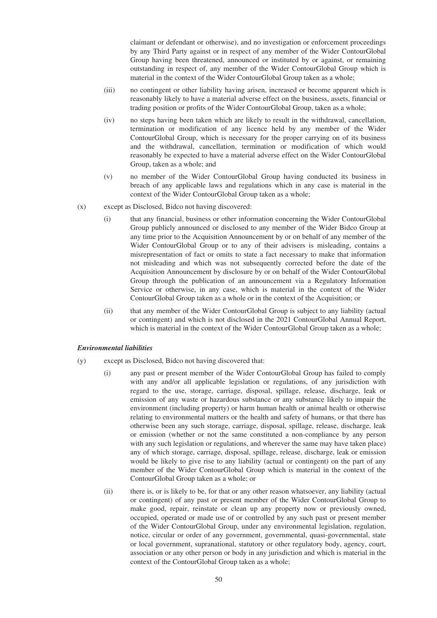claimant or defendant or otherwise), and no investigation or enforcement proceedings by any Third Party against or in respect of any member of the Wider ContourGlobal Group having been threatened, announced or instituted by or against, or remaining outstanding in respect of, any member of the Wider ContourGlobal Group which is material in the context of the Wider ContourGlobal Group taken as a whole;

- (iii) no contingent or other liability having arisen, increased or become apparent which is reasonably likely to have a material adverse effect on the business, assets, financial or trading position or profits of the Wider ContourGlobal Group, taken as a whole;
- (iv) no steps having been taken which are likely to result in the withdrawal, cancellation, termination or modification of any licence held by any member of the Wider ContourGlobal Group, which is necessary for the proper carrying on of its business and the withdrawal, cancellation, termination or modification of which would reasonably be expected to have a material adverse effect on the Wider ContourGlobal Group, taken as a whole; and
- (v) no member of the Wider ContourGlobal Group having conducted its business in breach of any applicable laws and regulations which in any case is material in the context of the Wider ContourGlobal Group taken as a whole;
- (x) except as Disclosed, Bidco not having discovered:
	- (i) that any financial, business or other information concerning the Wider ContourGlobal Group publicly announced or disclosed to any member of the Wider Bidco Group at any time prior to the Acquisition Announcement by or on behalf of any member of the Wider ContourGlobal Group or to any of their advisers is misleading, contains a misrepresentation of fact or omits to state a fact necessary to make that information not misleading and which was not subsequently corrected before the date of the Acquisition Announcement by disclosure by or on behalf of the Wider ContourGlobal Group through the publication of an announcement via a Regulatory Information Service or otherwise, in any case, which is material in the context of the Wider ContourGlobal Group taken as a whole or in the context of the Acquisition; or
	- (ii) that any member of the Wider ContourGlobal Group is subject to any liability (actual or contingent) and which is not disclosed in the 2021 ContourGlobal Annual Report, which is material in the context of the Wider ContourGlobal Group taken as a whole;

# *Environmental liabilities*

- (y) except as Disclosed, Bidco not having discovered that:
	- (i) any past or present member of the Wider ContourGlobal Group has failed to comply with any and/or all applicable legislation or regulations, of any jurisdiction with regard to the use, storage, carriage, disposal, spillage, release, discharge, leak or emission of any waste or hazardous substance or any substance likely to impair the environment (including property) or harm human health or animal health or otherwise relating to environmental matters or the health and safety of humans, or that there has otherwise been any such storage, carriage, disposal, spillage, release, discharge, leak or emission (whether or not the same constituted a non-compliance by any person with any such legislation or regulations, and wherever the same may have taken place) any of which storage, carriage, disposal, spillage, release, discharge, leak or emission would be likely to give rise to any liability (actual or contingent) on the part of any member of the Wider ContourGlobal Group which is material in the context of the ContourGlobal Group taken as a whole; or
	- (ii) there is, or is likely to be, for that or any other reason whatsoever, any liability (actual or contingent) of any past or present member of the Wider ContourGlobal Group to make good, repair, reinstate or clean up any property now or previously owned, occupied, operated or made use of or controlled by any such past or present member of the Wider ContourGlobal Group, under any environmental legislation, regulation, notice, circular or order of any government, governmental, quasi-governmental, state or local government, supranational, statutory or other regulatory body, agency, court, association or any other person or body in any jurisdiction and which is material in the context of the ContourGlobal Group taken as a whole;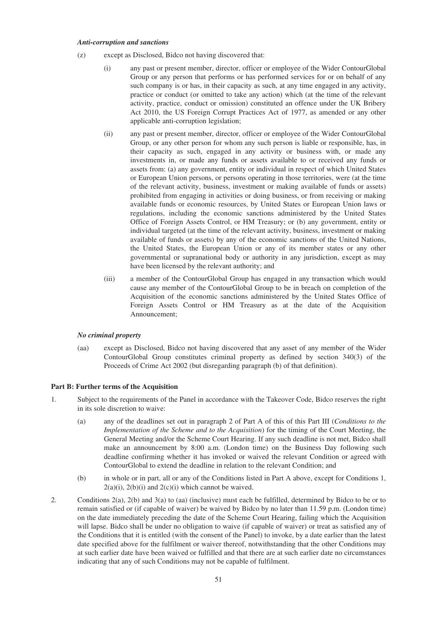#### *Anti-corruption and sanctions*

- (z) except as Disclosed, Bidco not having discovered that:
	- (i) any past or present member, director, officer or employee of the Wider ContourGlobal Group or any person that performs or has performed services for or on behalf of any such company is or has, in their capacity as such, at any time engaged in any activity, practice or conduct (or omitted to take any action) which (at the time of the relevant activity, practice, conduct or omission) constituted an offence under the UK Bribery Act 2010, the US Foreign Corrupt Practices Act of 1977, as amended or any other applicable anti-corruption legislation;
	- (ii) any past or present member, director, officer or employee of the Wider ContourGlobal Group, or any other person for whom any such person is liable or responsible, has, in their capacity as such, engaged in any activity or business with, or made any investments in, or made any funds or assets available to or received any funds or assets from: (a) any government, entity or individual in respect of which United States or European Union persons, or persons operating in those territories, were (at the time of the relevant activity, business, investment or making available of funds or assets) prohibited from engaging in activities or doing business, or from receiving or making available funds or economic resources, by United States or European Union laws or regulations, including the economic sanctions administered by the United States Office of Foreign Assets Control, or HM Treasury; or (b) any government, entity or individual targeted (at the time of the relevant activity, business, investment or making available of funds or assets) by any of the economic sanctions of the United Nations, the United States, the European Union or any of its member states or any other governmental or supranational body or authority in any jurisdiction, except as may have been licensed by the relevant authority; and
	- (iii) a member of the ContourGlobal Group has engaged in any transaction which would cause any member of the ContourGlobal Group to be in breach on completion of the Acquisition of the economic sanctions administered by the United States Office of Foreign Assets Control or HM Treasury as at the date of the Acquisition Announcement;

#### *No criminal property*

(aa) except as Disclosed, Bidco not having discovered that any asset of any member of the Wider ContourGlobal Group constitutes criminal property as defined by section 340(3) of the Proceeds of Crime Act 2002 (but disregarding paragraph (b) of that definition).

# **Part B: Further terms of the Acquisition**

- 1. Subject to the requirements of the Panel in accordance with the Takeover Code, Bidco reserves the right in its sole discretion to waive:
	- (a) any of the deadlines set out in paragraph 2 of Part A of this of this Part III (*Conditions to the Implementation of the Scheme and to the Acquisition*) for the timing of the Court Meeting, the General Meeting and/or the Scheme Court Hearing. If any such deadline is not met, Bidco shall make an announcement by 8:00 a.m. (London time) on the Business Day following such deadline confirming whether it has invoked or waived the relevant Condition or agreed with ContourGlobal to extend the deadline in relation to the relevant Condition; and
	- (b) in whole or in part, all or any of the Conditions listed in Part A above, except for Conditions 1,  $2(a)(i)$ ,  $2(b)(i)$  and  $2(c)(i)$  which cannot be waived.
- 2. Conditions 2(a), 2(b) and 3(a) to (aa) (inclusive) must each be fulfilled, determined by Bidco to be or to remain satisfied or (if capable of waiver) be waived by Bidco by no later than 11.59 p.m. (London time) on the date immediately preceding the date of the Scheme Court Hearing, failing which the Acquisition will lapse. Bidco shall be under no obligation to waive (if capable of waiver) or treat as satisfied any of the Conditions that it is entitled (with the consent of the Panel) to invoke, by a date earlier than the latest date specified above for the fulfilment or waiver thereof, notwithstanding that the other Conditions may at such earlier date have been waived or fulfilled and that there are at such earlier date no circumstances indicating that any of such Conditions may not be capable of fulfilment.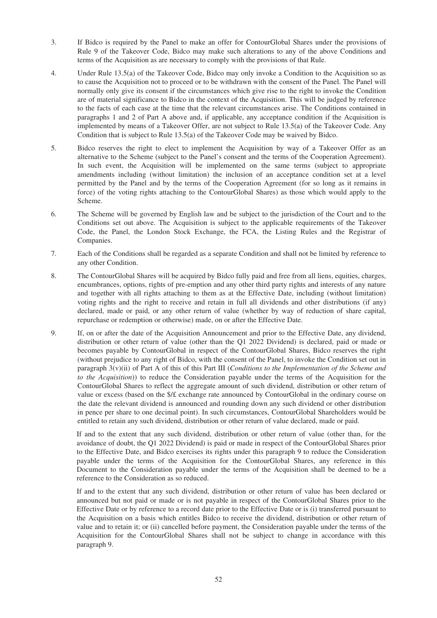- 3. If Bidco is required by the Panel to make an offer for ContourGlobal Shares under the provisions of Rule 9 of the Takeover Code, Bidco may make such alterations to any of the above Conditions and terms of the Acquisition as are necessary to comply with the provisions of that Rule.
- 4. Under Rule 13.5(a) of the Takeover Code, Bidco may only invoke a Condition to the Acquisition so as to cause the Acquisition not to proceed or to be withdrawn with the consent of the Panel. The Panel will normally only give its consent if the circumstances which give rise to the right to invoke the Condition are of material significance to Bidco in the context of the Acquisition. This will be judged by reference to the facts of each case at the time that the relevant circumstances arise. The Conditions contained in paragraphs 1 and 2 of Part A above and, if applicable, any acceptance condition if the Acquisition is implemented by means of a Takeover Offer, are not subject to Rule 13.5(a) of the Takeover Code. Any Condition that is subject to Rule 13.5(a) of the Takeover Code may be waived by Bidco.
- 5. Bidco reserves the right to elect to implement the Acquisition by way of a Takeover Offer as an alternative to the Scheme (subject to the Panel's consent and the terms of the Cooperation Agreement). In such event, the Acquisition will be implemented on the same terms (subject to appropriate amendments including (without limitation) the inclusion of an acceptance condition set at a level permitted by the Panel and by the terms of the Cooperation Agreement (for so long as it remains in force) of the voting rights attaching to the ContourGlobal Shares) as those which would apply to the Scheme.
- 6. The Scheme will be governed by English law and be subject to the jurisdiction of the Court and to the Conditions set out above. The Acquisition is subject to the applicable requirements of the Takeover Code, the Panel, the London Stock Exchange, the FCA, the Listing Rules and the Registrar of Companies.
- 7. Each of the Conditions shall be regarded as a separate Condition and shall not be limited by reference to any other Condition.
- 8. The ContourGlobal Shares will be acquired by Bidco fully paid and free from all liens, equities, charges, encumbrances, options, rights of pre-emption and any other third party rights and interests of any nature and together with all rights attaching to them as at the Effective Date, including (without limitation) voting rights and the right to receive and retain in full all dividends and other distributions (if any) declared, made or paid, or any other return of value (whether by way of reduction of share capital, repurchase or redemption or otherwise) made, on or after the Effective Date.
- 9. If, on or after the date of the Acquisition Announcement and prior to the Effective Date, any dividend, distribution or other return of value (other than the Q1 2022 Dividend) is declared, paid or made or becomes payable by ContourGlobal in respect of the ContourGlobal Shares, Bidco reserves the right (without prejudice to any right of Bidco, with the consent of the Panel, to invoke the Condition set out in paragraph 3(v)(ii) of Part A of this of this Part III (*Conditions to the Implementation of the Scheme and to the Acquisition*)) to reduce the Consideration payable under the terms of the Acquisition for the ContourGlobal Shares to reflect the aggregate amount of such dividend, distribution or other return of value or excess (based on the \$/£ exchange rate announced by ContourGlobal in the ordinary course on the date the relevant dividend is announced and rounding down any such dividend or other distribution in pence per share to one decimal point). In such circumstances, ContourGlobal Shareholders would be entitled to retain any such dividend, distribution or other return of value declared, made or paid.

If and to the extent that any such dividend, distribution or other return of value (other than, for the avoidance of doubt, the Q1 2022 Dividend) is paid or made in respect of the ContourGlobal Shares prior to the Effective Date, and Bidco exercises its rights under this paragraph 9 to reduce the Consideration payable under the terms of the Acquisition for the ContourGlobal Shares, any reference in this Document to the Consideration payable under the terms of the Acquisition shall be deemed to be a reference to the Consideration as so reduced.

If and to the extent that any such dividend, distribution or other return of value has been declared or announced but not paid or made or is not payable in respect of the ContourGlobal Shares prior to the Effective Date or by reference to a record date prior to the Effective Date or is (i) transferred pursuant to the Acquisition on a basis which entitles Bidco to receive the dividend, distribution or other return of value and to retain it; or (ii) cancelled before payment, the Consideration payable under the terms of the Acquisition for the ContourGlobal Shares shall not be subject to change in accordance with this paragraph 9.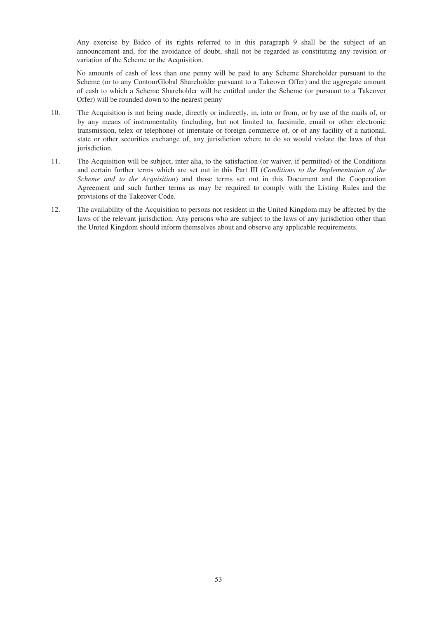Any exercise by Bidco of its rights referred to in this paragraph 9 shall be the subject of an announcement and, for the avoidance of doubt, shall not be regarded as constituting any revision or variation of the Scheme or the Acquisition.

No amounts of cash of less than one penny will be paid to any Scheme Shareholder pursuant to the Scheme (or to any ContourGlobal Shareholder pursuant to a Takeover Offer) and the aggregate amount of cash to which a Scheme Shareholder will be entitled under the Scheme (or pursuant to a Takeover Offer) will be rounded down to the nearest penny

- 10. The Acquisition is not being made, directly or indirectly, in, into or from, or by use of the mails of, or by any means of instrumentality (including, but not limited to, facsimile, email or other electronic transmission, telex or telephone) of interstate or foreign commerce of, or of any facility of a national, state or other securities exchange of, any jurisdiction where to do so would violate the laws of that jurisdiction.
- 11. The Acquisition will be subject, inter alia, to the satisfaction (or waiver, if permitted) of the Conditions and certain further terms which are set out in this Part III (*Conditions to the Implementation of the Scheme and to the Acquisition*) and those terms set out in this Document and the Cooperation Agreement and such further terms as may be required to comply with the Listing Rules and the provisions of the Takeover Code.
- 12. The availability of the Acquisition to persons not resident in the United Kingdom may be affected by the laws of the relevant jurisdiction. Any persons who are subject to the laws of any jurisdiction other than the United Kingdom should inform themselves about and observe any applicable requirements.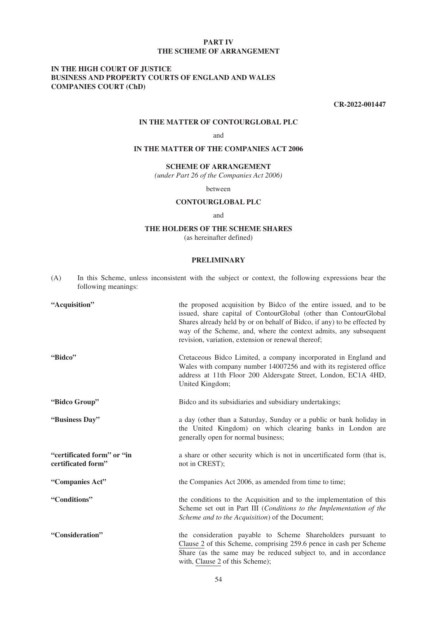### **PART IV THE SCHEME OF ARRANGEMENT**

# **IN THE HIGH COURT OF JUSTICE BUSINESS AND PROPERTY COURTS OF ENGLAND AND WALES COMPANIES COURT (ChD)**

**CR-2022-001447**

### **IN THE MATTER OF CONTOURGLOBAL PLC**

and

# **IN THE MATTER OF THE COMPANIES ACT 2006**

# **SCHEME OF ARRANGEMENT**

*(under Part 26 of the Companies Act 2006)*

between

# **CONTOURGLOBAL PLC**

### and

### **THE HOLDERS OF THE SCHEME SHARES**

(as hereinafter defined)

#### **PRELIMINARY**

| (A) | In this Scheme, unless inconsistent with the subject or context, the following expressions bear the |  |  |  |  |  |  |
|-----|-----------------------------------------------------------------------------------------------------|--|--|--|--|--|--|
|     | following meanings:                                                                                 |  |  |  |  |  |  |

| "Acquisition"                                    | the proposed acquisition by Bidco of the entire issued, and to be<br>issued, share capital of ContourGlobal (other than ContourGlobal<br>Shares already held by or on behalf of Bidco, if any) to be effected by<br>way of the Scheme, and, where the context admits, any subsequent<br>revision, variation, extension or renewal thereof; |
|--------------------------------------------------|--------------------------------------------------------------------------------------------------------------------------------------------------------------------------------------------------------------------------------------------------------------------------------------------------------------------------------------------|
| "Bidco"                                          | Cretaceous Bidco Limited, a company incorporated in England and<br>Wales with company number 14007256 and with its registered office<br>address at 11th Floor 200 Aldersgate Street, London, EC1A 4HD,<br>United Kingdom;                                                                                                                  |
| "Bidco Group"                                    | Bidco and its subsidiaries and subsidiary undertakings;                                                                                                                                                                                                                                                                                    |
| "Business Day"                                   | a day (other than a Saturday, Sunday or a public or bank holiday in<br>the United Kingdom) on which clearing banks in London are<br>generally open for normal business;                                                                                                                                                                    |
| "certificated form" or "in<br>certificated form" | a share or other security which is not in uncertificated form (that is,<br>not in CREST);                                                                                                                                                                                                                                                  |
| "Companies Act"                                  | the Companies Act 2006, as amended from time to time;                                                                                                                                                                                                                                                                                      |
| "Conditions"                                     | the conditions to the Acquisition and to the implementation of this<br>Scheme set out in Part III (Conditions to the Implementation of the<br>Scheme and to the Acquisition) of the Document;                                                                                                                                              |
| "Consideration"                                  | the consideration payable to Scheme Shareholders pursuant to<br>Clause 2 of this Scheme, comprising 259.6 pence in cash per Scheme<br>Share (as the same may be reduced subject to, and in accordance<br>with, Clause 2 of this Scheme);                                                                                                   |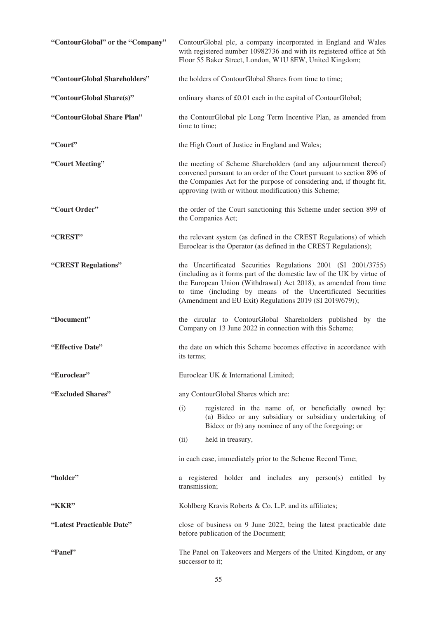| "ContourGlobal" or the "Company" | ContourGlobal plc, a company incorporated in England and Wales<br>with registered number 10982736 and with its registered office at 5th<br>Floor 55 Baker Street, London, W1U 8EW, United Kingdom;                                                                                                                                     |  |  |
|----------------------------------|----------------------------------------------------------------------------------------------------------------------------------------------------------------------------------------------------------------------------------------------------------------------------------------------------------------------------------------|--|--|
| "ContourGlobal Shareholders"     | the holders of ContourGlobal Shares from time to time;                                                                                                                                                                                                                                                                                 |  |  |
| "ContourGlobal Share(s)"         | ordinary shares of £0.01 each in the capital of ContourGlobal;                                                                                                                                                                                                                                                                         |  |  |
| "ContourGlobal Share Plan"       | the ContourGlobal plc Long Term Incentive Plan, as amended from<br>time to time;                                                                                                                                                                                                                                                       |  |  |
| "Court"                          | the High Court of Justice in England and Wales;                                                                                                                                                                                                                                                                                        |  |  |
| "Court Meeting"                  | the meeting of Scheme Shareholders (and any adjournment thereof)<br>convened pursuant to an order of the Court pursuant to section 896 of<br>the Companies Act for the purpose of considering and, if thought fit,<br>approving (with or without modification) this Scheme;                                                            |  |  |
| "Court Order"                    | the order of the Court sanctioning this Scheme under section 899 of<br>the Companies Act;                                                                                                                                                                                                                                              |  |  |
| "CREST"                          | the relevant system (as defined in the CREST Regulations) of which<br>Euroclear is the Operator (as defined in the CREST Regulations);                                                                                                                                                                                                 |  |  |
| "CREST Regulations"              | the Uncertificated Securities Regulations 2001 (SI 2001/3755)<br>(including as it forms part of the domestic law of the UK by virtue of<br>the European Union (Withdrawal) Act 2018), as amended from time<br>to time (including by means of the Uncertificated Securities<br>(Amendment and EU Exit) Regulations 2019 (SI 2019/679)); |  |  |
| "Document"                       | the circular to ContourGlobal Shareholders published by the<br>Company on 13 June 2022 in connection with this Scheme;                                                                                                                                                                                                                 |  |  |
| "Effective Date"                 | the date on which this Scheme becomes effective in accordance with<br>its terms;                                                                                                                                                                                                                                                       |  |  |
| "Euroclear"                      | Euroclear UK & International Limited;                                                                                                                                                                                                                                                                                                  |  |  |
| "Excluded Shares"                | any ContourGlobal Shares which are:                                                                                                                                                                                                                                                                                                    |  |  |
|                                  | registered in the name of, or beneficially owned by:<br>(i)<br>(a) Bidco or any subsidiary or subsidiary undertaking of<br>Bidco; or (b) any nominee of any of the foregoing; or                                                                                                                                                       |  |  |
|                                  | held in treasury,<br>(ii)                                                                                                                                                                                                                                                                                                              |  |  |
|                                  | in each case, immediately prior to the Scheme Record Time;                                                                                                                                                                                                                                                                             |  |  |
| "holder"                         | a registered holder and includes any person(s) entitled by<br>transmission;                                                                                                                                                                                                                                                            |  |  |
| "KKR"                            | Kohlberg Kravis Roberts & Co. L.P. and its affiliates;                                                                                                                                                                                                                                                                                 |  |  |
| "Latest Practicable Date"        | close of business on 9 June 2022, being the latest practicable date<br>before publication of the Document;                                                                                                                                                                                                                             |  |  |
| "Panel"                          | The Panel on Takeovers and Mergers of the United Kingdom, or any<br>successor to it:                                                                                                                                                                                                                                                   |  |  |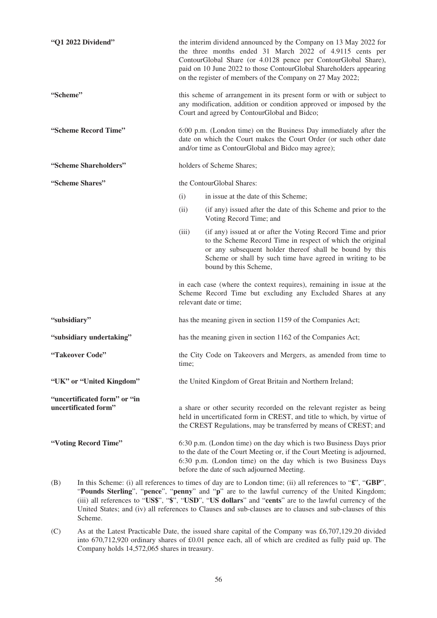| "Q1 2022 Dividend"           | the interim dividend announced by the Company on 13 May 2022 for<br>the three months ended 31 March 2022 of 4.9115 cents per<br>ContourGlobal Share (or 4.0128 pence per ContourGlobal Share),<br>paid on 10 June 2022 to those ContourGlobal Shareholders appearing<br>on the register of members of the Company on 27 May 2022; |                                                                                                                                                                                                                                                                             |  |  |
|------------------------------|-----------------------------------------------------------------------------------------------------------------------------------------------------------------------------------------------------------------------------------------------------------------------------------------------------------------------------------|-----------------------------------------------------------------------------------------------------------------------------------------------------------------------------------------------------------------------------------------------------------------------------|--|--|
| "Scheme"                     |                                                                                                                                                                                                                                                                                                                                   | this scheme of arrangement in its present form or with or subject to<br>any modification, addition or condition approved or imposed by the<br>Court and agreed by ContourGlobal and Bidco;                                                                                  |  |  |
| "Scheme Record Time"         | 6:00 p.m. (London time) on the Business Day immediately after the<br>date on which the Court makes the Court Order (or such other date<br>and/or time as ContourGlobal and Bidco may agree);                                                                                                                                      |                                                                                                                                                                                                                                                                             |  |  |
| "Scheme Shareholders"        |                                                                                                                                                                                                                                                                                                                                   | holders of Scheme Shares;                                                                                                                                                                                                                                                   |  |  |
| "Scheme Shares"              |                                                                                                                                                                                                                                                                                                                                   | the ContourGlobal Shares:                                                                                                                                                                                                                                                   |  |  |
|                              | (i)                                                                                                                                                                                                                                                                                                                               | in issue at the date of this Scheme;                                                                                                                                                                                                                                        |  |  |
|                              | (ii)                                                                                                                                                                                                                                                                                                                              | (if any) issued after the date of this Scheme and prior to the<br>Voting Record Time; and                                                                                                                                                                                   |  |  |
|                              | (iii)                                                                                                                                                                                                                                                                                                                             | (if any) issued at or after the Voting Record Time and prior<br>to the Scheme Record Time in respect of which the original<br>or any subsequent holder thereof shall be bound by this<br>Scheme or shall by such time have agreed in writing to be<br>bound by this Scheme, |  |  |
|                              |                                                                                                                                                                                                                                                                                                                                   | in each case (where the context requires), remaining in issue at the<br>Scheme Record Time but excluding any Excluded Shares at any<br>relevant date or time;                                                                                                               |  |  |
| "subsidiary"                 |                                                                                                                                                                                                                                                                                                                                   | has the meaning given in section 1159 of the Companies Act;                                                                                                                                                                                                                 |  |  |
| "subsidiary undertaking"     |                                                                                                                                                                                                                                                                                                                                   | has the meaning given in section 1162 of the Companies Act;                                                                                                                                                                                                                 |  |  |
| "Takeover Code"              | time;                                                                                                                                                                                                                                                                                                                             | the City Code on Takeovers and Mergers, as amended from time to                                                                                                                                                                                                             |  |  |
| "UK" or "United Kingdom"     |                                                                                                                                                                                                                                                                                                                                   | the United Kingdom of Great Britain and Northern Ireland;                                                                                                                                                                                                                   |  |  |
| "uncertificated form" or "in |                                                                                                                                                                                                                                                                                                                                   |                                                                                                                                                                                                                                                                             |  |  |
| uncertificated form"         |                                                                                                                                                                                                                                                                                                                                   | a share or other security recorded on the relevant register as being<br>held in uncertificated form in CREST, and title to which, by virtue of<br>the CREST Regulations, may be transferred by means of CREST; and                                                          |  |  |
| "Voting Record Time"         |                                                                                                                                                                                                                                                                                                                                   | 6:30 p.m. (London time) on the day which is two Business Days prior<br>to the date of the Court Meeting or, if the Court Meeting is adjourned,<br>6:30 p.m. (London time) on the day which is two Business Days<br>before the date of such adjourned Meeting.               |  |  |

- (B) In this Scheme: (i) all references to times of day are to London time; (ii) all references to "**£**", "**GBP**", "**Pounds Sterling**", "**pence**", "**penny**" and "**p**" are to the lawful currency of the United Kingdom; (iii) all references to "**US\$**", "**\$**", "**USD**", "**US dollars**" and "**cents**" are to the lawful currency of the United States; and (iv) all references to Clauses and sub-clauses are to clauses and sub-clauses of this Scheme.
- (C) As at the Latest Practicable Date, the issued share capital of the Company was £6,707,129.20 divided into 670,712,920 ordinary shares of £0.01 pence each, all of which are credited as fully paid up. The Company holds 14,572,065 shares in treasury.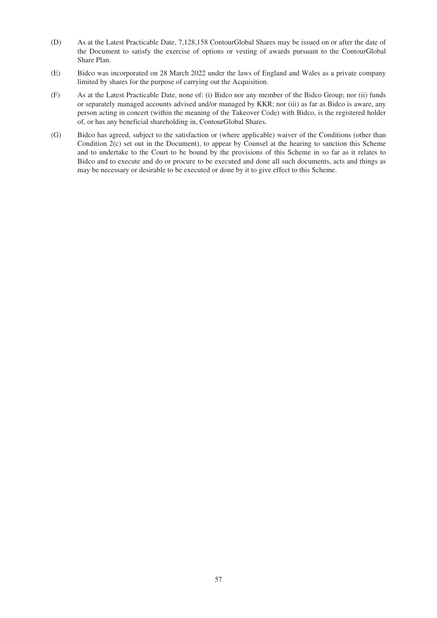- (D) As at the Latest Practicable Date, 7,128,158 ContourGlobal Shares may be issued on or after the date of the Document to satisfy the exercise of options or vesting of awards pursuant to the ContourGlobal Share Plan.
- (E) Bidco was incorporated on 28 March 2022 under the laws of England and Wales as a private company limited by shares for the purpose of carrying out the Acquisition.
- (F) As at the Latest Practicable Date, none of: (i) Bidco nor any member of the Bidco Group; nor (ii) funds or separately managed accounts advised and/or managed by KKR; nor (iii) as far as Bidco is aware, any person acting in concert (within the meaning of the Takeover Code) with Bidco, is the registered holder of, or has any beneficial shareholding in, ContourGlobal Shares.
- (G) Bidco has agreed, subject to the satisfaction or (where applicable) waiver of the Conditions (other than Condition 2(c) set out in the Document), to appear by Counsel at the hearing to sanction this Scheme and to undertake to the Court to be bound by the provisions of this Scheme in so far as it relates to Bidco and to execute and do or procure to be executed and done all such documents, acts and things as may be necessary or desirable to be executed or done by it to give effect to this Scheme.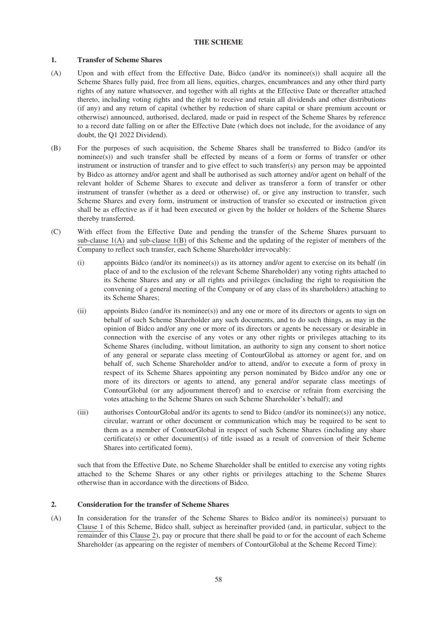# **THE SCHEME**

# **1. Transfer of Scheme Shares**

- (A) Upon and with effect from the Effective Date, Bidco (and/or its nominee(s)) shall acquire all the Scheme Shares fully paid, free from all liens, equities, charges, encumbrances and any other third party rights of any nature whatsoever, and together with all rights at the Effective Date or thereafter attached thereto, including voting rights and the right to receive and retain all dividends and other distributions (if any) and any return of capital (whether by reduction of share capital or share premium account or otherwise) announced, authorised, declared, made or paid in respect of the Scheme Shares by reference to a record date falling on or after the Effective Date (which does not include, for the avoidance of any doubt, the Q1 2022 Dividend).
- (B) For the purposes of such acquisition, the Scheme Shares shall be transferred to Bidco (and/or its nominee(s)) and such transfer shall be effected by means of a form or forms of transfer or other instrument or instruction of transfer and to give effect to such transfer(s) any person may be appointed by Bidco as attorney and/or agent and shall be authorised as such attorney and/or agent on behalf of the relevant holder of Scheme Shares to execute and deliver as transferor a form of transfer or other instrument of transfer (whether as a deed or otherwise) of, or give any instruction to transfer, such Scheme Shares and every form, instrument or instruction of transfer so executed or instruction given shall be as effective as if it had been executed or given by the holder or holders of the Scheme Shares thereby transferred.
- (C) With effect from the Effective Date and pending the transfer of the Scheme Shares pursuant to sub-clause  $1(A)$  and sub-clause  $1(B)$  of this Scheme and the updating of the register of members of the Company to reflect such transfer, each Scheme Shareholder irrevocably:
	- (i) appoints Bidco (and/or its nominee(s)) as its attorney and/or agent to exercise on its behalf (in place of and to the exclusion of the relevant Scheme Shareholder) any voting rights attached to its Scheme Shares and any or all rights and privileges (including the right to requisition the convening of a general meeting of the Company or of any class of its shareholders) attaching to its Scheme Shares;
	- (ii) appoints Bidco (and/or its nominee(s)) and any one or more of its directors or agents to sign on behalf of such Scheme Shareholder any such documents, and to do such things, as may in the opinion of Bidco and/or any one or more of its directors or agents be necessary or desirable in connection with the exercise of any votes or any other rights or privileges attaching to its Scheme Shares (including, without limitation, an authority to sign any consent to short notice of any general or separate class meeting of ContourGlobal as attorney or agent for, and on behalf of, such Scheme Shareholder and/or to attend, and/or to execute a form of proxy in respect of its Scheme Shares appointing any person nominated by Bidco and/or any one or more of its directors or agents to attend, any general and/or separate class meetings of ContourGlobal (or any adjournment thereof) and to exercise or refrain from exercising the votes attaching to the Scheme Shares on such Scheme Shareholder's behalf); and
	- (iii) authorises ContourGlobal and/or its agents to send to Bidco (and/or its nominee(s)) any notice, circular, warrant or other document or communication which may be required to be sent to them as a member of ContourGlobal in respect of such Scheme Shares (including any share certificate(s) or other document(s) of title issued as a result of conversion of their Scheme Shares into certificated form),

such that from the Effective Date, no Scheme Shareholder shall be entitled to exercise any voting rights attached to the Scheme Shares or any other rights or privileges attaching to the Scheme Shares otherwise than in accordance with the directions of Bidco.

# **2. Consideration for the transfer of Scheme Shares**

(A) In consideration for the transfer of the Scheme Shares to Bidco and/or its nominee(s) pursuant to Clause 1 of this Scheme, Bidco shall, subject as hereinafter provided (and, in particular, subject to the remainder of this Clause 2), pay or procure that there shall be paid to or for the account of each Scheme Shareholder (as appearing on the register of members of ContourGlobal at the Scheme Record Time):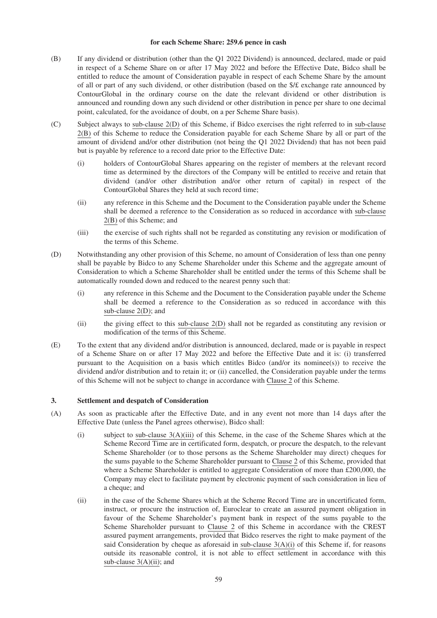#### **for each Scheme Share: 259.6 pence in cash**

- (B) If any dividend or distribution (other than the Q1 2022 Dividend) is announced, declared, made or paid in respect of a Scheme Share on or after 17 May 2022 and before the Effective Date, Bidco shall be entitled to reduce the amount of Consideration payable in respect of each Scheme Share by the amount of all or part of any such dividend, or other distribution (based on the \$/£ exchange rate announced by ContourGlobal in the ordinary course on the date the relevant dividend or other distribution is announced and rounding down any such dividend or other distribution in pence per share to one decimal point, calculated, for the avoidance of doubt, on a per Scheme Share basis).
- (C) Subject always to sub-clause 2(D) of this Scheme, if Bidco exercises the right referred to in sub-clause 2(B) of this Scheme to reduce the Consideration payable for each Scheme Share by all or part of the amount of dividend and/or other distribution (not being the Q1 2022 Dividend) that has not been paid but is payable by reference to a record date prior to the Effective Date:
	- (i) holders of ContourGlobal Shares appearing on the register of members at the relevant record time as determined by the directors of the Company will be entitled to receive and retain that dividend (and/or other distribution and/or other return of capital) in respect of the ContourGlobal Shares they held at such record time;
	- (ii) any reference in this Scheme and the Document to the Consideration payable under the Scheme shall be deemed a reference to the Consideration as so reduced in accordance with sub-clause 2(B) of this Scheme; and
	- (iii) the exercise of such rights shall not be regarded as constituting any revision or modification of the terms of this Scheme.
- (D) Notwithstanding any other provision of this Scheme, no amount of Consideration of less than one penny shall be payable by Bidco to any Scheme Shareholder under this Scheme and the aggregate amount of Consideration to which a Scheme Shareholder shall be entitled under the terms of this Scheme shall be automatically rounded down and reduced to the nearest penny such that:
	- (i) any reference in this Scheme and the Document to the Consideration payable under the Scheme shall be deemed a reference to the Consideration as so reduced in accordance with this sub-clause 2(D); and
	- (ii) the giving effect to this sub-clause 2(D) shall not be regarded as constituting any revision or modification of the terms of this Scheme.
- (E) To the extent that any dividend and/or distribution is announced, declared, made or is payable in respect of a Scheme Share on or after 17 May 2022 and before the Effective Date and it is: (i) transferred pursuant to the Acquisition on a basis which entitles Bidco (and/or its nominee(s)) to receive the dividend and/or distribution and to retain it; or (ii) cancelled, the Consideration payable under the terms of this Scheme will not be subject to change in accordance with Clause 2 of this Scheme.

# **3. Settlement and despatch of Consideration**

- (A) As soon as practicable after the Effective Date, and in any event not more than 14 days after the Effective Date (unless the Panel agrees otherwise), Bidco shall:
	- (i) subject to sub-clause 3(A)(iii) of this Scheme, in the case of the Scheme Shares which at the Scheme Record Time are in certificated form, despatch, or procure the despatch, to the relevant Scheme Shareholder (or to those persons as the Scheme Shareholder may direct) cheques for the sums payable to the Scheme Shareholder pursuant to Clause 2 of this Scheme, provided that where a Scheme Shareholder is entitled to aggregate Consideration of more than £200,000, the Company may elect to facilitate payment by electronic payment of such consideration in lieu of a cheque; and
	- (ii) in the case of the Scheme Shares which at the Scheme Record Time are in uncertificated form, instruct, or procure the instruction of, Euroclear to create an assured payment obligation in favour of the Scheme Shareholder's payment bank in respect of the sums payable to the Scheme Shareholder pursuant to Clause 2 of this Scheme in accordance with the CREST assured payment arrangements, provided that Bidco reserves the right to make payment of the said Consideration by cheque as aforesaid in sub-clause 3(A)(i) of this Scheme if, for reasons outside its reasonable control, it is not able to effect settlement in accordance with this sub-clause  $3(A)(ii)$ ; and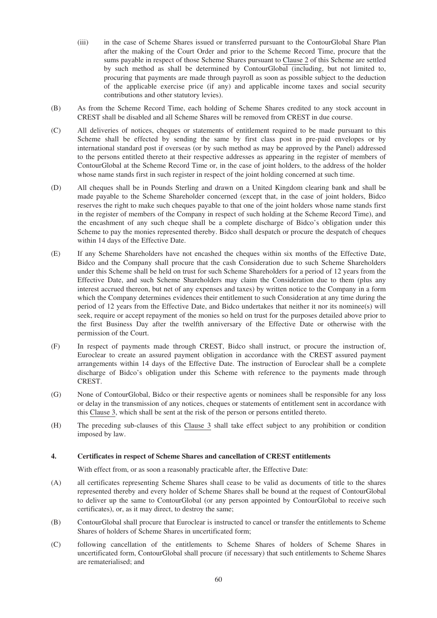- (iii) in the case of Scheme Shares issued or transferred pursuant to the ContourGlobal Share Plan after the making of the Court Order and prior to the Scheme Record Time, procure that the sums payable in respect of those Scheme Shares pursuant to Clause 2 of this Scheme are settled by such method as shall be determined by ContourGlobal (including, but not limited to, procuring that payments are made through payroll as soon as possible subject to the deduction of the applicable exercise price (if any) and applicable income taxes and social security contributions and other statutory levies).
- (B) As from the Scheme Record Time, each holding of Scheme Shares credited to any stock account in CREST shall be disabled and all Scheme Shares will be removed from CREST in due course.
- (C) All deliveries of notices, cheques or statements of entitlement required to be made pursuant to this Scheme shall be effected by sending the same by first class post in pre-paid envelopes or by international standard post if overseas (or by such method as may be approved by the Panel) addressed to the persons entitled thereto at their respective addresses as appearing in the register of members of ContourGlobal at the Scheme Record Time or, in the case of joint holders, to the address of the holder whose name stands first in such register in respect of the joint holding concerned at such time.
- (D) All cheques shall be in Pounds Sterling and drawn on a United Kingdom clearing bank and shall be made payable to the Scheme Shareholder concerned (except that, in the case of joint holders, Bidco reserves the right to make such cheques payable to that one of the joint holders whose name stands first in the register of members of the Company in respect of such holding at the Scheme Record Time), and the encashment of any such cheque shall be a complete discharge of Bidco's obligation under this Scheme to pay the monies represented thereby. Bidco shall despatch or procure the despatch of cheques within 14 days of the Effective Date.
- (E) If any Scheme Shareholders have not encashed the cheques within six months of the Effective Date, Bidco and the Company shall procure that the cash Consideration due to such Scheme Shareholders under this Scheme shall be held on trust for such Scheme Shareholders for a period of 12 years from the Effective Date, and such Scheme Shareholders may claim the Consideration due to them (plus any interest accrued thereon, but net of any expenses and taxes) by written notice to the Company in a form which the Company determines evidences their entitlement to such Consideration at any time during the period of 12 years from the Effective Date, and Bidco undertakes that neither it nor its nominee(s) will seek, require or accept repayment of the monies so held on trust for the purposes detailed above prior to the first Business Day after the twelfth anniversary of the Effective Date or otherwise with the permission of the Court.
- (F) In respect of payments made through CREST, Bidco shall instruct, or procure the instruction of, Euroclear to create an assured payment obligation in accordance with the CREST assured payment arrangements within 14 days of the Effective Date. The instruction of Euroclear shall be a complete discharge of Bidco's obligation under this Scheme with reference to the payments made through CREST.
- (G) None of ContourGlobal, Bidco or their respective agents or nominees shall be responsible for any loss or delay in the transmission of any notices, cheques or statements of entitlement sent in accordance with this Clause 3, which shall be sent at the risk of the person or persons entitled thereto.
- (H) The preceding sub-clauses of this Clause 3 shall take effect subject to any prohibition or condition imposed by law.

# **4. Certificates in respect of Scheme Shares and cancellation of CREST entitlements**

With effect from, or as soon a reasonably practicable after, the Effective Date:

- (A) all certificates representing Scheme Shares shall cease to be valid as documents of title to the shares represented thereby and every holder of Scheme Shares shall be bound at the request of ContourGlobal to deliver up the same to ContourGlobal (or any person appointed by ContourGlobal to receive such certificates), or, as it may direct, to destroy the same;
- (B) ContourGlobal shall procure that Euroclear is instructed to cancel or transfer the entitlements to Scheme Shares of holders of Scheme Shares in uncertificated form;
- (C) following cancellation of the entitlements to Scheme Shares of holders of Scheme Shares in uncertificated form, ContourGlobal shall procure (if necessary) that such entitlements to Scheme Shares are rematerialised; and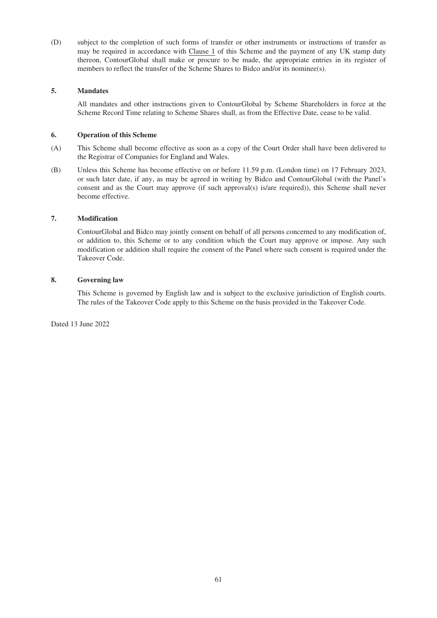(D) subject to the completion of such forms of transfer or other instruments or instructions of transfer as may be required in accordance with Clause 1 of this Scheme and the payment of any UK stamp duty thereon, ContourGlobal shall make or procure to be made, the appropriate entries in its register of members to reflect the transfer of the Scheme Shares to Bidco and/or its nominee(s).

# **5. Mandates**

All mandates and other instructions given to ContourGlobal by Scheme Shareholders in force at the Scheme Record Time relating to Scheme Shares shall, as from the Effective Date, cease to be valid.

# **6. Operation of this Scheme**

- (A) This Scheme shall become effective as soon as a copy of the Court Order shall have been delivered to the Registrar of Companies for England and Wales.
- (B) Unless this Scheme has become effective on or before 11.59 p.m. (London time) on 17 February 2023, or such later date, if any, as may be agreed in writing by Bidco and ContourGlobal (with the Panel's consent and as the Court may approve (if such approval(s) is/are required)), this Scheme shall never become effective.

# **7. Modification**

ContourGlobal and Bidco may jointly consent on behalf of all persons concerned to any modification of, or addition to, this Scheme or to any condition which the Court may approve or impose. Any such modification or addition shall require the consent of the Panel where such consent is required under the Takeover Code.

# **8. Governing law**

This Scheme is governed by English law and is subject to the exclusive jurisdiction of English courts. The rules of the Takeover Code apply to this Scheme on the basis provided in the Takeover Code.

Dated 13 June 2022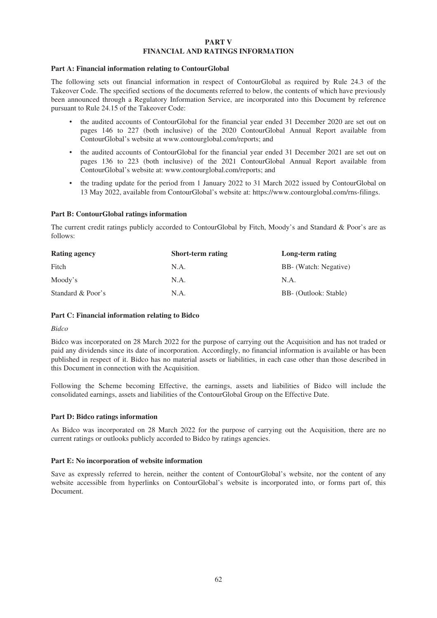### **PART V FINANCIAL AND RATINGS INFORMATION**

### **Part A: Financial information relating to ContourGlobal**

The following sets out financial information in respect of ContourGlobal as required by Rule 24.3 of the Takeover Code. The specified sections of the documents referred to below, the contents of which have previously been announced through a Regulatory Information Service, are incorporated into this Document by reference pursuant to Rule 24.15 of the Takeover Code:

- the audited accounts of ContourGlobal for the financial year ended 31 December 2020 are set out on pages 146 to 227 (both inclusive) of the 2020 ContourGlobal Annual Report available from ContourGlobal's website at www.contourglobal.com/reports; and
- the audited accounts of ContourGlobal for the financial year ended 31 December 2021 are set out on pages 136 to 223 (both inclusive) of the 2021 ContourGlobal Annual Report available from ContourGlobal's website at: www.contourglobal.com/reports; and
- the trading update for the period from 1 January 2022 to 31 March 2022 issued by ContourGlobal on 13 May 2022, available from ContourGlobal's website at: https://www.contourglobal.com/rns-filings.

# **Part B: ContourGlobal ratings information**

The current credit ratings publicly accorded to ContourGlobal by Fitch, Moody's and Standard & Poor's are as follows:

| <b>Rating agency</b> | Short-term rating | Long-term rating      |
|----------------------|-------------------|-----------------------|
| Fitch                | N.A.              | BB- (Watch: Negative) |
| Moody's              | N.A.              | N.A.                  |
| Standard & Poor's    | N.A.              | BB- (Outlook: Stable) |

# **Part C: Financial information relating to Bidco**

#### *Bidco*

Bidco was incorporated on 28 March 2022 for the purpose of carrying out the Acquisition and has not traded or paid any dividends since its date of incorporation. Accordingly, no financial information is available or has been published in respect of it. Bidco has no material assets or liabilities, in each case other than those described in this Document in connection with the Acquisition.

Following the Scheme becoming Effective, the earnings, assets and liabilities of Bidco will include the consolidated earnings, assets and liabilities of the ContourGlobal Group on the Effective Date.

# **Part D: Bidco ratings information**

As Bidco was incorporated on 28 March 2022 for the purpose of carrying out the Acquisition, there are no current ratings or outlooks publicly accorded to Bidco by ratings agencies.

### **Part E: No incorporation of website information**

Save as expressly referred to herein, neither the content of ContourGlobal's website, nor the content of any website accessible from hyperlinks on ContourGlobal's website is incorporated into, or forms part of, this Document.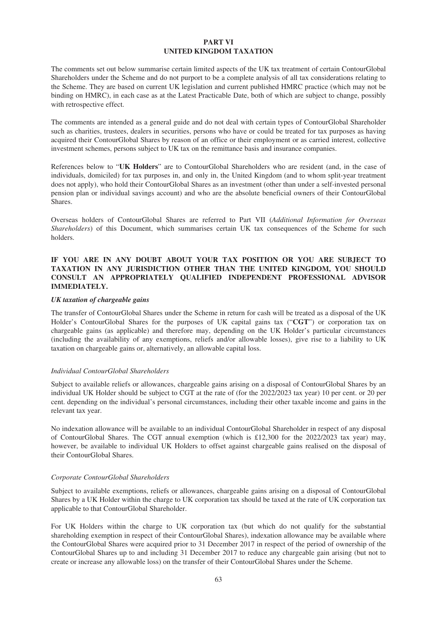# **PART VI UNITED KINGDOM TAXATION**

The comments set out below summarise certain limited aspects of the UK tax treatment of certain ContourGlobal Shareholders under the Scheme and do not purport to be a complete analysis of all tax considerations relating to the Scheme. They are based on current UK legislation and current published HMRC practice (which may not be binding on HMRC), in each case as at the Latest Practicable Date, both of which are subject to change, possibly with retrospective effect.

The comments are intended as a general guide and do not deal with certain types of ContourGlobal Shareholder such as charities, trustees, dealers in securities, persons who have or could be treated for tax purposes as having acquired their ContourGlobal Shares by reason of an office or their employment or as carried interest, collective investment schemes, persons subject to UK tax on the remittance basis and insurance companies.

References below to "**UK Holders**" are to ContourGlobal Shareholders who are resident (and, in the case of individuals, domiciled) for tax purposes in, and only in, the United Kingdom (and to whom split-year treatment does not apply), who hold their ContourGlobal Shares as an investment (other than under a self-invested personal pension plan or individual savings account) and who are the absolute beneficial owners of their ContourGlobal Shares.

Overseas holders of ContourGlobal Shares are referred to Part VII (*Additional Information for Overseas Shareholders*) of this Document, which summarises certain UK tax consequences of the Scheme for such holders.

# **IF YOU ARE IN ANY DOUBT ABOUT YOUR TAX POSITION OR YOU ARE SUBJECT TO TAXATION IN ANY JURISDICTION OTHER THAN THE UNITED KINGDOM, YOU SHOULD CONSULT AN APPROPRIATELY QUALIFIED INDEPENDENT PROFESSIONAL ADVISOR IMMEDIATELY.**

# *UK taxation of chargeable gains*

The transfer of ContourGlobal Shares under the Scheme in return for cash will be treated as a disposal of the UK Holder's ContourGlobal Shares for the purposes of UK capital gains tax ("**CGT**") or corporation tax on chargeable gains (as applicable) and therefore may, depending on the UK Holder's particular circumstances (including the availability of any exemptions, reliefs and/or allowable losses), give rise to a liability to UK taxation on chargeable gains or, alternatively, an allowable capital loss.

# *Individual ContourGlobal Shareholders*

Subject to available reliefs or allowances, chargeable gains arising on a disposal of ContourGlobal Shares by an individual UK Holder should be subject to CGT at the rate of (for the 2022/2023 tax year) 10 per cent. or 20 per cent. depending on the individual's personal circumstances, including their other taxable income and gains in the relevant tax year.

No indexation allowance will be available to an individual ContourGlobal Shareholder in respect of any disposal of ContourGlobal Shares. The CGT annual exemption (which is £12,300 for the 2022/2023 tax year) may, however, be available to individual UK Holders to offset against chargeable gains realised on the disposal of their ContourGlobal Shares.

# *Corporate ContourGlobal Shareholders*

Subject to available exemptions, reliefs or allowances, chargeable gains arising on a disposal of ContourGlobal Shares by a UK Holder within the charge to UK corporation tax should be taxed at the rate of UK corporation tax applicable to that ContourGlobal Shareholder.

For UK Holders within the charge to UK corporation tax (but which do not qualify for the substantial shareholding exemption in respect of their ContourGlobal Shares), indexation allowance may be available where the ContourGlobal Shares were acquired prior to 31 December 2017 in respect of the period of ownership of the ContourGlobal Shares up to and including 31 December 2017 to reduce any chargeable gain arising (but not to create or increase any allowable loss) on the transfer of their ContourGlobal Shares under the Scheme.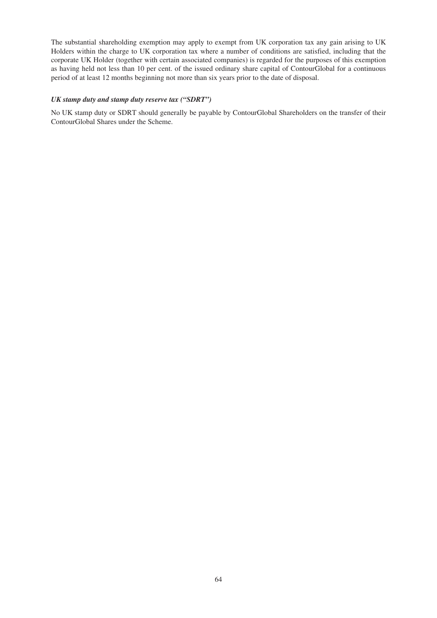The substantial shareholding exemption may apply to exempt from UK corporation tax any gain arising to UK Holders within the charge to UK corporation tax where a number of conditions are satisfied, including that the corporate UK Holder (together with certain associated companies) is regarded for the purposes of this exemption as having held not less than 10 per cent. of the issued ordinary share capital of ContourGlobal for a continuous period of at least 12 months beginning not more than six years prior to the date of disposal.

# *UK stamp duty and stamp duty reserve tax ("SDRT")*

No UK stamp duty or SDRT should generally be payable by ContourGlobal Shareholders on the transfer of their ContourGlobal Shares under the Scheme.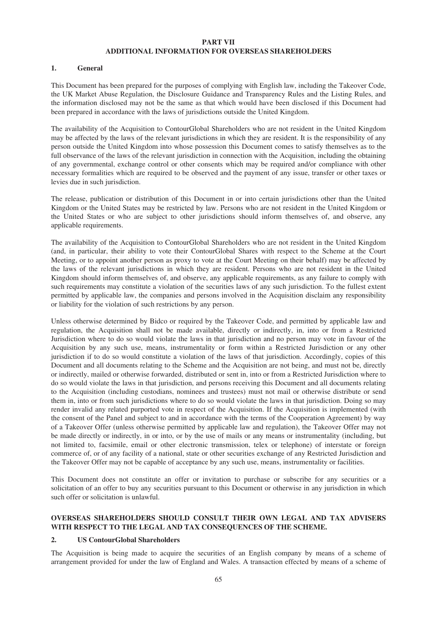### **PART VII ADDITIONAL INFORMATION FOR OVERSEAS SHAREHOLDERS**

### **1. General**

This Document has been prepared for the purposes of complying with English law, including the Takeover Code, the UK Market Abuse Regulation, the Disclosure Guidance and Transparency Rules and the Listing Rules, and the information disclosed may not be the same as that which would have been disclosed if this Document had been prepared in accordance with the laws of jurisdictions outside the United Kingdom.

The availability of the Acquisition to ContourGlobal Shareholders who are not resident in the United Kingdom may be affected by the laws of the relevant jurisdictions in which they are resident. It is the responsibility of any person outside the United Kingdom into whose possession this Document comes to satisfy themselves as to the full observance of the laws of the relevant jurisdiction in connection with the Acquisition, including the obtaining of any governmental, exchange control or other consents which may be required and/or compliance with other necessary formalities which are required to be observed and the payment of any issue, transfer or other taxes or levies due in such jurisdiction.

The release, publication or distribution of this Document in or into certain jurisdictions other than the United Kingdom or the United States may be restricted by law. Persons who are not resident in the United Kingdom or the United States or who are subject to other jurisdictions should inform themselves of, and observe, any applicable requirements.

The availability of the Acquisition to ContourGlobal Shareholders who are not resident in the United Kingdom (and, in particular, their ability to vote their ContourGlobal Shares with respect to the Scheme at the Court Meeting, or to appoint another person as proxy to vote at the Court Meeting on their behalf) may be affected by the laws of the relevant jurisdictions in which they are resident. Persons who are not resident in the United Kingdom should inform themselves of, and observe, any applicable requirements, as any failure to comply with such requirements may constitute a violation of the securities laws of any such jurisdiction. To the fullest extent permitted by applicable law, the companies and persons involved in the Acquisition disclaim any responsibility or liability for the violation of such restrictions by any person.

Unless otherwise determined by Bidco or required by the Takeover Code, and permitted by applicable law and regulation, the Acquisition shall not be made available, directly or indirectly, in, into or from a Restricted Jurisdiction where to do so would violate the laws in that jurisdiction and no person may vote in favour of the Acquisition by any such use, means, instrumentality or form within a Restricted Jurisdiction or any other jurisdiction if to do so would constitute a violation of the laws of that jurisdiction. Accordingly, copies of this Document and all documents relating to the Scheme and the Acquisition are not being, and must not be, directly or indirectly, mailed or otherwise forwarded, distributed or sent in, into or from a Restricted Jurisdiction where to do so would violate the laws in that jurisdiction, and persons receiving this Document and all documents relating to the Acquisition (including custodians, nominees and trustees) must not mail or otherwise distribute or send them in, into or from such jurisdictions where to do so would violate the laws in that jurisdiction. Doing so may render invalid any related purported vote in respect of the Acquisition. If the Acquisition is implemented (with the consent of the Panel and subject to and in accordance with the terms of the Cooperation Agreement) by way of a Takeover Offer (unless otherwise permitted by applicable law and regulation), the Takeover Offer may not be made directly or indirectly, in or into, or by the use of mails or any means or instrumentality (including, but not limited to, facsimile, email or other electronic transmission, telex or telephone) of interstate or foreign commerce of, or of any facility of a national, state or other securities exchange of any Restricted Jurisdiction and the Takeover Offer may not be capable of acceptance by any such use, means, instrumentality or facilities.

This Document does not constitute an offer or invitation to purchase or subscribe for any securities or a solicitation of an offer to buy any securities pursuant to this Document or otherwise in any jurisdiction in which such offer or solicitation is unlawful.

# **OVERSEAS SHAREHOLDERS SHOULD CONSULT THEIR OWN LEGAL AND TAX ADVISERS WITH RESPECT TO THE LEGAL AND TAX CONSEQUENCES OF THE SCHEME.**

# **2. US ContourGlobal Shareholders**

The Acquisition is being made to acquire the securities of an English company by means of a scheme of arrangement provided for under the law of England and Wales. A transaction effected by means of a scheme of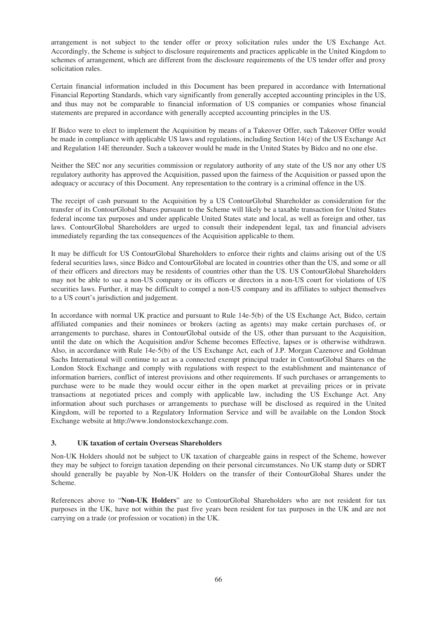arrangement is not subject to the tender offer or proxy solicitation rules under the US Exchange Act. Accordingly, the Scheme is subject to disclosure requirements and practices applicable in the United Kingdom to schemes of arrangement, which are different from the disclosure requirements of the US tender offer and proxy solicitation rules.

Certain financial information included in this Document has been prepared in accordance with International Financial Reporting Standards, which vary significantly from generally accepted accounting principles in the US, and thus may not be comparable to financial information of US companies or companies whose financial statements are prepared in accordance with generally accepted accounting principles in the US.

If Bidco were to elect to implement the Acquisition by means of a Takeover Offer, such Takeover Offer would be made in compliance with applicable US laws and regulations, including Section 14(e) of the US Exchange Act and Regulation 14E thereunder. Such a takeover would be made in the United States by Bidco and no one else.

Neither the SEC nor any securities commission or regulatory authority of any state of the US nor any other US regulatory authority has approved the Acquisition, passed upon the fairness of the Acquisition or passed upon the adequacy or accuracy of this Document. Any representation to the contrary is a criminal offence in the US.

The receipt of cash pursuant to the Acquisition by a US ContourGlobal Shareholder as consideration for the transfer of its ContourGlobal Shares pursuant to the Scheme will likely be a taxable transaction for United States federal income tax purposes and under applicable United States state and local, as well as foreign and other, tax laws. ContourGlobal Shareholders are urged to consult their independent legal, tax and financial advisers immediately regarding the tax consequences of the Acquisition applicable to them.

It may be difficult for US ContourGlobal Shareholders to enforce their rights and claims arising out of the US federal securities laws, since Bidco and ContourGlobal are located in countries other than the US, and some or all of their officers and directors may be residents of countries other than the US. US ContourGlobal Shareholders may not be able to sue a non-US company or its officers or directors in a non-US court for violations of US securities laws. Further, it may be difficult to compel a non-US company and its affiliates to subject themselves to a US court's jurisdiction and judgement.

In accordance with normal UK practice and pursuant to Rule 14e-5(b) of the US Exchange Act, Bidco, certain affiliated companies and their nominees or brokers (acting as agents) may make certain purchases of, or arrangements to purchase, shares in ContourGlobal outside of the US, other than pursuant to the Acquisition, until the date on which the Acquisition and/or Scheme becomes Effective, lapses or is otherwise withdrawn. Also, in accordance with Rule 14e-5(b) of the US Exchange Act, each of J.P. Morgan Cazenove and Goldman Sachs International will continue to act as a connected exempt principal trader in ContourGlobal Shares on the London Stock Exchange and comply with regulations with respect to the establishment and maintenance of information barriers, conflict of interest provisions and other requirements. If such purchases or arrangements to purchase were to be made they would occur either in the open market at prevailing prices or in private transactions at negotiated prices and comply with applicable law, including the US Exchange Act. Any information about such purchases or arrangements to purchase will be disclosed as required in the United Kingdom, will be reported to a Regulatory Information Service and will be available on the London Stock Exchange website at http://www.londonstockexchange.com.

# **3. UK taxation of certain Overseas Shareholders**

Non-UK Holders should not be subject to UK taxation of chargeable gains in respect of the Scheme, however they may be subject to foreign taxation depending on their personal circumstances. No UK stamp duty or SDRT should generally be payable by Non-UK Holders on the transfer of their ContourGlobal Shares under the Scheme.

References above to "**Non-UK Holders**" are to ContourGlobal Shareholders who are not resident for tax purposes in the UK, have not within the past five years been resident for tax purposes in the UK and are not carrying on a trade (or profession or vocation) in the UK.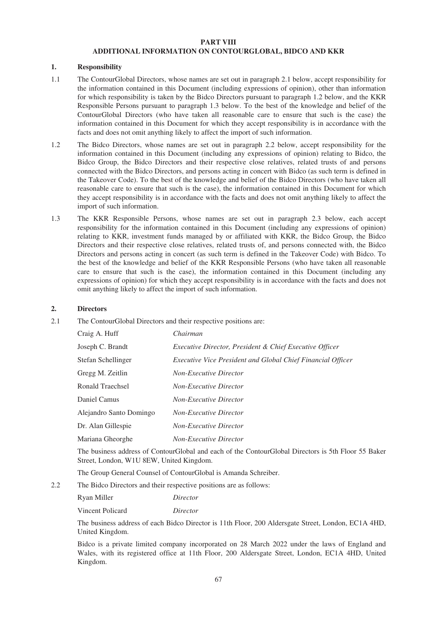#### **PART VIII ADDITIONAL INFORMATION ON CONTOURGLOBAL, BIDCO AND KKR**

### **1. Responsibility**

- 1.1 The ContourGlobal Directors, whose names are set out in paragraph 2.1 below, accept responsibility for the information contained in this Document (including expressions of opinion), other than information for which responsibility is taken by the Bidco Directors pursuant to paragraph 1.2 below, and the KKR Responsible Persons pursuant to paragraph 1.3 below. To the best of the knowledge and belief of the ContourGlobal Directors (who have taken all reasonable care to ensure that such is the case) the information contained in this Document for which they accept responsibility is in accordance with the facts and does not omit anything likely to affect the import of such information.
- 1.2 The Bidco Directors, whose names are set out in paragraph 2.2 below, accept responsibility for the information contained in this Document (including any expressions of opinion) relating to Bidco, the Bidco Group, the Bidco Directors and their respective close relatives, related trusts of and persons connected with the Bidco Directors, and persons acting in concert with Bidco (as such term is defined in the Takeover Code). To the best of the knowledge and belief of the Bidco Directors (who have taken all reasonable care to ensure that such is the case), the information contained in this Document for which they accept responsibility is in accordance with the facts and does not omit anything likely to affect the import of such information.
- 1.3 The KKR Responsible Persons, whose names are set out in paragraph 2.3 below, each accept responsibility for the information contained in this Document (including any expressions of opinion) relating to KKR, investment funds managed by or affiliated with KKR, the Bidco Group, the Bidco Directors and their respective close relatives, related trusts of, and persons connected with, the Bidco Directors and persons acting in concert (as such term is defined in the Takeover Code) with Bidco. To the best of the knowledge and belief of the KKR Responsible Persons (who have taken all reasonable care to ensure that such is the case), the information contained in this Document (including any expressions of opinion) for which they accept responsibility is in accordance with the facts and does not omit anything likely to affect the import of such information.

#### **2. Directors**

2.1 The ContourGlobal Directors and their respective positions are:

| Craig A. Huff           | Chairman                                                           |
|-------------------------|--------------------------------------------------------------------|
| Joseph C. Brandt        | <i>Executive Director, President &amp; Chief Executive Officer</i> |
| Stefan Schellinger      | <i>Executive Vice President and Global Chief Financial Officer</i> |
| Gregg M. Zeitlin        | <b>Non-Executive Director</b>                                      |
| Ronald Traechsel        | <b>Non-Executive Director</b>                                      |
| Daniel Camus            | <b>Non-Executive Director</b>                                      |
| Alejandro Santo Domingo | <b>Non-Executive Director</b>                                      |
| Dr. Alan Gillespie      | <b>Non-Executive Director</b>                                      |
| Mariana Gheorghe        | <b>Non-Executive Director</b>                                      |

The business address of ContourGlobal and each of the ContourGlobal Directors is 5th Floor 55 Baker Street, London, W1U 8EW, United Kingdom.

The Group General Counsel of ContourGlobal is Amanda Schreiber.

2.2 The Bidco Directors and their respective positions are as follows:

| Ryan Miller | Director |
|-------------|----------|
|             |          |

Vincent Policard *Director*

The business address of each Bidco Director is 11th Floor, 200 Aldersgate Street, London, EC1A 4HD, United Kingdom.

Bidco is a private limited company incorporated on 28 March 2022 under the laws of England and Wales, with its registered office at 11th Floor, 200 Aldersgate Street, London, EC1A 4HD, United Kingdom.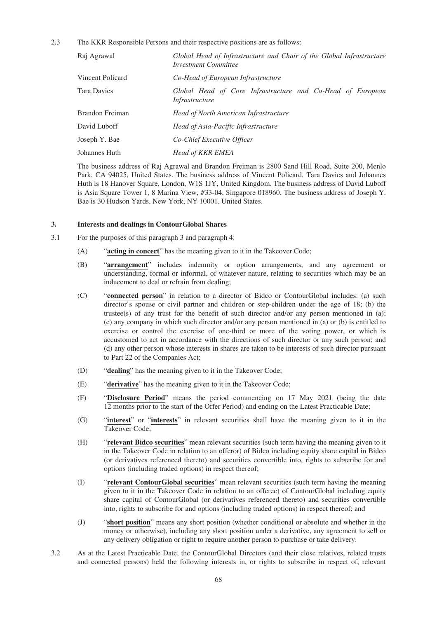2.3 The KKR Responsible Persons and their respective positions are as follows:

| Raj Agrawal      | Global Head of Infrastructure and Chair of the Global Infrastructure<br><b>Investment Committee</b> |
|------------------|-----------------------------------------------------------------------------------------------------|
| Vincent Policard | Co-Head of European Infrastructure                                                                  |
| Tara Davies      | Global Head of Core Infrastructure and Co-Head of European<br><i>Infrastructure</i>                 |
| Brandon Freiman  | Head of North American Infrastructure                                                               |
| David Luboff     | Head of Asia-Pacific Infrastructure                                                                 |
| Joseph Y. Bae    | Co-Chief Executive Officer                                                                          |
| Johannes Huth    | <b>Head of KKR EMEA</b>                                                                             |
|                  |                                                                                                     |

The business address of Raj Agrawal and Brandon Freiman is 2800 Sand Hill Road, Suite 200, Menlo Park, CA 94025, United States. The business address of Vincent Policard, Tara Davies and Johannes Huth is 18 Hanover Square, London, W1S 1JY, United Kingdom. The business address of David Luboff is Asia Square Tower 1, 8 Marina View, #33-04, Singapore 018960. The business address of Joseph Y. Bae is 30 Hudson Yards, New York, NY 10001, United States.

### **3. Interests and dealings in ContourGlobal Shares**

- 3.1 For the purposes of this paragraph 3 and paragraph 4:
	- (A) "**acting in concert**" has the meaning given to it in the Takeover Code;
	- (B) "**arrangement**" includes indemnity or option arrangements, and any agreement or understanding, formal or informal, of whatever nature, relating to securities which may be an inducement to deal or refrain from dealing;
	- (C) "**connected person**" in relation to a director of Bidco or ContourGlobal includes: (a) such director's spouse or civil partner and children or step-children under the age of 18; (b) the trustee(s) of any trust for the benefit of such director and/or any person mentioned in (a); (c) any company in which such director and/or any person mentioned in (a) or (b) is entitled to exercise or control the exercise of one-third or more of the voting power, or which is accustomed to act in accordance with the directions of such director or any such person; and (d) any other person whose interests in shares are taken to be interests of such director pursuant to Part 22 of the Companies Act;
	- (D) "**dealing**" has the meaning given to it in the Takeover Code;
	- (E) "**derivative**" has the meaning given to it in the Takeover Code;
	- (F) "**Disclosure Period**" means the period commencing on 17 May 2021 (being the date 12 months prior to the start of the Offer Period) and ending on the Latest Practicable Date;
	- (G) "**interest**" or "**interests**" in relevant securities shall have the meaning given to it in the Takeover Code;
	- (H) "**relevant Bidco securities**" mean relevant securities (such term having the meaning given to it in the Takeover Code in relation to an offeror) of Bidco including equity share capital in Bidco (or derivatives referenced thereto) and securities convertible into, rights to subscribe for and options (including traded options) in respect thereof;
	- (I) "**relevant ContourGlobal securities**" mean relevant securities (such term having the meaning given to it in the Takeover Code in relation to an offeree) of ContourGlobal including equity share capital of ContourGlobal (or derivatives referenced thereto) and securities convertible into, rights to subscribe for and options (including traded options) in respect thereof; and
	- (J) "**short position**" means any short position (whether conditional or absolute and whether in the money or otherwise), including any short position under a derivative, any agreement to sell or any delivery obligation or right to require another person to purchase or take delivery.
- 3.2 As at the Latest Practicable Date, the ContourGlobal Directors (and their close relatives, related trusts and connected persons) held the following interests in, or rights to subscribe in respect of, relevant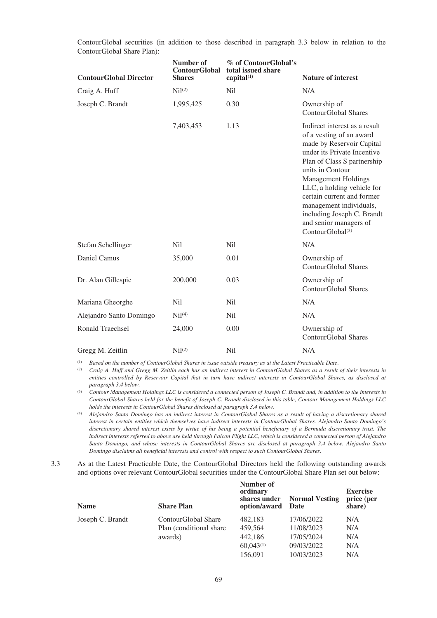| <b>ContourGlobal Director</b> | Number of<br><b>ContourGlobal</b><br><b>Shares</b> | % of ContourGlobal's<br>total issued share<br>capital $(1)$ | <b>Nature of interest</b>                                                                                                                                                                                                                                                                                                                                                             |
|-------------------------------|----------------------------------------------------|-------------------------------------------------------------|---------------------------------------------------------------------------------------------------------------------------------------------------------------------------------------------------------------------------------------------------------------------------------------------------------------------------------------------------------------------------------------|
| Craig A. Huff                 | Nil <sup>(2)</sup>                                 | N <sub>il</sub>                                             | N/A                                                                                                                                                                                                                                                                                                                                                                                   |
| Joseph C. Brandt              | 1,995,425                                          | 0.30                                                        | Ownership of<br><b>ContourGlobal Shares</b>                                                                                                                                                                                                                                                                                                                                           |
|                               | 7,403,453                                          | 1.13                                                        | Indirect interest as a result<br>of a vesting of an award<br>made by Reservoir Capital<br>under its Private Incentive<br>Plan of Class S partnership<br>units in Contour<br><b>Management Holdings</b><br>LLC, a holding vehicle for<br>certain current and former<br>management individuals,<br>including Joseph C. Brandt<br>and senior managers of<br>ContourGlobal <sup>(3)</sup> |
| Stefan Schellinger            | N <sub>il</sub>                                    | N <sub>il</sub>                                             | N/A                                                                                                                                                                                                                                                                                                                                                                                   |
| Daniel Camus                  | 35,000                                             | 0.01                                                        | Ownership of<br>ContourGlobal Shares                                                                                                                                                                                                                                                                                                                                                  |
| Dr. Alan Gillespie            | 200,000                                            | 0.03                                                        | Ownership of<br><b>ContourGlobal Shares</b>                                                                                                                                                                                                                                                                                                                                           |
| Mariana Gheorghe              | N <sub>il</sub>                                    | N <sub>il</sub>                                             | N/A                                                                                                                                                                                                                                                                                                                                                                                   |
| Alejandro Santo Domingo       | Nil <sup>(4)</sup>                                 | N <sub>il</sub>                                             | N/A                                                                                                                                                                                                                                                                                                                                                                                   |
| Ronald Traechsel              | 24,000                                             | 0.00                                                        | Ownership of<br><b>ContourGlobal Shares</b>                                                                                                                                                                                                                                                                                                                                           |
| Gregg M. Zeitlin              | Ni <sup>1</sup> (2)                                | Nil                                                         | N/A                                                                                                                                                                                                                                                                                                                                                                                   |

ContourGlobal securities (in addition to those described in paragraph 3.3 below in relation to the ContourGlobal Share Plan):

(1) *Based on the number of ContourGlobal Shares in issue outside treasury as at the Latest Practicable Date*.

(2) *Craig A. Huff and Gregg M. Zeitlin each has an indirect interest in ContourGlobal Shares as a result of their interests in entities controlled by Reservoir Capital that in turn have indirect interests in ContourGlobal Shares, as disclosed at paragraph 3.4 below.*

(3) *Contour Management Holdings LLC is considered a connected person of Joseph C. Brandt and, in addition to the interests in ContourGlobal Shares held for the benefit of Joseph C. Brandt disclosed in this table, Contour Management Holdings LLC holds the interests in ContourGlobal Shares disclosed at paragraph 3.4 below.*

(4) *Alejandro Santo Domingo has an indirect interest in ContourGlobal Shares as a result of having a discretionary shared interest in certain entities which themselves have indirect interests in ContourGlobal Shares. Alejandro Santo Domingo's discretionary shared interest exists by virtue of his being a potential beneficiary of a Bermuda discretionary trust. The indirect interests referred to above are held through Falcon Flight LLC, which is considered a connected person of Alejandro Santo Domingo, and whose interests in ContourGlobal Shares are disclosed at paragraph 3.4 below. Alejandro Santo Domingo disclaims all beneficial interests and control with respect to such ContourGlobal Shares.*

3.3 As at the Latest Practicable Date, the ContourGlobal Directors held the following outstanding awards and options over relevant ContourGlobal securities under the ContourGlobal Share Plan set out below:

| <b>Name</b>      | <b>Share Plan</b>        | Number of<br>ordinary<br>shares under<br>option/award Date | <b>Normal Vesting</b> | <b>Exercise</b><br>price (per<br>share) |
|------------------|--------------------------|------------------------------------------------------------|-----------------------|-----------------------------------------|
| Joseph C. Brandt | ContourGlobal Share      | 482.183                                                    | 17/06/2022            | N/A                                     |
|                  | Plan (conditional share) | 459.564                                                    | 11/08/2023            | N/A                                     |
|                  | awards)                  | 442,186                                                    | 17/05/2024            | N/A                                     |
|                  |                          | $60.043^{(1)}$                                             | 09/03/2022            | N/A                                     |
|                  |                          | 156.091                                                    | 10/03/2023            | N/A                                     |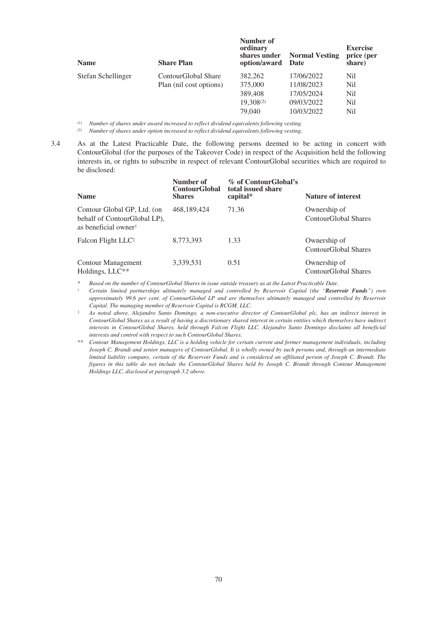| <b>Name</b>        | <b>Share Plan</b>       | Number of<br>ordinary<br>shares under<br>option/award | <b>Normal Vesting</b><br>Date | <b>Exercise</b><br>price (per<br>share) |
|--------------------|-------------------------|-------------------------------------------------------|-------------------------------|-----------------------------------------|
| Stefan Schellinger | ContourGlobal Share     | 382,262                                               | 17/06/2022                    | Nil                                     |
|                    | Plan (nil cost options) | 375,000                                               | 11/08/2023                    | Nil                                     |
|                    |                         | 389,408                                               | 17/05/2024                    | Nil                                     |
|                    |                         | 19,308(2)                                             | 09/03/2022                    | Nil                                     |
|                    |                         | 79,040                                                | 10/03/2022                    | Nil                                     |

(1) *Number of shares under award increased to reflect dividend equivalents following vesting.*

(2) *Number of shares under option increased to reflect dividend equivalents following vesting.*

3.4 As at the Latest Practicable Date, the following persons deemed to be acting in concert with ContourGlobal (for the purposes of the Takeover Code) in respect of the Acquisition held the following interests in, or rights to subscribe in respect of relevant ContourGlobal securities which are required to be disclosed:

| <b>Name</b>                                                                                     | Number of<br><b>ContourGlobal</b><br><b>Shares</b> | % of ContourGlobal's<br>total issued share<br>capital* | <b>Nature of interest</b>            |
|-------------------------------------------------------------------------------------------------|----------------------------------------------------|--------------------------------------------------------|--------------------------------------|
| Contour Global GP, Ltd. (on<br>behalf of ContourGlobal LP),<br>as beneficial owner <sup>†</sup> | 468,189,424                                        | 71.36                                                  | Ownership of<br>ContourGlobal Shares |
| Falcon Flight LLC <sup>‡</sup>                                                                  | 8,773,393                                          | 1.33                                                   | Ownership of<br>ContourGlobal Shares |
| Contour Management<br>Holdings, LLC**                                                           | 3,339,531                                          | 0.51                                                   | Ownership of<br>ContourGlobal Shares |

\* *Based on the number of ContourGlobal Shares in issue outside treasury as at the Latest Practicable Date*.

† *Certain limited partnerships ultimately managed and controlled by Reservoir Capital (the "Reservoir Funds") own approximately 99.6 per cent. of ContourGlobal LP and are themselves ultimately managed and controlled by Reservoir Capital. The managing member of Reservoir Capital is RCGM, LLC.*

‡ *As noted above, Alejandro Santo Domingo, a non-executive director of ContourGlobal plc, has an indirect interest in ContourGlobal Shares as a result of having a discretionary shared interest in certain entities which themselves have indirect interests in ContourGlobal Shares, held through Falcon Flight LLC. Alejandro Santo Domingo disclaims all beneficial interests and control with respect to such ContourGlobal Shares.*

*\*\* Contour Management Holdings, LLC is a holding vehicle for certain current and former management individuals, including Joseph C. Brandt and senior managers of ContourGlobal. It is wholly owned by such persons and, through an intermediate limited liability company, certain of the Reservoir Funds and is considered an affiliated person of Joseph C. Brandt. The figures in this table do not include the ContourGlobal Shares held by Joseph C. Brandt through Contour Management Holdings LLC, disclosed at paragraph 3.2 above.*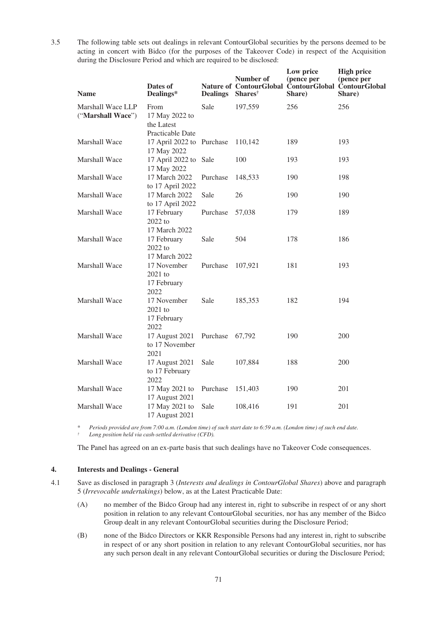3.5 The following table sets out dealings in relevant ContourGlobal securities by the persons deemed to be acting in concert with Bidco (for the purposes of the Takeover Code) in respect of the Acquisition during the Disclosure Period and which are required to be disclosed:

| <b>Name</b>                            | Dates of<br>Dealings*                                    | <b>Dealings</b> | Number of<br><b>Shares</b> <sup>†</sup> | Low price<br>(pence per<br>Nature of ContourGlobal ContourGlobal ContourGlobal<br>Share) | <b>High price</b><br>(pence per<br>Share) |
|----------------------------------------|----------------------------------------------------------|-----------------|-----------------------------------------|------------------------------------------------------------------------------------------|-------------------------------------------|
| Marshall Wace LLP<br>("Marshall Wace") | From<br>17 May 2022 to<br>the Latest<br>Practicable Date | Sale            | 197,559                                 | 256                                                                                      | 256                                       |
| <b>Marshall Wace</b>                   | 17 April 2022 to Purchase<br>17 May 2022                 |                 | 110.142                                 | 189                                                                                      | 193                                       |
| <b>Marshall Wace</b>                   | 17 April 2022 to Sale<br>17 May 2022                     |                 | 100                                     | 193                                                                                      | 193                                       |
| Marshall Wace                          | 17 March 2022<br>to 17 April 2022                        | Purchase        | 148,533                                 | 190                                                                                      | 198                                       |
| Marshall Wace                          | 17 March 2022<br>to 17 April 2022                        | Sale            | 26                                      | 190                                                                                      | 190                                       |
| Marshall Wace                          | 17 February<br>2022 to<br>17 March 2022                  | Purchase        | 57,038                                  | 179                                                                                      | 189                                       |
| Marshall Wace                          | 17 February<br>2022 to<br>17 March 2022                  | Sale            | 504                                     | 178                                                                                      | 186                                       |
| Marshall Wace                          | 17 November<br>2021 to<br>17 February<br>2022            | Purchase        | 107,921                                 | 181                                                                                      | 193                                       |
| <b>Marshall Wace</b>                   | 17 November<br>2021 to<br>17 February<br>2022            | Sale            | 185,353                                 | 182                                                                                      | 194                                       |
| <b>Marshall Wace</b>                   | 17 August 2021<br>to 17 November<br>2021                 | Purchase        | 67,792                                  | 190                                                                                      | <b>200</b>                                |
| Marshall Wace                          | 17 August 2021<br>to 17 February<br>2022                 | Sale            | 107,884                                 | 188                                                                                      | 200                                       |
| Marshall Wace                          | 17 May 2021 to<br>17 August 2021                         | Purchase        | 151,403                                 | 190                                                                                      | 201                                       |
| Marshall Wace                          | 17 May 2021 to<br>17 August 2021                         | Sale            | 108,416                                 | 191                                                                                      | 201                                       |

*\* Periods provided are from 7:00 a.m. (London time) of such start date to 6:59 a.m. (London time) of such end date. † Long position held via cash-settled derivative (CFD).*

The Panel has agreed on an ex-parte basis that such dealings have no Takeover Code consequences.

# **4. Interests and Dealings - General**

- 4.1 Save as disclosed in paragraph 3 (*Interests and dealings in ContourGlobal Shares*) above and paragraph 5 (*Irrevocable undertakings*) below, as at the Latest Practicable Date:
	- (A) no member of the Bidco Group had any interest in, right to subscribe in respect of or any short position in relation to any relevant ContourGlobal securities, nor has any member of the Bidco Group dealt in any relevant ContourGlobal securities during the Disclosure Period;
	- (B) none of the Bidco Directors or KKR Responsible Persons had any interest in, right to subscribe in respect of or any short position in relation to any relevant ContourGlobal securities, nor has any such person dealt in any relevant ContourGlobal securities or during the Disclosure Period;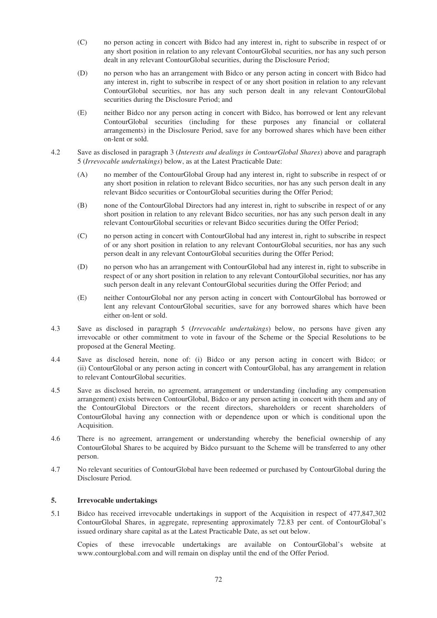- (C) no person acting in concert with Bidco had any interest in, right to subscribe in respect of or any short position in relation to any relevant ContourGlobal securities, nor has any such person dealt in any relevant ContourGlobal securities, during the Disclosure Period;
- (D) no person who has an arrangement with Bidco or any person acting in concert with Bidco had any interest in, right to subscribe in respect of or any short position in relation to any relevant ContourGlobal securities, nor has any such person dealt in any relevant ContourGlobal securities during the Disclosure Period; and
- (E) neither Bidco nor any person acting in concert with Bidco, has borrowed or lent any relevant ContourGlobal securities (including for these purposes any financial or collateral arrangements) in the Disclosure Period, save for any borrowed shares which have been either on-lent or sold.
- 4.2 Save as disclosed in paragraph 3 (*Interests and dealings in ContourGlobal Shares*) above and paragraph 5 (*Irrevocable undertakings*) below, as at the Latest Practicable Date:
	- (A) no member of the ContourGlobal Group had any interest in, right to subscribe in respect of or any short position in relation to relevant Bidco securities, nor has any such person dealt in any relevant Bidco securities or ContourGlobal securities during the Offer Period;
	- (B) none of the ContourGlobal Directors had any interest in, right to subscribe in respect of or any short position in relation to any relevant Bidco securities, nor has any such person dealt in any relevant ContourGlobal securities or relevant Bidco securities during the Offer Period;
	- (C) no person acting in concert with ContourGlobal had any interest in, right to subscribe in respect of or any short position in relation to any relevant ContourGlobal securities, nor has any such person dealt in any relevant ContourGlobal securities during the Offer Period;
	- (D) no person who has an arrangement with ContourGlobal had any interest in, right to subscribe in respect of or any short position in relation to any relevant ContourGlobal securities, nor has any such person dealt in any relevant ContourGlobal securities during the Offer Period; and
	- (E) neither ContourGlobal nor any person acting in concert with ContourGlobal has borrowed or lent any relevant ContourGlobal securities, save for any borrowed shares which have been either on-lent or sold.
- 4.3 Save as disclosed in paragraph 5 (*Irrevocable undertakings*) below, no persons have given any irrevocable or other commitment to vote in favour of the Scheme or the Special Resolutions to be proposed at the General Meeting.
- 4.4 Save as disclosed herein, none of: (i) Bidco or any person acting in concert with Bidco; or (ii) ContourGlobal or any person acting in concert with ContourGlobal, has any arrangement in relation to relevant ContourGlobal securities.
- 4.5 Save as disclosed herein, no agreement, arrangement or understanding (including any compensation arrangement) exists between ContourGlobal, Bidco or any person acting in concert with them and any of the ContourGlobal Directors or the recent directors, shareholders or recent shareholders of ContourGlobal having any connection with or dependence upon or which is conditional upon the Acquisition.
- 4.6 There is no agreement, arrangement or understanding whereby the beneficial ownership of any ContourGlobal Shares to be acquired by Bidco pursuant to the Scheme will be transferred to any other person.
- 4.7 No relevant securities of ContourGlobal have been redeemed or purchased by ContourGlobal during the Disclosure Period.

# **5. Irrevocable undertakings**

5.1 Bidco has received irrevocable undertakings in support of the Acquisition in respect of 477,847,302 ContourGlobal Shares, in aggregate, representing approximately 72.83 per cent. of ContourGlobal's issued ordinary share capital as at the Latest Practicable Date, as set out below.

Copies of these irrevocable undertakings are available on ContourGlobal's website at www.contourglobal.com and will remain on display until the end of the Offer Period.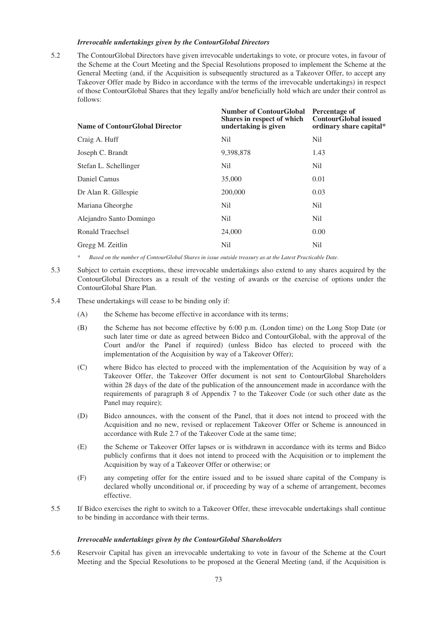### *Irrevocable undertakings given by the ContourGlobal Directors*

5.2 The ContourGlobal Directors have given irrevocable undertakings to vote, or procure votes, in favour of the Scheme at the Court Meeting and the Special Resolutions proposed to implement the Scheme at the General Meeting (and, if the Acquisition is subsequently structured as a Takeover Offer, to accept any Takeover Offer made by Bidco in accordance with the terms of the irrevocable undertakings) in respect of those ContourGlobal Shares that they legally and/or beneficially hold which are under their control as follows:

| <b>Name of ContourGlobal Director</b> | <b>Number of ContourGlobal</b><br>Shares in respect of which<br>undertaking is given | Percentage of<br><b>ContourGlobal issued</b><br>ordinary share capital* |
|---------------------------------------|--------------------------------------------------------------------------------------|-------------------------------------------------------------------------|
| Craig A. Huff                         | Nil                                                                                  | Nil                                                                     |
| Joseph C. Brandt                      | 9,398,878                                                                            | 1.43                                                                    |
| Stefan L. Schellinger                 | Nil                                                                                  | Nil                                                                     |
| Daniel Camus                          | 35,000                                                                               | 0.01                                                                    |
| Dr Alan R. Gillespie                  | 200,000                                                                              | 0.03                                                                    |
| Mariana Gheorghe                      | Nil                                                                                  | N <sub>il</sub>                                                         |
| Alejandro Santo Domingo               | Nil                                                                                  | Nil                                                                     |
| <b>Ronald Traechsel</b>               | 24,000                                                                               | 0.00                                                                    |
| Gregg M. Zeitlin                      | Nil                                                                                  | Nil                                                                     |
|                                       |                                                                                      |                                                                         |

\* *Based on the number of ContourGlobal Shares in issue outside treasury as at the Latest Practicable Date*.

- 5.3 Subject to certain exceptions, these irrevocable undertakings also extend to any shares acquired by the ContourGlobal Directors as a result of the vesting of awards or the exercise of options under the ContourGlobal Share Plan.
- 5.4 These undertakings will cease to be binding only if:
	- (A) the Scheme has become effective in accordance with its terms;
	- (B) the Scheme has not become effective by 6:00 p.m. (London time) on the Long Stop Date (or such later time or date as agreed between Bidco and ContourGlobal, with the approval of the Court and/or the Panel if required) (unless Bidco has elected to proceed with the implementation of the Acquisition by way of a Takeover Offer);
	- (C) where Bidco has elected to proceed with the implementation of the Acquisition by way of a Takeover Offer, the Takeover Offer document is not sent to ContourGlobal Shareholders within 28 days of the date of the publication of the announcement made in accordance with the requirements of paragraph 8 of Appendix 7 to the Takeover Code (or such other date as the Panel may require);
	- (D) Bidco announces, with the consent of the Panel, that it does not intend to proceed with the Acquisition and no new, revised or replacement Takeover Offer or Scheme is announced in accordance with Rule 2.7 of the Takeover Code at the same time;
	- (E) the Scheme or Takeover Offer lapses or is withdrawn in accordance with its terms and Bidco publicly confirms that it does not intend to proceed with the Acquisition or to implement the Acquisition by way of a Takeover Offer or otherwise; or
	- (F) any competing offer for the entire issued and to be issued share capital of the Company is declared wholly unconditional or, if proceeding by way of a scheme of arrangement, becomes effective.
- 5.5 If Bidco exercises the right to switch to a Takeover Offer, these irrevocable undertakings shall continue to be binding in accordance with their terms.

#### *Irrevocable undertakings given by the ContourGlobal Shareholders*

5.6 Reservoir Capital has given an irrevocable undertaking to vote in favour of the Scheme at the Court Meeting and the Special Resolutions to be proposed at the General Meeting (and, if the Acquisition is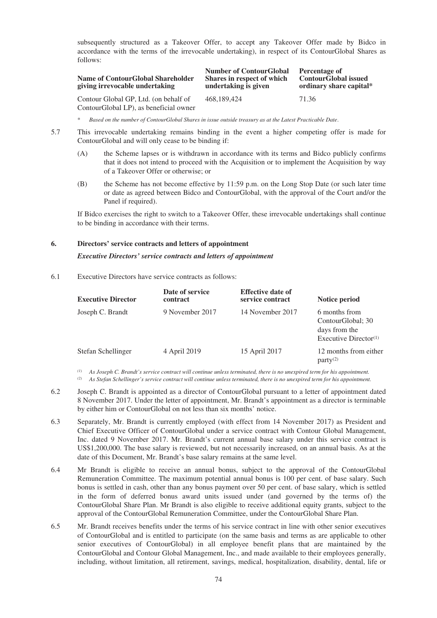subsequently structured as a Takeover Offer, to accept any Takeover Offer made by Bidco in accordance with the terms of the irrevocable undertaking), in respect of its ContourGlobal Shares as follows:

| Name of ContourGlobal Shareholder<br>giving irrevocable undertaking | <b>Number of ContourGlobal</b><br>Shares in respect of which<br>undertaking is given | Percentage of<br><b>ContourGlobal issued</b><br>ordinary share capital* |
|---------------------------------------------------------------------|--------------------------------------------------------------------------------------|-------------------------------------------------------------------------|
| Contour Global GP, Ltd. (on behalf of                               | 468.189.424                                                                          | 71.36                                                                   |
| ContourGlobal LP), as beneficial owner                              |                                                                                      |                                                                         |

\* *Based on the number of ContourGlobal Shares in issue outside treasury as at the Latest Practicable Date*.

- 5.7 This irrevocable undertaking remains binding in the event a higher competing offer is made for ContourGlobal and will only cease to be binding if:
	- (A) the Scheme lapses or is withdrawn in accordance with its terms and Bidco publicly confirms that it does not intend to proceed with the Acquisition or to implement the Acquisition by way of a Takeover Offer or otherwise; or
	- (B) the Scheme has not become effective by 11:59 p.m. on the Long Stop Date (or such later time or date as agreed between Bidco and ContourGlobal, with the approval of the Court and/or the Panel if required).

If Bidco exercises the right to switch to a Takeover Offer, these irrevocable undertakings shall continue to be binding in accordance with their terms.

#### **6. Directors' service contracts and letters of appointment**

### *Executive Directors' service contracts and letters of appointment*

6.1 Executive Directors have service contracts as follows:

| <b>Executive Director</b> | Date of service<br>contract | <b>Effective date of</b><br>service contract | Notice period                                                                   |
|---------------------------|-----------------------------|----------------------------------------------|---------------------------------------------------------------------------------|
| Joseph C. Brandt          | 9 November 2017             | 14 November 2017                             | 6 months from<br>ContourGlobal; 30<br>days from the<br>Executive Director $(1)$ |
| Stefan Schellinger        | 4 April 2019                | 15 April 2017                                | 12 months from either<br>$partv^{(2)}$                                          |

*(1) As Joseph C. Brandt's service contract will continue unless terminated, there is no unexpired term for his appointment.*

*(2) As Stefan Schellinger's service contract will continue unless terminated, there is no unexpired term for his appointment.*

- 6.2 Joseph C. Brandt is appointed as a director of ContourGlobal pursuant to a letter of appointment dated 8 November 2017. Under the letter of appointment, Mr. Brandt's appointment as a director is terminable by either him or ContourGlobal on not less than six months' notice.
- 6.3 Separately, Mr. Brandt is currently employed (with effect from 14 November 2017) as President and Chief Executive Officer of ContourGlobal under a service contract with Contour Global Management, Inc. dated 9 November 2017. Mr. Brandt's current annual base salary under this service contract is US\$1,200,000. The base salary is reviewed, but not necessarily increased, on an annual basis. As at the date of this Document, Mr. Brandt's base salary remains at the same level.
- 6.4 Mr Brandt is eligible to receive an annual bonus, subject to the approval of the ContourGlobal Remuneration Committee. The maximum potential annual bonus is 100 per cent. of base salary. Such bonus is settled in cash, other than any bonus payment over 50 per cent. of base salary, which is settled in the form of deferred bonus award units issued under (and governed by the terms of) the ContourGlobal Share Plan. Mr Brandt is also eligible to receive additional equity grants, subject to the approval of the ContourGlobal Remuneration Committee, under the ContourGlobal Share Plan.
- 6.5 Mr. Brandt receives benefits under the terms of his service contract in line with other senior executives of ContourGlobal and is entitled to participate (on the same basis and terms as are applicable to other senior executives of ContourGlobal) in all employee benefit plans that are maintained by the ContourGlobal and Contour Global Management, Inc., and made available to their employees generally, including, without limitation, all retirement, savings, medical, hospitalization, disability, dental, life or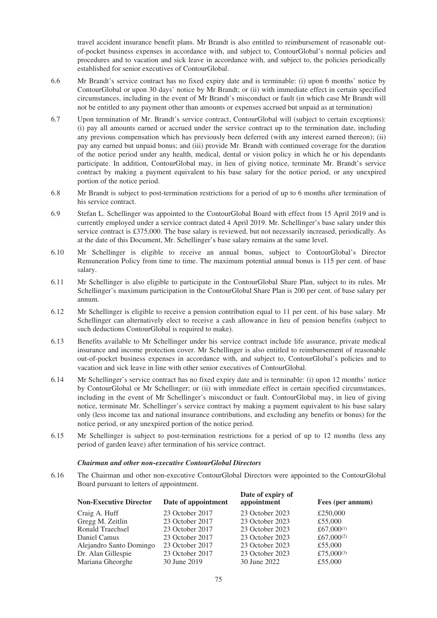travel accident insurance benefit plans. Mr Brandt is also entitled to reimbursement of reasonable outof-pocket business expenses in accordance with, and subject to, ContourGlobal's normal policies and procedures and to vacation and sick leave in accordance with, and subject to, the policies periodically established for senior executives of ContourGlobal.

- 6.6 Mr Brandt's service contract has no fixed expiry date and is terminable: (i) upon 6 months' notice by ContourGlobal or upon 30 days' notice by Mr Brandt; or (ii) with immediate effect in certain specified circumstances, including in the event of Mr Brandt's misconduct or fault (in which case Mr Brandt will not be entitled to any payment other than amounts or expenses accrued but unpaid as at termination)
- 6.7 Upon termination of Mr. Brandt's service contract, ContourGlobal will (subject to certain exceptions): (i) pay all amounts earned or accrued under the service contract up to the termination date, including any previous compensation which has previously been deferred (with any interest earned thereon); (ii) pay any earned but unpaid bonus; and (iii) provide Mr. Brandt with continued coverage for the duration of the notice period under any health, medical, dental or vision policy in which he or his dependants participate. In addition, ContourGlobal may, in lieu of giving notice, terminate Mr. Brandt's service contract by making a payment equivalent to his base salary for the notice period, or any unexpired portion of the notice period.
- 6.8 Mr Brandt is subject to post-termination restrictions for a period of up to 6 months after termination of his service contract.
- 6.9 Stefan L. Schellinger was appointed to the ContourGlobal Board with effect from 15 April 2019 and is currently employed under a service contract dated 4 April 2019. Mr. Schellinger's base salary under this service contract is £375,000. The base salary is reviewed, but not necessarily increased, periodically. As at the date of this Document, Mr. Schellinger's base salary remains at the same level.
- 6.10 Mr Schellinger is eligible to receive an annual bonus, subject to ContourGlobal's Director Remuneration Policy from time to time. The maximum potential annual bonus is 115 per cent. of base salary.
- 6.11 Mr Schellinger is also eligible to participate in the ContourGlobal Share Plan, subject to its rules. Mr Schellinger's maximum participation in the ContourGlobal Share Plan is 200 per cent. of base salary per annum.
- 6.12 Mr Schellinger is eligible to receive a pension contribution equal to 11 per cent. of his base salary. Mr Schellinger can alternatively elect to receive a cash allowance in lieu of pension benefits (subject to such deductions ContourGlobal is required to make).
- 6.13 Benefits available to Mr Schellinger under his service contract include life assurance, private medical insurance and income protection cover. Mr Schellinger is also entitled to reimbursement of reasonable out-of-pocket business expenses in accordance with, and subject to, ContourGlobal's policies and to vacation and sick leave in line with other senior executives of ContourGlobal.
- 6.14 Mr Schellinger's service contract has no fixed expiry date and is terminable: (i) upon 12 months' notice by ContourGlobal or Mr Schellinger; or (ii) with immediate effect in certain specified circumstances, including in the event of Mr Schellinger's misconduct or fault. ContourGlobal may, in lieu of giving notice, terminate Mr. Schellinger's service contract by making a payment equivalent to his base salary only (less income tax and national insurance contributions, and excluding any benefits or bonus) for the notice period, or any unexpired portion of the notice period.
- 6.15 Mr Schellinger is subject to post-termination restrictions for a period of up to 12 months (less any period of garden leave) after termination of his service contract.

## *Chairman and other non-executive ContourGlobal Directors*

6.16 The Chairman and other non-executive ContourGlobal Directors were appointed to the ContourGlobal Board pursuant to letters of appointment.

| Date of appointment | Date of expiry of<br>appointment | Fees (per annum) |
|---------------------|----------------------------------|------------------|
| 23 October 2017     | 23 October 2023                  | £250,000         |
| 23 October 2017     | 23 October 2023                  | £55,000          |
| 23 October 2017     | 23 October 2023                  | £67,000 $(1)$    |
| 23 October 2017     | 23 October 2023                  | £67,000 $(2)$    |
| 23 October 2017     | 23 October 2023                  | £55,000          |
| 23 October 2017     | 23 October 2023                  | £75,000 $(3)$    |
| 30 June 2019        | 30 June 2022                     | £55,000          |
|                     |                                  |                  |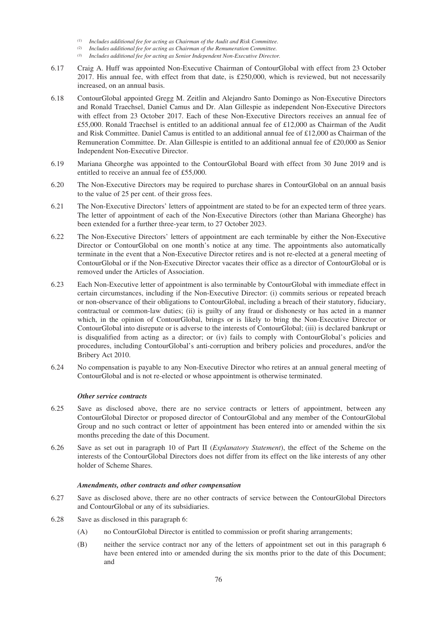- *(1) Includes additional fee for acting as Chairman of the Audit and Risk Committee.*
- *(2) Includes additional fee for acting as Chairman of the Remuneration Committee.*
- *(3) Includes additional fee for acting as Senior Independent Non-Executive Director.*
- 6.17 Craig A. Huff was appointed Non-Executive Chairman of ContourGlobal with effect from 23 October 2017. His annual fee, with effect from that date, is £250,000, which is reviewed, but not necessarily increased, on an annual basis.
- 6.18 ContourGlobal appointed Gregg M. Zeitlin and Alejandro Santo Domingo as Non-Executive Directors and Ronald Traechsel, Daniel Camus and Dr. Alan Gillespie as independent Non-Executive Directors with effect from 23 October 2017. Each of these Non-Executive Directors receives an annual fee of £55,000. Ronald Traechsel is entitled to an additional annual fee of £12,000 as Chairman of the Audit and Risk Committee. Daniel Camus is entitled to an additional annual fee of £12,000 as Chairman of the Remuneration Committee. Dr. Alan Gillespie is entitled to an additional annual fee of £20,000 as Senior Independent Non-Executive Director.
- 6.19 Mariana Gheorghe was appointed to the ContourGlobal Board with effect from 30 June 2019 and is entitled to receive an annual fee of £55,000.
- 6.20 The Non-Executive Directors may be required to purchase shares in ContourGlobal on an annual basis to the value of 25 per cent. of their gross fees.
- 6.21 The Non-Executive Directors' letters of appointment are stated to be for an expected term of three years. The letter of appointment of each of the Non-Executive Directors (other than Mariana Gheorghe) has been extended for a further three-year term, to 27 October 2023.
- 6.22 The Non-Executive Directors' letters of appointment are each terminable by either the Non-Executive Director or ContourGlobal on one month's notice at any time. The appointments also automatically terminate in the event that a Non-Executive Director retires and is not re-elected at a general meeting of ContourGlobal or if the Non-Executive Director vacates their office as a director of ContourGlobal or is removed under the Articles of Association.
- 6.23 Each Non-Executive letter of appointment is also terminable by ContourGlobal with immediate effect in certain circumstances, including if the Non-Executive Director: (i) commits serious or repeated breach or non-observance of their obligations to ContourGlobal, including a breach of their statutory, fiduciary, contractual or common-law duties; (ii) is guilty of any fraud or dishonesty or has acted in a manner which, in the opinion of ContourGlobal, brings or is likely to bring the Non-Executive Director or ContourGlobal into disrepute or is adverse to the interests of ContourGlobal; (iii) is declared bankrupt or is disqualified from acting as a director; or (iv) fails to comply with ContourGlobal's policies and procedures, including ContourGlobal's anti-corruption and bribery policies and procedures, and/or the Bribery Act 2010.
- 6.24 No compensation is payable to any Non-Executive Director who retires at an annual general meeting of ContourGlobal and is not re-elected or whose appointment is otherwise terminated.

## *Other service contracts*

- 6.25 Save as disclosed above, there are no service contracts or letters of appointment, between any ContourGlobal Director or proposed director of ContourGlobal and any member of the ContourGlobal Group and no such contract or letter of appointment has been entered into or amended within the six months preceding the date of this Document.
- 6.26 Save as set out in paragraph 10 of Part II (*Explanatory Statement*), the effect of the Scheme on the interests of the ContourGlobal Directors does not differ from its effect on the like interests of any other holder of Scheme Shares.

#### *Amendments, other contracts and other compensation*

- 6.27 Save as disclosed above, there are no other contracts of service between the ContourGlobal Directors and ContourGlobal or any of its subsidiaries.
- 6.28 Save as disclosed in this paragraph 6:
	- (A) no ContourGlobal Director is entitled to commission or profit sharing arrangements;
	- (B) neither the service contract nor any of the letters of appointment set out in this paragraph 6 have been entered into or amended during the six months prior to the date of this Document; and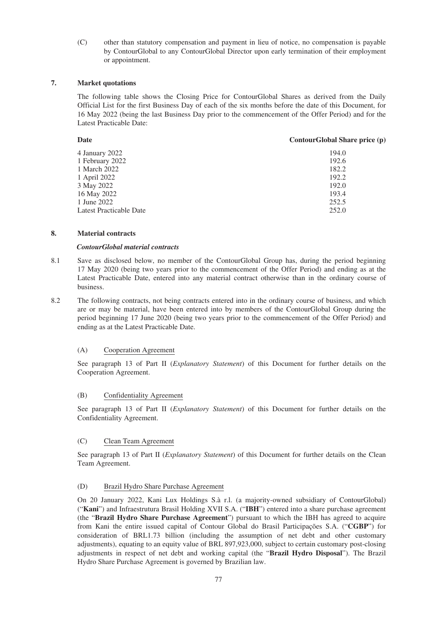(C) other than statutory compensation and payment in lieu of notice, no compensation is payable by ContourGlobal to any ContourGlobal Director upon early termination of their employment or appointment.

## **7. Market quotations**

The following table shows the Closing Price for ContourGlobal Shares as derived from the Daily Official List for the first Business Day of each of the six months before the date of this Document, for 16 May 2022 (being the last Business Day prior to the commencement of the Offer Period) and for the Latest Practicable Date:

| Date                    | ContourGlobal Share price (p) |
|-------------------------|-------------------------------|
| 4 January 2022          | 194.0                         |
| 1 February 2022         | 192.6                         |
| 1 March 2022            | 182.2                         |
| 1 April 2022            | 192.2                         |
| 3 May 2022              | 192.0                         |
| 16 May 2022             | 193.4                         |
| 1 June 2022             | 252.5                         |
| Latest Practicable Date | 252.0                         |
|                         |                               |

## **8. Material contracts**

### *ContourGlobal material contracts*

- 8.1 Save as disclosed below, no member of the ContourGlobal Group has, during the period beginning 17 May 2020 (being two years prior to the commencement of the Offer Period) and ending as at the Latest Practicable Date, entered into any material contract otherwise than in the ordinary course of business.
- 8.2 The following contracts, not being contracts entered into in the ordinary course of business, and which are or may be material, have been entered into by members of the ContourGlobal Group during the period beginning 17 June 2020 (being two years prior to the commencement of the Offer Period) and ending as at the Latest Practicable Date.

## (A) Cooperation Agreement

See paragraph 13 of Part II (*Explanatory Statement*) of this Document for further details on the Cooperation Agreement.

## (B) Confidentiality Agreement

See paragraph 13 of Part II (*Explanatory Statement*) of this Document for further details on the Confidentiality Agreement.

## (C) Clean Team Agreement

See paragraph 13 of Part II (*Explanatory Statement*) of this Document for further details on the Clean Team Agreement.

## (D) Brazil Hydro Share Purchase Agreement

On 20 January 2022, Kani Lux Holdings S.à r.l. (a majority-owned subsidiary of ContourGlobal) ("**Kani**") and Infraestrutura Brasil Holding XVII S.A. ("**IBH**") entered into a share purchase agreement (the "**Brazil Hydro Share Purchase Agreement**") pursuant to which the IBH has agreed to acquire from Kani the entire issued capital of Contour Global do Brasil Participações S.A. ("**CGBP**") for consideration of BRL1.73 billion (including the assumption of net debt and other customary adjustments), equating to an equity value of BRL 897,923,000, subject to certain customary post-closing adjustments in respect of net debt and working capital (the "**Brazil Hydro Disposal**"). The Brazil Hydro Share Purchase Agreement is governed by Brazilian law.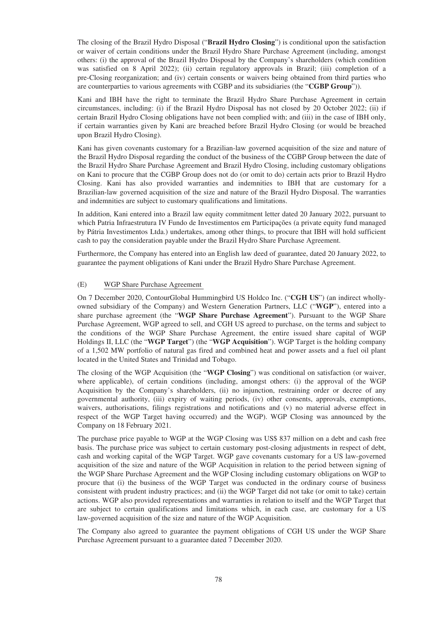The closing of the Brazil Hydro Disposal ("**Brazil Hydro Closing**") is conditional upon the satisfaction or waiver of certain conditions under the Brazil Hydro Share Purchase Agreement (including, amongst others: (i) the approval of the Brazil Hydro Disposal by the Company's shareholders (which condition was satisfied on 8 April 2022); (ii) certain regulatory approvals in Brazil; (iii) completion of a pre-Closing reorganization; and (iv) certain consents or waivers being obtained from third parties who are counterparties to various agreements with CGBP and its subsidiaries (the "**CGBP Group**")).

Kani and IBH have the right to terminate the Brazil Hydro Share Purchase Agreement in certain circumstances, including: (i) if the Brazil Hydro Disposal has not closed by 20 October 2022; (ii) if certain Brazil Hydro Closing obligations have not been complied with; and (iii) in the case of IBH only, if certain warranties given by Kani are breached before Brazil Hydro Closing (or would be breached upon Brazil Hydro Closing).

Kani has given covenants customary for a Brazilian-law governed acquisition of the size and nature of the Brazil Hydro Disposal regarding the conduct of the business of the CGBP Group between the date of the Brazil Hydro Share Purchase Agreement and Brazil Hydro Closing, including customary obligations on Kani to procure that the CGBP Group does not do (or omit to do) certain acts prior to Brazil Hydro Closing. Kani has also provided warranties and indemnities to IBH that are customary for a Brazilian-law governed acquisition of the size and nature of the Brazil Hydro Disposal. The warranties and indemnities are subject to customary qualifications and limitations.

In addition, Kani entered into a Brazil law equity commitment letter dated 20 January 2022, pursuant to which Patria Infraestrutura IV Fundo de Investimentos em Participações (a private equity fund managed by Pátria Investimentos Ltda.) undertakes, among other things, to procure that IBH will hold sufficient cash to pay the consideration payable under the Brazil Hydro Share Purchase Agreement.

Furthermore, the Company has entered into an English law deed of guarantee, dated 20 January 2022, to guarantee the payment obligations of Kani under the Brazil Hydro Share Purchase Agreement.

## (E) WGP Share Purchase Agreement

On 7 December 2020, ContourGlobal Hummingbird US Holdco Inc. ("**CGH US**") (an indirect whollyowned subsidiary of the Company) and Western Generation Partners, LLC ("**WGP**"), entered into a share purchase agreement (the "**WGP Share Purchase Agreement**"). Pursuant to the WGP Share Purchase Agreement, WGP agreed to sell, and CGH US agreed to purchase, on the terms and subject to the conditions of the WGP Share Purchase Agreement, the entire issued share capital of WGP Holdings II, LLC (the "**WGP Target**") (the "**WGP Acquisition**"). WGP Target is the holding company of a 1,502 MW portfolio of natural gas fired and combined heat and power assets and a fuel oil plant located in the United States and Trinidad and Tobago.

The closing of the WGP Acquisition (the "**WGP Closing**") was conditional on satisfaction (or waiver, where applicable), of certain conditions (including, amongst others: (i) the approval of the WGP Acquisition by the Company's shareholders, (ii) no injunction, restraining order or decree of any governmental authority, (iii) expiry of waiting periods, (iv) other consents, approvals, exemptions, waivers, authorisations, filings registrations and notifications and (v) no material adverse effect in respect of the WGP Target having occurred) and the WGP). WGP Closing was announced by the Company on 18 February 2021.

The purchase price payable to WGP at the WGP Closing was US\$ 837 million on a debt and cash free basis. The purchase price was subject to certain customary post-closing adjustments in respect of debt, cash and working capital of the WGP Target. WGP gave covenants customary for a US law-governed acquisition of the size and nature of the WGP Acquisition in relation to the period between signing of the WGP Share Purchase Agreement and the WGP Closing including customary obligations on WGP to procure that (i) the business of the WGP Target was conducted in the ordinary course of business consistent with prudent industry practices; and (ii) the WGP Target did not take (or omit to take) certain actions. WGP also provided representations and warranties in relation to itself and the WGP Target that are subject to certain qualifications and limitations which, in each case, are customary for a US law-governed acquisition of the size and nature of the WGP Acquisition.

The Company also agreed to guarantee the payment obligations of CGH US under the WGP Share Purchase Agreement pursuant to a guarantee dated 7 December 2020.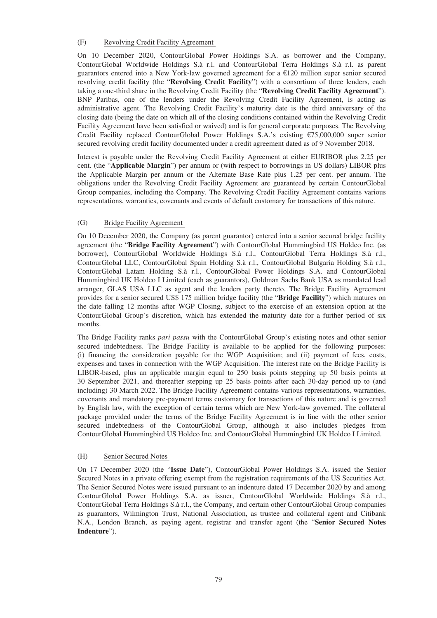## (F) Revolving Credit Facility Agreement

On 10 December 2020, ContourGlobal Power Holdings S.A. as borrower and the Company, ContourGlobal Worldwide Holdings S.à r.l. and ContourGlobal Terra Holdings S.à r.l. as parent guarantors entered into a New York-law governed agreement for a €120 million super senior secured revolving credit facility (the "**Revolving Credit Facility**") with a consortium of three lenders, each taking a one-third share in the Revolving Credit Facility (the "**Revolving Credit Facility Agreement**"). BNP Paribas, one of the lenders under the Revolving Credit Facility Agreement, is acting as administrative agent. The Revolving Credit Facility's maturity date is the third anniversary of the closing date (being the date on which all of the closing conditions contained within the Revolving Credit Facility Agreement have been satisfied or waived) and is for general corporate purposes. The Revolving Credit Facility replaced ContourGlobal Power Holdings S.A.'s existing €75,000,000 super senior secured revolving credit facility documented under a credit agreement dated as of 9 November 2018.

Interest is payable under the Revolving Credit Facility Agreement at either EURIBOR plus 2.25 per cent. (the "**Applicable Margin**") per annum or (with respect to borrowings in US dollars) LIBOR plus the Applicable Margin per annum or the Alternate Base Rate plus 1.25 per cent. per annum. The obligations under the Revolving Credit Facility Agreement are guaranteed by certain ContourGlobal Group companies, including the Company. The Revolving Credit Facility Agreement contains various representations, warranties, covenants and events of default customary for transactions of this nature.

# (G) Bridge Facility Agreement

On 10 December 2020, the Company (as parent guarantor) entered into a senior secured bridge facility agreement (the "**Bridge Facility Agreement**") with ContourGlobal Hummingbird US Holdco Inc. (as borrower), ContourGlobal Worldwide Holdings S.à r.l., ContourGlobal Terra Holdings S.à r.l., ContourGlobal LLC, ContourGlobal Spain Holding S.à r.l., ContourGlobal Bulgaria Holding S.à r.l., ContourGlobal Latam Holding S.à r.l., ContourGlobal Power Holdings S.A. and ContourGlobal Hummingbird UK Holdco I Limited (each as guarantors), Goldman Sachs Bank USA as mandated lead arranger, GLAS USA LLC as agent and the lenders party thereto. The Bridge Facility Agreement provides for a senior secured US\$ 175 million bridge facility (the "**Bridge Facility**") which matures on the date falling 12 months after WGP Closing, subject to the exercise of an extension option at the ContourGlobal Group's discretion, which has extended the maturity date for a further period of six months.

The Bridge Facility ranks *pari passu* with the ContourGlobal Group's existing notes and other senior secured indebtedness. The Bridge Facility is available to be applied for the following purposes: (i) financing the consideration payable for the WGP Acquisition; and (ii) payment of fees, costs, expenses and taxes in connection with the WGP Acquisition. The interest rate on the Bridge Facility is LIBOR-based, plus an applicable margin equal to 250 basis points stepping up 50 basis points at 30 September 2021, and thereafter stepping up 25 basis points after each 30-day period up to (and including) 30 March 2022. The Bridge Facility Agreement contains various representations, warranties, covenants and mandatory pre-payment terms customary for transactions of this nature and is governed by English law, with the exception of certain terms which are New York-law governed. The collateral package provided under the terms of the Bridge Facility Agreement is in line with the other senior secured indebtedness of the ContourGlobal Group, although it also includes pledges from ContourGlobal Hummingbird US Holdco Inc. and ContourGlobal Hummingbird UK Holdco I Limited.

# (H) Senior Secured Notes

On 17 December 2020 (the "**Issue Date**"), ContourGlobal Power Holdings S.A. issued the Senior Secured Notes in a private offering exempt from the registration requirements of the US Securities Act. The Senior Secured Notes were issued pursuant to an indenture dated 17 December 2020 by and among ContourGlobal Power Holdings S.A. as issuer, ContourGlobal Worldwide Holdings S.à r.l., ContourGlobal Terra Holdings S.à r.l., the Company, and certain other ContourGlobal Group companies as guarantors, Wilmington Trust, National Association, as trustee and collateral agent and Citibank N.A., London Branch, as paying agent, registrar and transfer agent (the "**Senior Secured Notes Indenture**").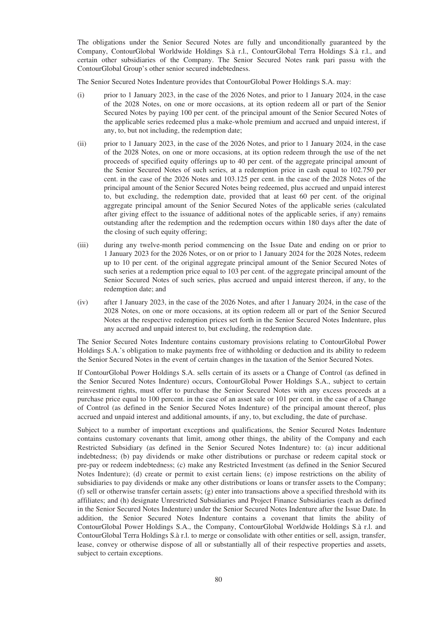The obligations under the Senior Secured Notes are fully and unconditionally guaranteed by the Company, ContourGlobal Worldwide Holdings S.à r.l., ContourGlobal Terra Holdings S.à r.l., and certain other subsidiaries of the Company. The Senior Secured Notes rank pari passu with the ContourGlobal Group's other senior secured indebtedness.

The Senior Secured Notes Indenture provides that ContourGlobal Power Holdings S.A. may:

- (i) prior to 1 January 2023, in the case of the 2026 Notes, and prior to 1 January 2024, in the case of the 2028 Notes, on one or more occasions, at its option redeem all or part of the Senior Secured Notes by paying 100 per cent. of the principal amount of the Senior Secured Notes of the applicable series redeemed plus a make-whole premium and accrued and unpaid interest, if any, to, but not including, the redemption date;
- (ii) prior to 1 January 2023, in the case of the 2026 Notes, and prior to 1 January 2024, in the case of the 2028 Notes, on one or more occasions, at its option redeem through the use of the net proceeds of specified equity offerings up to 40 per cent. of the aggregate principal amount of the Senior Secured Notes of such series, at a redemption price in cash equal to 102.750 per cent. in the case of the 2026 Notes and 103.125 per cent. in the case of the 2028 Notes of the principal amount of the Senior Secured Notes being redeemed, plus accrued and unpaid interest to, but excluding, the redemption date, provided that at least 60 per cent. of the original aggregate principal amount of the Senior Secured Notes of the applicable series (calculated after giving effect to the issuance of additional notes of the applicable series, if any) remains outstanding after the redemption and the redemption occurs within 180 days after the date of the closing of such equity offering;
- (iii) during any twelve-month period commencing on the Issue Date and ending on or prior to 1 January 2023 for the 2026 Notes, or on or prior to 1 January 2024 for the 2028 Notes, redeem up to 10 per cent. of the original aggregate principal amount of the Senior Secured Notes of such series at a redemption price equal to 103 per cent. of the aggregate principal amount of the Senior Secured Notes of such series, plus accrued and unpaid interest thereon, if any, to the redemption date; and
- (iv) after 1 January 2023, in the case of the 2026 Notes, and after 1 January 2024, in the case of the 2028 Notes, on one or more occasions, at its option redeem all or part of the Senior Secured Notes at the respective redemption prices set forth in the Senior Secured Notes Indenture, plus any accrued and unpaid interest to, but excluding, the redemption date.

The Senior Secured Notes Indenture contains customary provisions relating to ContourGlobal Power Holdings S.A.'s obligation to make payments free of withholding or deduction and its ability to redeem the Senior Secured Notes in the event of certain changes in the taxation of the Senior Secured Notes.

If ContourGlobal Power Holdings S.A. sells certain of its assets or a Change of Control (as defined in the Senior Secured Notes Indenture) occurs, ContourGlobal Power Holdings S.A., subject to certain reinvestment rights, must offer to purchase the Senior Secured Notes with any excess proceeds at a purchase price equal to 100 percent. in the case of an asset sale or 101 per cent. in the case of a Change of Control (as defined in the Senior Secured Notes Indenture) of the principal amount thereof, plus accrued and unpaid interest and additional amounts, if any, to, but excluding, the date of purchase.

Subject to a number of important exceptions and qualifications, the Senior Secured Notes Indenture contains customary covenants that limit, among other things, the ability of the Company and each Restricted Subsidiary (as defined in the Senior Secured Notes Indenture) to: (a) incur additional indebtedness; (b) pay dividends or make other distributions or purchase or redeem capital stock or pre-pay or redeem indebtedness; (c) make any Restricted Investment (as defined in the Senior Secured Notes Indenture); (d) create or permit to exist certain liens; (e) impose restrictions on the ability of subsidiaries to pay dividends or make any other distributions or loans or transfer assets to the Company; (f) sell or otherwise transfer certain assets; (g) enter into transactions above a specified threshold with its affiliates; and (h) designate Unrestricted Subsidiaries and Project Finance Subsidiaries (each as defined in the Senior Secured Notes Indenture) under the Senior Secured Notes Indenture after the Issue Date. In addition, the Senior Secured Notes Indenture contains a covenant that limits the ability of ContourGlobal Power Holdings S.A., the Company, ContourGlobal Worldwide Holdings S.à r.l. and ContourGlobal Terra Holdings S.à r.l. to merge or consolidate with other entities or sell, assign, transfer, lease, convey or otherwise dispose of all or substantially all of their respective properties and assets, subject to certain exceptions.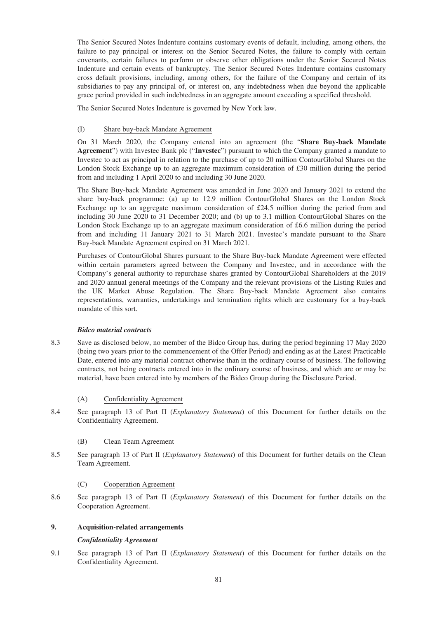The Senior Secured Notes Indenture contains customary events of default, including, among others, the failure to pay principal or interest on the Senior Secured Notes, the failure to comply with certain covenants, certain failures to perform or observe other obligations under the Senior Secured Notes Indenture and certain events of bankruptcy. The Senior Secured Notes Indenture contains customary cross default provisions, including, among others, for the failure of the Company and certain of its subsidiaries to pay any principal of, or interest on, any indebtedness when due beyond the applicable grace period provided in such indebtedness in an aggregate amount exceeding a specified threshold.

The Senior Secured Notes Indenture is governed by New York law.

### (I) Share buy-back Mandate Agreement

On 31 March 2020, the Company entered into an agreement (the "**Share Buy-back Mandate Agreement**") with Investec Bank plc ("**Investec**") pursuant to which the Company granted a mandate to Investec to act as principal in relation to the purchase of up to 20 million ContourGlobal Shares on the London Stock Exchange up to an aggregate maximum consideration of £30 million during the period from and including 1 April 2020 to and including 30 June 2020.

The Share Buy-back Mandate Agreement was amended in June 2020 and January 2021 to extend the share buy-back programme: (a) up to 12.9 million ContourGlobal Shares on the London Stock Exchange up to an aggregate maximum consideration of £24.5 million during the period from and including 30 June 2020 to 31 December 2020; and (b) up to 3.1 million ContourGlobal Shares on the London Stock Exchange up to an aggregate maximum consideration of £6.6 million during the period from and including 11 January 2021 to 31 March 2021. Investec's mandate pursuant to the Share Buy-back Mandate Agreement expired on 31 March 2021.

Purchases of ContourGlobal Shares pursuant to the Share Buy-back Mandate Agreement were effected within certain parameters agreed between the Company and Investec, and in accordance with the Company's general authority to repurchase shares granted by ContourGlobal Shareholders at the 2019 and 2020 annual general meetings of the Company and the relevant provisions of the Listing Rules and the UK Market Abuse Regulation. The Share Buy-back Mandate Agreement also contains representations, warranties, undertakings and termination rights which are customary for a buy-back mandate of this sort.

## *Bidco material contracts*

- 8.3 Save as disclosed below, no member of the Bidco Group has, during the period beginning 17 May 2020 (being two years prior to the commencement of the Offer Period) and ending as at the Latest Practicable Date, entered into any material contract otherwise than in the ordinary course of business. The following contracts, not being contracts entered into in the ordinary course of business, and which are or may be material, have been entered into by members of the Bidco Group during the Disclosure Period.
	- (A) Confidentiality Agreement
- 8.4 See paragraph 13 of Part II (*Explanatory Statement*) of this Document for further details on the Confidentiality Agreement.

## (B) Clean Team Agreement

8.5 See paragraph 13 of Part II (*Explanatory Statement*) of this Document for further details on the Clean Team Agreement.

## (C) Cooperation Agreement

8.6 See paragraph 13 of Part II (*Explanatory Statement*) of this Document for further details on the Cooperation Agreement.

### **9. Acquisition-related arrangements**

#### *Confidentiality Agreement*

9.1 See paragraph 13 of Part II (*Explanatory Statement*) of this Document for further details on the Confidentiality Agreement.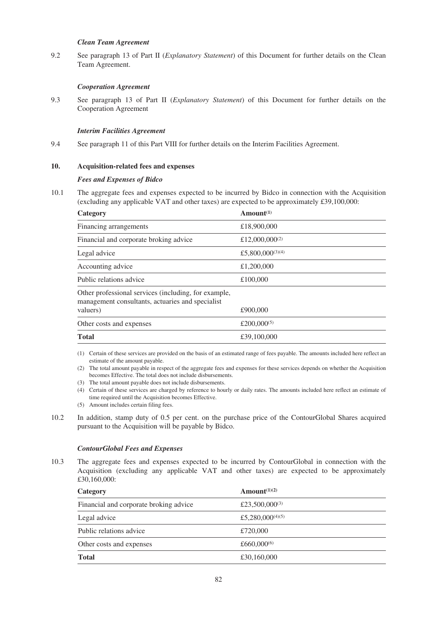### *Clean Team Agreement*

9.2 See paragraph 13 of Part II (*Explanatory Statement*) of this Document for further details on the Clean Team Agreement.

## *Cooperation Agreement*

9.3 See paragraph 13 of Part II (*Explanatory Statement*) of this Document for further details on the Cooperation Agreement

### *Interim Facilities Agreement*

9.4 See paragraph 11 of this Part VIII for further details on the Interim Facilities Agreement.

### **10. Acquisition-related fees and expenses**

#### *Fees and Expenses of Bidco*

10.1 The aggregate fees and expenses expected to be incurred by Bidco in connection with the Acquisition (excluding any applicable VAT and other taxes) are expected to be approximately £39,100,000:

| Category                                                                                                 | $A$ mount $(1)$         |
|----------------------------------------------------------------------------------------------------------|-------------------------|
| Financing arrangements                                                                                   | £18,900,000             |
| Financial and corporate broking advice                                                                   | £12,000,000 $(2)$       |
| Legal advice                                                                                             | £5,800,000 $(3)(4)$     |
| Accounting advice                                                                                        | £1,200,000              |
| Public relations advice                                                                                  | £100,000                |
| Other professional services (including, for example,<br>management consultants, actuaries and specialist |                         |
| valuers)                                                                                                 | £900,000                |
| Other costs and expenses                                                                                 | £200,000 <sup>(5)</sup> |
| <b>Total</b>                                                                                             | £39,100,000             |

- (1) Certain of these services are provided on the basis of an estimated range of fees payable. The amounts included here reflect an estimate of the amount payable.
- (2) The total amount payable in respect of the aggregate fees and expenses for these services depends on whether the Acquisition becomes Effective. The total does not include disbursements.
- (3) The total amount payable does not include disbursements.
- (4) Certain of these services are charged by reference to hourly or daily rates. The amounts included here reflect an estimate of time required until the Acquisition becomes Effective.
- (5) Amount includes certain filing fees.
- 10.2 In addition, stamp duty of 0.5 per cent. on the purchase price of the ContourGlobal Shares acquired pursuant to the Acquisition will be payable by Bidco.

#### *ContourGlobal Fees and Expenses*

10.3 The aggregate fees and expenses expected to be incurred by ContourGlobal in connection with the Acquisition (excluding any applicable VAT and other taxes) are expected to be approximately £30,160,000:

| Category                               | Amount <sup><math>(1)(2)</math></sup> |
|----------------------------------------|---------------------------------------|
| Financial and corporate broking advice | £23,500,000 <sup>(3)</sup>            |
| Legal advice                           | £5,280,000 <sup>(4)(5)</sup>          |
| Public relations advice                | £720,000                              |
| Other costs and expenses               | £660,000 $(6)$                        |
| <b>Total</b>                           | £30,160,000                           |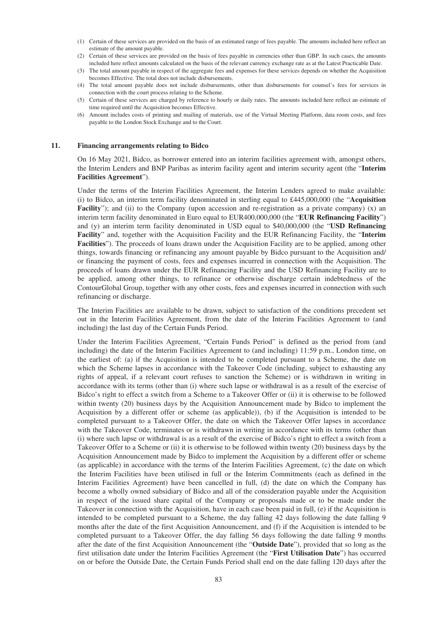- (1) Certain of these services are provided on the basis of an estimated range of fees payable. The amounts included here reflect an estimate of the amount payable.
- (2) Certain of these services are provided on the basis of fees payable in currencies other than GBP. In such cases, the amounts included here reflect amounts calculated on the basis of the relevant currency exchange rate as at the Latest Practicable Date.
- (3) The total amount payable in respect of the aggregate fees and expenses for these services depends on whether the Acquisition becomes Effective. The total does not include disbursements.
- (4) The total amount payable does not include disbursements, other than disbursements for counsel's fees for services in connection with the court process relating to the Scheme.
- (5) Certain of these services are charged by reference to hourly or daily rates. The amounts included here reflect an estimate of time required until the Acquisition becomes Effective.
- (6) Amount includes costs of printing and mailing of materials, use of the Virtual Meeting Platform, data room costs, and fees payable to the London Stock Exchange and to the Court.

#### **11. Financing arrangements relating to Bidco**

On 16 May 2021, Bidco, as borrower entered into an interim facilities agreement with, amongst others, the Interim Lenders and BNP Paribas as interim facility agent and interim security agent (the "**Interim Facilities Agreement**").

Under the terms of the Interim Facilities Agreement, the Interim Lenders agreed to make available: (i) to Bidco, an interim term facility denominated in sterling equal to £445,000,000 (the "**Acquisition Facility**"); and (ii) to the Company (upon accession and re-registration as a private company) (x) an interim term facility denominated in Euro equal to EUR400,000,000 (the "**EUR Refinancing Facility**") and (y) an interim term facility denominated in USD equal to \$40,000,000 (the "**USD Refinancing Facility**" and, together with the Acquisition Facility and the EUR Refinancing Facility, the "**Interim Facilities**"). The proceeds of loans drawn under the Acquisition Facility are to be applied, among other things, towards financing or refinancing any amount payable by Bidco pursuant to the Acquisition and/ or financing the payment of costs, fees and expenses incurred in connection with the Acquisition. The proceeds of loans drawn under the EUR Refinancing Facility and the USD Refinancing Facility are to be applied, among other things, to refinance or otherwise discharge certain indebtedness of the ContourGlobal Group, together with any other costs, fees and expenses incurred in connection with such refinancing or discharge.

The Interim Facilities are available to be drawn, subject to satisfaction of the conditions precedent set out in the Interim Facilities Agreement, from the date of the Interim Facilities Agreement to (and including) the last day of the Certain Funds Period.

Under the Interim Facilities Agreement, "Certain Funds Period" is defined as the period from (and including) the date of the Interim Facilities Agreement to (and including) 11:59 p.m., London time, on the earliest of: (a) if the Acquisition is intended to be completed pursuant to a Scheme, the date on which the Scheme lapses in accordance with the Takeover Code (including, subject to exhausting any rights of appeal, if a relevant court refuses to sanction the Scheme) or is withdrawn in writing in accordance with its terms (other than (i) where such lapse or withdrawal is as a result of the exercise of Bidco's right to effect a switch from a Scheme to a Takeover Offer or (ii) it is otherwise to be followed within twenty (20) business days by the Acquisition Announcement made by Bidco to implement the Acquisition by a different offer or scheme (as applicable)), (b) if the Acquisition is intended to be completed pursuant to a Takeover Offer, the date on which the Takeover Offer lapses in accordance with the Takeover Code, terminates or is withdrawn in writing in accordance with its terms (other than (i) where such lapse or withdrawal is as a result of the exercise of Bidco's right to effect a switch from a Takeover Offer to a Scheme or (ii) it is otherwise to be followed within twenty (20) business days by the Acquisition Announcement made by Bidco to implement the Acquisition by a different offer or scheme (as applicable) in accordance with the terms of the Interim Facilities Agreement, (c) the date on which the Interim Facilities have been utilised in full or the Interim Commitments (each as defined in the Interim Facilities Agreement) have been cancelled in full, (d) the date on which the Company has become a wholly owned subsidiary of Bidco and all of the consideration payable under the Acquisition in respect of the issued share capital of the Company or proposals made or to be made under the Takeover in connection with the Acquisition, have in each case been paid in full, (e) if the Acquisition is intended to be completed pursuant to a Scheme, the day falling 42 days following the date falling 9 months after the date of the first Acquisition Announcement, and (f) if the Acquisition is intended to be completed pursuant to a Takeover Offer, the day falling 56 days following the date falling 9 months after the date of the first Acquisition Announcement (the "**Outside Date**"), provided that so long as the first utilisation date under the Interim Facilities Agreement (the "**First Utilisation Date**") has occurred on or before the Outside Date, the Certain Funds Period shall end on the date falling 120 days after the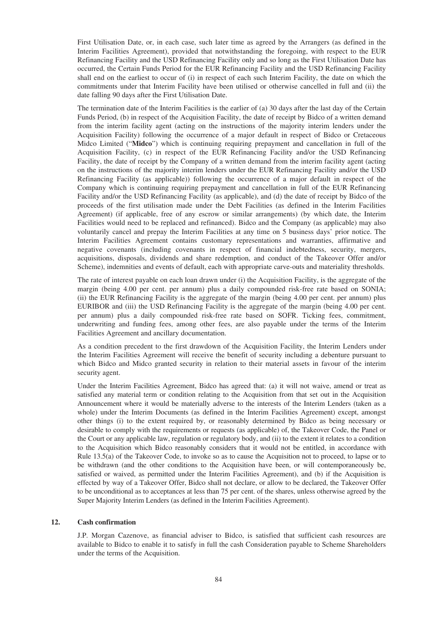First Utilisation Date, or, in each case, such later time as agreed by the Arrangers (as defined in the Interim Facilities Agreement), provided that notwithstanding the foregoing, with respect to the EUR Refinancing Facility and the USD Refinancing Facility only and so long as the First Utilisation Date has occurred, the Certain Funds Period for the EUR Refinancing Facility and the USD Refinancing Facility shall end on the earliest to occur of (i) in respect of each such Interim Facility, the date on which the commitments under that Interim Facility have been utilised or otherwise cancelled in full and (ii) the date falling 90 days after the First Utilisation Date.

The termination date of the Interim Facilities is the earlier of (a) 30 days after the last day of the Certain Funds Period, (b) in respect of the Acquisition Facility, the date of receipt by Bidco of a written demand from the interim facility agent (acting on the instructions of the majority interim lenders under the Acquisition Facility) following the occurrence of a major default in respect of Bidco or Cretaceous Midco Limited ("**Midco**") which is continuing requiring prepayment and cancellation in full of the Acquisition Facility, (c) in respect of the EUR Refinancing Facility and/or the USD Refinancing Facility, the date of receipt by the Company of a written demand from the interim facility agent (acting on the instructions of the majority interim lenders under the EUR Refinancing Facility and/or the USD Refinancing Facility (as applicable)) following the occurrence of a major default in respect of the Company which is continuing requiring prepayment and cancellation in full of the EUR Refinancing Facility and/or the USD Refinancing Facility (as applicable), and (d) the date of receipt by Bidco of the proceeds of the first utilisation made under the Debt Facilities (as defined in the Interim Facilities Agreement) (if applicable, free of any escrow or similar arrangements) (by which date, the Interim Facilities would need to be replaced and refinanced). Bidco and the Company (as applicable) may also voluntarily cancel and prepay the Interim Facilities at any time on 5 business days' prior notice. The Interim Facilities Agreement contains customary representations and warranties, affirmative and negative covenants (including covenants in respect of financial indebtedness, security, mergers, acquisitions, disposals, dividends and share redemption, and conduct of the Takeover Offer and/or Scheme), indemnities and events of default, each with appropriate carve-outs and materiality thresholds.

The rate of interest payable on each loan drawn under (i) the Acquisition Facility, is the aggregate of the margin (being 4.00 per cent. per annum) plus a daily compounded risk-free rate based on SONIA; (ii) the EUR Refinancing Facility is the aggregate of the margin (being 4.00 per cent. per annum) plus EURIBOR and (iii) the USD Refinancing Facility is the aggregate of the margin (being 4.00 per cent. per annum) plus a daily compounded risk-free rate based on SOFR. Ticking fees, commitment, underwriting and funding fees, among other fees, are also payable under the terms of the Interim Facilities Agreement and ancillary documentation.

As a condition precedent to the first drawdown of the Acquisition Facility, the Interim Lenders under the Interim Facilities Agreement will receive the benefit of security including a debenture pursuant to which Bidco and Midco granted security in relation to their material assets in favour of the interim security agent.

Under the Interim Facilities Agreement, Bidco has agreed that: (a) it will not waive, amend or treat as satisfied any material term or condition relating to the Acquisition from that set out in the Acquisition Announcement where it would be materially adverse to the interests of the Interim Lenders (taken as a whole) under the Interim Documents (as defined in the Interim Facilities Agreement) except, amongst other things (i) to the extent required by, or reasonably determined by Bidco as being necessary or desirable to comply with the requirements or requests (as applicable) of, the Takeover Code, the Panel or the Court or any applicable law, regulation or regulatory body, and (ii) to the extent it relates to a condition to the Acquisition which Bidco reasonably considers that it would not be entitled, in accordance with Rule 13.5(a) of the Takeover Code, to invoke so as to cause the Acquisition not to proceed, to lapse or to be withdrawn (and the other conditions to the Acquisition have been, or will contemporaneously be, satisfied or waived, as permitted under the Interim Facilities Agreement), and (b) if the Acquisition is effected by way of a Takeover Offer, Bidco shall not declare, or allow to be declared, the Takeover Offer to be unconditional as to acceptances at less than 75 per cent. of the shares, unless otherwise agreed by the Super Majority Interim Lenders (as defined in the Interim Facilities Agreement).

## **12. Cash confirmation**

J.P. Morgan Cazenove, as financial adviser to Bidco, is satisfied that sufficient cash resources are available to Bidco to enable it to satisfy in full the cash Consideration payable to Scheme Shareholders under the terms of the Acquisition.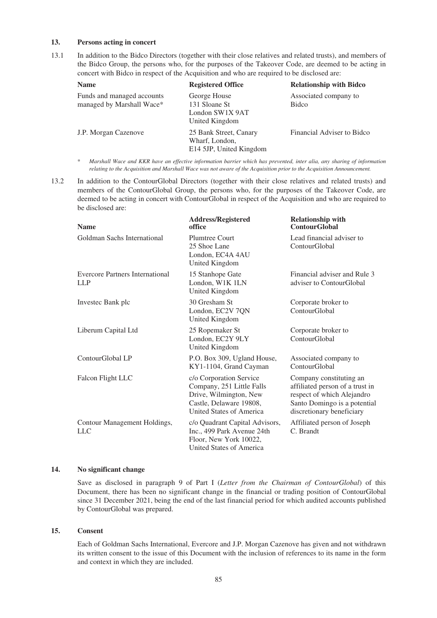### **13. Persons acting in concert**

13.1 In addition to the Bidco Directors (together with their close relatives and related trusts), and members of the Bidco Group, the persons who, for the purposes of the Takeover Code, are deemed to be acting in concert with Bidco in respect of the Acquisition and who are required to be disclosed are:

| <b>Name</b>                                             | <b>Registered Office</b>                                            | <b>Relationship with Bidco</b> |
|---------------------------------------------------------|---------------------------------------------------------------------|--------------------------------|
| Funds and managed accounts<br>managed by Marshall Wace* | George House<br>131 Sloane St<br>London SW1X 9AT<br>United Kingdom  | Associated company to<br>Bidco |
| J.P. Morgan Cazenove                                    | 25 Bank Street, Canary<br>Wharf, London,<br>E14 5JP, United Kingdom | Financial Adviser to Bidco     |

*\* Marshall Wace and KKR have an effective information barrier which has prevented, inter alia, any sharing of information relating to the Acquisition and Marshall Wace was not aware of the Acquisition prior to the Acquisition Announcement.*

13.2 In addition to the ContourGlobal Directors (together with their close relatives and related trusts) and members of the ContourGlobal Group, the persons who, for the purposes of the Takeover Code, are deemed to be acting in concert with ContourGlobal in respect of the Acquisition and who are required to be disclosed are:

| <b>Name</b>                                          | <b>Address/Registered</b><br>office                                                                                                   | <b>Relationship with</b><br><b>ContourGlobal</b>                                                                                                      |
|------------------------------------------------------|---------------------------------------------------------------------------------------------------------------------------------------|-------------------------------------------------------------------------------------------------------------------------------------------------------|
| Goldman Sachs International                          | <b>Plumtree Court</b><br>25 Shoe Lane<br>London, EC4A 4AU<br>United Kingdom                                                           | Lead financial adviser to<br>ContourGlobal                                                                                                            |
| <b>Evercore Partners International</b><br><b>LLP</b> | 15 Stanhope Gate<br>London, W1K 1LN<br>United Kingdom                                                                                 | Financial adviser and Rule 3<br>adviser to ContourGlobal                                                                                              |
| Investec Bank plc                                    | 30 Gresham St<br>London, EC2V 7QN<br>United Kingdom                                                                                   | Corporate broker to<br>ContourGlobal                                                                                                                  |
| Liberum Capital Ltd                                  | 25 Ropemaker St<br>London, EC2Y 9LY<br>United Kingdom                                                                                 | Corporate broker to<br>ContourGlobal                                                                                                                  |
| ContourGlobal LP                                     | P.O. Box 309, Ugland House,<br>KY1-1104, Grand Cayman                                                                                 | Associated company to<br>ContourGlobal                                                                                                                |
| Falcon Flight LLC                                    | c/o Corporation Service<br>Company, 251 Little Falls<br>Drive, Wilmington, New<br>Castle, Delaware 19808,<br>United States of America | Company constituting an<br>affiliated person of a trust in<br>respect of which Alejandro<br>Santo Domingo is a potential<br>discretionary beneficiary |
| Contour Management Holdings,<br><b>LLC</b>           | c/o Quadrant Capital Advisors,<br>Inc., 499 Park Avenue 24th<br>Floor, New York 10022,<br>United States of America                    | Affiliated person of Joseph<br>C. Brandt                                                                                                              |

## **14. No significant change**

Save as disclosed in paragraph 9 of Part I (*Letter from the Chairman of ContourGlobal*) of this Document, there has been no significant change in the financial or trading position of ContourGlobal since 31 December 2021, being the end of the last financial period for which audited accounts published by ContourGlobal was prepared.

#### **15. Consent**

Each of Goldman Sachs International, Evercore and J.P. Morgan Cazenove has given and not withdrawn its written consent to the issue of this Document with the inclusion of references to its name in the form and context in which they are included.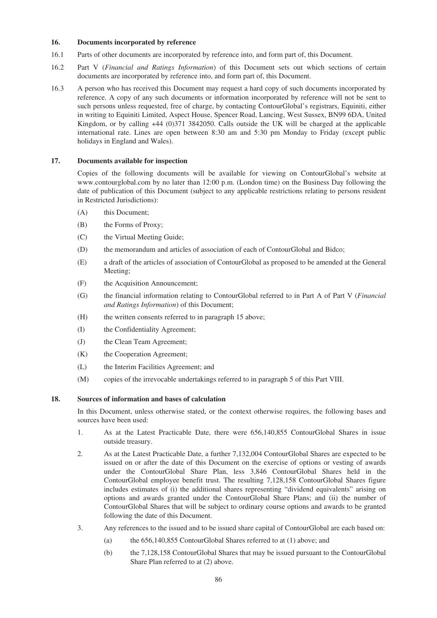## **16. Documents incorporated by reference**

- 16.1 Parts of other documents are incorporated by reference into, and form part of, this Document.
- 16.2 Part V (*Financial and Ratings Information*) of this Document sets out which sections of certain documents are incorporated by reference into, and form part of, this Document.
- 16.3 A person who has received this Document may request a hard copy of such documents incorporated by reference. A copy of any such documents or information incorporated by reference will not be sent to such persons unless requested, free of charge, by contacting ContourGlobal's registrars, Equiniti, either in writing to Equiniti Limited, Aspect House, Spencer Road, Lancing, West Sussex, BN99 6DA, United Kingdom, or by calling +44 (0)371 3842050. Calls outside the UK will be charged at the applicable international rate. Lines are open between 8:30 am and 5:30 pm Monday to Friday (except public holidays in England and Wales).

### **17. Documents available for inspection**

Copies of the following documents will be available for viewing on ContourGlobal's website at www.contourglobal.com by no later than 12:00 p.m. (London time) on the Business Day following the date of publication of this Document (subject to any applicable restrictions relating to persons resident in Restricted Jurisdictions):

- (A) this Document;
- (B) the Forms of Proxy;
- (C) the Virtual Meeting Guide;
- (D) the memorandum and articles of association of each of ContourGlobal and Bidco;
- (E) a draft of the articles of association of ContourGlobal as proposed to be amended at the General Meeting;
- (F) the Acquisition Announcement;
- (G) the financial information relating to ContourGlobal referred to in Part A of Part V (*Financial and Ratings Information*) of this Document;
- (H) the written consents referred to in paragraph 15 above;
- (I) the Confidentiality Agreement;
- (J) the Clean Team Agreement;
- (K) the Cooperation Agreement;
- (L) the Interim Facilities Agreement; and
- (M) copies of the irrevocable undertakings referred to in paragraph 5 of this Part VIII.

## **18. Sources of information and bases of calculation**

In this Document, unless otherwise stated, or the context otherwise requires, the following bases and sources have been used:

- 1. As at the Latest Practicable Date, there were 656,140,855 ContourGlobal Shares in issue outside treasury.
- 2. As at the Latest Practicable Date, a further 7,132,004 ContourGlobal Shares are expected to be issued on or after the date of this Document on the exercise of options or vesting of awards under the ContourGlobal Share Plan, less 3,846 ContourGlobal Shares held in the ContourGlobal employee benefit trust. The resulting 7,128,158 ContourGlobal Shares figure includes estimates of (i) the additional shares representing "dividend equivalents" arising on options and awards granted under the ContourGlobal Share Plans; and (ii) the number of ContourGlobal Shares that will be subject to ordinary course options and awards to be granted following the date of this Document.
- 3. Any references to the issued and to be issued share capital of ContourGlobal are each based on:
	- (a) the 656,140,855 ContourGlobal Shares referred to at (1) above; and
	- (b) the 7,128,158 ContourGlobal Shares that may be issued pursuant to the ContourGlobal Share Plan referred to at (2) above.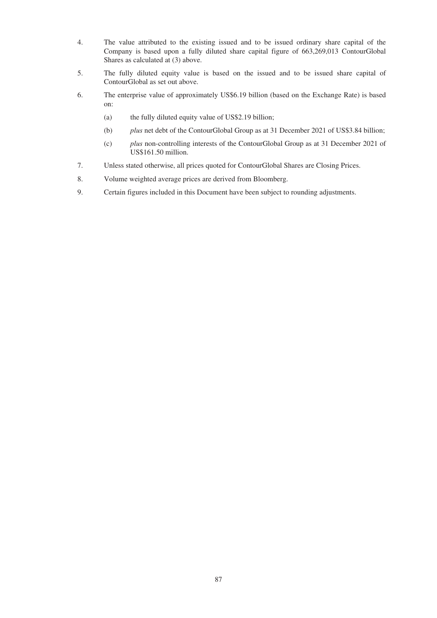- 4. The value attributed to the existing issued and to be issued ordinary share capital of the Company is based upon a fully diluted share capital figure of 663,269,013 ContourGlobal Shares as calculated at (3) above.
- 5. The fully diluted equity value is based on the issued and to be issued share capital of ContourGlobal as set out above.
- 6. The enterprise value of approximately US\$6.19 billion (based on the Exchange Rate) is based on:
	- (a) the fully diluted equity value of US\$2.19 billion;
	- (b) *plus* net debt of the ContourGlobal Group as at 31 December 2021 of US\$3.84 billion;
	- (c) *plus* non-controlling interests of the ContourGlobal Group as at 31 December 2021 of US\$161.50 million.
- 7. Unless stated otherwise, all prices quoted for ContourGlobal Shares are Closing Prices.
- 8. Volume weighted average prices are derived from Bloomberg.
- 9. Certain figures included in this Document have been subject to rounding adjustments.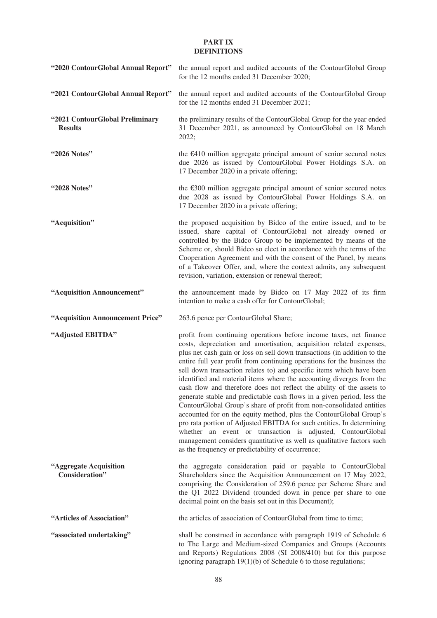## **PART IX DEFINITIONS**

| "2020 ContourGlobal Annual Report"                | the annual report and audited accounts of the ContourGlobal Group<br>for the 12 months ended 31 December 2020;                                                                                                                                                                                                                                                                                                                                                                                                                                                                                                                                                                                                                                                                                                                                                                                                                                                                                                         |
|---------------------------------------------------|------------------------------------------------------------------------------------------------------------------------------------------------------------------------------------------------------------------------------------------------------------------------------------------------------------------------------------------------------------------------------------------------------------------------------------------------------------------------------------------------------------------------------------------------------------------------------------------------------------------------------------------------------------------------------------------------------------------------------------------------------------------------------------------------------------------------------------------------------------------------------------------------------------------------------------------------------------------------------------------------------------------------|
| "2021 ContourGlobal Annual Report"                | the annual report and audited accounts of the ContourGlobal Group<br>for the 12 months ended 31 December 2021;                                                                                                                                                                                                                                                                                                                                                                                                                                                                                                                                                                                                                                                                                                                                                                                                                                                                                                         |
| "2021 ContourGlobal Preliminary<br><b>Results</b> | the preliminary results of the ContourGlobal Group for the year ended<br>31 December 2021, as announced by ContourGlobal on 18 March<br>2022;                                                                                                                                                                                                                                                                                                                                                                                                                                                                                                                                                                                                                                                                                                                                                                                                                                                                          |
| "2026 Notes"                                      | the $E$ 410 million aggregate principal amount of senior secured notes<br>due 2026 as issued by ContourGlobal Power Holdings S.A. on<br>17 December 2020 in a private offering;                                                                                                                                                                                                                                                                                                                                                                                                                                                                                                                                                                                                                                                                                                                                                                                                                                        |
| "2028 Notes"                                      | the $E300$ million aggregate principal amount of senior secured notes<br>due 2028 as issued by ContourGlobal Power Holdings S.A. on<br>17 December 2020 in a private offering;                                                                                                                                                                                                                                                                                                                                                                                                                                                                                                                                                                                                                                                                                                                                                                                                                                         |
| "Acquisition"                                     | the proposed acquisition by Bidco of the entire issued, and to be<br>issued, share capital of ContourGlobal not already owned or<br>controlled by the Bidco Group to be implemented by means of the<br>Scheme or, should Bidco so elect in accordance with the terms of the<br>Cooperation Agreement and with the consent of the Panel, by means<br>of a Takeover Offer, and, where the context admits, any subsequent<br>revision, variation, extension or renewal thereof;                                                                                                                                                                                                                                                                                                                                                                                                                                                                                                                                           |
| "Acquisition Announcement"                        | the announcement made by Bidco on 17 May 2022 of its firm<br>intention to make a cash offer for ContourGlobal;                                                                                                                                                                                                                                                                                                                                                                                                                                                                                                                                                                                                                                                                                                                                                                                                                                                                                                         |
| "Acquisition Announcement Price"                  | 263.6 pence per ContourGlobal Share;                                                                                                                                                                                                                                                                                                                                                                                                                                                                                                                                                                                                                                                                                                                                                                                                                                                                                                                                                                                   |
| "Adjusted EBITDA"                                 | profit from continuing operations before income taxes, net finance<br>costs, depreciation and amortisation, acquisition related expenses,<br>plus net cash gain or loss on sell down transactions (in addition to the<br>entire full year profit from continuing operations for the business the<br>sell down transaction relates to) and specific items which have been<br>identified and material items where the accounting diverges from the<br>cash flow and therefore does not reflect the ability of the assets to<br>generate stable and predictable cash flows in a given period, less the<br>ContourGlobal Group's share of profit from non-consolidated entities<br>accounted for on the equity method, plus the ContourGlobal Group's<br>pro rata portion of Adjusted EBITDA for such entities. In determining<br>whether an event or transaction is adjusted, ContourGlobal<br>management considers quantitative as well as qualitative factors such<br>as the frequency or predictability of occurrence; |
| "Aggregate Acquisition<br>Consideration"          | the aggregate consideration paid or payable to ContourGlobal<br>Shareholders since the Acquisition Announcement on 17 May 2022,<br>comprising the Consideration of 259.6 pence per Scheme Share and<br>the Q1 2022 Dividend (rounded down in pence per share to one<br>decimal point on the basis set out in this Document);                                                                                                                                                                                                                                                                                                                                                                                                                                                                                                                                                                                                                                                                                           |
| "Articles of Association"                         | the articles of association of ContourGlobal from time to time;                                                                                                                                                                                                                                                                                                                                                                                                                                                                                                                                                                                                                                                                                                                                                                                                                                                                                                                                                        |
| "associated undertaking"                          | shall be construed in accordance with paragraph 1919 of Schedule 6<br>to The Large and Medium-sized Companies and Groups (Accounts<br>and Reports) Regulations 2008 (SI 2008/410) but for this purpose<br>ignoring paragraph $19(1)(b)$ of Schedule 6 to those regulations;                                                                                                                                                                                                                                                                                                                                                                                                                                                                                                                                                                                                                                                                                                                                            |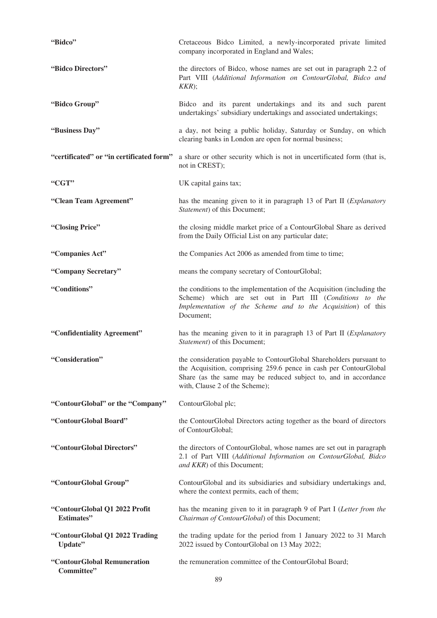| "Bidco"                                     | Cretaceous Bidco Limited, a newly-incorporated private limited<br>company incorporated in England and Wales;                                                                                                                                  |
|---------------------------------------------|-----------------------------------------------------------------------------------------------------------------------------------------------------------------------------------------------------------------------------------------------|
| "Bidco Directors"                           | the directors of Bidco, whose names are set out in paragraph 2.2 of<br>Part VIII (Additional Information on ContourGlobal, Bidco and<br>KKR);                                                                                                 |
| "Bidco Group"                               | Bidco and its parent undertakings and its and such parent<br>undertakings' subsidiary undertakings and associated undertakings;                                                                                                               |
| "Business Day"                              | a day, not being a public holiday, Saturday or Sunday, on which<br>clearing banks in London are open for normal business;                                                                                                                     |
| "certificated" or "in certificated form"    | a share or other security which is not in uncertificated form (that is,<br>not in CREST);                                                                                                                                                     |
| "CGT"                                       | UK capital gains tax;                                                                                                                                                                                                                         |
| "Clean Team Agreement"                      | has the meaning given to it in paragraph 13 of Part II (Explanatory<br>Statement) of this Document;                                                                                                                                           |
| "Closing Price"                             | the closing middle market price of a ContourGlobal Share as derived<br>from the Daily Official List on any particular date;                                                                                                                   |
| "Companies Act"                             | the Companies Act 2006 as amended from time to time;                                                                                                                                                                                          |
| "Company Secretary"                         | means the company secretary of ContourGlobal;                                                                                                                                                                                                 |
| "Conditions"                                | the conditions to the implementation of the Acquisition (including the<br>Scheme) which are set out in Part III (Conditions to the<br>Implementation of the Scheme and to the Acquisition) of this<br>Document;                               |
| "Confidentiality Agreement"                 | has the meaning given to it in paragraph 13 of Part II (Explanatory<br>Statement) of this Document;                                                                                                                                           |
| "Consideration"                             | the consideration payable to ContourGlobal Shareholders pursuant to<br>the Acquisition, comprising 259.6 pence in cash per ContourGlobal<br>Share (as the same may be reduced subject to, and in accordance<br>with, Clause 2 of the Scheme); |
| "ContourGlobal" or the "Company"            | ContourGlobal plc;                                                                                                                                                                                                                            |
| "ContourGlobal Board"                       | the ContourGlobal Directors acting together as the board of directors<br>of ContourGlobal;                                                                                                                                                    |
| "ContourGlobal Directors"                   | the directors of ContourGlobal, whose names are set out in paragraph<br>2.1 of Part VIII (Additional Information on ContourGlobal, Bidco<br>and KKR) of this Document;                                                                        |
| "ContourGlobal Group"                       | ContourGlobal and its subsidiaries and subsidiary undertakings and,<br>where the context permits, each of them;                                                                                                                               |
| "ContourGlobal Q1 2022 Profit<br>Estimates" | has the meaning given to it in paragraph 9 of Part I (Letter from the<br>Chairman of ContourGlobal) of this Document;                                                                                                                         |
| "ContourGlobal Q1 2022 Trading<br>Update"   | the trading update for the period from 1 January 2022 to 31 March<br>2022 issued by ContourGlobal on 13 May 2022;                                                                                                                             |
| "ContourGlobal Remuneration<br>Committee"   | the remuneration committee of the ContourGlobal Board;                                                                                                                                                                                        |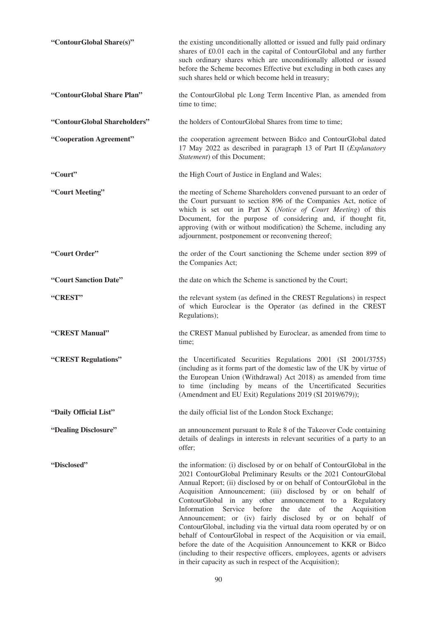| "ContourGlobal Share(s)"     | the existing unconditionally allotted or issued and fully paid ordinary<br>shares of £0.01 each in the capital of ContourGlobal and any further<br>such ordinary shares which are unconditionally allotted or issued<br>before the Scheme becomes Effective but excluding in both cases any<br>such shares held or which become held in treasury;                                                                                                                                                                                                                                                                                                                                                                                                                                                                                                |
|------------------------------|--------------------------------------------------------------------------------------------------------------------------------------------------------------------------------------------------------------------------------------------------------------------------------------------------------------------------------------------------------------------------------------------------------------------------------------------------------------------------------------------------------------------------------------------------------------------------------------------------------------------------------------------------------------------------------------------------------------------------------------------------------------------------------------------------------------------------------------------------|
| "ContourGlobal Share Plan"   | the ContourGlobal plc Long Term Incentive Plan, as amended from<br>time to time;                                                                                                                                                                                                                                                                                                                                                                                                                                                                                                                                                                                                                                                                                                                                                                 |
| "ContourGlobal Shareholders" | the holders of ContourGlobal Shares from time to time;                                                                                                                                                                                                                                                                                                                                                                                                                                                                                                                                                                                                                                                                                                                                                                                           |
| "Cooperation Agreement"      | the cooperation agreement between Bidco and ContourGlobal dated<br>17 May 2022 as described in paragraph 13 of Part II (Explanatory<br>Statement) of this Document;                                                                                                                                                                                                                                                                                                                                                                                                                                                                                                                                                                                                                                                                              |
| "Court"                      | the High Court of Justice in England and Wales;                                                                                                                                                                                                                                                                                                                                                                                                                                                                                                                                                                                                                                                                                                                                                                                                  |
| "Court Meeting"              | the meeting of Scheme Shareholders convened pursuant to an order of<br>the Court pursuant to section 896 of the Companies Act, notice of<br>which is set out in Part X (Notice of Court Meeting) of this<br>Document, for the purpose of considering and, if thought fit,<br>approving (with or without modification) the Scheme, including any<br>adjournment, postponement or reconvening thereof;                                                                                                                                                                                                                                                                                                                                                                                                                                             |
| "Court Order"                | the order of the Court sanctioning the Scheme under section 899 of<br>the Companies Act;                                                                                                                                                                                                                                                                                                                                                                                                                                                                                                                                                                                                                                                                                                                                                         |
| "Court Sanction Date"        | the date on which the Scheme is sanctioned by the Court;                                                                                                                                                                                                                                                                                                                                                                                                                                                                                                                                                                                                                                                                                                                                                                                         |
| "CREST"                      | the relevant system (as defined in the CREST Regulations) in respect<br>of which Euroclear is the Operator (as defined in the CREST<br>Regulations);                                                                                                                                                                                                                                                                                                                                                                                                                                                                                                                                                                                                                                                                                             |
| "CREST Manual"               | the CREST Manual published by Euroclear, as amended from time to<br>time;                                                                                                                                                                                                                                                                                                                                                                                                                                                                                                                                                                                                                                                                                                                                                                        |
| "CREST Regulations"          | the Uncertificated Securities Regulations 2001 (SI 2001/3755)<br>(including as it forms part of the domestic law of the UK by virtue of<br>the European Union (Withdrawal) Act 2018) as amended from time<br>to time (including by means of the Uncertificated Securities<br>(Amendment and EU Exit) Regulations 2019 (SI 2019/679));                                                                                                                                                                                                                                                                                                                                                                                                                                                                                                            |
| "Daily Official List"        | the daily official list of the London Stock Exchange;                                                                                                                                                                                                                                                                                                                                                                                                                                                                                                                                                                                                                                                                                                                                                                                            |
| "Dealing Disclosure"         | an announcement pursuant to Rule 8 of the Takeover Code containing<br>details of dealings in interests in relevant securities of a party to an<br>offer;                                                                                                                                                                                                                                                                                                                                                                                                                                                                                                                                                                                                                                                                                         |
| "Disclosed"                  | the information: (i) disclosed by or on behalf of ContourGlobal in the<br>2021 ContourGlobal Preliminary Results or the 2021 ContourGlobal<br>Annual Report; (ii) disclosed by or on behalf of ContourGlobal in the<br>Acquisition Announcement; (iii) disclosed by or on behalf of<br>ContourGlobal in any other announcement to a Regulatory<br>Information<br>Service before<br>date<br>of<br>the<br>the<br>Acquisition<br>Announcement; or (iv) fairly disclosed by or on behalf of<br>ContourGlobal, including via the virtual data room operated by or on<br>behalf of ContourGlobal in respect of the Acquisition or via email,<br>before the date of the Acquisition Announcement to KKR or Bidco<br>(including to their respective officers, employees, agents or advisers<br>in their capacity as such in respect of the Acquisition); |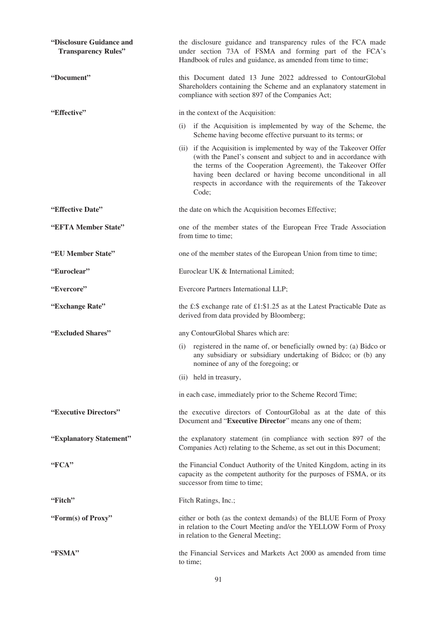| "Disclosure Guidance and<br><b>Transparency Rules"</b> | the disclosure guidance and transparency rules of the FCA made<br>under section 73A of FSMA and forming part of the FCA's<br>Handbook of rules and guidance, as amended from time to time;                                                                                                                                                   |
|--------------------------------------------------------|----------------------------------------------------------------------------------------------------------------------------------------------------------------------------------------------------------------------------------------------------------------------------------------------------------------------------------------------|
| "Document"                                             | this Document dated 13 June 2022 addressed to ContourGlobal<br>Shareholders containing the Scheme and an explanatory statement in<br>compliance with section 897 of the Companies Act;                                                                                                                                                       |
| "Effective"                                            | in the context of the Acquisition:                                                                                                                                                                                                                                                                                                           |
|                                                        | (i) if the Acquisition is implemented by way of the Scheme, the<br>Scheme having become effective pursuant to its terms; or                                                                                                                                                                                                                  |
|                                                        | (ii) if the Acquisition is implemented by way of the Takeover Offer<br>(with the Panel's consent and subject to and in accordance with<br>the terms of the Cooperation Agreement), the Takeover Offer<br>having been declared or having become unconditional in all<br>respects in accordance with the requirements of the Takeover<br>Code; |
| "Effective Date"                                       | the date on which the Acquisition becomes Effective;                                                                                                                                                                                                                                                                                         |
| "EFTA Member State"                                    | one of the member states of the European Free Trade Association<br>from time to time;                                                                                                                                                                                                                                                        |
| "EU Member State"                                      | one of the member states of the European Union from time to time;                                                                                                                                                                                                                                                                            |
| "Euroclear"                                            | Euroclear UK & International Limited;                                                                                                                                                                                                                                                                                                        |
| "Evercore"                                             | Evercore Partners International LLP;                                                                                                                                                                                                                                                                                                         |
| "Exchange Rate"                                        | the £:\$ exchange rate of £1:\$1.25 as at the Latest Practicable Date as<br>derived from data provided by Bloomberg;                                                                                                                                                                                                                         |
| "Excluded Shares"                                      | any ContourGlobal Shares which are:                                                                                                                                                                                                                                                                                                          |
|                                                        | registered in the name of, or beneficially owned by: (a) Bidco or<br>(i)<br>any subsidiary or subsidiary undertaking of Bidco; or (b) any<br>nominee of any of the foregoing; or                                                                                                                                                             |
|                                                        | (ii) held in treasury,                                                                                                                                                                                                                                                                                                                       |
|                                                        | in each case, immediately prior to the Scheme Record Time;                                                                                                                                                                                                                                                                                   |
| "Executive Directors"                                  | the executive directors of ContourGlobal as at the date of this<br>Document and "Executive Director" means any one of them;                                                                                                                                                                                                                  |
| "Explanatory Statement"                                | the explanatory statement (in compliance with section 897 of the<br>Companies Act) relating to the Scheme, as set out in this Document;                                                                                                                                                                                                      |
| "FCA"                                                  | the Financial Conduct Authority of the United Kingdom, acting in its<br>capacity as the competent authority for the purposes of FSMA, or its<br>successor from time to time;                                                                                                                                                                 |
| "Fitch"                                                | Fitch Ratings, Inc.;                                                                                                                                                                                                                                                                                                                         |
| "Form(s) of Proxy"                                     | either or both (as the context demands) of the BLUE Form of Proxy<br>in relation to the Court Meeting and/or the YELLOW Form of Proxy<br>in relation to the General Meeting;                                                                                                                                                                 |
| "FSMA"                                                 | the Financial Services and Markets Act 2000 as amended from time<br>to time;                                                                                                                                                                                                                                                                 |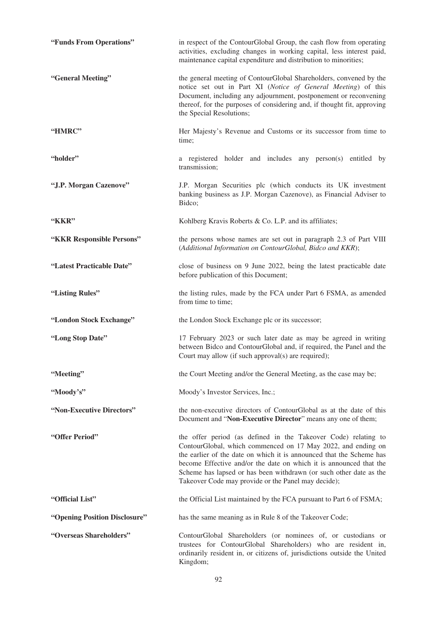| "Funds From Operations"       | in respect of the ContourGlobal Group, the cash flow from operating<br>activities, excluding changes in working capital, less interest paid,<br>maintenance capital expenditure and distribution to minorities;                                                                                                                                                                                           |
|-------------------------------|-----------------------------------------------------------------------------------------------------------------------------------------------------------------------------------------------------------------------------------------------------------------------------------------------------------------------------------------------------------------------------------------------------------|
| "General Meeting"             | the general meeting of ContourGlobal Shareholders, convened by the<br>notice set out in Part XI (Notice of General Meeting) of this<br>Document, including any adjournment, postponement or reconvening<br>thereof, for the purposes of considering and, if thought fit, approving<br>the Special Resolutions;                                                                                            |
| "HMRC"                        | Her Majesty's Revenue and Customs or its successor from time to<br>time;                                                                                                                                                                                                                                                                                                                                  |
| "holder"                      | a registered holder and includes any person(s) entitled by<br>transmission;                                                                                                                                                                                                                                                                                                                               |
| "J.P. Morgan Cazenove"        | J.P. Morgan Securities plc (which conducts its UK investment<br>banking business as J.P. Morgan Cazenove), as Financial Adviser to<br>Bidco;                                                                                                                                                                                                                                                              |
| "KKR"                         | Kohlberg Kravis Roberts & Co. L.P. and its affiliates;                                                                                                                                                                                                                                                                                                                                                    |
| "KKR Responsible Persons"     | the persons whose names are set out in paragraph 2.3 of Part VIII<br>(Additional Information on ContourGlobal, Bidco and KKR);                                                                                                                                                                                                                                                                            |
| "Latest Practicable Date"     | close of business on 9 June 2022, being the latest practicable date<br>before publication of this Document;                                                                                                                                                                                                                                                                                               |
| "Listing Rules"               | the listing rules, made by the FCA under Part 6 FSMA, as amended<br>from time to time;                                                                                                                                                                                                                                                                                                                    |
| "London Stock Exchange"       | the London Stock Exchange plc or its successor;                                                                                                                                                                                                                                                                                                                                                           |
| "Long Stop Date"              | 17 February 2023 or such later date as may be agreed in writing<br>between Bidco and ContourGlobal and, if required, the Panel and the<br>Court may allow (if such approval(s) are required);                                                                                                                                                                                                             |
| "Meeting"                     | the Court Meeting and/or the General Meeting, as the case may be;                                                                                                                                                                                                                                                                                                                                         |
| "Moody's"                     | Moody's Investor Services, Inc.;                                                                                                                                                                                                                                                                                                                                                                          |
| "Non-Executive Directors"     | the non-executive directors of ContourGlobal as at the date of this<br>Document and "Non-Executive Director" means any one of them;                                                                                                                                                                                                                                                                       |
| "Offer Period"                | the offer period (as defined in the Takeover Code) relating to<br>ContourGlobal, which commenced on 17 May 2022, and ending on<br>the earlier of the date on which it is announced that the Scheme has<br>become Effective and/or the date on which it is announced that the<br>Scheme has lapsed or has been withdrawn (or such other date as the<br>Takeover Code may provide or the Panel may decide); |
| "Official List"               | the Official List maintained by the FCA pursuant to Part 6 of FSMA;                                                                                                                                                                                                                                                                                                                                       |
| "Opening Position Disclosure" | has the same meaning as in Rule 8 of the Takeover Code;                                                                                                                                                                                                                                                                                                                                                   |
| "Overseas Shareholders"       | ContourGlobal Shareholders (or nominees of, or custodians or<br>trustees for ContourGlobal Shareholders) who are resident in,<br>ordinarily resident in, or citizens of, jurisdictions outside the United<br>Kingdom;                                                                                                                                                                                     |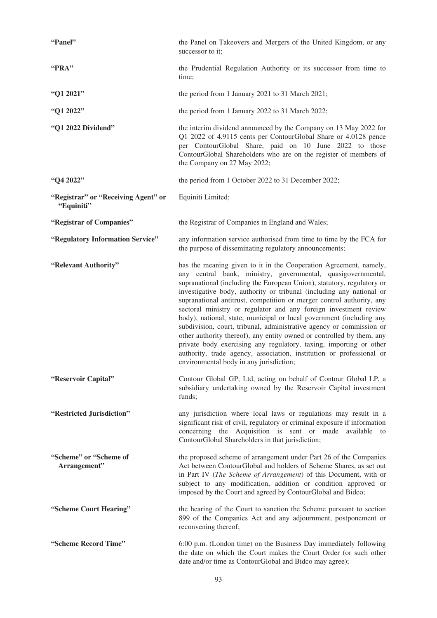| "Panel"                                           | the Panel on Takeovers and Mergers of the United Kingdom, or any<br>successor to it;                                                                                                                                                                                                                                                                                                                                                                                                                                                                                                                                                                                                                                                                                                                                                               |
|---------------------------------------------------|----------------------------------------------------------------------------------------------------------------------------------------------------------------------------------------------------------------------------------------------------------------------------------------------------------------------------------------------------------------------------------------------------------------------------------------------------------------------------------------------------------------------------------------------------------------------------------------------------------------------------------------------------------------------------------------------------------------------------------------------------------------------------------------------------------------------------------------------------|
| "PRA"                                             | the Prudential Regulation Authority or its successor from time to<br>time;                                                                                                                                                                                                                                                                                                                                                                                                                                                                                                                                                                                                                                                                                                                                                                         |
| "Q1 2021"                                         | the period from 1 January 2021 to 31 March 2021;                                                                                                                                                                                                                                                                                                                                                                                                                                                                                                                                                                                                                                                                                                                                                                                                   |
| "Q1 2022"                                         | the period from 1 January 2022 to 31 March 2022;                                                                                                                                                                                                                                                                                                                                                                                                                                                                                                                                                                                                                                                                                                                                                                                                   |
| "Q1 2022 Dividend"                                | the interim dividend announced by the Company on 13 May 2022 for<br>Q1 2022 of 4.9115 cents per ContourGlobal Share or 4.0128 pence<br>per ContourGlobal Share, paid on 10 June 2022 to those<br>ContourGlobal Shareholders who are on the register of members of<br>the Company on 27 May 2022;                                                                                                                                                                                                                                                                                                                                                                                                                                                                                                                                                   |
| "Q4 2022"                                         | the period from 1 October 2022 to 31 December 2022;                                                                                                                                                                                                                                                                                                                                                                                                                                                                                                                                                                                                                                                                                                                                                                                                |
| "Registrar" or "Receiving Agent" or<br>"Equiniti" | Equiniti Limited;                                                                                                                                                                                                                                                                                                                                                                                                                                                                                                                                                                                                                                                                                                                                                                                                                                  |
| "Registrar of Companies"                          | the Registrar of Companies in England and Wales;                                                                                                                                                                                                                                                                                                                                                                                                                                                                                                                                                                                                                                                                                                                                                                                                   |
| "Regulatory Information Service"                  | any information service authorised from time to time by the FCA for<br>the purpose of disseminating regulatory announcements;                                                                                                                                                                                                                                                                                                                                                                                                                                                                                                                                                                                                                                                                                                                      |
| "Relevant Authority"                              | has the meaning given to it in the Cooperation Agreement, namely,<br>any central bank, ministry, governmental, quasigovernmental,<br>supranational (including the European Union), statutory, regulatory or<br>investigative body, authority or tribunal (including any national or<br>supranational antitrust, competition or merger control authority, any<br>sectoral ministry or regulator and any foreign investment review<br>body), national, state, municipal or local government (including any<br>subdivision, court, tribunal, administrative agency or commission or<br>other authority thereof), any entity owned or controlled by them, any<br>private body exercising any regulatory, taxing, importing or other<br>authority, trade agency, association, institution or professional or<br>environmental body in any jurisdiction; |
| "Reservoir Capital"                               | Contour Global GP, Ltd, acting on behalf of Contour Global LP, a<br>subsidiary undertaking owned by the Reservoir Capital investment<br>funds;                                                                                                                                                                                                                                                                                                                                                                                                                                                                                                                                                                                                                                                                                                     |
| "Restricted Jurisdiction"                         | any jurisdiction where local laws or regulations may result in a<br>significant risk of civil, regulatory or criminal exposure if information<br>concerning the Acquisition is sent or made available to<br>ContourGlobal Shareholders in that jurisdiction;                                                                                                                                                                                                                                                                                                                                                                                                                                                                                                                                                                                       |
| "Scheme" or "Scheme of<br>Arrangement"            | the proposed scheme of arrangement under Part 26 of the Companies<br>Act between ContourGlobal and holders of Scheme Shares, as set out<br>in Part IV (The Scheme of Arrangement) of this Document, with or<br>subject to any modification, addition or condition approved or<br>imposed by the Court and agreed by ContourGlobal and Bidco;                                                                                                                                                                                                                                                                                                                                                                                                                                                                                                       |
| "Scheme Court Hearing"                            | the hearing of the Court to sanction the Scheme pursuant to section<br>899 of the Companies Act and any adjournment, postponement or<br>reconvening thereof;                                                                                                                                                                                                                                                                                                                                                                                                                                                                                                                                                                                                                                                                                       |
| "Scheme Record Time"                              | 6:00 p.m. (London time) on the Business Day immediately following<br>the date on which the Court makes the Court Order (or such other<br>date and/or time as ContourGlobal and Bidco may agree);                                                                                                                                                                                                                                                                                                                                                                                                                                                                                                                                                                                                                                                   |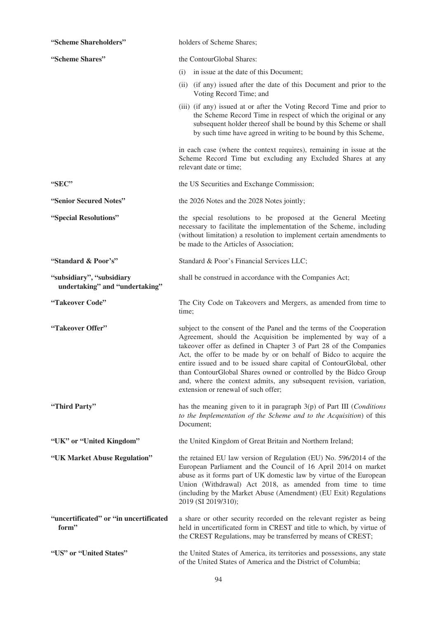| "Scheme Shareholders"                                       | holders of Scheme Shares;                                                                                                                                                                                                                                                                                                                                                                                                                                                                                                                |
|-------------------------------------------------------------|------------------------------------------------------------------------------------------------------------------------------------------------------------------------------------------------------------------------------------------------------------------------------------------------------------------------------------------------------------------------------------------------------------------------------------------------------------------------------------------------------------------------------------------|
| "Scheme Shares"                                             | the ContourGlobal Shares:                                                                                                                                                                                                                                                                                                                                                                                                                                                                                                                |
|                                                             | in issue at the date of this Document;<br>(i)                                                                                                                                                                                                                                                                                                                                                                                                                                                                                            |
|                                                             | (ii) (if any) issued after the date of this Document and prior to the<br>Voting Record Time; and                                                                                                                                                                                                                                                                                                                                                                                                                                         |
|                                                             | (iii) (if any) issued at or after the Voting Record Time and prior to<br>the Scheme Record Time in respect of which the original or any<br>subsequent holder thereof shall be bound by this Scheme or shall<br>by such time have agreed in writing to be bound by this Scheme,                                                                                                                                                                                                                                                           |
|                                                             | in each case (where the context requires), remaining in issue at the<br>Scheme Record Time but excluding any Excluded Shares at any<br>relevant date or time;                                                                                                                                                                                                                                                                                                                                                                            |
| "SEC"                                                       | the US Securities and Exchange Commission;                                                                                                                                                                                                                                                                                                                                                                                                                                                                                               |
| "Senior Secured Notes"                                      | the 2026 Notes and the 2028 Notes jointly;                                                                                                                                                                                                                                                                                                                                                                                                                                                                                               |
| "Special Resolutions"                                       | the special resolutions to be proposed at the General Meeting<br>necessary to facilitate the implementation of the Scheme, including<br>(without limitation) a resolution to implement certain amendments to<br>be made to the Articles of Association;                                                                                                                                                                                                                                                                                  |
| "Standard & Poor's"                                         | Standard & Poor's Financial Services LLC;                                                                                                                                                                                                                                                                                                                                                                                                                                                                                                |
| "subsidiary", "subsidiary<br>undertaking" and "undertaking" | shall be construed in accordance with the Companies Act;                                                                                                                                                                                                                                                                                                                                                                                                                                                                                 |
| "Takeover Code"                                             | The City Code on Takeovers and Mergers, as amended from time to<br>time;                                                                                                                                                                                                                                                                                                                                                                                                                                                                 |
| "Takeover Offer"                                            | subject to the consent of the Panel and the terms of the Cooperation<br>Agreement, should the Acquisition be implemented by way of a<br>takeover offer as defined in Chapter 3 of Part 28 of the Companies<br>Act, the offer to be made by or on behalf of Bidco to acquire the<br>entire issued and to be issued share capital of ContourGlobal, other<br>than ContourGlobal Shares owned or controlled by the Bidco Group<br>and, where the context admits, any subsequent revision, variation,<br>extension or renewal of such offer; |
| "Third Party"                                               | has the meaning given to it in paragraph 3(p) of Part III (Conditions<br>to the Implementation of the Scheme and to the Acquisition) of this<br>Document;                                                                                                                                                                                                                                                                                                                                                                                |
| "UK" or "United Kingdom"                                    | the United Kingdom of Great Britain and Northern Ireland;                                                                                                                                                                                                                                                                                                                                                                                                                                                                                |
| "UK Market Abuse Regulation"                                | the retained EU law version of Regulation (EU) No. 596/2014 of the<br>European Parliament and the Council of 16 April 2014 on market<br>abuse as it forms part of UK domestic law by virtue of the European<br>Union (Withdrawal) Act 2018, as amended from time to time<br>(including by the Market Abuse (Amendment) (EU Exit) Regulations<br>2019 (SI 2019/310);                                                                                                                                                                      |
| "uncertificated" or "in uncertificated<br>form"             | a share or other security recorded on the relevant register as being<br>held in uncertificated form in CREST and title to which, by virtue of<br>the CREST Regulations, may be transferred by means of CREST;                                                                                                                                                                                                                                                                                                                            |
| "US" or "United States"                                     | the United States of America, its territories and possessions, any state<br>of the United States of America and the District of Columbia;                                                                                                                                                                                                                                                                                                                                                                                                |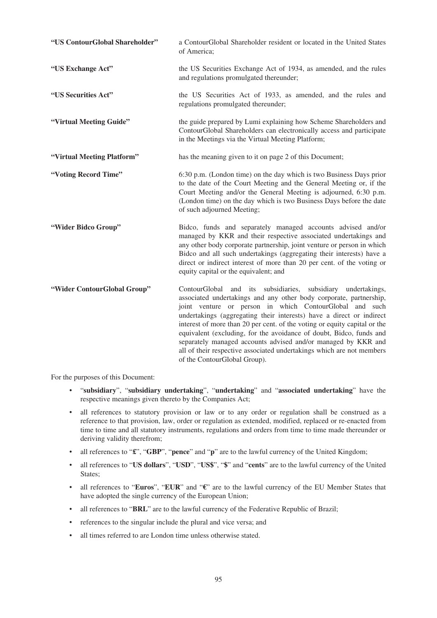| "US ContourGlobal Shareholder" | a ContourGlobal Shareholder resident or located in the United States<br>of America;                                                                                                                                                                                                                                                                                                                                                                                                                                                                                                                 |
|--------------------------------|-----------------------------------------------------------------------------------------------------------------------------------------------------------------------------------------------------------------------------------------------------------------------------------------------------------------------------------------------------------------------------------------------------------------------------------------------------------------------------------------------------------------------------------------------------------------------------------------------------|
| "US Exchange Act"              | the US Securities Exchange Act of 1934, as amended, and the rules<br>and regulations promulgated thereunder;                                                                                                                                                                                                                                                                                                                                                                                                                                                                                        |
| "US Securities Act"            | the US Securities Act of 1933, as amended, and the rules and<br>regulations promulgated thereunder;                                                                                                                                                                                                                                                                                                                                                                                                                                                                                                 |
| "Virtual Meeting Guide"        | the guide prepared by Lumi explaining how Scheme Shareholders and<br>ContourGlobal Shareholders can electronically access and participate<br>in the Meetings via the Virtual Meeting Platform;                                                                                                                                                                                                                                                                                                                                                                                                      |
| "Virtual Meeting Platform"     | has the meaning given to it on page 2 of this Document;                                                                                                                                                                                                                                                                                                                                                                                                                                                                                                                                             |
| "Voting Record Time"           | 6:30 p.m. (London time) on the day which is two Business Days prior<br>to the date of the Court Meeting and the General Meeting or, if the<br>Court Meeting and/or the General Meeting is adjourned, 6:30 p.m.<br>(London time) on the day which is two Business Days before the date<br>of such adjourned Meeting;                                                                                                                                                                                                                                                                                 |
| "Wider Bidco Group"            | Bidco, funds and separately managed accounts advised and/or<br>managed by KKR and their respective associated undertakings and<br>any other body corporate partnership, joint venture or person in which<br>Bidco and all such undertakings (aggregating their interests) have a<br>direct or indirect interest of more than 20 per cent. of the voting or<br>equity capital or the equivalent; and                                                                                                                                                                                                 |
| "Wider ContourGlobal Group"    | ContourGlobal and its subsidiaries, subsidiary undertakings,<br>associated undertakings and any other body corporate, partnership,<br>joint venture or person in which ContourGlobal and such<br>undertakings (aggregating their interests) have a direct or indirect<br>interest of more than 20 per cent. of the voting or equity capital or the<br>equivalent (excluding, for the avoidance of doubt, Bidco, funds and<br>separately managed accounts advised and/or managed by KKR and<br>all of their respective associated undertakings which are not members<br>of the ContourGlobal Group). |

For the purposes of this Document:

- "**subsidiary**", "**subsidiary undertaking**", "**undertaking**" and "**associated undertaking**" have the respective meanings given thereto by the Companies Act;
- all references to statutory provision or law or to any order or regulation shall be construed as a reference to that provision, law, order or regulation as extended, modified, replaced or re-enacted from time to time and all statutory instruments, regulations and orders from time to time made thereunder or deriving validity therefrom;
- all references to "**£**", "**GBP**", "**pence**" and "**p**" are to the lawful currency of the United Kingdom;
- all references to "**US dollars**", "**USD**", "**US\$**", "**\$**" and "**cents**" are to the lawful currency of the United States;
- all references to "**Euros**", "**EUR**" and "**€**" are to the lawful currency of the EU Member States that have adopted the single currency of the European Union;
- all references to "**BRL**" are to the lawful currency of the Federative Republic of Brazil;
- references to the singular include the plural and vice versa; and
- all times referred to are London time unless otherwise stated.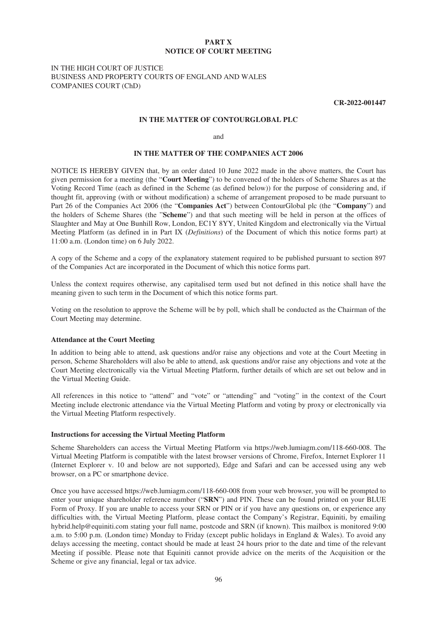### **PART X NOTICE OF COURT MEETING**

## IN THE HIGH COURT OF JUSTICE BUSINESS AND PROPERTY COURTS OF ENGLAND AND WALES COMPANIES COURT (ChD)

**CR-2022-001447**

### **IN THE MATTER OF CONTOURGLOBAL PLC**

and

## **IN THE MATTER OF THE COMPANIES ACT 2006**

NOTICE IS HEREBY GIVEN that, by an order dated 10 June 2022 made in the above matters, the Court has given permission for a meeting (the "**Court Meeting**") to be convened of the holders of Scheme Shares as at the Voting Record Time (each as defined in the Scheme (as defined below)) for the purpose of considering and, if thought fit, approving (with or without modification) a scheme of arrangement proposed to be made pursuant to Part 26 of the Companies Act 2006 (the "**Companies Act**") between ContourGlobal plc (the "**Company**") and the holders of Scheme Shares (the "**Scheme**") and that such meeting will be held in person at the offices of Slaughter and May at One Bunhill Row, London, EC1Y 8YY, United Kingdom and electronically via the Virtual Meeting Platform (as defined in in Part IX (*Definitions*) of the Document of which this notice forms part) at 11:00 a.m. (London time) on 6 July 2022.

A copy of the Scheme and a copy of the explanatory statement required to be published pursuant to section 897 of the Companies Act are incorporated in the Document of which this notice forms part.

Unless the context requires otherwise, any capitalised term used but not defined in this notice shall have the meaning given to such term in the Document of which this notice forms part.

Voting on the resolution to approve the Scheme will be by poll, which shall be conducted as the Chairman of the Court Meeting may determine.

#### **Attendance at the Court Meeting**

In addition to being able to attend, ask questions and/or raise any objections and vote at the Court Meeting in person, Scheme Shareholders will also be able to attend, ask questions and/or raise any objections and vote at the Court Meeting electronically via the Virtual Meeting Platform, further details of which are set out below and in the Virtual Meeting Guide.

All references in this notice to "attend" and "vote" or "attending" and "voting" in the context of the Court Meeting include electronic attendance via the Virtual Meeting Platform and voting by proxy or electronically via the Virtual Meeting Platform respectively.

#### **Instructions for accessing the Virtual Meeting Platform**

Scheme Shareholders can access the Virtual Meeting Platform via https://web.lumiagm.com/118-660-008. The Virtual Meeting Platform is compatible with the latest browser versions of Chrome, Firefox, Internet Explorer 11 (Internet Explorer v. 10 and below are not supported), Edge and Safari and can be accessed using any web browser, on a PC or smartphone device.

Once you have accessed https://web.lumiagm.com/118-660-008 from your web browser, you will be prompted to enter your unique shareholder reference number ("**SRN**") and PIN. These can be found printed on your BLUE Form of Proxy. If you are unable to access your SRN or PIN or if you have any questions on, or experience any difficulties with, the Virtual Meeting Platform, please contact the Company's Registrar, Equiniti, by emailing hybrid.help@equiniti.com stating your full name, postcode and SRN (if known). This mailbox is monitored 9:00 a.m. to 5:00 p.m. (London time) Monday to Friday (except public holidays in England & Wales). To avoid any delays accessing the meeting, contact should be made at least 24 hours prior to the date and time of the relevant Meeting if possible. Please note that Equiniti cannot provide advice on the merits of the Acquisition or the Scheme or give any financial, legal or tax advice.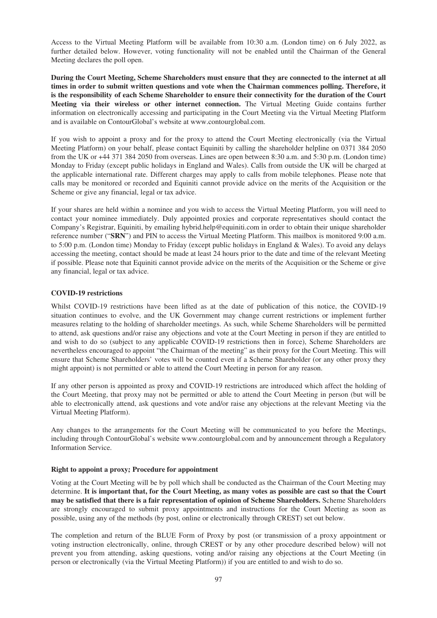Access to the Virtual Meeting Platform will be available from 10:30 a.m. (London time) on 6 July 2022, as further detailed below. However, voting functionality will not be enabled until the Chairman of the General Meeting declares the poll open.

**During the Court Meeting, Scheme Shareholders must ensure that they are connected to the internet at all times in order to submit written questions and vote when the Chairman commences polling. Therefore, it is the responsibility of each Scheme Shareholder to ensure their connectivity for the duration of the Court Meeting via their wireless or other internet connection.** The Virtual Meeting Guide contains further information on electronically accessing and participating in the Court Meeting via the Virtual Meeting Platform and is available on ContourGlobal's website at www.contourglobal.com.

If you wish to appoint a proxy and for the proxy to attend the Court Meeting electronically (via the Virtual Meeting Platform) on your behalf, please contact Equiniti by calling the shareholder helpline on 0371 384 2050 from the UK or +44 371 384 2050 from overseas. Lines are open between 8:30 a.m. and 5:30 p.m. (London time) Monday to Friday (except public holidays in England and Wales). Calls from outside the UK will be charged at the applicable international rate. Different charges may apply to calls from mobile telephones. Please note that calls may be monitored or recorded and Equiniti cannot provide advice on the merits of the Acquisition or the Scheme or give any financial, legal or tax advice.

If your shares are held within a nominee and you wish to access the Virtual Meeting Platform, you will need to contact your nominee immediately. Duly appointed proxies and corporate representatives should contact the Company's Registrar, Equiniti, by emailing hybrid.help@equiniti.com in order to obtain their unique shareholder reference number ("**SRN**") and PIN to access the Virtual Meeting Platform. This mailbox is monitored 9:00 a.m. to 5:00 p.m. (London time) Monday to Friday (except public holidays in England & Wales). To avoid any delays accessing the meeting, contact should be made at least 24 hours prior to the date and time of the relevant Meeting if possible. Please note that Equiniti cannot provide advice on the merits of the Acquisition or the Scheme or give any financial, legal or tax advice.

## **COVID-19 restrictions**

Whilst COVID-19 restrictions have been lifted as at the date of publication of this notice, the COVID-19 situation continues to evolve, and the UK Government may change current restrictions or implement further measures relating to the holding of shareholder meetings. As such, while Scheme Shareholders will be permitted to attend, ask questions and/or raise any objections and vote at the Court Meeting in person if they are entitled to and wish to do so (subject to any applicable COVID-19 restrictions then in force), Scheme Shareholders are nevertheless encouraged to appoint "the Chairman of the meeting" as their proxy for the Court Meeting. This will ensure that Scheme Shareholders' votes will be counted even if a Scheme Shareholder (or any other proxy they might appoint) is not permitted or able to attend the Court Meeting in person for any reason.

If any other person is appointed as proxy and COVID-19 restrictions are introduced which affect the holding of the Court Meeting, that proxy may not be permitted or able to attend the Court Meeting in person (but will be able to electronically attend, ask questions and vote and/or raise any objections at the relevant Meeting via the Virtual Meeting Platform).

Any changes to the arrangements for the Court Meeting will be communicated to you before the Meetings, including through ContourGlobal's website www.contourglobal.com and by announcement through a Regulatory Information Service.

## **Right to appoint a proxy; Procedure for appointment**

Voting at the Court Meeting will be by poll which shall be conducted as the Chairman of the Court Meeting may determine. **It is important that, for the Court Meeting, as many votes as possible are cast so that the Court may be satisfied that there is a fair representation of opinion of Scheme Shareholders.** Scheme Shareholders are strongly encouraged to submit proxy appointments and instructions for the Court Meeting as soon as possible, using any of the methods (by post, online or electronically through CREST) set out below.

The completion and return of the BLUE Form of Proxy by post (or transmission of a proxy appointment or voting instruction electronically, online, through CREST or by any other procedure described below) will not prevent you from attending, asking questions, voting and/or raising any objections at the Court Meeting (in person or electronically (via the Virtual Meeting Platform)) if you are entitled to and wish to do so.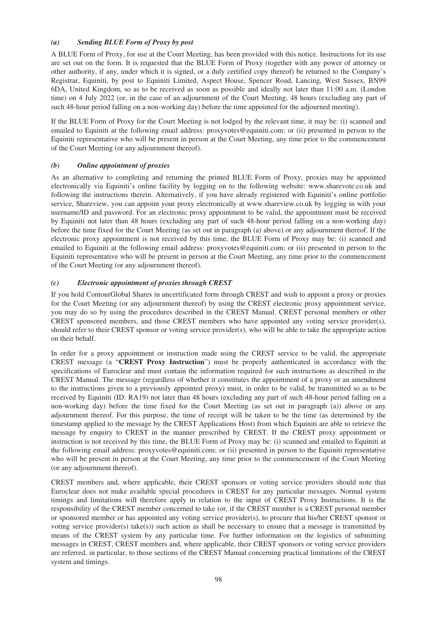## *(a) Sending BLUE Form of Proxy by post*

A BLUE Form of Proxy, for use at the Court Meeting, has been provided with this notice. Instructions for its use are set out on the form. It is requested that the BLUE Form of Proxy (together with any power of attorney or other authority, if any, under which it is signed, or a duly certified copy thereof) be returned to the Company's Registrar, Equiniti, by post to Equiniti Limited, Aspect House, Spencer Road, Lancing, West Sussex, BN99 6DA, United Kingdom, so as to be received as soon as possible and ideally not later than 11:00 a.m. (London time) on 4 July 2022 (or, in the case of an adjournment of the Court Meeting, 48 hours (excluding any part of such 48-hour period falling on a non-working day) before the time appointed for the adjourned meeting).

If the BLUE Form of Proxy for the Court Meeting is not lodged by the relevant time, it may be: (i) scanned and emailed to Equiniti at the following email address: proxyvotes@equiniti.com; or (ii) presented in person to the Equiniti representative who will be present in person at the Court Meeting, any time prior to the commencement of the Court Meeting (or any adjournment thereof).

## *(b) Online appointment of proxies*

As an alternative to completing and returning the printed BLUE Form of Proxy, proxies may be appointed electronically via Equiniti's online facility by logging on to the following website: www.sharevote.co.uk and following the instructions therein. Alternatively, if you have already registered with Equiniti's online portfolio service, Shareview, you can appoint your proxy electronically at www.shareview.co.uk by logging in with your username/ID and password. For an electronic proxy appointment to be valid, the appointment must be received by Equiniti not later than 48 hours (excluding any part of such 48-hour period falling on a non-working day) before the time fixed for the Court Meeting (as set out in paragraph (a) above) or any adjournment thereof. If the electronic proxy appointment is not received by this time, the BLUE Form of Proxy may be: (i) scanned and emailed to Equiniti at the following email address: proxyvotes@equiniti.com; or (ii) presented in person to the Equiniti representative who will be present in person at the Court Meeting, any time prior to the commencement of the Court Meeting (or any adjournment thereof).

## *(c) Electronic appointment of proxies through CREST*

If you hold ContourGlobal Shares in uncertificated form through CREST and wish to appoint a proxy or proxies for the Court Meeting (or any adjournment thereof) by using the CREST electronic proxy appointment service, you may do so by using the procedures described in the CREST Manual. CREST personal members or other CREST sponsored members, and those CREST members who have appointed any voting service provider(s), should refer to their CREST sponsor or voting service provider(s), who will be able to take the appropriate action on their behalf.

In order for a proxy appointment or instruction made using the CREST service to be valid, the appropriate CREST message (a "**CREST Proxy Instruction**") must be properly authenticated in accordance with the specifications of Euroclear and must contain the information required for such instructions as described in the CREST Manual. The message (regardless of whether it constitutes the appointment of a proxy or an amendment to the instructions given to a previously appointed proxy) must, in order to be valid, be transmitted so as to be received by Equiniti (ID: RA19) not later than 48 hours (excluding any part of such 48-hour period falling on a non-working day) before the time fixed for the Court Meeting (as set out in paragraph (a)) above or any adjournment thereof. For this purpose, the time of receipt will be taken to be the time (as determined by the timestamp applied to the message by the CREST Applications Host) from which Equiniti are able to retrieve the message by enquiry to CREST in the manner prescribed by CREST. If the CREST proxy appointment or instruction is not received by this time, the BLUE Form of Proxy may be: (i) scanned and emailed to Equiniti at the following email address: proxyvotes@equiniti.com; or (ii) presented in person to the Equiniti representative who will be present in person at the Court Meeting, any time prior to the commencement of the Court Meeting (or any adjournment thereof).

CREST members and, where applicable, their CREST sponsors or voting service providers should note that Euroclear does not make available special procedures in CREST for any particular messages. Normal system timings and limitations will therefore apply in relation to the input of CREST Proxy Instructions. It is the responsibility of the CREST member concerned to take (or, if the CREST member is a CREST personal member or sponsored member or has appointed any voting service provider(s), to procure that his/her CREST sponsor or voting service provider(s) take(s)) such action as shall be necessary to ensure that a message is transmitted by means of the CREST system by any particular time. For further information on the logistics of submitting messages in CREST, CREST members and, where applicable, their CREST sponsors or voting service providers are referred, in particular, to those sections of the CREST Manual concerning practical limitations of the CREST system and timings.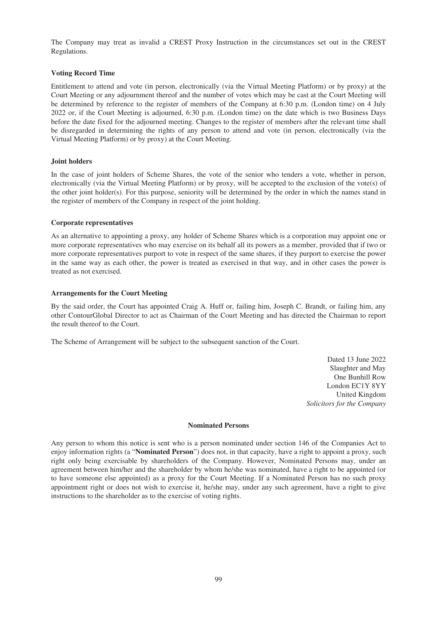The Company may treat as invalid a CREST Proxy Instruction in the circumstances set out in the CREST Regulations.

## **Voting Record Time**

Entitlement to attend and vote (in person, electronically (via the Virtual Meeting Platform) or by proxy) at the Court Meeting or any adjournment thereof and the number of votes which may be cast at the Court Meeting will be determined by reference to the register of members of the Company at 6:30 p.m. (London time) on 4 July 2022 or, if the Court Meeting is adjourned, 6:30 p.m. (London time) on the date which is two Business Days before the date fixed for the adjourned meeting. Changes to the register of members after the relevant time shall be disregarded in determining the rights of any person to attend and vote (in person, electronically (via the Virtual Meeting Platform) or by proxy) at the Court Meeting.

## **Joint holders**

In the case of joint holders of Scheme Shares, the vote of the senior who tenders a vote, whether in person, electronically (via the Virtual Meeting Platform) or by proxy, will be accepted to the exclusion of the vote(s) of the other joint holder(s). For this purpose, seniority will be determined by the order in which the names stand in the register of members of the Company in respect of the joint holding.

## **Corporate representatives**

As an alternative to appointing a proxy, any holder of Scheme Shares which is a corporation may appoint one or more corporate representatives who may exercise on its behalf all its powers as a member, provided that if two or more corporate representatives purport to vote in respect of the same shares, if they purport to exercise the power in the same way as each other, the power is treated as exercised in that way, and in other cases the power is treated as not exercised.

### **Arrangements for the Court Meeting**

By the said order, the Court has appointed Craig A. Huff or, failing him, Joseph C. Brandt, or failing him, any other ContourGlobal Director to act as Chairman of the Court Meeting and has directed the Chairman to report the result thereof to the Court.

The Scheme of Arrangement will be subject to the subsequent sanction of the Court.

Dated 13 June 2022 Slaughter and May One Bunhill Row London EC1Y 8YY United Kingdom *Solicitors for the Company*

#### **Nominated Persons**

Any person to whom this notice is sent who is a person nominated under section 146 of the Companies Act to enjoy information rights (a "**Nominated Person**") does not, in that capacity, have a right to appoint a proxy, such right only being exercisable by shareholders of the Company. However, Nominated Persons may, under an agreement between him/her and the shareholder by whom he/she was nominated, have a right to be appointed (or to have someone else appointed) as a proxy for the Court Meeting. If a Nominated Person has no such proxy appointment right or does not wish to exercise it, he/she may, under any such agreement, have a right to give instructions to the shareholder as to the exercise of voting rights.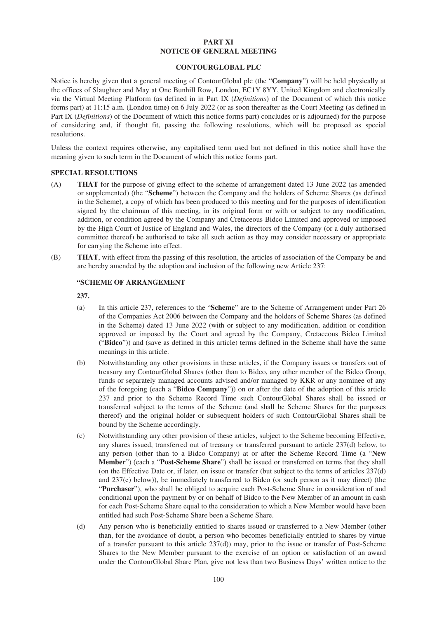### **PART XI NOTICE OF GENERAL MEETING**

## **CONTOURGLOBAL PLC**

Notice is hereby given that a general meeting of ContourGlobal plc (the "**Company**") will be held physically at the offices of Slaughter and May at One Bunhill Row, London, EC1Y 8YY, United Kingdom and electronically via the Virtual Meeting Platform (as defined in in Part IX (*Definitions*) of the Document of which this notice forms part) at 11:15 a.m. (London time) on 6 July 2022 (or as soon thereafter as the Court Meeting (as defined in Part IX (*Definitions*) of the Document of which this notice forms part) concludes or is adjourned) for the purpose of considering and, if thought fit, passing the following resolutions, which will be proposed as special resolutions.

Unless the context requires otherwise, any capitalised term used but not defined in this notice shall have the meaning given to such term in the Document of which this notice forms part.

### **SPECIAL RESOLUTIONS**

- (A) **THAT** for the purpose of giving effect to the scheme of arrangement dated 13 June 2022 (as amended or supplemented) (the "**Scheme**") between the Company and the holders of Scheme Shares (as defined in the Scheme), a copy of which has been produced to this meeting and for the purposes of identification signed by the chairman of this meeting, in its original form or with or subject to any modification, addition, or condition agreed by the Company and Cretaceous Bidco Limited and approved or imposed by the High Court of Justice of England and Wales, the directors of the Company (or a duly authorised committee thereof) be authorised to take all such action as they may consider necessary or appropriate for carrying the Scheme into effect.
- (B) **THAT**, with effect from the passing of this resolution, the articles of association of the Company be and are hereby amended by the adoption and inclusion of the following new Article 237:

### **"SCHEME OF ARRANGEMENT**

## **237.**

- (a) In this article 237, references to the "**Scheme**" are to the Scheme of Arrangement under Part 26 of the Companies Act 2006 between the Company and the holders of Scheme Shares (as defined in the Scheme) dated 13 June 2022 (with or subject to any modification, addition or condition approved or imposed by the Court and agreed by the Company, Cretaceous Bidco Limited ("**Bidco**")) and (save as defined in this article) terms defined in the Scheme shall have the same meanings in this article.
- (b) Notwithstanding any other provisions in these articles, if the Company issues or transfers out of treasury any ContourGlobal Shares (other than to Bidco, any other member of the Bidco Group, funds or separately managed accounts advised and/or managed by KKR or any nominee of any of the foregoing (each a "**Bidco Company**")) on or after the date of the adoption of this article 237 and prior to the Scheme Record Time such ContourGlobal Shares shall be issued or transferred subject to the terms of the Scheme (and shall be Scheme Shares for the purposes thereof) and the original holder or subsequent holders of such ContourGlobal Shares shall be bound by the Scheme accordingly.
- (c) Notwithstanding any other provision of these articles, subject to the Scheme becoming Effective, any shares issued, transferred out of treasury or transferred pursuant to article 237(d) below, to any person (other than to a Bidco Company) at or after the Scheme Record Time (a "**New Member**") (each a "**Post-Scheme Share**") shall be issued or transferred on terms that they shall (on the Effective Date or, if later, on issue or transfer (but subject to the terms of articles 237(d) and 237(e) below)), be immediately transferred to Bidco (or such person as it may direct) (the "**Purchaser**"), who shall be obliged to acquire each Post-Scheme Share in consideration of and conditional upon the payment by or on behalf of Bidco to the New Member of an amount in cash for each Post-Scheme Share equal to the consideration to which a New Member would have been entitled had such Post-Scheme Share been a Scheme Share.
- (d) Any person who is beneficially entitled to shares issued or transferred to a New Member (other than, for the avoidance of doubt, a person who becomes beneficially entitled to shares by virtue of a transfer pursuant to this article 237(d)) may, prior to the issue or transfer of Post-Scheme Shares to the New Member pursuant to the exercise of an option or satisfaction of an award under the ContourGlobal Share Plan, give not less than two Business Days' written notice to the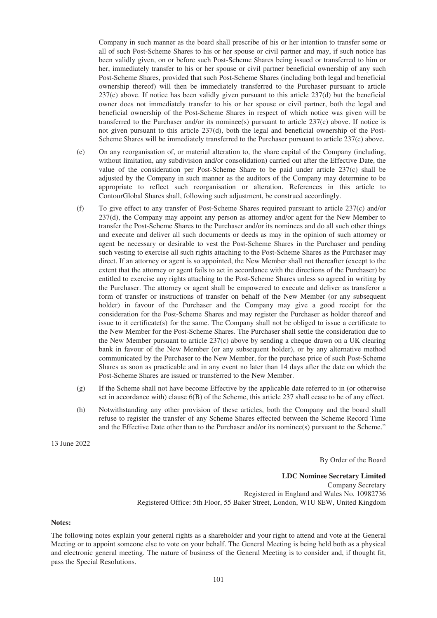Company in such manner as the board shall prescribe of his or her intention to transfer some or all of such Post-Scheme Shares to his or her spouse or civil partner and may, if such notice has been validly given, on or before such Post-Scheme Shares being issued or transferred to him or her, immediately transfer to his or her spouse or civil partner beneficial ownership of any such Post-Scheme Shares, provided that such Post-Scheme Shares (including both legal and beneficial ownership thereof) will then be immediately transferred to the Purchaser pursuant to article 237(c) above. If notice has been validly given pursuant to this article 237(d) but the beneficial owner does not immediately transfer to his or her spouse or civil partner, both the legal and beneficial ownership of the Post-Scheme Shares in respect of which notice was given will be transferred to the Purchaser and/or its nominee(s) pursuant to article 237(c) above. If notice is not given pursuant to this article 237(d), both the legal and beneficial ownership of the Post-Scheme Shares will be immediately transferred to the Purchaser pursuant to article 237(c) above.

- (e) On any reorganisation of, or material alteration to, the share capital of the Company (including, without limitation, any subdivision and/or consolidation) carried out after the Effective Date, the value of the consideration per Post-Scheme Share to be paid under article 237(c) shall be adjusted by the Company in such manner as the auditors of the Company may determine to be appropriate to reflect such reorganisation or alteration. References in this article to ContourGlobal Shares shall, following such adjustment, be construed accordingly.
- (f) To give effect to any transfer of Post-Scheme Shares required pursuant to article 237(c) and/or 237(d), the Company may appoint any person as attorney and/or agent for the New Member to transfer the Post-Scheme Shares to the Purchaser and/or its nominees and do all such other things and execute and deliver all such documents or deeds as may in the opinion of such attorney or agent be necessary or desirable to vest the Post-Scheme Shares in the Purchaser and pending such vesting to exercise all such rights attaching to the Post-Scheme Shares as the Purchaser may direct. If an attorney or agent is so appointed, the New Member shall not thereafter (except to the extent that the attorney or agent fails to act in accordance with the directions of the Purchaser) be entitled to exercise any rights attaching to the Post-Scheme Shares unless so agreed in writing by the Purchaser. The attorney or agent shall be empowered to execute and deliver as transferor a form of transfer or instructions of transfer on behalf of the New Member (or any subsequent holder) in favour of the Purchaser and the Company may give a good receipt for the consideration for the Post-Scheme Shares and may register the Purchaser as holder thereof and issue to it certificate $(s)$  for the same. The Company shall not be obliged to issue a certificate to the New Member for the Post-Scheme Shares. The Purchaser shall settle the consideration due to the New Member pursuant to article 237(c) above by sending a cheque drawn on a UK clearing bank in favour of the New Member (or any subsequent holder), or by any alternative method communicated by the Purchaser to the New Member, for the purchase price of such Post-Scheme Shares as soon as practicable and in any event no later than 14 days after the date on which the Post-Scheme Shares are issued or transferred to the New Member.
- (g) If the Scheme shall not have become Effective by the applicable date referred to in (or otherwise set in accordance with) clause 6(B) of the Scheme, this article 237 shall cease to be of any effect.
- (h) Notwithstanding any other provision of these articles, both the Company and the board shall refuse to register the transfer of any Scheme Shares effected between the Scheme Record Time and the Effective Date other than to the Purchaser and/or its nominee(s) pursuant to the Scheme."

13 June 2022

By Order of the Board

**LDC Nominee Secretary Limited** Company Secretary Registered in England and Wales No. 10982736 Registered Office: 5th Floor, 55 Baker Street, London, W1U 8EW, United Kingdom

#### **Notes:**

The following notes explain your general rights as a shareholder and your right to attend and vote at the General Meeting or to appoint someone else to vote on your behalf. The General Meeting is being held both as a physical and electronic general meeting. The nature of business of the General Meeting is to consider and, if thought fit, pass the Special Resolutions.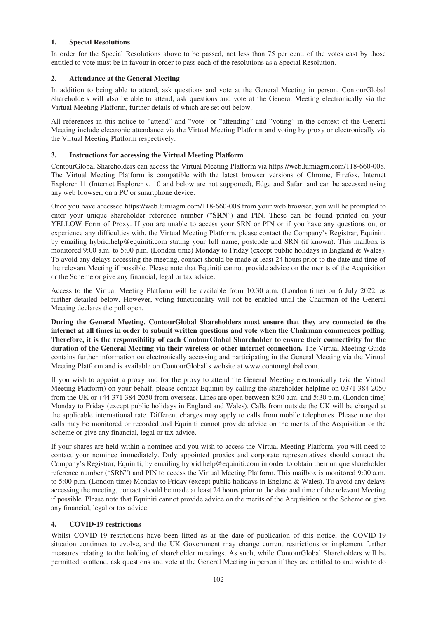## **1. Special Resolutions**

In order for the Special Resolutions above to be passed, not less than 75 per cent. of the votes cast by those entitled to vote must be in favour in order to pass each of the resolutions as a Special Resolution.

## **2. Attendance at the General Meeting**

In addition to being able to attend, ask questions and vote at the General Meeting in person, ContourGlobal Shareholders will also be able to attend, ask questions and vote at the General Meeting electronically via the Virtual Meeting Platform, further details of which are set out below.

All references in this notice to "attend" and "vote" or "attending" and "voting" in the context of the General Meeting include electronic attendance via the Virtual Meeting Platform and voting by proxy or electronically via the Virtual Meeting Platform respectively.

# **3. Instructions for accessing the Virtual Meeting Platform**

ContourGlobal Shareholders can access the Virtual Meeting Platform via https://web.lumiagm.com/118-660-008. The Virtual Meeting Platform is compatible with the latest browser versions of Chrome, Firefox, Internet Explorer 11 (Internet Explorer v. 10 and below are not supported), Edge and Safari and can be accessed using any web browser, on a PC or smartphone device.

Once you have accessed https://web.lumiagm.com/118-660-008 from your web browser, you will be prompted to enter your unique shareholder reference number ("**SRN**") and PIN. These can be found printed on your YELLOW Form of Proxy. If you are unable to access your SRN or PIN or if you have any questions on, or experience any difficulties with, the Virtual Meeting Platform, please contact the Company's Registrar, Equiniti, by emailing hybrid.help@equiniti.com stating your full name, postcode and SRN (if known). This mailbox is monitored 9:00 a.m. to 5:00 p.m. (London time) Monday to Friday (except public holidays in England & Wales). To avoid any delays accessing the meeting, contact should be made at least 24 hours prior to the date and time of the relevant Meeting if possible. Please note that Equiniti cannot provide advice on the merits of the Acquisition or the Scheme or give any financial, legal or tax advice.

Access to the Virtual Meeting Platform will be available from 10:30 a.m. (London time) on 6 July 2022, as further detailed below. However, voting functionality will not be enabled until the Chairman of the General Meeting declares the poll open.

**During the General Meeting, ContourGlobal Shareholders must ensure that they are connected to the internet at all times in order to submit written questions and vote when the Chairman commences polling. Therefore, it is the responsibility of each ContourGlobal Shareholder to ensure their connectivity for the duration of the General Meeting via their wireless or other internet connection.** The Virtual Meeting Guide contains further information on electronically accessing and participating in the General Meeting via the Virtual Meeting Platform and is available on ContourGlobal's website at www.contourglobal.com.

If you wish to appoint a proxy and for the proxy to attend the General Meeting electronically (via the Virtual Meeting Platform) on your behalf, please contact Equiniti by calling the shareholder helpline on 0371 384 2050 from the UK or +44 371 384 2050 from overseas. Lines are open between 8:30 a.m. and 5:30 p.m. (London time) Monday to Friday (except public holidays in England and Wales). Calls from outside the UK will be charged at the applicable international rate. Different charges may apply to calls from mobile telephones. Please note that calls may be monitored or recorded and Equiniti cannot provide advice on the merits of the Acquisition or the Scheme or give any financial, legal or tax advice.

If your shares are held within a nominee and you wish to access the Virtual Meeting Platform, you will need to contact your nominee immediately. Duly appointed proxies and corporate representatives should contact the Company's Registrar, Equiniti, by emailing hybrid.help@equiniti.com in order to obtain their unique shareholder reference number ("SRN") and PIN to access the Virtual Meeting Platform. This mailbox is monitored 9:00 a.m. to 5:00 p.m. (London time) Monday to Friday (except public holidays in England & Wales). To avoid any delays accessing the meeting, contact should be made at least 24 hours prior to the date and time of the relevant Meeting if possible. Please note that Equiniti cannot provide advice on the merits of the Acquisition or the Scheme or give any financial, legal or tax advice.

# **4. COVID-19 restrictions**

Whilst COVID-19 restrictions have been lifted as at the date of publication of this notice, the COVID-19 situation continues to evolve, and the UK Government may change current restrictions or implement further measures relating to the holding of shareholder meetings. As such, while ContourGlobal Shareholders will be permitted to attend, ask questions and vote at the General Meeting in person if they are entitled to and wish to do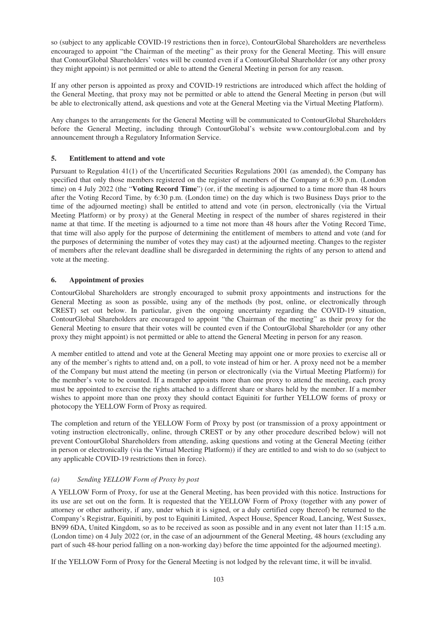so (subject to any applicable COVID-19 restrictions then in force), ContourGlobal Shareholders are nevertheless encouraged to appoint "the Chairman of the meeting" as their proxy for the General Meeting. This will ensure that ContourGlobal Shareholders' votes will be counted even if a ContourGlobal Shareholder (or any other proxy they might appoint) is not permitted or able to attend the General Meeting in person for any reason.

If any other person is appointed as proxy and COVID-19 restrictions are introduced which affect the holding of the General Meeting, that proxy may not be permitted or able to attend the General Meeting in person (but will be able to electronically attend, ask questions and vote at the General Meeting via the Virtual Meeting Platform).

Any changes to the arrangements for the General Meeting will be communicated to ContourGlobal Shareholders before the General Meeting, including through ContourGlobal's website www.contourglobal.com and by announcement through a Regulatory Information Service.

# **5. Entitlement to attend and vote**

Pursuant to Regulation 41(1) of the Uncertificated Securities Regulations 2001 (as amended), the Company has specified that only those members registered on the register of members of the Company at 6:30 p.m. (London time) on 4 July 2022 (the "**Voting Record Time**") (or, if the meeting is adjourned to a time more than 48 hours after the Voting Record Time, by 6:30 p.m. (London time) on the day which is two Business Days prior to the time of the adjourned meeting) shall be entitled to attend and vote (in person, electronically (via the Virtual Meeting Platform) or by proxy) at the General Meeting in respect of the number of shares registered in their name at that time. If the meeting is adjourned to a time not more than 48 hours after the Voting Record Time, that time will also apply for the purpose of determining the entitlement of members to attend and vote (and for the purposes of determining the number of votes they may cast) at the adjourned meeting. Changes to the register of members after the relevant deadline shall be disregarded in determining the rights of any person to attend and vote at the meeting.

## **6. Appointment of proxies**

ContourGlobal Shareholders are strongly encouraged to submit proxy appointments and instructions for the General Meeting as soon as possible, using any of the methods (by post, online, or electronically through CREST) set out below. In particular, given the ongoing uncertainty regarding the COVID-19 situation, ContourGlobal Shareholders are encouraged to appoint "the Chairman of the meeting" as their proxy for the General Meeting to ensure that their votes will be counted even if the ContourGlobal Shareholder (or any other proxy they might appoint) is not permitted or able to attend the General Meeting in person for any reason.

A member entitled to attend and vote at the General Meeting may appoint one or more proxies to exercise all or any of the member's rights to attend and, on a poll, to vote instead of him or her. A proxy need not be a member of the Company but must attend the meeting (in person or electronically (via the Virtual Meeting Platform)) for the member's vote to be counted. If a member appoints more than one proxy to attend the meeting, each proxy must be appointed to exercise the rights attached to a different share or shares held by the member. If a member wishes to appoint more than one proxy they should contact Equiniti for further YELLOW forms of proxy or photocopy the YELLOW Form of Proxy as required.

The completion and return of the YELLOW Form of Proxy by post (or transmission of a proxy appointment or voting instruction electronically, online, through CREST or by any other procedure described below) will not prevent ContourGlobal Shareholders from attending, asking questions and voting at the General Meeting (either in person or electronically (via the Virtual Meeting Platform)) if they are entitled to and wish to do so (subject to any applicable COVID-19 restrictions then in force).

# *(a) Sending YELLOW Form of Proxy by post*

A YELLOW Form of Proxy, for use at the General Meeting, has been provided with this notice. Instructions for its use are set out on the form. It is requested that the YELLOW Form of Proxy (together with any power of attorney or other authority, if any, under which it is signed, or a duly certified copy thereof) be returned to the Company's Registrar, Equiniti, by post to Equiniti Limited, Aspect House, Spencer Road, Lancing, West Sussex, BN99 6DA, United Kingdom, so as to be received as soon as possible and in any event not later than 11:15 a.m. (London time) on 4 July 2022 (or, in the case of an adjournment of the General Meeting, 48 hours (excluding any part of such 48-hour period falling on a non-working day) before the time appointed for the adjourned meeting).

If the YELLOW Form of Proxy for the General Meeting is not lodged by the relevant time, it will be invalid.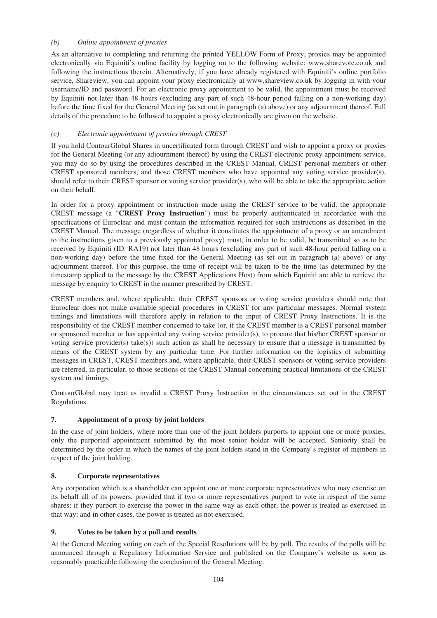## *(b) Online appointment of proxies*

As an alternative to completing and returning the printed YELLOW Form of Proxy, proxies may be appointed electronically via Equiniti's online facility by logging on to the following website: www.sharevote.co.uk and following the instructions therein. Alternatively, if you have already registered with Equiniti's online portfolio service, Shareview, you can appoint your proxy electronically at www.shareview.co.uk by logging in with your username/ID and password. For an electronic proxy appointment to be valid, the appointment must be received by Equiniti not later than 48 hours (excluding any part of such 48-hour period falling on a non-working day) before the time fixed for the General Meeting (as set out in paragraph (a) above) or any adjournment thereof. Full details of the procedure to be followed to appoint a proxy electronically are given on the website.

# *(c) Electronic appointment of proxies through CREST*

If you hold ContourGlobal Shares in uncertificated form through CREST and wish to appoint a proxy or proxies for the General Meeting (or any adjournment thereof) by using the CREST electronic proxy appointment service, you may do so by using the procedures described in the CREST Manual. CREST personal members or other CREST sponsored members, and those CREST members who have appointed any voting service provider(s), should refer to their CREST sponsor or voting service provider(s), who will be able to take the appropriate action on their behalf.

In order for a proxy appointment or instruction made using the CREST service to be valid, the appropriate CREST message (a "**CREST Proxy Instruction**") must be properly authenticated in accordance with the specifications of Euroclear and must contain the information required for such instructions as described in the CREST Manual. The message (regardless of whether it constitutes the appointment of a proxy or an amendment to the instructions given to a previously appointed proxy) must, in order to be valid, be transmitted so as to be received by Equiniti (ID: RA19) not later than 48 hours (excluding any part of such 48-hour period falling on a non-working day) before the time fixed for the General Meeting (as set out in paragraph (a) above) or any adjournment thereof. For this purpose, the time of receipt will be taken to be the time (as determined by the timestamp applied to the message by the CREST Applications Host) from which Equiniti are able to retrieve the message by enquiry to CREST in the manner prescribed by CREST.

CREST members and, where applicable, their CREST sponsors or voting service providers should note that Euroclear does not make available special procedures in CREST for any particular messages. Normal system timings and limitations will therefore apply in relation to the input of CREST Proxy Instructions. It is the responsibility of the CREST member concerned to take (or, if the CREST member is a CREST personal member or sponsored member or has appointed any voting service provider(s), to procure that his/her CREST sponsor or voting service provider(s) take(s)) such action as shall be necessary to ensure that a message is transmitted by means of the CREST system by any particular time. For further information on the logistics of submitting messages in CREST, CREST members and, where applicable, their CREST sponsors or voting service providers are referred, in particular, to those sections of the CREST Manual concerning practical limitations of the CREST system and timings.

ContourGlobal may treat as invalid a CREST Proxy Instruction in the circumstances set out in the CREST Regulations.

## **7. Appointment of a proxy by joint holders**

In the case of joint holders, where more than one of the joint holders purports to appoint one or more proxies, only the purported appointment submitted by the most senior holder will be accepted. Seniority shall be determined by the order in which the names of the joint holders stand in the Company's register of members in respect of the joint holding.

## **8. Corporate representatives**

Any corporation which is a shareholder can appoint one or more corporate representatives who may exercise on its behalf all of its powers, provided that if two or more representatives purport to vote in respect of the same shares: if they purport to exercise the power in the same way as each other, the power is treated as exercised in that way; and in other cases, the power is treated as not exercised.

## **9. Votes to be taken by a poll and results**

At the General Meeting voting on each of the Special Resolutions will be by poll. The results of the polls will be announced through a Regulatory Information Service and published on the Company's website as soon as reasonably practicable following the conclusion of the General Meeting.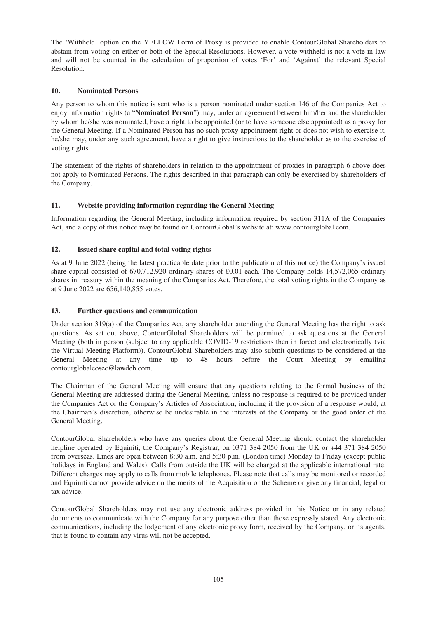The 'Withheld' option on the YELLOW Form of Proxy is provided to enable ContourGlobal Shareholders to abstain from voting on either or both of the Special Resolutions. However, a vote withheld is not a vote in law and will not be counted in the calculation of proportion of votes 'For' and 'Against' the relevant Special Resolution.

# **10. Nominated Persons**

Any person to whom this notice is sent who is a person nominated under section 146 of the Companies Act to enjoy information rights (a "**Nominated Person**") may, under an agreement between him/her and the shareholder by whom he/she was nominated, have a right to be appointed (or to have someone else appointed) as a proxy for the General Meeting. If a Nominated Person has no such proxy appointment right or does not wish to exercise it, he/she may, under any such agreement, have a right to give instructions to the shareholder as to the exercise of voting rights.

The statement of the rights of shareholders in relation to the appointment of proxies in paragraph 6 above does not apply to Nominated Persons. The rights described in that paragraph can only be exercised by shareholders of the Company.

## **11. Website providing information regarding the General Meeting**

Information regarding the General Meeting, including information required by section 311A of the Companies Act, and a copy of this notice may be found on ContourGlobal's website at: www.contourglobal.com.

# **12. Issued share capital and total voting rights**

As at 9 June 2022 (being the latest practicable date prior to the publication of this notice) the Company's issued share capital consisted of 670,712,920 ordinary shares of £0.01 each. The Company holds 14,572,065 ordinary shares in treasury within the meaning of the Companies Act. Therefore, the total voting rights in the Company as at 9 June 2022 are 656,140,855 votes.

## **13. Further questions and communication**

Under section 319(a) of the Companies Act, any shareholder attending the General Meeting has the right to ask questions. As set out above, ContourGlobal Shareholders will be permitted to ask questions at the General Meeting (both in person (subject to any applicable COVID-19 restrictions then in force) and electronically (via the Virtual Meeting Platform)). ContourGlobal Shareholders may also submit questions to be considered at the General Meeting at any time up to 48 hours before the Court Meeting by emailing contourglobalcosec@lawdeb.com.

The Chairman of the General Meeting will ensure that any questions relating to the formal business of the General Meeting are addressed during the General Meeting, unless no response is required to be provided under the Companies Act or the Company's Articles of Association, including if the provision of a response would, at the Chairman's discretion, otherwise be undesirable in the interests of the Company or the good order of the General Meeting.

ContourGlobal Shareholders who have any queries about the General Meeting should contact the shareholder helpline operated by Equiniti, the Company's Registrar, on 0371 384 2050 from the UK or +44 371 384 2050 from overseas. Lines are open between 8:30 a.m. and 5:30 p.m. (London time) Monday to Friday (except public holidays in England and Wales). Calls from outside the UK will be charged at the applicable international rate. Different charges may apply to calls from mobile telephones. Please note that calls may be monitored or recorded and Equiniti cannot provide advice on the merits of the Acquisition or the Scheme or give any financial, legal or tax advice.

ContourGlobal Shareholders may not use any electronic address provided in this Notice or in any related documents to communicate with the Company for any purpose other than those expressly stated. Any electronic communications, including the lodgement of any electronic proxy form, received by the Company, or its agents, that is found to contain any virus will not be accepted.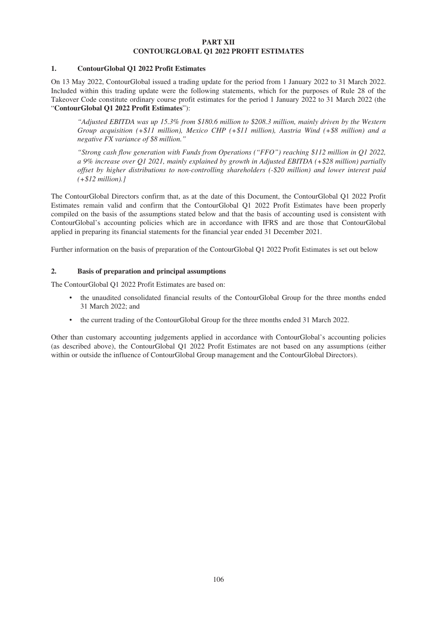## **PART XII CONTOURGLOBAL Q1 2022 PROFIT ESTIMATES**

## **1. ContourGlobal Q1 2022 Profit Estimates**

On 13 May 2022, ContourGlobal issued a trading update for the period from 1 January 2022 to 31 March 2022. Included within this trading update were the following statements, which for the purposes of Rule 28 of the Takeover Code constitute ordinary course profit estimates for the period 1 January 2022 to 31 March 2022 (the "**ContourGlobal Q1 2022 Profit Estimates**"):

*"Adjusted EBITDA was up 15.3% from \$180.6 million to \$208.3 million, mainly driven by the Western Group acquisition (+\$11 million), Mexico CHP (+\$11 million), Austria Wind (+\$8 million) and a negative FX variance of \$8 million."*

*"Strong cash flow generation with Funds from Operations ("FFO") reaching \$112 million in Q1 2022, a 9% increase over Q1 2021, mainly explained by growth in Adjusted EBITDA (+\$28 million) partially offset by higher distributions to non-controlling shareholders (-\$20 million) and lower interest paid (+\$12 million).]*

The ContourGlobal Directors confirm that, as at the date of this Document, the ContourGlobal Q1 2022 Profit Estimates remain valid and confirm that the ContourGlobal Q1 2022 Profit Estimates have been properly compiled on the basis of the assumptions stated below and that the basis of accounting used is consistent with ContourGlobal's accounting policies which are in accordance with IFRS and are those that ContourGlobal applied in preparing its financial statements for the financial year ended 31 December 2021.

Further information on the basis of preparation of the ContourGlobal Q1 2022 Profit Estimates is set out below

## **2. Basis of preparation and principal assumptions**

The ContourGlobal Q1 2022 Profit Estimates are based on:

- the unaudited consolidated financial results of the ContourGlobal Group for the three months ended 31 March 2022; and
- the current trading of the ContourGlobal Group for the three months ended 31 March 2022.

Other than customary accounting judgements applied in accordance with ContourGlobal's accounting policies (as described above), the ContourGlobal Q1 2022 Profit Estimates are not based on any assumptions (either within or outside the influence of ContourGlobal Group management and the ContourGlobal Directors).